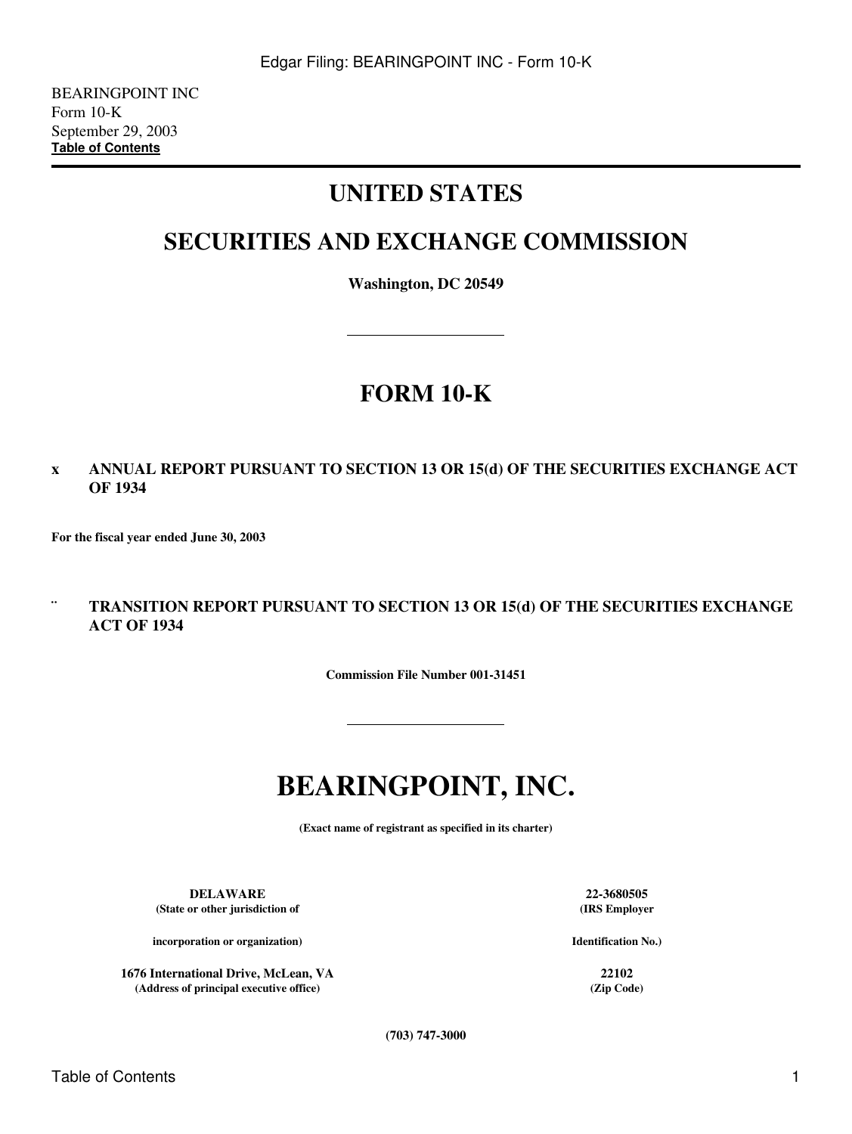# **UNITED STATES**

# **SECURITIES AND EXCHANGE COMMISSION**

**Washington, DC 20549**

# **FORM 10-K**

### **x ANNUAL REPORT PURSUANT TO SECTION 13 OR 15(d) OF THE SECURITIES EXCHANGE ACT OF 1934**

**For the fiscal year ended June 30, 2003**

### **¨ TRANSITION REPORT PURSUANT TO SECTION 13 OR 15(d) OF THE SECURITIES EXCHANGE ACT OF 1934**

**Commission File Number 001-31451**

# **BEARINGPOINT, INC.**

**(Exact name of registrant as specified in its charter)**

**DELAWARE 22-3680505 (State or other jurisdiction of**

**incorporation or organization)**

**1676 International Drive, McLean, VA 22102 (Address of principal executive office) (Zip Code)**

**(IRS Employer**

**Identification No.)**

**(703) 747-3000**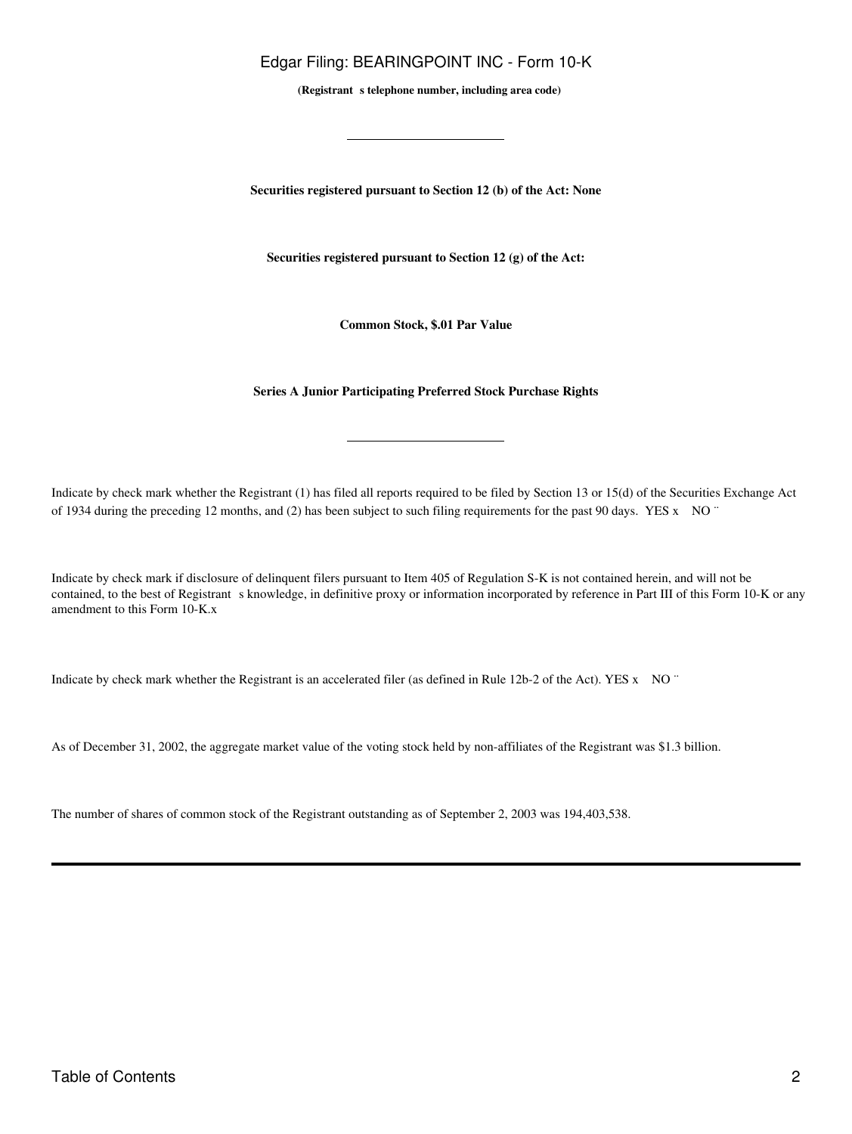(Registrant s telephone number, including area code)

**Securities registered pursuant to Section 12 (b) of the Act: None**

**Securities registered pursuant to Section 12 (g) of the Act:**

**Common Stock, \$.01 Par Value**

#### **Series A Junior Participating Preferred Stock Purchase Rights**

Indicate by check mark whether the Registrant (1) has filed all reports required to be filed by Section 13 or 15(d) of the Securities Exchange Act of 1934 during the preceding 12 months, and (2) has been subject to such filing requirements for the past 90 days. YES x NO ¨

Indicate by check mark if disclosure of delinquent filers pursuant to Item 405 of Regulation S-K is not contained herein, and will not be contained, to the best of Registrant s knowledge, in definitive proxy or information incorporated by reference in Part III of this Form 10-K or any amendment to this Form 10-K.x

Indicate by check mark whether the Registrant is an accelerated filer (as defined in Rule 12b-2 of the Act). YES x NO ¨

As of December 31, 2002, the aggregate market value of the voting stock held by non-affiliates of the Registrant was \$1.3 billion.

The number of shares of common stock of the Registrant outstanding as of September 2, 2003 was 194,403,538.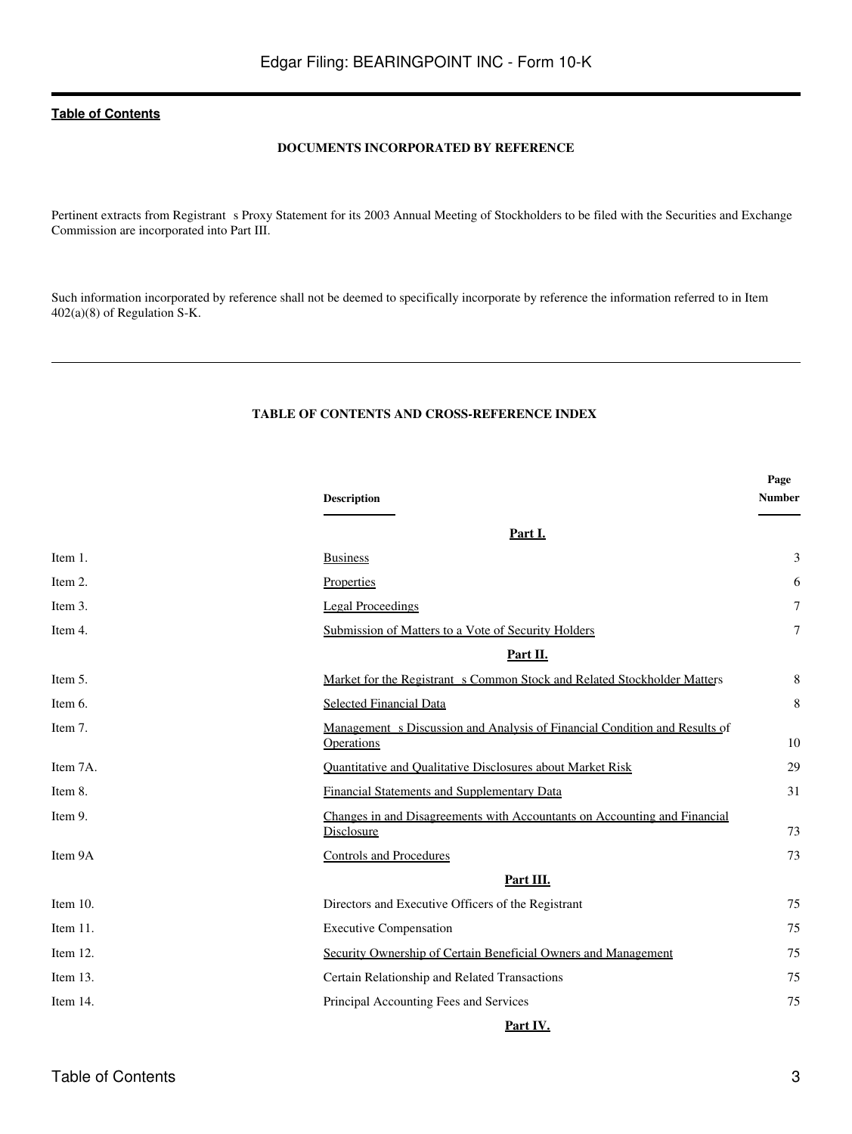### **DOCUMENTS INCORPORATED BY REFERENCE**

Pertinent extracts from Registrant s Proxy Statement for its 2003 Annual Meeting of Stockholders to be filed with the Securities and Exchange Commission are incorporated into Part III.

Such information incorporated by reference shall not be deemed to specifically incorporate by reference the information referred to in Item 402(a)(8) of Regulation S-K.

### **TABLE OF CONTENTS AND CROSS-REFERENCE INDEX**

<span id="page-2-0"></span>

|             | <b>Description</b>                                                                              | Page<br><b>Number</b> |
|-------------|-------------------------------------------------------------------------------------------------|-----------------------|
|             | Part I.                                                                                         |                       |
| Item 1.     | <b>Business</b>                                                                                 | 3                     |
| Item 2.     | Properties                                                                                      | 6                     |
| Item 3.     | <b>Legal Proceedings</b>                                                                        | $\overline{7}$        |
| Item 4.     | Submission of Matters to a Vote of Security Holders                                             | $\tau$                |
|             | Part II.                                                                                        |                       |
| Item 5.     | Market for the Registrant s Common Stock and Related Stockholder Matters                        | 8                     |
| Item 6.     | <b>Selected Financial Data</b>                                                                  | 8                     |
| Item 7.     | Management s Discussion and Analysis of Financial Condition and Results of<br><b>Operations</b> | 10                    |
| Item 7A.    | Quantitative and Qualitative Disclosures about Market Risk                                      | 29                    |
| Item 8.     | <b>Financial Statements and Supplementary Data</b>                                              | 31                    |
| Item 9.     | Changes in and Disagreements with Accountants on Accounting and Financial<br>Disclosure         | 73                    |
| Item 9A     | <b>Controls and Procedures</b>                                                                  | 73                    |
|             | Part III.                                                                                       |                       |
| Item $10$ . | Directors and Executive Officers of the Registrant                                              | 75                    |
| Item 11.    | <b>Executive Compensation</b>                                                                   | 75                    |
| Item 12.    | Security Ownership of Certain Beneficial Owners and Management                                  | 75                    |
| Item 13.    | Certain Relationship and Related Transactions                                                   | 75                    |
| Item 14.    | Principal Accounting Fees and Services                                                          | 75                    |
|             | Part IV.                                                                                        |                       |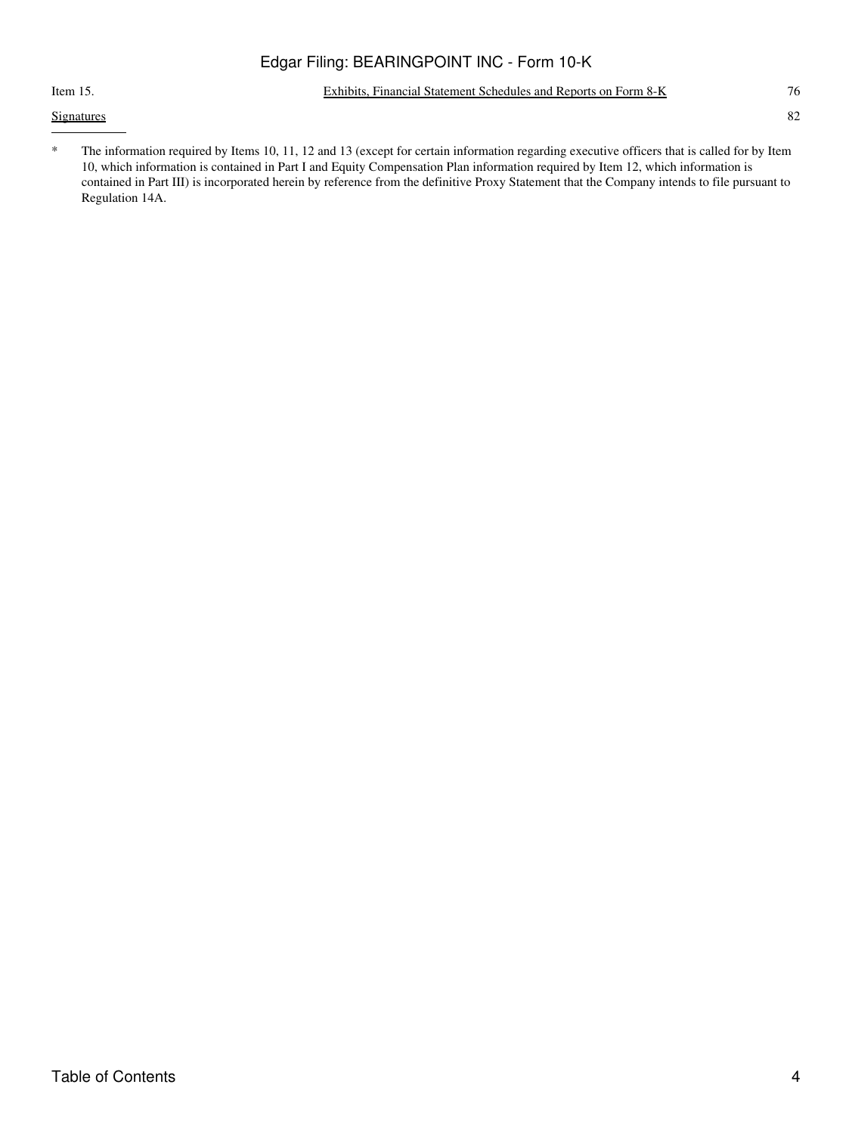### Item 15. [Exhibits, Financial Statement Schedules and Reports on Form 8-K](#page-135-1) 76

**[Signatures](#page-142-0)** 82

\* The information required by Items 10, 11, 12 and 13 (except for certain information regarding executive officers that is called for by Item 10, which information is contained in Part I and Equity Compensation Plan information required by Item 12, which information is contained in Part III) is incorporated herein by reference from the definitive Proxy Statement that the Company intends to file pursuant to Regulation 14A.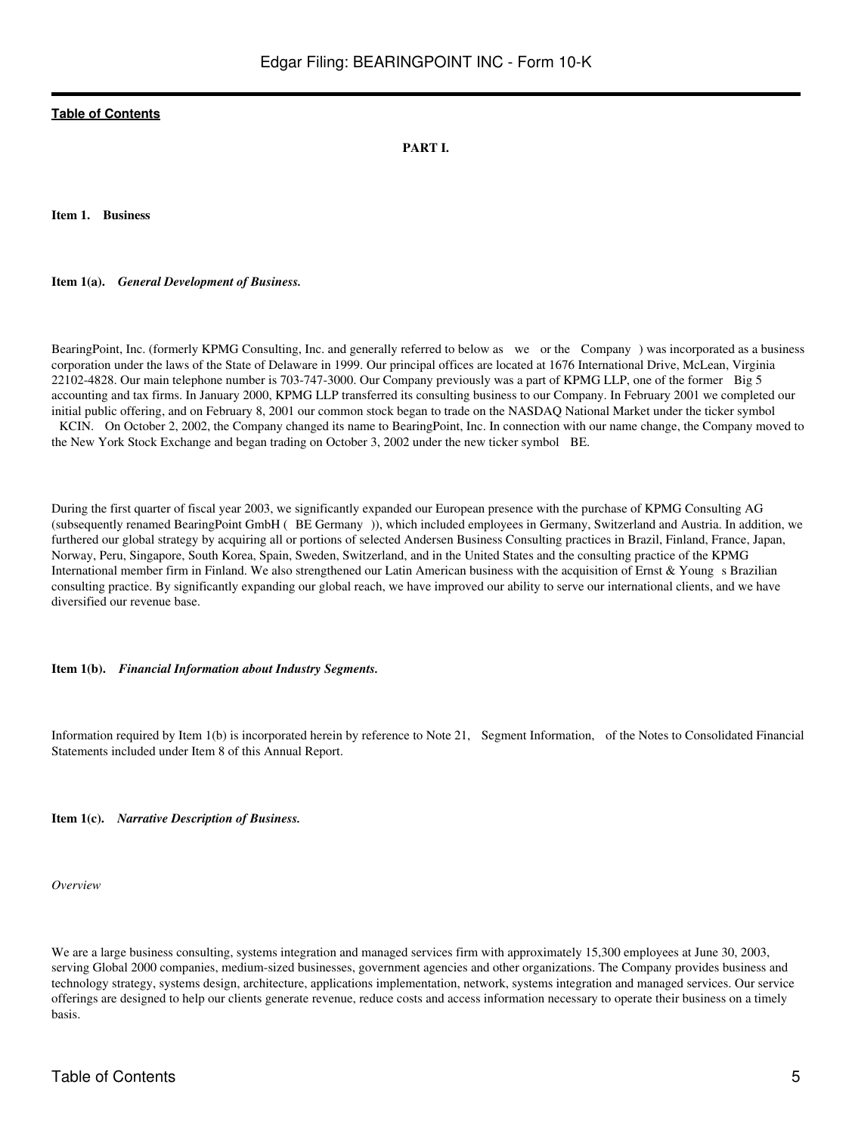### **PART I.**

<span id="page-4-1"></span><span id="page-4-0"></span>**Item 1. Business**

**Item 1(a).** *General Development of Business.*

BearingPoint, Inc. (formerly KPMG Consulting, Inc. and generally referred to below as we or the Company) was incorporated as a business corporation under the laws of the State of Delaware in 1999. Our principal offices are located at 1676 International Drive, McLean, Virginia 22102-4828. Our main telephone number is 703-747-3000. Our Company previously was a part of KPMG LLP, one of the former Big 5 accounting and tax firms. In January 2000, KPMG LLP transferred its consulting business to our Company. In February 2001 we completed our initial public offering, and on February 8, 2001 our common stock began to trade on the NASDAQ National Market under the ticker symbol KCIN. On October 2, 2002, the Company changed its name to BearingPoint, Inc. In connection with our name change, the Company moved to the New York Stock Exchange and began trading on October 3, 2002 under the new ticker symbol BE.

During the first quarter of fiscal year 2003, we significantly expanded our European presence with the purchase of KPMG Consulting AG (subsequently renamed BearingPoint GmbH (BE Germany)), which included employees in Germany, Switzerland and Austria. In addition, we furthered our global strategy by acquiring all or portions of selected Andersen Business Consulting practices in Brazil, Finland, France, Japan, Norway, Peru, Singapore, South Korea, Spain, Sweden, Switzerland, and in the United States and the consulting practice of the KPMG International member firm in Finland. We also strengthened our Latin American business with the acquisition of Ernst  $\&$  Young s Brazilian consulting practice. By significantly expanding our global reach, we have improved our ability to serve our international clients, and we have diversified our revenue base.

**Item 1(b).** *Financial Information about Industry Segments.*

Information required by Item 1(b) is incorporated herein by reference to Note 21, Segment Information, of the Notes to Consolidated Financial Statements included under Item 8 of this Annual Report.

**Item 1(c).** *Narrative Description of Business.*

*Overview*

We are a large business consulting, systems integration and managed services firm with approximately 15,300 employees at June 30, 2003, serving Global 2000 companies, medium-sized businesses, government agencies and other organizations. The Company provides business and technology strategy, systems design, architecture, applications implementation, network, systems integration and managed services. Our service offerings are designed to help our clients generate revenue, reduce costs and access information necessary to operate their business on a timely basis.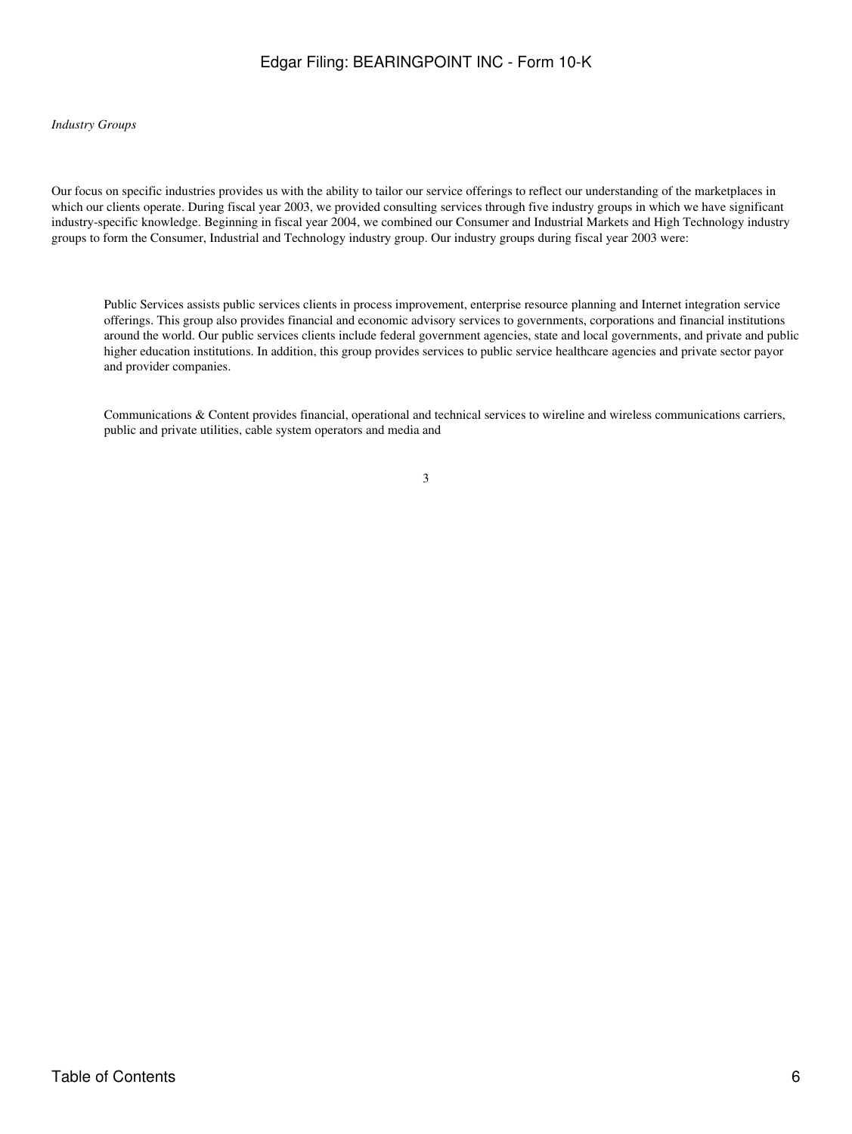### *Industry Groups*

Our focus on specific industries provides us with the ability to tailor our service offerings to reflect our understanding of the marketplaces in which our clients operate. During fiscal year 2003, we provided consulting services through five industry groups in which we have significant industry-specific knowledge. Beginning in fiscal year 2004, we combined our Consumer and Industrial Markets and High Technology industry groups to form the Consumer, Industrial and Technology industry group. Our industry groups during fiscal year 2003 were:

Public Services assists public services clients in process improvement, enterprise resource planning and Internet integration service offerings. This group also provides financial and economic advisory services to governments, corporations and financial institutions around the world. Our public services clients include federal government agencies, state and local governments, and private and public higher education institutions. In addition, this group provides services to public service healthcare agencies and private sector payor and provider companies.

Communications & Content provides financial, operational and technical services to wireline and wireless communications carriers, public and private utilities, cable system operators and media and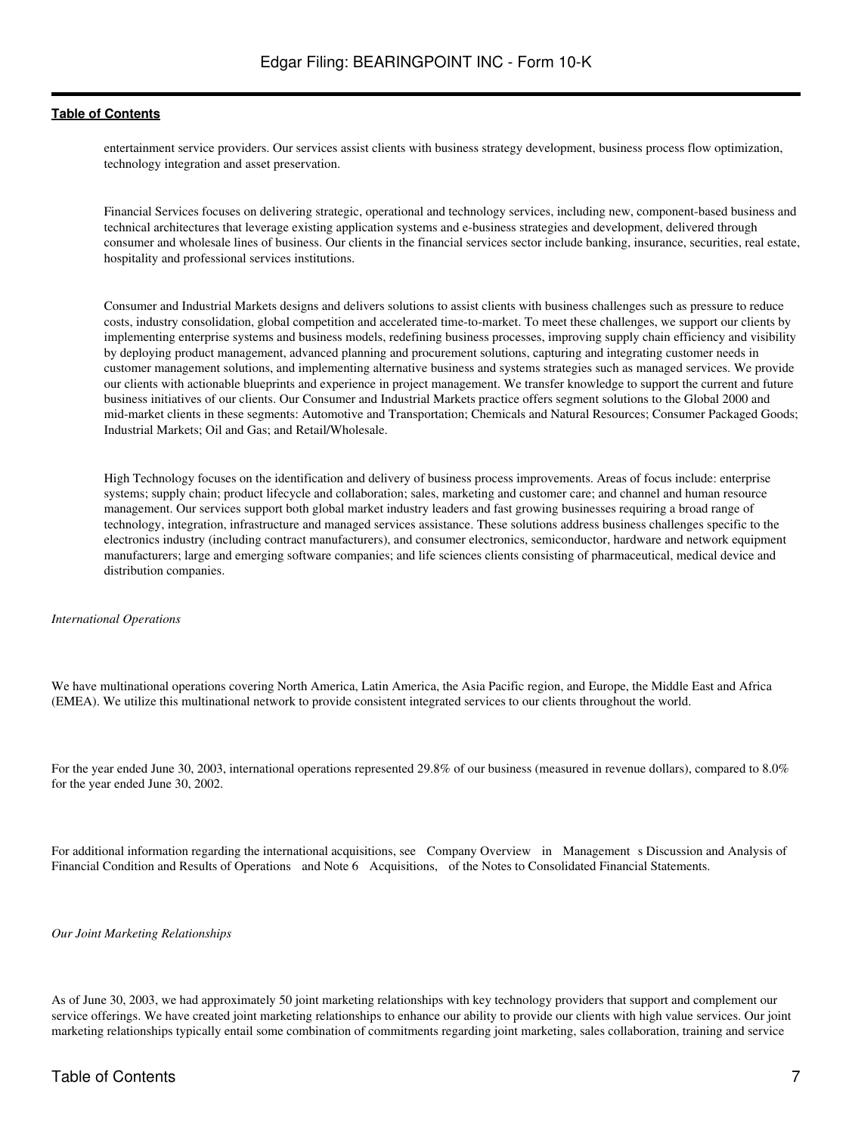entertainment service providers. Our services assist clients with business strategy development, business process flow optimization, technology integration and asset preservation.

Financial Services focuses on delivering strategic, operational and technology services, including new, component-based business and technical architectures that leverage existing application systems and e-business strategies and development, delivered through consumer and wholesale lines of business. Our clients in the financial services sector include banking, insurance, securities, real estate, hospitality and professional services institutions.

Consumer and Industrial Markets designs and delivers solutions to assist clients with business challenges such as pressure to reduce costs, industry consolidation, global competition and accelerated time-to-market. To meet these challenges, we support our clients by implementing enterprise systems and business models, redefining business processes, improving supply chain efficiency and visibility by deploying product management, advanced planning and procurement solutions, capturing and integrating customer needs in customer management solutions, and implementing alternative business and systems strategies such as managed services. We provide our clients with actionable blueprints and experience in project management. We transfer knowledge to support the current and future business initiatives of our clients. Our Consumer and Industrial Markets practice offers segment solutions to the Global 2000 and mid-market clients in these segments: Automotive and Transportation; Chemicals and Natural Resources; Consumer Packaged Goods; Industrial Markets; Oil and Gas; and Retail/Wholesale.

High Technology focuses on the identification and delivery of business process improvements. Areas of focus include: enterprise systems; supply chain; product lifecycle and collaboration; sales, marketing and customer care; and channel and human resource management. Our services support both global market industry leaders and fast growing businesses requiring a broad range of technology, integration, infrastructure and managed services assistance. These solutions address business challenges specific to the electronics industry (including contract manufacturers), and consumer electronics, semiconductor, hardware and network equipment manufacturers; large and emerging software companies; and life sciences clients consisting of pharmaceutical, medical device and distribution companies.

#### *International Operations*

We have multinational operations covering North America, Latin America, the Asia Pacific region, and Europe, the Middle East and Africa (EMEA). We utilize this multinational network to provide consistent integrated services to our clients throughout the world.

For the year ended June 30, 2003, international operations represented 29.8% of our business (measured in revenue dollars), compared to 8.0% for the year ended June 30, 2002.

For additional information regarding the international acquisitions, see Company Overview in Management s Discussion and Analysis of Financial Condition and Results of Operations and Note 6 Acquisitions, of the Notes to Consolidated Financial Statements.

*Our Joint Marketing Relationships*

As of June 30, 2003, we had approximately 50 joint marketing relationships with key technology providers that support and complement our service offerings. We have created joint marketing relationships to enhance our ability to provide our clients with high value services. Our joint marketing relationships typically entail some combination of commitments regarding joint marketing, sales collaboration, training and service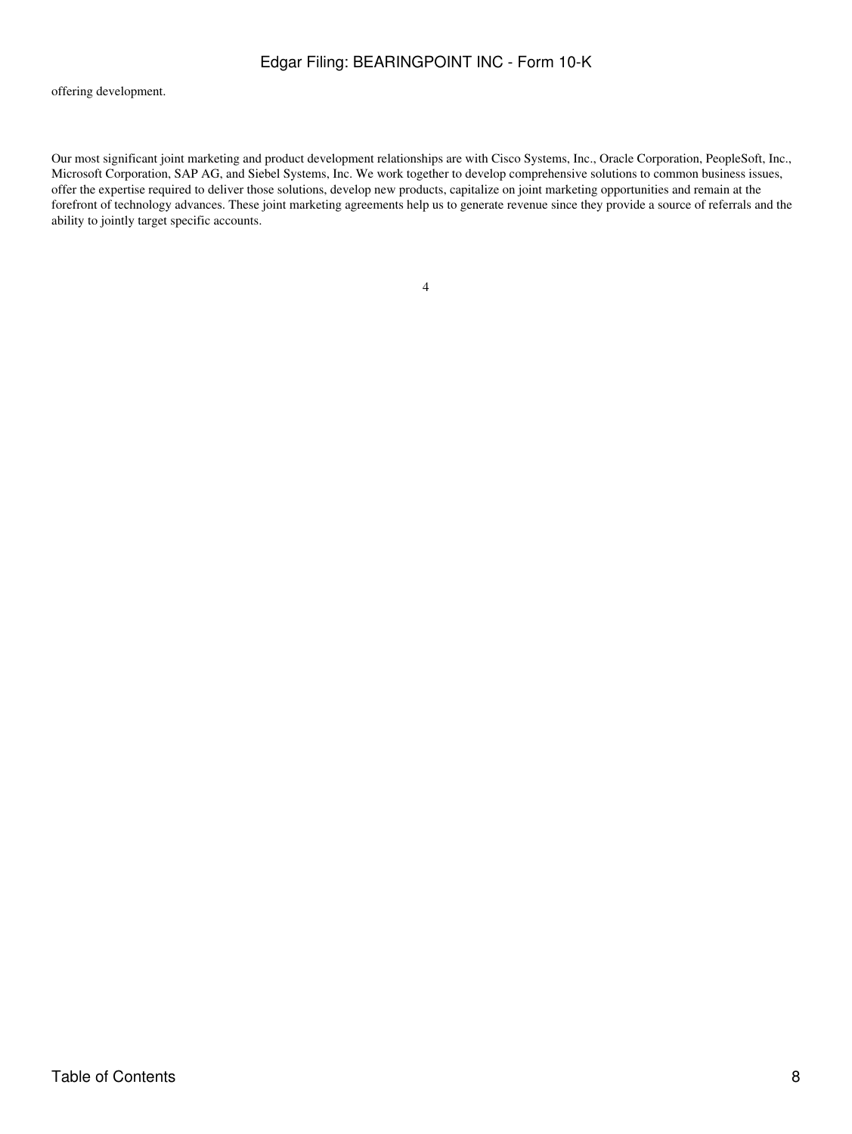offering development.

Our most significant joint marketing and product development relationships are with Cisco Systems, Inc., Oracle Corporation, PeopleSoft, Inc., Microsoft Corporation, SAP AG, and Siebel Systems, Inc. We work together to develop comprehensive solutions to common business issues, offer the expertise required to deliver those solutions, develop new products, capitalize on joint marketing opportunities and remain at the forefront of technology advances. These joint marketing agreements help us to generate revenue since they provide a source of referrals and the ability to jointly target specific accounts.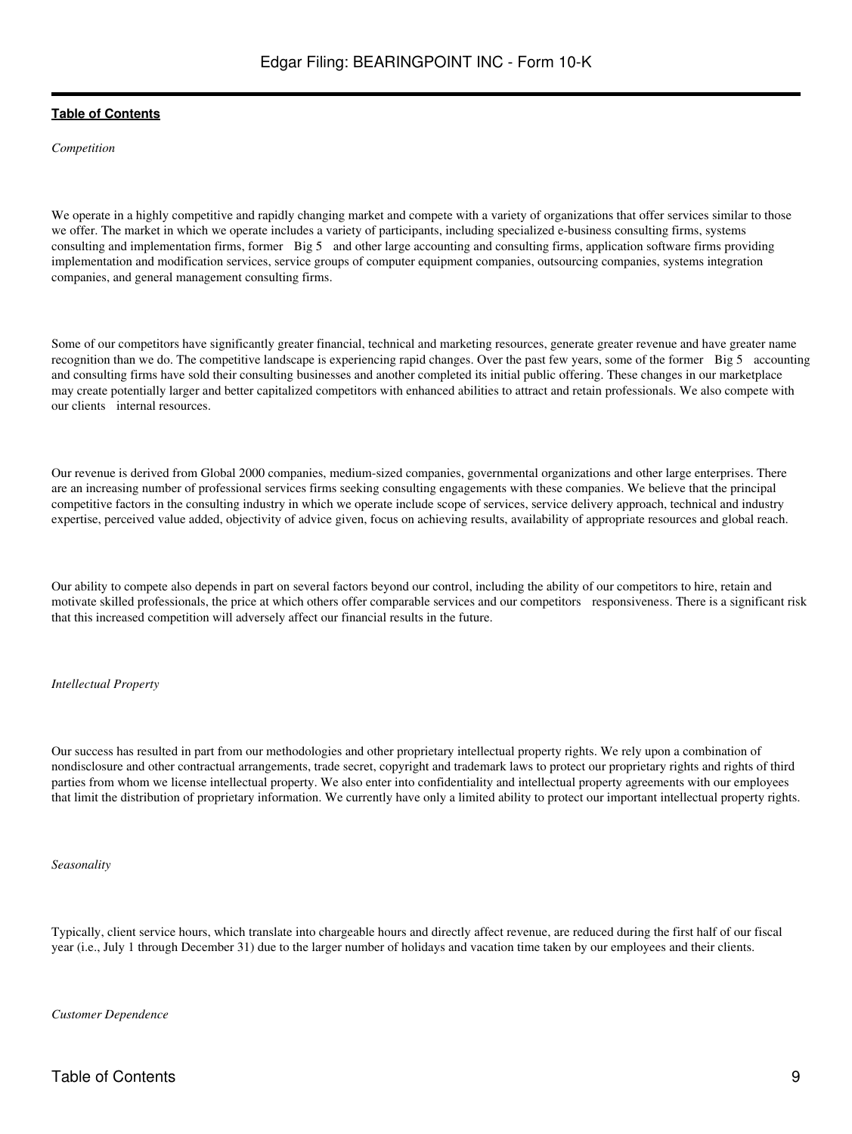*Competition*

We operate in a highly competitive and rapidly changing market and compete with a variety of organizations that offer services similar to those we offer. The market in which we operate includes a variety of participants, including specialized e-business consulting firms, systems consulting and implementation firms, former Big 5 and other large accounting and consulting firms, application software firms providing implementation and modification services, service groups of computer equipment companies, outsourcing companies, systems integration companies, and general management consulting firms.

Some of our competitors have significantly greater financial, technical and marketing resources, generate greater revenue and have greater name recognition than we do. The competitive landscape is experiencing rapid changes. Over the past few years, some of the former Big 5 accounting and consulting firms have sold their consulting businesses and another completed its initial public offering. These changes in our marketplace may create potentially larger and better capitalized competitors with enhanced abilities to attract and retain professionals. We also compete with our clients internal resources.

Our revenue is derived from Global 2000 companies, medium-sized companies, governmental organizations and other large enterprises. There are an increasing number of professional services firms seeking consulting engagements with these companies. We believe that the principal competitive factors in the consulting industry in which we operate include scope of services, service delivery approach, technical and industry expertise, perceived value added, objectivity of advice given, focus on achieving results, availability of appropriate resources and global reach.

Our ability to compete also depends in part on several factors beyond our control, including the ability of our competitors to hire, retain and motivate skilled professionals, the price at which others offer comparable services and our competitors responsiveness. There is a significant risk that this increased competition will adversely affect our financial results in the future.

*Intellectual Property*

Our success has resulted in part from our methodologies and other proprietary intellectual property rights. We rely upon a combination of nondisclosure and other contractual arrangements, trade secret, copyright and trademark laws to protect our proprietary rights and rights of third parties from whom we license intellectual property. We also enter into confidentiality and intellectual property agreements with our employees that limit the distribution of proprietary information. We currently have only a limited ability to protect our important intellectual property rights.

*Seasonality*

Typically, client service hours, which translate into chargeable hours and directly affect revenue, are reduced during the first half of our fiscal year (i.e., July 1 through December 31) due to the larger number of holidays and vacation time taken by our employees and their clients.

*Customer Dependence*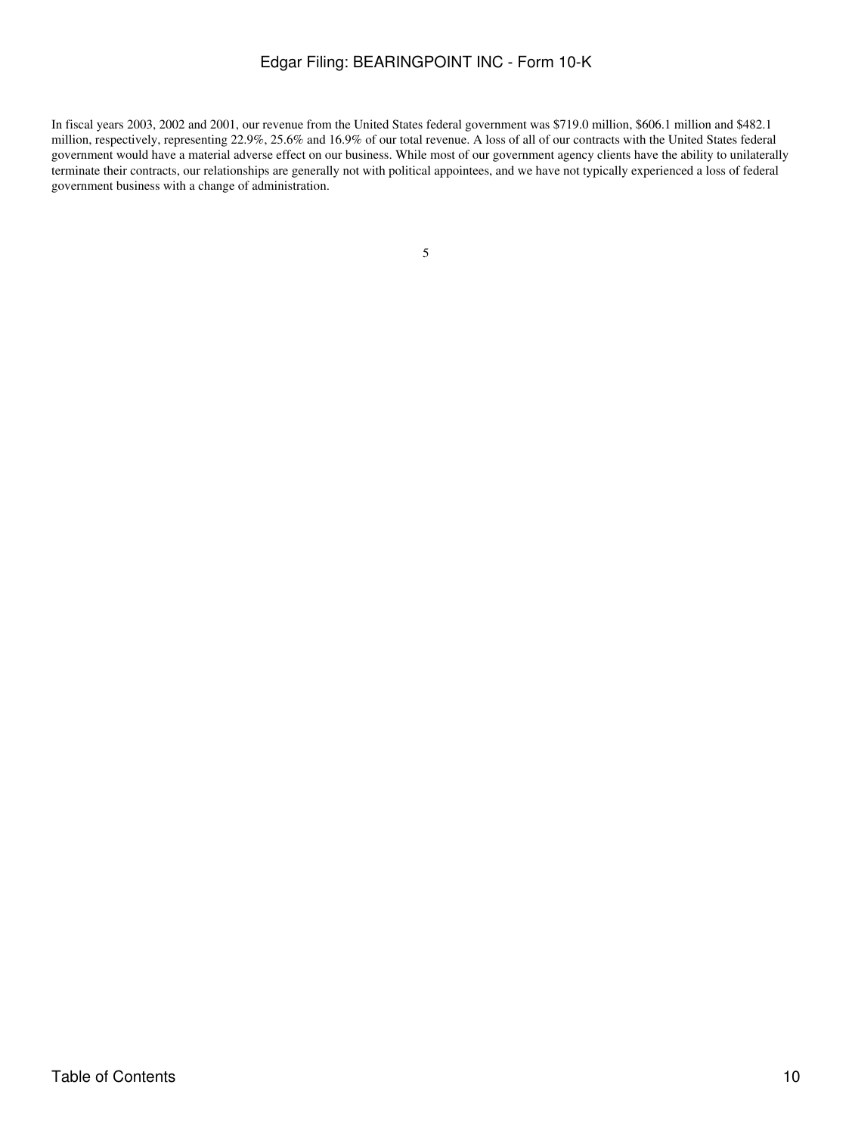In fiscal years 2003, 2002 and 2001, our revenue from the United States federal government was \$719.0 million, \$606.1 million and \$482.1 million, respectively, representing 22.9%, 25.6% and 16.9% of our total revenue. A loss of all of our contracts with the United States federal government would have a material adverse effect on our business. While most of our government agency clients have the ability to unilaterally terminate their contracts, our relationships are generally not with political appointees, and we have not typically experienced a loss of federal government business with a change of administration.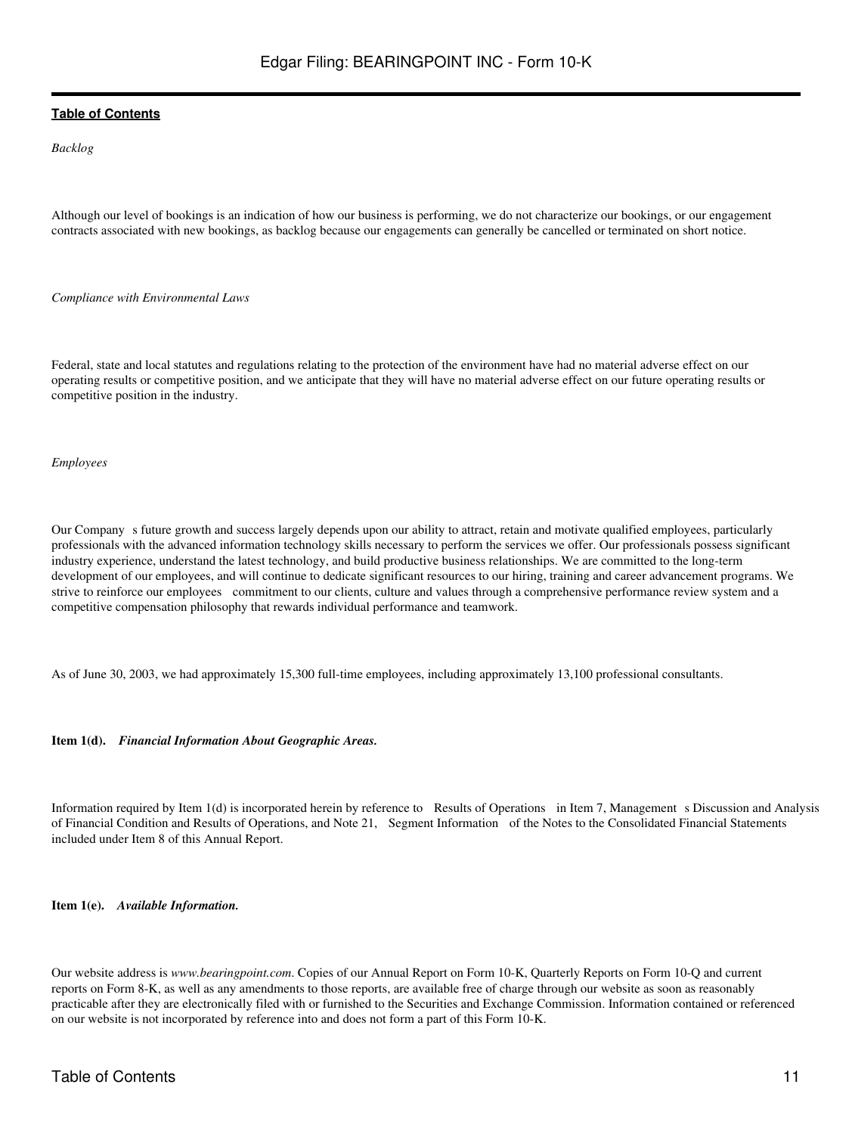*Backlog*

Although our level of bookings is an indication of how our business is performing, we do not characterize our bookings, or our engagement contracts associated with new bookings, as backlog because our engagements can generally be cancelled or terminated on short notice.

#### *Compliance with Environmental Laws*

Federal, state and local statutes and regulations relating to the protection of the environment have had no material adverse effect on our operating results or competitive position, and we anticipate that they will have no material adverse effect on our future operating results or competitive position in the industry.

#### *Employees*

Our Company s future growth and success largely depends upon our ability to attract, retain and motivate qualified employees, particularly professionals with the advanced information technology skills necessary to perform the services we offer. Our professionals possess significant industry experience, understand the latest technology, and build productive business relationships. We are committed to the long-term development of our employees, and will continue to dedicate significant resources to our hiring, training and career advancement programs. We strive to reinforce our employees commitment to our clients, culture and values through a comprehensive performance review system and a competitive compensation philosophy that rewards individual performance and teamwork.

As of June 30, 2003, we had approximately 15,300 full-time employees, including approximately 13,100 professional consultants.

#### **Item 1(d).** *Financial Information About Geographic Areas.*

Information required by Item 1(d) is incorporated herein by reference to Results of Operations in Item 7, Management s Discussion and Analysis of Financial Condition and Results of Operations, and Note 21, Segment Information of the Notes to the Consolidated Financial Statements included under Item 8 of this Annual Report.

**Item 1(e).** *Available Information.*

Our website address is *www.bearingpoint.com*. Copies of our Annual Report on Form 10-K, Quarterly Reports on Form 10-Q and current reports on Form 8-K, as well as any amendments to those reports, are available free of charge through our website as soon as reasonably practicable after they are electronically filed with or furnished to the Securities and Exchange Commission. Information contained or referenced on our website is not incorporated by reference into and does not form a part of this Form 10-K.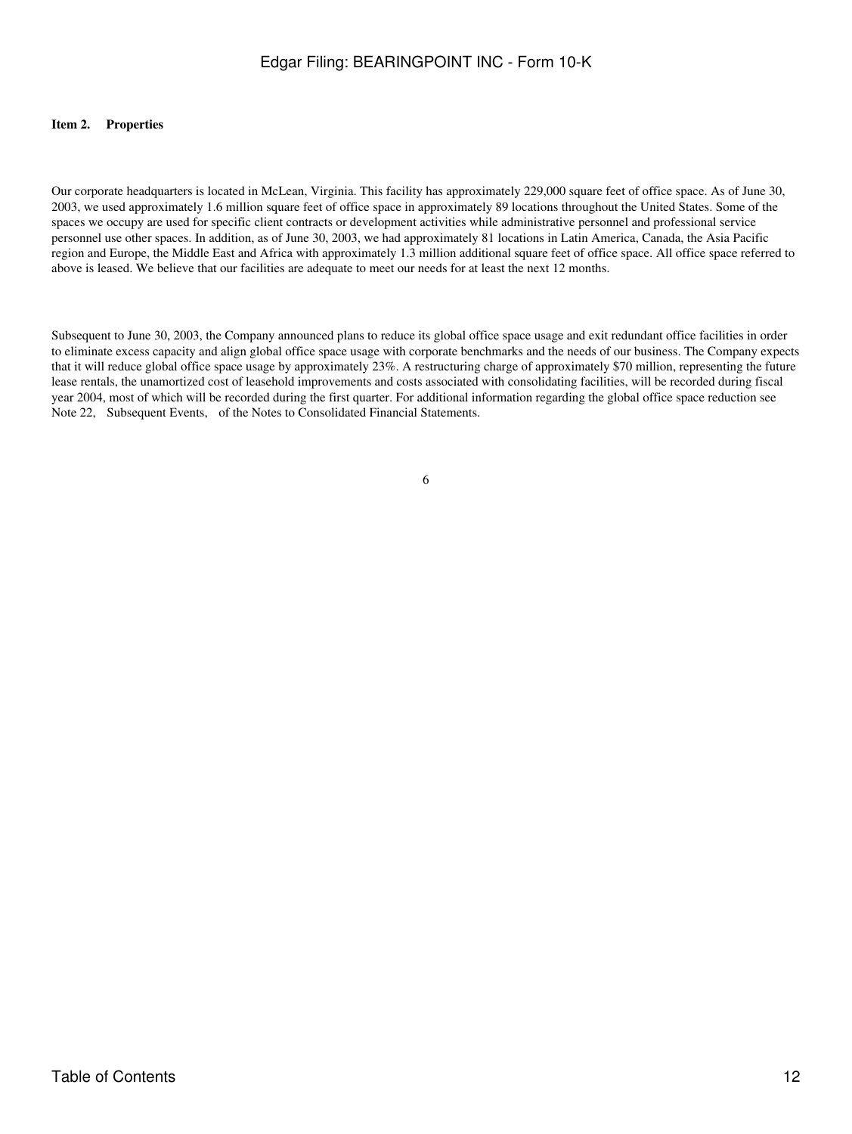### <span id="page-11-0"></span>**Item 2. Properties**

Our corporate headquarters is located in McLean, Virginia. This facility has approximately 229,000 square feet of office space. As of June 30, 2003, we used approximately 1.6 million square feet of office space in approximately 89 locations throughout the United States. Some of the spaces we occupy are used for specific client contracts or development activities while administrative personnel and professional service personnel use other spaces. In addition, as of June 30, 2003, we had approximately 81 locations in Latin America, Canada, the Asia Pacific region and Europe, the Middle East and Africa with approximately 1.3 million additional square feet of office space. All office space referred to above is leased. We believe that our facilities are adequate to meet our needs for at least the next 12 months.

Subsequent to June 30, 2003, the Company announced plans to reduce its global office space usage and exit redundant office facilities in order to eliminate excess capacity and align global office space usage with corporate benchmarks and the needs of our business. The Company expects that it will reduce global office space usage by approximately 23%. A restructuring charge of approximately \$70 million, representing the future lease rentals, the unamortized cost of leasehold improvements and costs associated with consolidating facilities, will be recorded during fiscal year 2004, most of which will be recorded during the first quarter. For additional information regarding the global office space reduction see Note 22, Subsequent Events, of the Notes to Consolidated Financial Statements.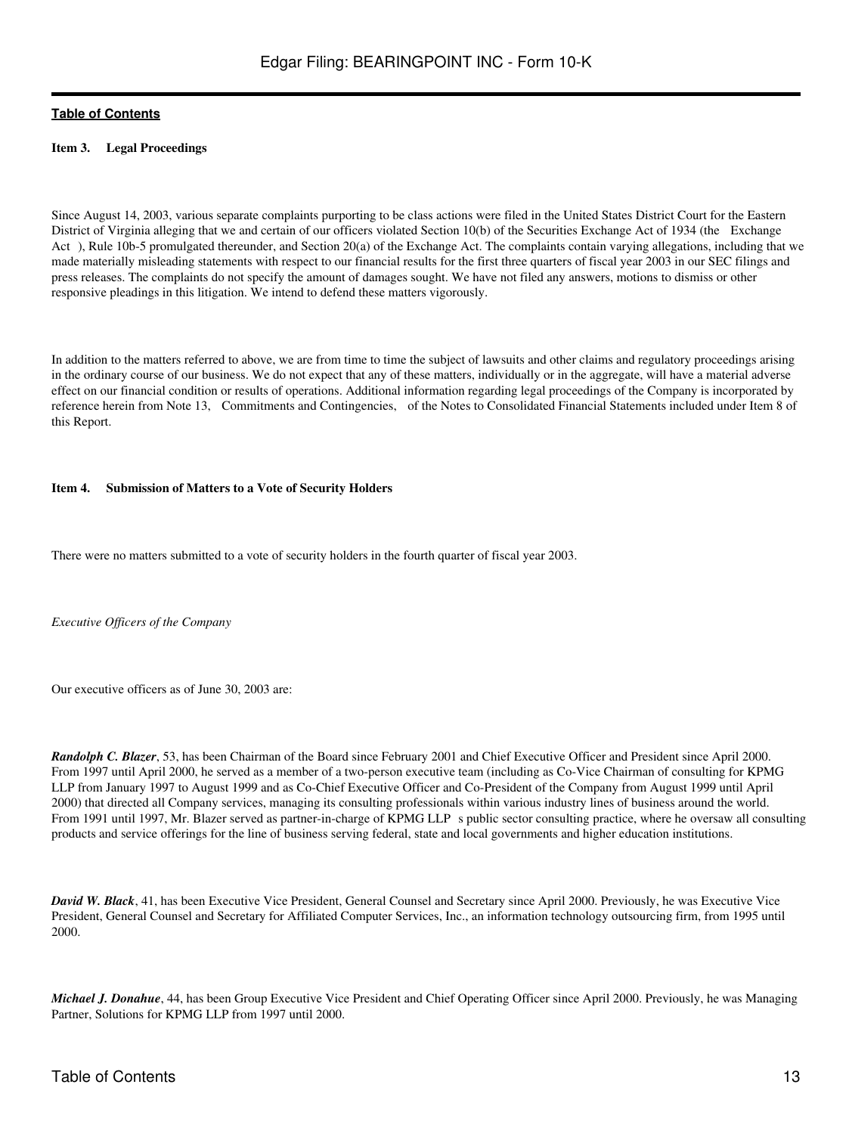### <span id="page-12-0"></span>**Item 3. Legal Proceedings**

Since August 14, 2003, various separate complaints purporting to be class actions were filed in the United States District Court for the Eastern District of Virginia alleging that we and certain of our officers violated Section 10(b) of the Securities Exchange Act of 1934 (the Exchange Act), Rule 10b-5 promulgated thereunder, and Section 20(a) of the Exchange Act. The complaints contain varying allegations, including that we made materially misleading statements with respect to our financial results for the first three quarters of fiscal year 2003 in our SEC filings and press releases. The complaints do not specify the amount of damages sought. We have not filed any answers, motions to dismiss or other responsive pleadings in this litigation. We intend to defend these matters vigorously.

In addition to the matters referred to above, we are from time to time the subject of lawsuits and other claims and regulatory proceedings arising in the ordinary course of our business. We do not expect that any of these matters, individually or in the aggregate, will have a material adverse effect on our financial condition or results of operations. Additional information regarding legal proceedings of the Company is incorporated by reference herein from Note 13, Commitments and Contingencies, of the Notes to Consolidated Financial Statements included under Item 8 of this Report.

#### <span id="page-12-1"></span>**Item 4. Submission of Matters to a Vote of Security Holders**

There were no matters submitted to a vote of security holders in the fourth quarter of fiscal year 2003.

*Executive Officers of the Company*

Our executive officers as of June 30, 2003 are:

*Randolph C. Blazer*, 53, has been Chairman of the Board since February 2001 and Chief Executive Officer and President since April 2000. From 1997 until April 2000, he served as a member of a two-person executive team (including as Co-Vice Chairman of consulting for KPMG LLP from January 1997 to August 1999 and as Co-Chief Executive Officer and Co-President of the Company from August 1999 until April 2000) that directed all Company services, managing its consulting professionals within various industry lines of business around the world. From 1991 until 1997, Mr. Blazer served as partner-in-charge of KPMG LLP s public sector consulting practice, where he oversaw all consulting products and service offerings for the line of business serving federal, state and local governments and higher education institutions.

*David W. Black*, 41, has been Executive Vice President, General Counsel and Secretary since April 2000. Previously, he was Executive Vice President, General Counsel and Secretary for Affiliated Computer Services, Inc., an information technology outsourcing firm, from 1995 until 2000.

*Michael J. Donahue*, 44, has been Group Executive Vice President and Chief Operating Officer since April 2000. Previously, he was Managing Partner, Solutions for KPMG LLP from 1997 until 2000.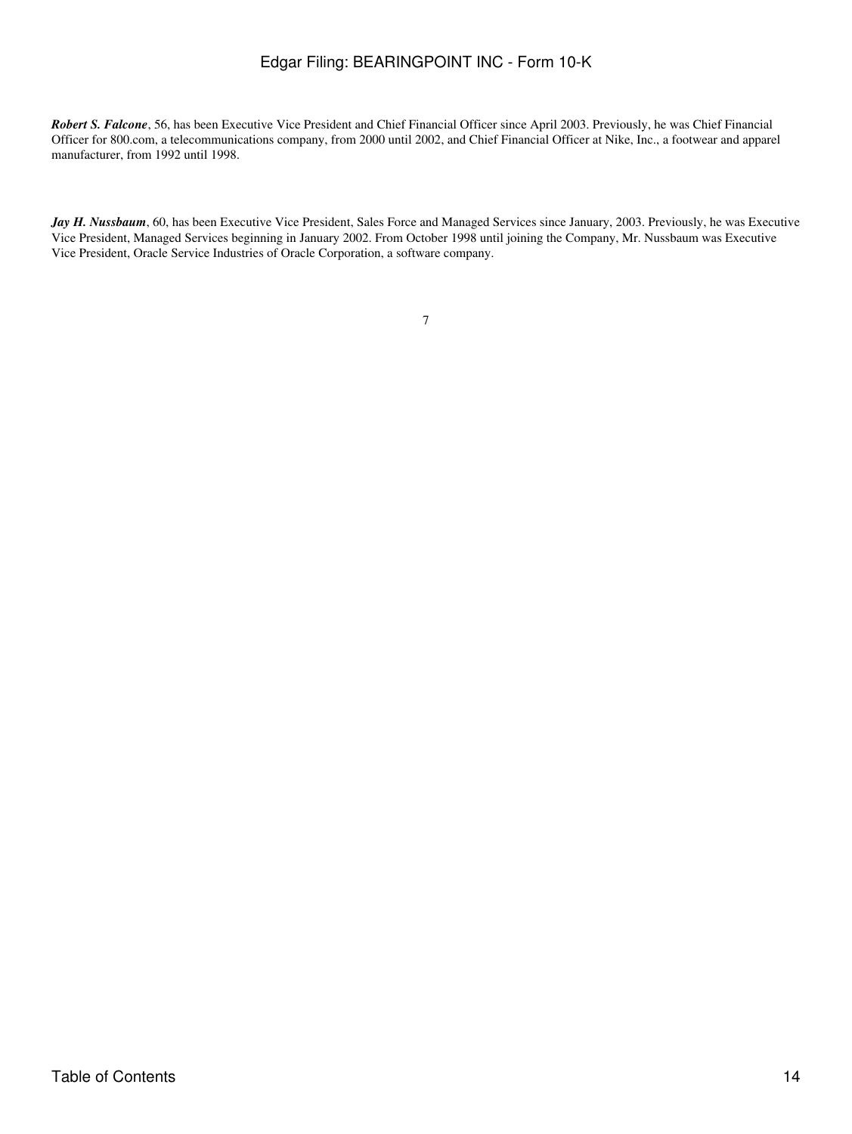*Robert S. Falcone*, 56, has been Executive Vice President and Chief Financial Officer since April 2003. Previously, he was Chief Financial Officer for 800.com, a telecommunications company, from 2000 until 2002, and Chief Financial Officer at Nike, Inc., a footwear and apparel manufacturer, from 1992 until 1998.

*Jay H. Nussbaum*, 60, has been Executive Vice President, Sales Force and Managed Services since January, 2003. Previously, he was Executive Vice President, Managed Services beginning in January 2002. From October 1998 until joining the Company, Mr. Nussbaum was Executive Vice President, Oracle Service Industries of Oracle Corporation, a software company.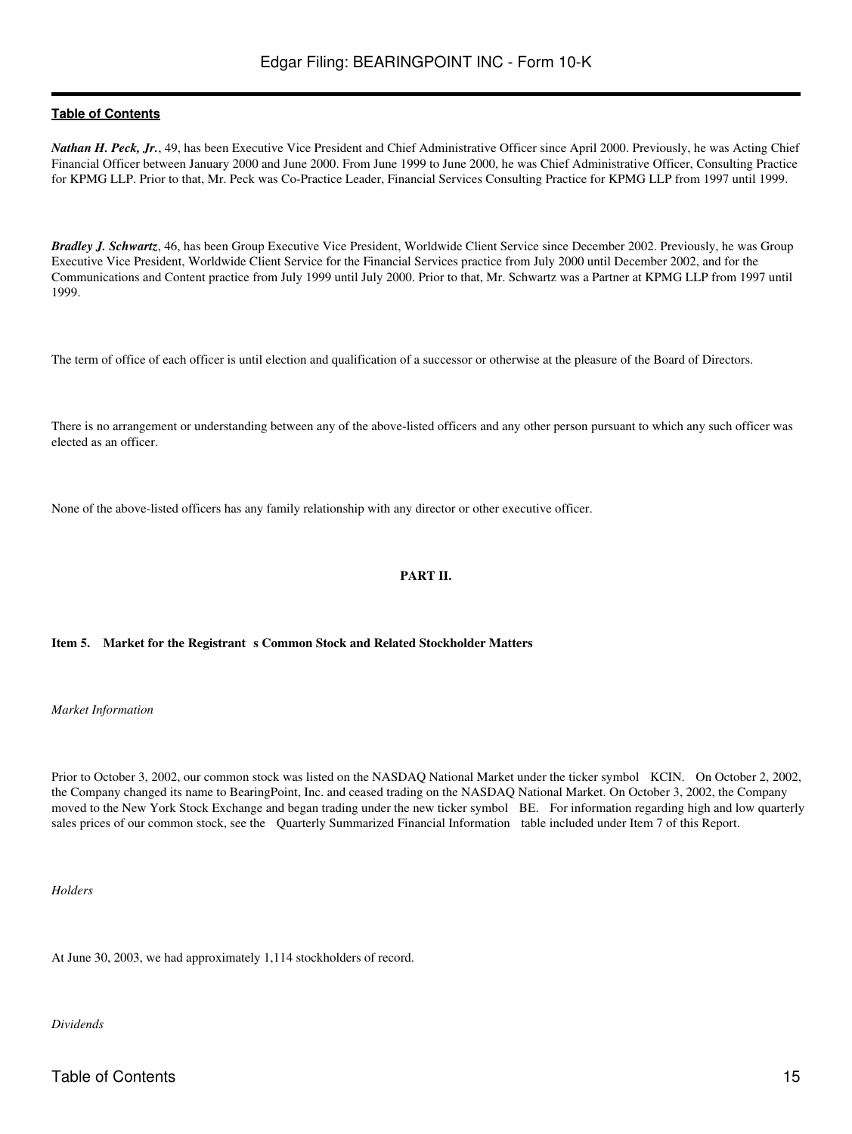*Nathan H. Peck, Jr.*, 49, has been Executive Vice President and Chief Administrative Officer since April 2000. Previously, he was Acting Chief Financial Officer between January 2000 and June 2000. From June 1999 to June 2000, he was Chief Administrative Officer, Consulting Practice for KPMG LLP. Prior to that, Mr. Peck was Co-Practice Leader, Financial Services Consulting Practice for KPMG LLP from 1997 until 1999.

*Bradley J. Schwartz*, 46, has been Group Executive Vice President, Worldwide Client Service since December 2002. Previously, he was Group Executive Vice President, Worldwide Client Service for the Financial Services practice from July 2000 until December 2002, and for the Communications and Content practice from July 1999 until July 2000. Prior to that, Mr. Schwartz was a Partner at KPMG LLP from 1997 until 1999.

The term of office of each officer is until election and qualification of a successor or otherwise at the pleasure of the Board of Directors.

There is no arrangement or understanding between any of the above-listed officers and any other person pursuant to which any such officer was elected as an officer.

<span id="page-14-0"></span>None of the above-listed officers has any family relationship with any director or other executive officer.

### **PART II.**

### <span id="page-14-1"></span>Item 5. Market for the Registrant s Common Stock and Related Stockholder Matters

*Market Information*

Prior to October 3, 2002, our common stock was listed on the NASDAQ National Market under the ticker symbol KCIN. On October 2, 2002, the Company changed its name to BearingPoint, Inc. and ceased trading on the NASDAQ National Market. On October 3, 2002, the Company moved to the New York Stock Exchange and began trading under the new ticker symbol BE. For information regarding high and low quarterly sales prices of our common stock, see the Quarterly Summarized Financial Information table included under Item 7 of this Report.

*Holders*

At June 30, 2003, we had approximately 1,114 stockholders of record.

*Dividends*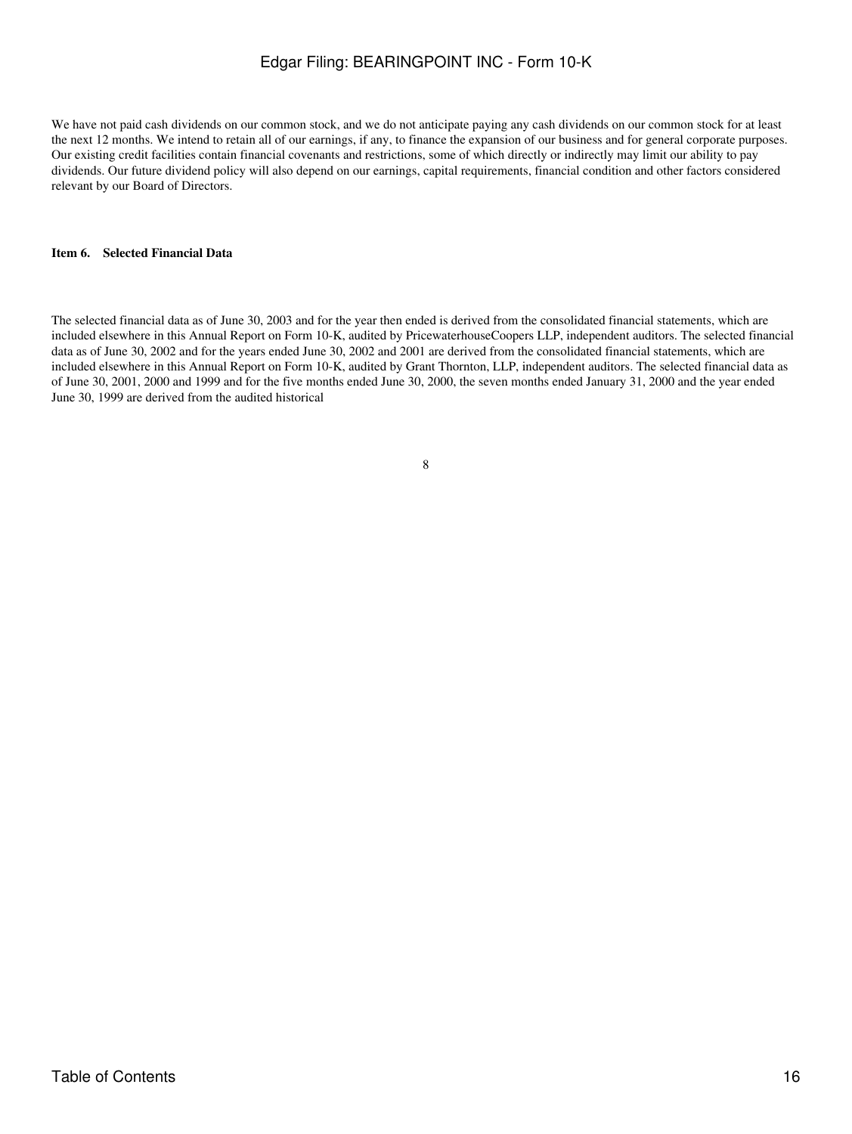We have not paid cash dividends on our common stock, and we do not anticipate paying any cash dividends on our common stock for at least the next 12 months. We intend to retain all of our earnings, if any, to finance the expansion of our business and for general corporate purposes. Our existing credit facilities contain financial covenants and restrictions, some of which directly or indirectly may limit our ability to pay dividends. Our future dividend policy will also depend on our earnings, capital requirements, financial condition and other factors considered relevant by our Board of Directors.

### <span id="page-15-0"></span>**Item 6. Selected Financial Data**

The selected financial data as of June 30, 2003 and for the year then ended is derived from the consolidated financial statements, which are included elsewhere in this Annual Report on Form 10-K, audited by PricewaterhouseCoopers LLP, independent auditors. The selected financial data as of June 30, 2002 and for the years ended June 30, 2002 and 2001 are derived from the consolidated financial statements, which are included elsewhere in this Annual Report on Form 10-K, audited by Grant Thornton, LLP, independent auditors. The selected financial data as of June 30, 2001, 2000 and 1999 and for the five months ended June 30, 2000, the seven months ended January 31, 2000 and the year ended June 30, 1999 are derived from the audited historical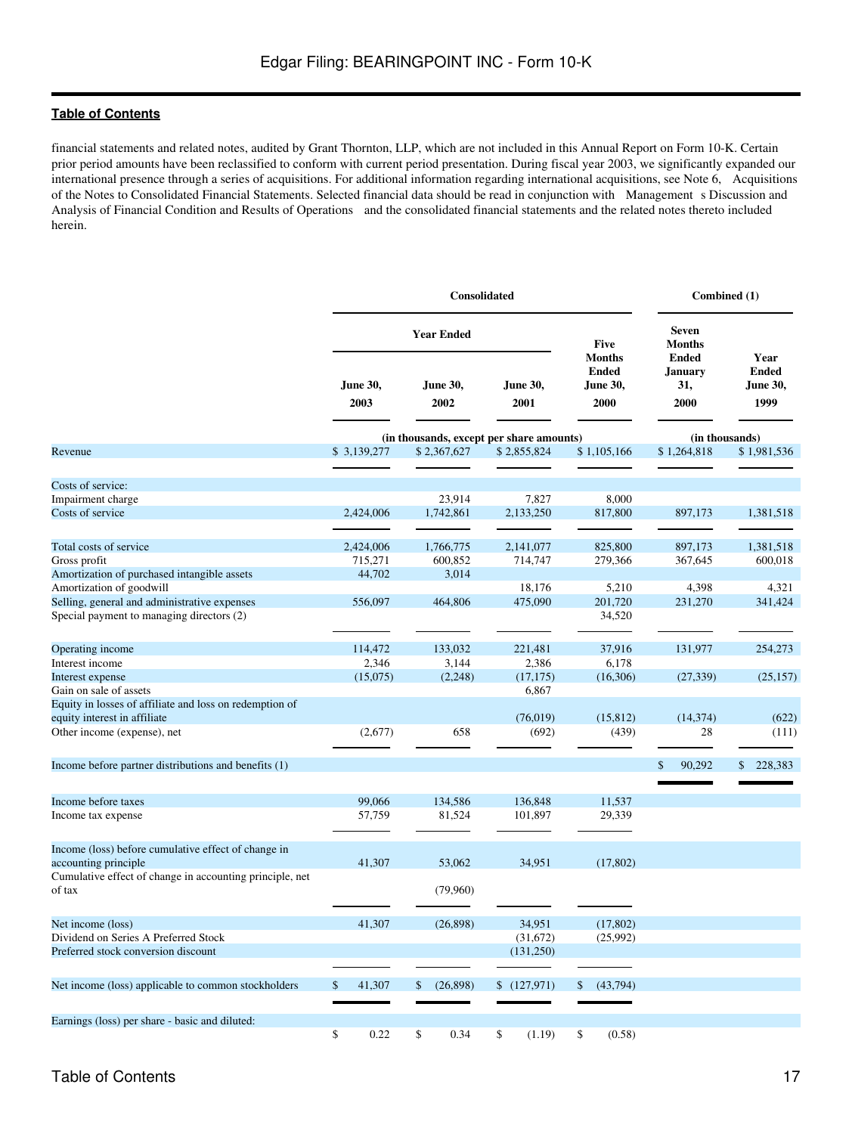financial statements and related notes, audited by Grant Thornton, LLP, which are not included in this Annual Report on Form 10-K. Certain prior period amounts have been reclassified to conform with current period presentation. During fiscal year 2003, we significantly expanded our international presence through a series of acquisitions. For additional information regarding international acquisitions, see Note 6, Acquisitions of the Notes to Consolidated Financial Statements. Selected financial data should be read in conjunction with Managements Discussion and Analysis of Financial Condition and Results of Operations and the consolidated financial statements and the related notes thereto included herein.

|                                                                                         | Consolidated                             |                  |    |                         |    |                  |    | Combined (1)                                             |                                               |                                          |  |
|-----------------------------------------------------------------------------------------|------------------------------------------|------------------|----|-------------------------|----|------------------|----|----------------------------------------------------------|-----------------------------------------------|------------------------------------------|--|
|                                                                                         | <b>Year Ended</b>                        |                  |    |                         |    |                  |    | <b>Five</b>                                              | <b>Seven</b><br><b>Months</b>                 |                                          |  |
|                                                                                         |                                          | June 30,<br>2003 |    | <b>June 30,</b><br>2002 |    | June 30,<br>2001 |    | <b>Months</b><br><b>Ended</b><br><b>June 30,</b><br>2000 | <b>Ended</b><br><b>January</b><br>31,<br>2000 | Year<br><b>Ended</b><br>June 30,<br>1999 |  |
|                                                                                         | (in thousands, except per share amounts) |                  |    |                         |    |                  |    | (in thousands)                                           |                                               |                                          |  |
| Revenue                                                                                 |                                          | \$3,139,277      |    | \$2,367,627             |    | \$2,855,824      |    | \$1,105,166                                              | \$1,264,818                                   | \$1,981,536                              |  |
| Costs of service:                                                                       |                                          |                  |    |                         |    |                  |    |                                                          |                                               |                                          |  |
| Impairment charge                                                                       |                                          |                  |    | 23,914                  |    | 7,827            |    | 8,000                                                    |                                               |                                          |  |
| Costs of service                                                                        |                                          | 2,424,006        |    | 1,742,861               |    | 2,133,250        |    | 817,800                                                  | 897,173                                       | 1,381,518                                |  |
| Total costs of service                                                                  |                                          | 2,424,006        |    | 1,766,775               |    | 2,141,077        |    | 825,800                                                  | 897,173                                       | 1,381,518                                |  |
| Gross profit                                                                            |                                          | 715,271          |    | 600,852                 |    | 714,747          |    | 279,366                                                  | 367,645                                       | 600,018                                  |  |
| Amortization of purchased intangible assets                                             |                                          | 44,702           |    | 3,014                   |    |                  |    |                                                          |                                               |                                          |  |
| Amortization of goodwill                                                                |                                          |                  |    |                         |    | 18,176           |    | 5,210                                                    | 4,398                                         | 4,321                                    |  |
| Selling, general and administrative expenses                                            |                                          | 556,097          |    | 464,806                 |    | 475,090          |    | 201,720                                                  | 231,270                                       | 341,424                                  |  |
| Special payment to managing directors (2)                                               |                                          |                  |    |                         |    |                  |    | 34,520                                                   |                                               |                                          |  |
| Operating income                                                                        |                                          | 114,472          |    | 133,032                 |    | 221,481          |    | 37,916                                                   | 131,977                                       | 254,273                                  |  |
| Interest income                                                                         |                                          | 2,346            |    | 3,144                   |    | 2,386            |    | 6,178                                                    |                                               |                                          |  |
| Interest expense                                                                        |                                          | (15,075)         |    | (2,248)                 |    | (17, 175)        |    | (16,306)                                                 | (27, 339)                                     | (25, 157)                                |  |
| Gain on sale of assets                                                                  |                                          |                  |    |                         |    | 6,867            |    |                                                          |                                               |                                          |  |
| Equity in losses of affiliate and loss on redemption of<br>equity interest in affiliate |                                          |                  |    |                         |    | (76, 019)        |    | (15, 812)                                                | (14, 374)                                     | (622)                                    |  |
| Other income (expense), net                                                             |                                          | (2,677)          |    | 658                     |    | (692)            |    | (439)                                                    | 28                                            | (111)                                    |  |
| Income before partner distributions and benefits (1)                                    |                                          |                  |    |                         |    |                  |    |                                                          | 90,292<br>\$.                                 | 228,383<br>\$                            |  |
|                                                                                         |                                          |                  |    |                         |    |                  |    |                                                          |                                               |                                          |  |
| Income before taxes                                                                     |                                          | 99,066           |    | 134,586                 |    | 136,848          |    | 11,537                                                   |                                               |                                          |  |
| Income tax expense                                                                      |                                          | 57,759           |    | 81,524                  |    | 101,897          |    | 29,339                                                   |                                               |                                          |  |
| Income (loss) before cumulative effect of change in                                     |                                          |                  |    |                         |    |                  |    |                                                          |                                               |                                          |  |
| accounting principle                                                                    |                                          | 41,307           |    | 53,062                  |    | 34,951           |    | (17, 802)                                                |                                               |                                          |  |
| Cumulative effect of change in accounting principle, net<br>of tax                      |                                          |                  |    | (79,960)                |    |                  |    |                                                          |                                               |                                          |  |
| Net income (loss)                                                                       |                                          | 41,307           |    | (26, 898)               |    | 34,951           |    | (17, 802)                                                |                                               |                                          |  |
| Dividend on Series A Preferred Stock                                                    |                                          |                  |    |                         |    | (31,672)         |    | (25,992)                                                 |                                               |                                          |  |
| Preferred stock conversion discount                                                     |                                          |                  |    |                         |    | (131, 250)       |    |                                                          |                                               |                                          |  |
|                                                                                         |                                          |                  |    |                         |    |                  |    |                                                          |                                               |                                          |  |
| Net income (loss) applicable to common stockholders                                     | \$                                       | 41,307           | \$ | (26, 898)               |    | \$(127,971)      | \$ | (43,794)                                                 |                                               |                                          |  |
|                                                                                         |                                          |                  |    |                         |    |                  |    |                                                          |                                               |                                          |  |
| Earnings (loss) per share - basic and diluted:                                          | \$                                       | 0.22             | \$ | 0.34                    | \$ | (1.19)           | \$ | (0.58)                                                   |                                               |                                          |  |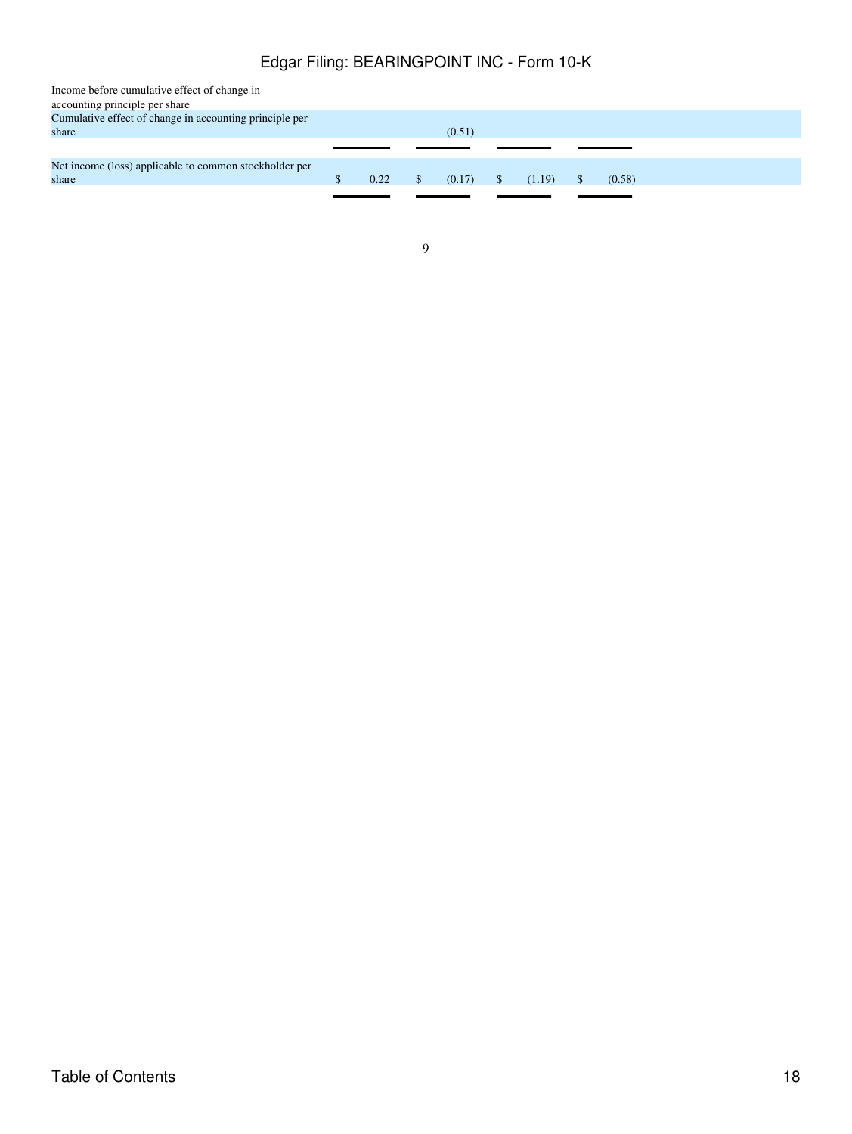| Income before cumulative effect of change in            |      |               |        |        |        |  |  |
|---------------------------------------------------------|------|---------------|--------|--------|--------|--|--|
| accounting principle per share                          |      |               |        |        |        |  |  |
| Cumulative effect of change in accounting principle per |      |               |        |        |        |  |  |
| share                                                   |      |               | (0.51) |        |        |  |  |
|                                                         |      |               |        |        |        |  |  |
| Net income (loss) applicable to common stockholder per  |      |               |        |        |        |  |  |
| share                                                   | 0.22 | <sup>\$</sup> | (0.17) | (1.19) | (0.58) |  |  |
|                                                         |      |               |        |        |        |  |  |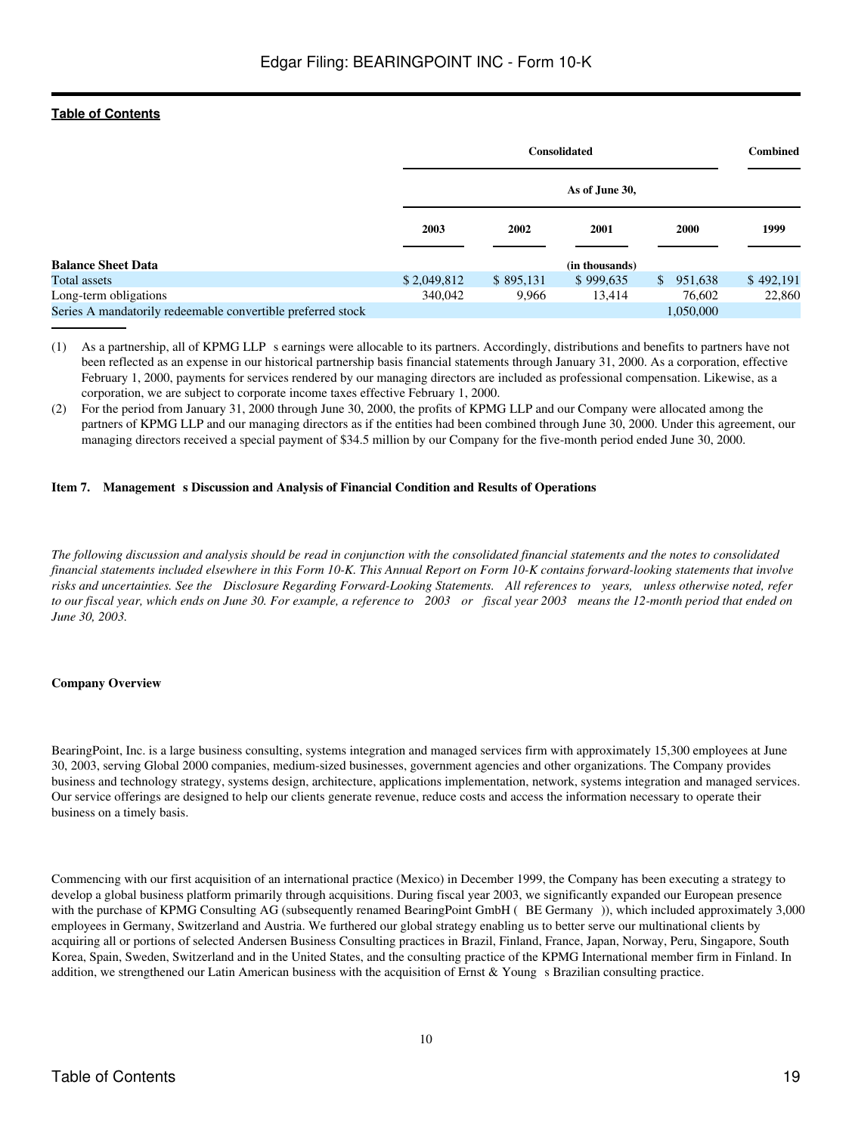|                                                             |             | <b>Consolidated</b><br>As of June 30, |                |     |             | <b>Combined</b> |  |
|-------------------------------------------------------------|-------------|---------------------------------------|----------------|-----|-------------|-----------------|--|
|                                                             |             |                                       |                |     |             |                 |  |
|                                                             | 2003        | 2002                                  | 2001           |     | <b>2000</b> | 1999            |  |
| <b>Balance Sheet Data</b>                                   |             |                                       | (in thousands) |     |             |                 |  |
| Total assets                                                | \$2,049,812 | \$895,131                             | \$999,635      | \$. | 951,638     | \$492,191       |  |
| Long-term obligations                                       | 340,042     | 9,966                                 | 13,414         |     | 76,602      | 22,860          |  |
| Series A mandatorily redeemable convertible preferred stock |             |                                       |                |     | 1,050,000   |                 |  |

(1) As a partnership, all of KPMG LLPs earnings were allocable to its partners. Accordingly, distributions and benefits to partners have not been reflected as an expense in our historical partnership basis financial statements through January 31, 2000. As a corporation, effective February 1, 2000, payments for services rendered by our managing directors are included as professional compensation. Likewise, as a corporation, we are subject to corporate income taxes effective February 1, 2000.

(2) For the period from January 31, 2000 through June 30, 2000, the profits of KPMG LLP and our Company were allocated among the partners of KPMG LLP and our managing directors as if the entities had been combined through June 30, 2000. Under this agreement, our managing directors received a special payment of \$34.5 million by our Company for the five-month period ended June 30, 2000.

### <span id="page-18-0"></span>**Item 7. Management s Discussion and Analysis of Financial Condition and Results of Operations**

*The following discussion and analysis should be read in conjunction with the consolidated financial statements and the notes to consolidated financial statements included elsewhere in this Form 10-K. This Annual Report on Form 10-K contains forward-looking statements that involve risks and uncertainties. See the Disclosure Regarding Forward-Looking Statements. All references to years, unless otherwise noted, refer to our fiscal year, which ends on June 30. For example, a reference to 2003 or fiscal year 2003 means the 12-month period that ended on June 30, 2003.*

### **Company Overview**

BearingPoint, Inc. is a large business consulting, systems integration and managed services firm with approximately 15,300 employees at June 30, 2003, serving Global 2000 companies, medium-sized businesses, government agencies and other organizations. The Company provides business and technology strategy, systems design, architecture, applications implementation, network, systems integration and managed services. Our service offerings are designed to help our clients generate revenue, reduce costs and access the information necessary to operate their business on a timely basis.

Commencing with our first acquisition of an international practice (Mexico) in December 1999, the Company has been executing a strategy to develop a global business platform primarily through acquisitions. During fiscal year 2003, we significantly expanded our European presence with the purchase of KPMG Consulting AG (subsequently renamed BearingPoint GmbH (BE Germany)), which included approximately 3,000 employees in Germany, Switzerland and Austria. We furthered our global strategy enabling us to better serve our multinational clients by acquiring all or portions of selected Andersen Business Consulting practices in Brazil, Finland, France, Japan, Norway, Peru, Singapore, South Korea, Spain, Sweden, Switzerland and in the United States, and the consulting practice of the KPMG International member firm in Finland. In addition, we strengthened our Latin American business with the acquisition of Ernst  $\&$  Young s Brazilian consulting practice.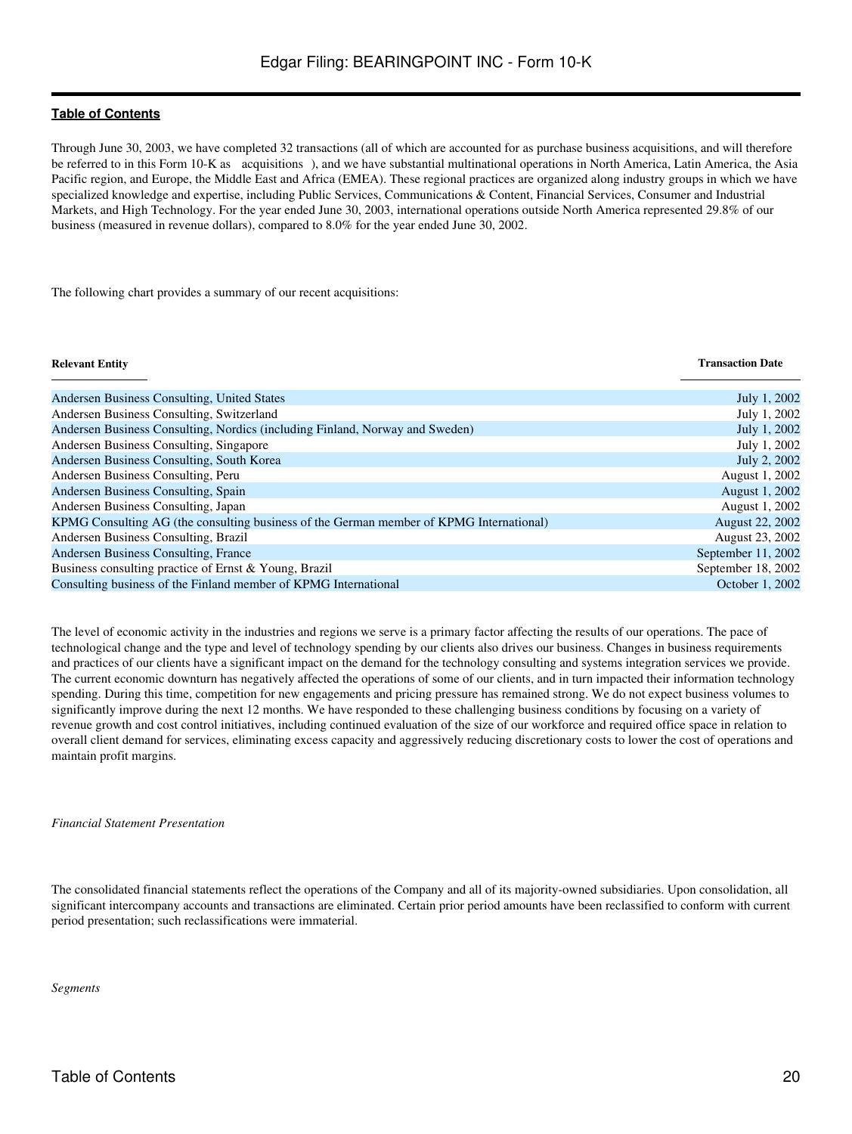Through June 30, 2003, we have completed 32 transactions (all of which are accounted for as purchase business acquisitions, and will therefore be referred to in this Form 10-K as acquisitions), and we have substantial multinational operations in North America, Latin America, the Asia Pacific region, and Europe, the Middle East and Africa (EMEA). These regional practices are organized along industry groups in which we have specialized knowledge and expertise, including Public Services, Communications & Content, Financial Services, Consumer and Industrial Markets, and High Technology. For the year ended June 30, 2003, international operations outside North America represented 29.8% of our business (measured in revenue dollars), compared to 8.0% for the year ended June 30, 2002.

The following chart provides a summary of our recent acquisitions:

### **Relevant Entity Transaction Date**

| Andersen Business Consulting, United States                                             | July 1, 2002           |
|-----------------------------------------------------------------------------------------|------------------------|
| Andersen Business Consulting, Switzerland                                               | July 1, 2002           |
| Andersen Business Consulting, Nordics (including Finland, Norway and Sweden)            | July 1, 2002           |
| Andersen Business Consulting, Singapore                                                 | July 1, 2002           |
| Andersen Business Consulting, South Korea                                               | July 2, 2002           |
| Andersen Business Consulting, Peru                                                      | August 1, 2002         |
| Andersen Business Consulting, Spain                                                     | August 1, 2002         |
| Andersen Business Consulting, Japan                                                     | August 1, 2002         |
| KPMG Consulting AG (the consulting business of the German member of KPMG International) | <b>August 22, 2002</b> |
| Andersen Business Consulting, Brazil                                                    | August 23, 2002        |
| Andersen Business Consulting, France                                                    | September 11, 2002     |
| Business consulting practice of Ernst & Young, Brazil                                   | September 18, 2002     |
| Consulting business of the Finland member of KPMG International                         | October 1, 2002        |

The level of economic activity in the industries and regions we serve is a primary factor affecting the results of our operations. The pace of technological change and the type and level of technology spending by our clients also drives our business. Changes in business requirements and practices of our clients have a significant impact on the demand for the technology consulting and systems integration services we provide. The current economic downturn has negatively affected the operations of some of our clients, and in turn impacted their information technology spending. During this time, competition for new engagements and pricing pressure has remained strong. We do not expect business volumes to significantly improve during the next 12 months. We have responded to these challenging business conditions by focusing on a variety of revenue growth and cost control initiatives, including continued evaluation of the size of our workforce and required office space in relation to overall client demand for services, eliminating excess capacity and aggressively reducing discretionary costs to lower the cost of operations and maintain profit margins.

#### *Financial Statement Presentation*

The consolidated financial statements reflect the operations of the Company and all of its majority-owned subsidiaries. Upon consolidation, all significant intercompany accounts and transactions are eliminated. Certain prior period amounts have been reclassified to conform with current period presentation; such reclassifications were immaterial.

*Segments*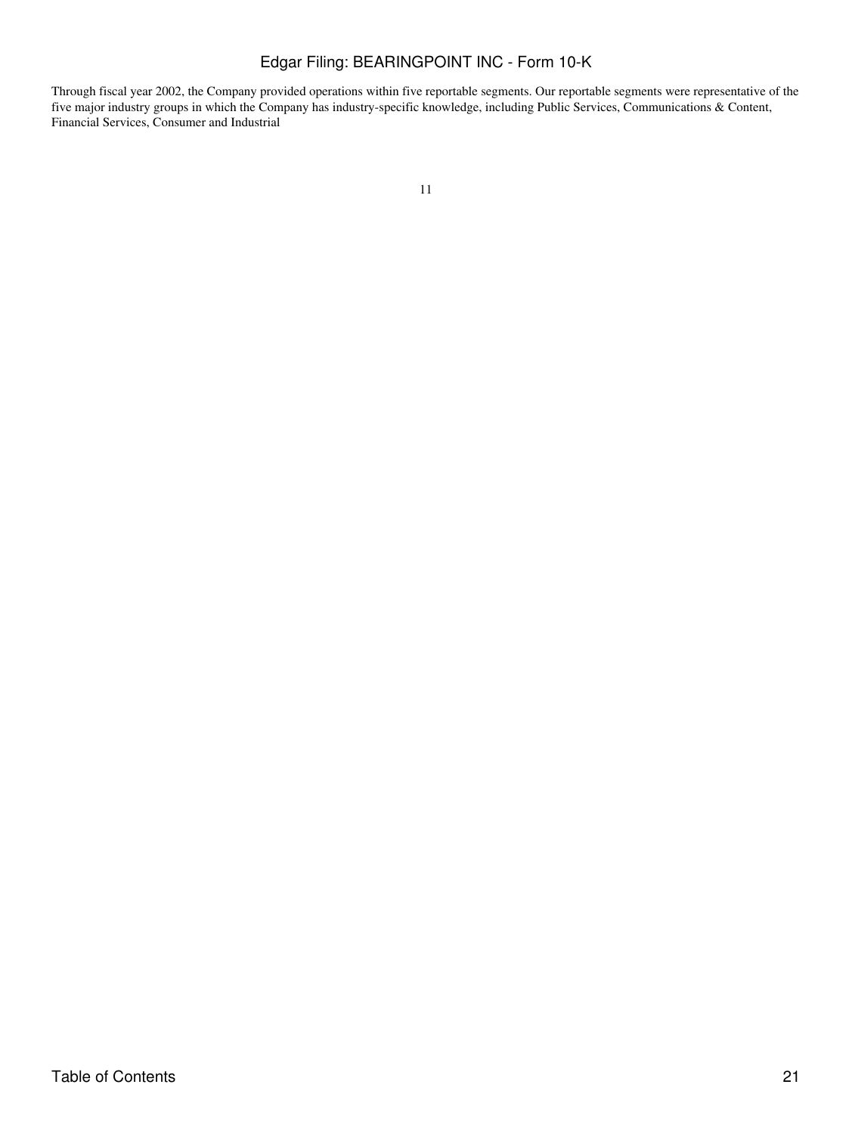Through fiscal year 2002, the Company provided operations within five reportable segments. Our reportable segments were representative of the five major industry groups in which the Company has industry-specific knowledge, including Public Services, Communications & Content, Financial Services, Consumer and Industrial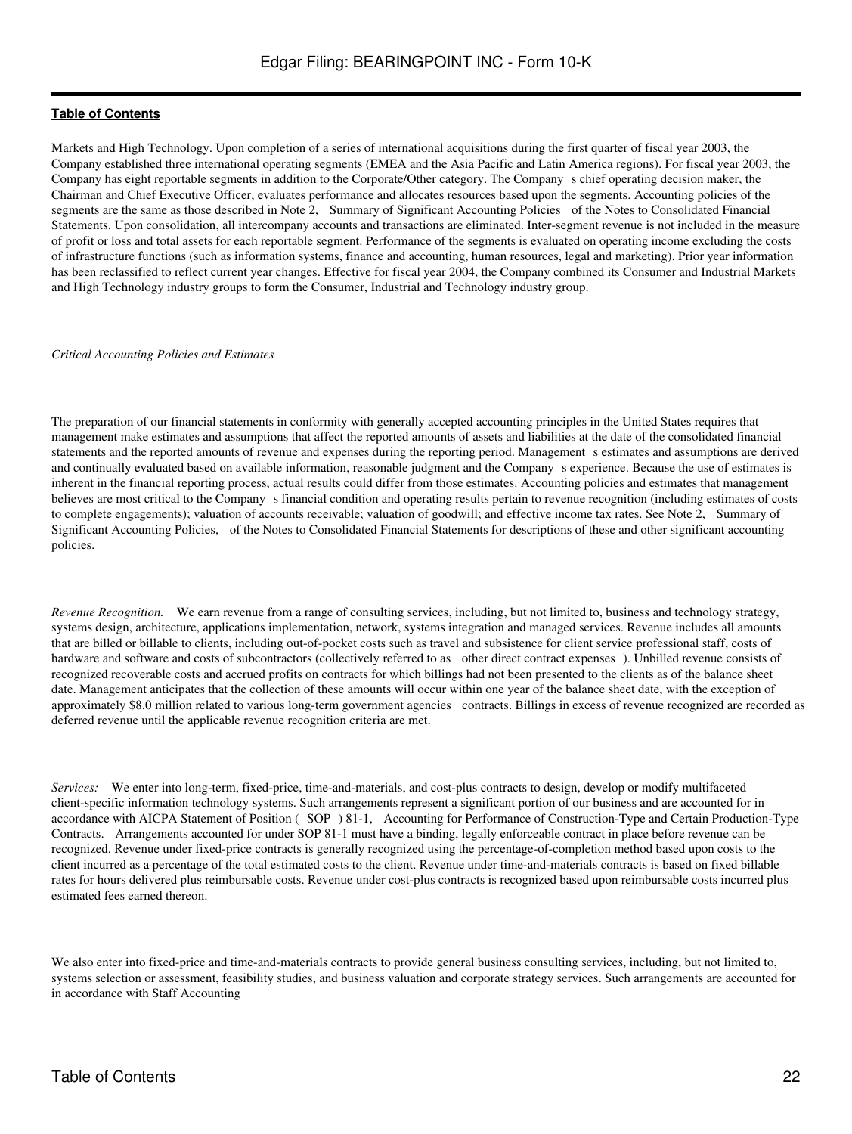Markets and High Technology. Upon completion of a series of international acquisitions during the first quarter of fiscal year 2003, the Company established three international operating segments (EMEA and the Asia Pacific and Latin America regions). For fiscal year 2003, the Company has eight reportable segments in addition to the Corporate/Other category. The Companys chief operating decision maker, the Chairman and Chief Executive Officer, evaluates performance and allocates resources based upon the segments. Accounting policies of the segments are the same as those described in Note 2, Summary of Significant Accounting Policies of the Notes to Consolidated Financial Statements. Upon consolidation, all intercompany accounts and transactions are eliminated. Inter-segment revenue is not included in the measure of profit or loss and total assets for each reportable segment. Performance of the segments is evaluated on operating income excluding the costs of infrastructure functions (such as information systems, finance and accounting, human resources, legal and marketing). Prior year information has been reclassified to reflect current year changes. Effective for fiscal year 2004, the Company combined its Consumer and Industrial Markets and High Technology industry groups to form the Consumer, Industrial and Technology industry group.

#### *Critical Accounting Policies and Estimates*

The preparation of our financial statements in conformity with generally accepted accounting principles in the United States requires that management make estimates and assumptions that affect the reported amounts of assets and liabilities at the date of the consolidated financial statements and the reported amounts of revenue and expenses during the reporting period. Management s estimates and assumptions are derived and continually evaluated based on available information, reasonable judgment and the Companys experience. Because the use of estimates is inherent in the financial reporting process, actual results could differ from those estimates. Accounting policies and estimates that management believes are most critical to the Company s financial condition and operating results pertain to revenue recognition (including estimates of costs to complete engagements); valuation of accounts receivable; valuation of goodwill; and effective income tax rates. See Note 2, Summary of Significant Accounting Policies, of the Notes to Consolidated Financial Statements for descriptions of these and other significant accounting policies.

*Revenue Recognition.* We earn revenue from a range of consulting services, including, but not limited to, business and technology strategy, systems design, architecture, applications implementation, network, systems integration and managed services. Revenue includes all amounts that are billed or billable to clients, including out-of-pocket costs such as travel and subsistence for client service professional staff, costs of hardware and software and costs of subcontractors (collectively referred to as other direct contract expenses). Unbilled revenue consists of recognized recoverable costs and accrued profits on contracts for which billings had not been presented to the clients as of the balance sheet date. Management anticipates that the collection of these amounts will occur within one year of the balance sheet date, with the exception of approximately \$8.0 million related to various long-term government agencies contracts. Billings in excess of revenue recognized are recorded as deferred revenue until the applicable revenue recognition criteria are met.

*Services:* We enter into long-term, fixed-price, time-and-materials, and cost-plus contracts to design, develop or modify multifaceted client-specific information technology systems. Such arrangements represent a significant portion of our business and are accounted for in accordance with AICPA Statement of Position (SOP) 81-1, Accounting for Performance of Construction-Type and Certain Production-Type Contracts. Arrangements accounted for under SOP 81-1 must have a binding, legally enforceable contract in place before revenue can be recognized. Revenue under fixed-price contracts is generally recognized using the percentage-of-completion method based upon costs to the client incurred as a percentage of the total estimated costs to the client. Revenue under time-and-materials contracts is based on fixed billable rates for hours delivered plus reimbursable costs. Revenue under cost-plus contracts is recognized based upon reimbursable costs incurred plus estimated fees earned thereon.

We also enter into fixed-price and time-and-materials contracts to provide general business consulting services, including, but not limited to, systems selection or assessment, feasibility studies, and business valuation and corporate strategy services. Such arrangements are accounted for in accordance with Staff Accounting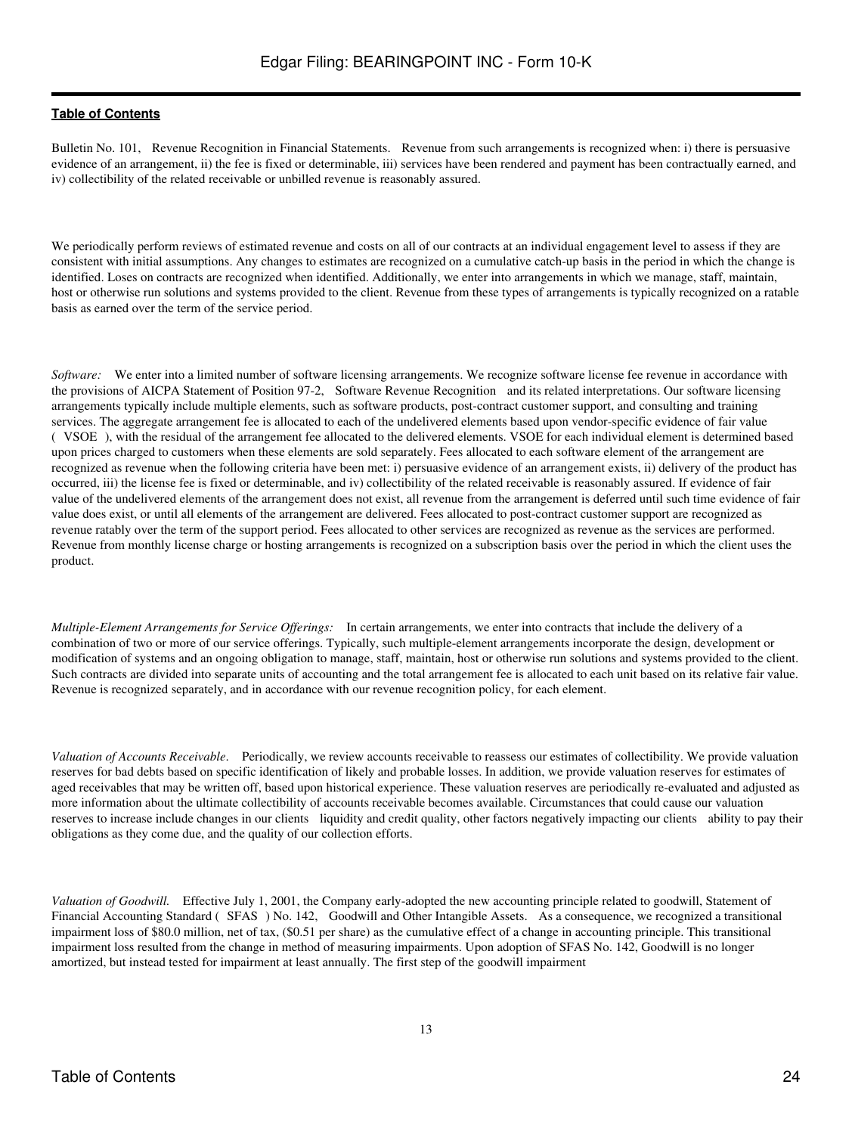Bulletin No. 101, Revenue Recognition in Financial Statements. Revenue from such arrangements is recognized when: i) there is persuasive evidence of an arrangement, ii) the fee is fixed or determinable, iii) services have been rendered and payment has been contractually earned, and iv) collectibility of the related receivable or unbilled revenue is reasonably assured.

We periodically perform reviews of estimated revenue and costs on all of our contracts at an individual engagement level to assess if they are consistent with initial assumptions. Any changes to estimates are recognized on a cumulative catch-up basis in the period in which the change is identified. Loses on contracts are recognized when identified. Additionally, we enter into arrangements in which we manage, staff, maintain, host or otherwise run solutions and systems provided to the client. Revenue from these types of arrangements is typically recognized on a ratable basis as earned over the term of the service period.

*Software:* We enter into a limited number of software licensing arrangements. We recognize software license fee revenue in accordance with the provisions of AICPA Statement of Position 97-2, Software Revenue Recognition and its related interpretations. Our software licensing arrangements typically include multiple elements, such as software products, post-contract customer support, and consulting and training services. The aggregate arrangement fee is allocated to each of the undelivered elements based upon vendor-specific evidence of fair value (VSOE), with the residual of the arrangement fee allocated to the delivered elements. VSOE for each individual element is determined based upon prices charged to customers when these elements are sold separately. Fees allocated to each software element of the arrangement are recognized as revenue when the following criteria have been met: i) persuasive evidence of an arrangement exists, ii) delivery of the product has occurred, iii) the license fee is fixed or determinable, and iv) collectibility of the related receivable is reasonably assured. If evidence of fair value of the undelivered elements of the arrangement does not exist, all revenue from the arrangement is deferred until such time evidence of fair value does exist, or until all elements of the arrangement are delivered. Fees allocated to post-contract customer support are recognized as revenue ratably over the term of the support period. Fees allocated to other services are recognized as revenue as the services are performed. Revenue from monthly license charge or hosting arrangements is recognized on a subscription basis over the period in which the client uses the product.

*Multiple-Element Arrangements for Service Offerings:* In certain arrangements, we enter into contracts that include the delivery of a combination of two or more of our service offerings. Typically, such multiple-element arrangements incorporate the design, development or modification of systems and an ongoing obligation to manage, staff, maintain, host or otherwise run solutions and systems provided to the client. Such contracts are divided into separate units of accounting and the total arrangement fee is allocated to each unit based on its relative fair value. Revenue is recognized separately, and in accordance with our revenue recognition policy, for each element.

*Valuation of Accounts Receivable*. Periodically, we review accounts receivable to reassess our estimates of collectibility. We provide valuation reserves for bad debts based on specific identification of likely and probable losses. In addition, we provide valuation reserves for estimates of aged receivables that may be written off, based upon historical experience. These valuation reserves are periodically re-evaluated and adjusted as more information about the ultimate collectibility of accounts receivable becomes available. Circumstances that could cause our valuation reserves to increase include changes in our clients liquidity and credit quality, other factors negatively impacting our clients ability to pay their obligations as they come due, and the quality of our collection efforts.

*Valuation of Goodwill.* Effective July 1, 2001, the Company early-adopted the new accounting principle related to goodwill, Statement of Financial Accounting Standard (SFAS) No. 142, Goodwill and Other Intangible Assets. As a consequence, we recognized a transitional impairment loss of \$80.0 million, net of tax, (\$0.51 per share) as the cumulative effect of a change in accounting principle. This transitional impairment loss resulted from the change in method of measuring impairments. Upon adoption of SFAS No. 142, Goodwill is no longer amortized, but instead tested for impairment at least annually. The first step of the goodwill impairment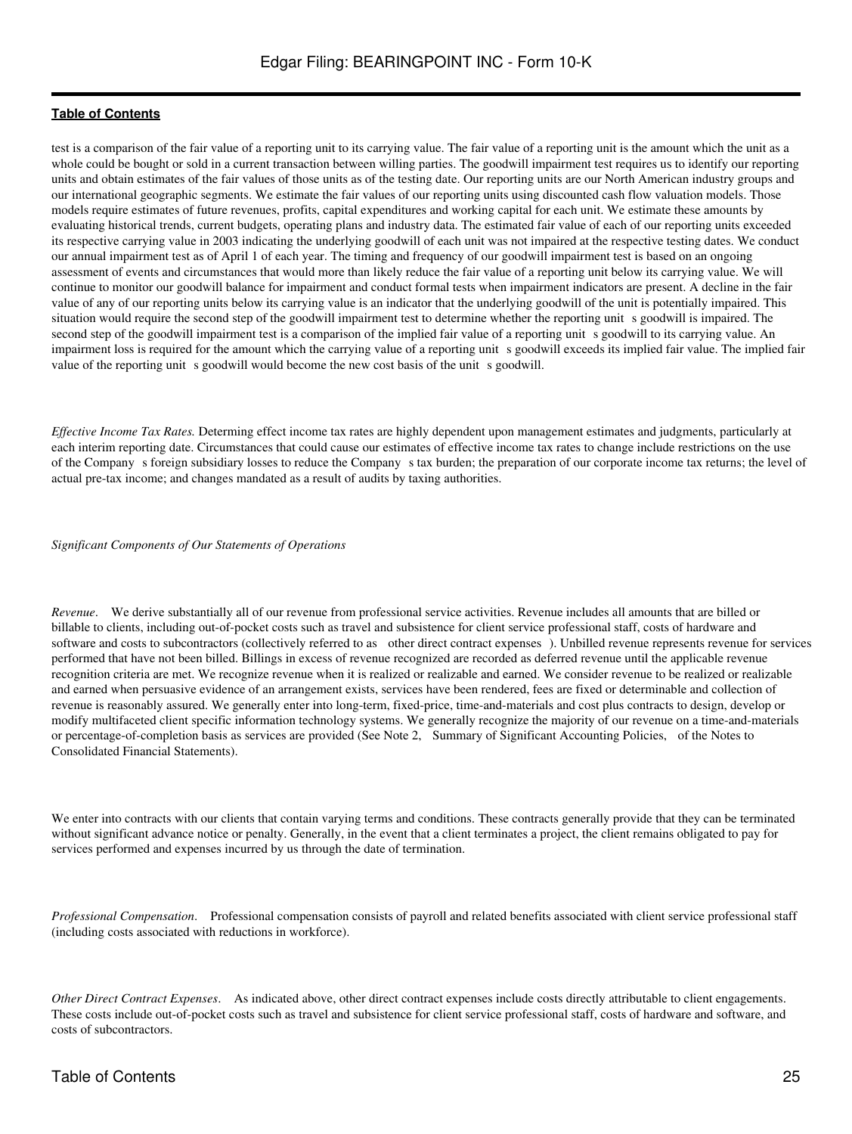test is a comparison of the fair value of a reporting unit to its carrying value. The fair value of a reporting unit is the amount which the unit as a whole could be bought or sold in a current transaction between willing parties. The goodwill impairment test requires us to identify our reporting units and obtain estimates of the fair values of those units as of the testing date. Our reporting units are our North American industry groups and our international geographic segments. We estimate the fair values of our reporting units using discounted cash flow valuation models. Those models require estimates of future revenues, profits, capital expenditures and working capital for each unit. We estimate these amounts by evaluating historical trends, current budgets, operating plans and industry data. The estimated fair value of each of our reporting units exceeded its respective carrying value in 2003 indicating the underlying goodwill of each unit was not impaired at the respective testing dates. We conduct our annual impairment test as of April 1 of each year. The timing and frequency of our goodwill impairment test is based on an ongoing assessment of events and circumstances that would more than likely reduce the fair value of a reporting unit below its carrying value. We will continue to monitor our goodwill balance for impairment and conduct formal tests when impairment indicators are present. A decline in the fair value of any of our reporting units below its carrying value is an indicator that the underlying goodwill of the unit is potentially impaired. This situation would require the second step of the goodwill impairment test to determine whether the reporting unit s goodwill is impaired. The second step of the goodwill impairment test is a comparison of the implied fair value of a reporting unit s goodwill to its carrying value. An impairment loss is required for the amount which the carrying value of a reporting unit s goodwill exceeds its implied fair value. The implied fair value of the reporting unit s goodwill would become the new cost basis of the unit s goodwill.

*Effective Income Tax Rates.* Determing effect income tax rates are highly dependent upon management estimates and judgments, particularly at each interim reporting date. Circumstances that could cause our estimates of effective income tax rates to change include restrictions on the use of the Companys foreign subsidiary losses to reduce the Companys tax burden; the preparation of our corporate income tax returns; the level of actual pre-tax income; and changes mandated as a result of audits by taxing authorities.

*Significant Components of Our Statements of Operations*

*Revenue*. We derive substantially all of our revenue from professional service activities. Revenue includes all amounts that are billed or billable to clients, including out-of-pocket costs such as travel and subsistence for client service professional staff, costs of hardware and software and costs to subcontractors (collectively referred to as other direct contract expenses). Unbilled revenue represents revenue for services performed that have not been billed. Billings in excess of revenue recognized are recorded as deferred revenue until the applicable revenue recognition criteria are met. We recognize revenue when it is realized or realizable and earned. We consider revenue to be realized or realizable and earned when persuasive evidence of an arrangement exists, services have been rendered, fees are fixed or determinable and collection of revenue is reasonably assured. We generally enter into long-term, fixed-price, time-and-materials and cost plus contracts to design, develop or modify multifaceted client specific information technology systems. We generally recognize the majority of our revenue on a time-and-materials or percentage-of-completion basis as services are provided (See Note 2, Summary of Significant Accounting Policies, of the Notes to Consolidated Financial Statements).

We enter into contracts with our clients that contain varying terms and conditions. These contracts generally provide that they can be terminated without significant advance notice or penalty. Generally, in the event that a client terminates a project, the client remains obligated to pay for services performed and expenses incurred by us through the date of termination.

*Professional Compensation*. Professional compensation consists of payroll and related benefits associated with client service professional staff (including costs associated with reductions in workforce).

*Other Direct Contract Expenses*. As indicated above, other direct contract expenses include costs directly attributable to client engagements. These costs include out-of-pocket costs such as travel and subsistence for client service professional staff, costs of hardware and software, and costs of subcontractors.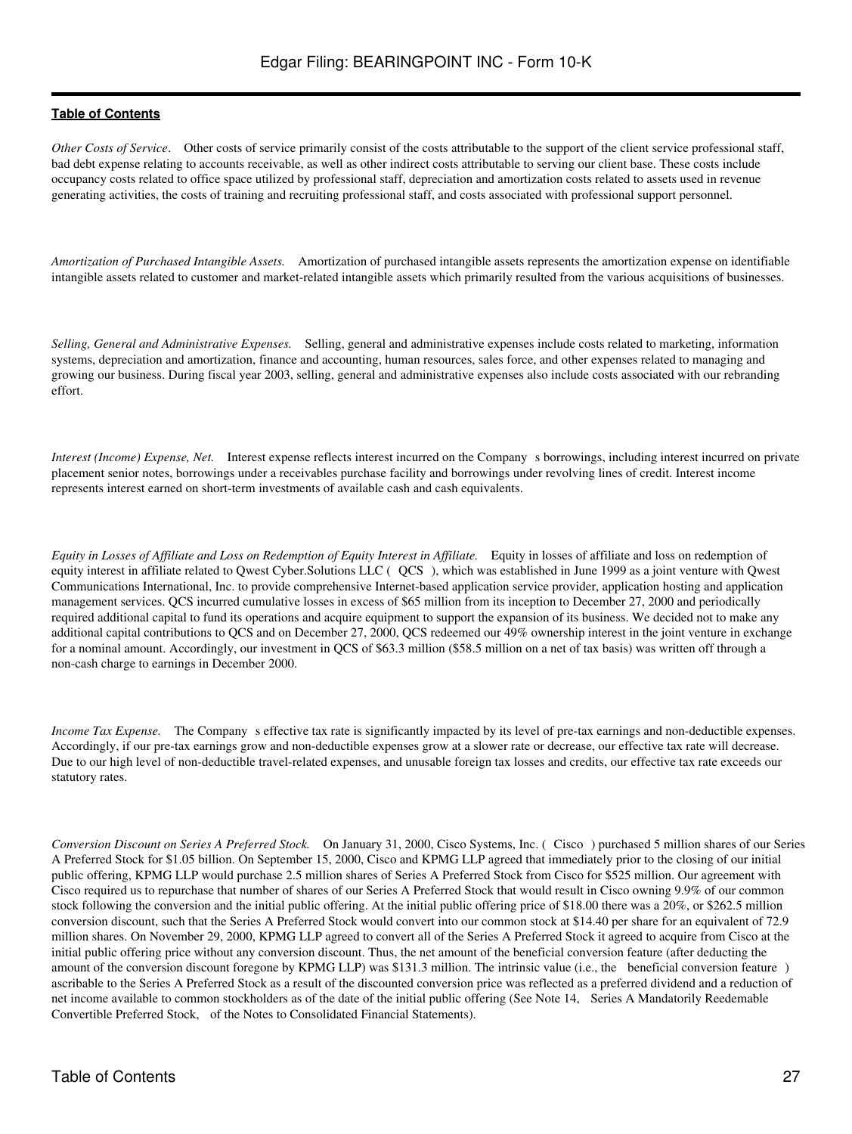*Other Costs of Service*. Other costs of service primarily consist of the costs attributable to the support of the client service professional staff, bad debt expense relating to accounts receivable, as well as other indirect costs attributable to serving our client base. These costs include occupancy costs related to office space utilized by professional staff, depreciation and amortization costs related to assets used in revenue generating activities, the costs of training and recruiting professional staff, and costs associated with professional support personnel.

*Amortization of Purchased Intangible Assets.* Amortization of purchased intangible assets represents the amortization expense on identifiable intangible assets related to customer and market-related intangible assets which primarily resulted from the various acquisitions of businesses.

*Selling, General and Administrative Expenses.* Selling, general and administrative expenses include costs related to marketing, information systems, depreciation and amortization, finance and accounting, human resources, sales force, and other expenses related to managing and growing our business. During fiscal year 2003, selling, general and administrative expenses also include costs associated with our rebranding effort.

*Interest (Income) Expense, Net.* Interest expense reflects interest incurred on the Company s borrowings, including interest incurred on private placement senior notes, borrowings under a receivables purchase facility and borrowings under revolving lines of credit. Interest income represents interest earned on short-term investments of available cash and cash equivalents.

*Equity in Losses of Affiliate and Loss on Redemption of Equity Interest in Affiliate.* Equity in losses of affiliate and loss on redemption of equity interest in affiliate related to Owest Cyber. Solutions LLC (QCS), which was established in June 1999 as a joint venture with Owest Communications International, Inc. to provide comprehensive Internet-based application service provider, application hosting and application management services. QCS incurred cumulative losses in excess of \$65 million from its inception to December 27, 2000 and periodically required additional capital to fund its operations and acquire equipment to support the expansion of its business. We decided not to make any additional capital contributions to QCS and on December 27, 2000, QCS redeemed our 49% ownership interest in the joint venture in exchange for a nominal amount. Accordingly, our investment in QCS of \$63.3 million (\$58.5 million on a net of tax basis) was written off through a non-cash charge to earnings in December 2000.

*Income Tax Expense.* The Company s effective tax rate is significantly impacted by its level of pre-tax earnings and non-deductible expenses. Accordingly, if our pre-tax earnings grow and non-deductible expenses grow at a slower rate or decrease, our effective tax rate will decrease. Due to our high level of non-deductible travel-related expenses, and unusable foreign tax losses and credits, our effective tax rate exceeds our statutory rates.

*Conversion Discount on Series A Preferred Stock.* On January 31, 2000, Cisco Systems, Inc. (Cisco) purchased 5 million shares of our Series A Preferred Stock for \$1.05 billion. On September 15, 2000, Cisco and KPMG LLP agreed that immediately prior to the closing of our initial public offering, KPMG LLP would purchase 2.5 million shares of Series A Preferred Stock from Cisco for \$525 million. Our agreement with Cisco required us to repurchase that number of shares of our Series A Preferred Stock that would result in Cisco owning 9.9% of our common stock following the conversion and the initial public offering. At the initial public offering price of \$18.00 there was a 20%, or \$262.5 million conversion discount, such that the Series A Preferred Stock would convert into our common stock at \$14.40 per share for an equivalent of 72.9 million shares. On November 29, 2000, KPMG LLP agreed to convert all of the Series A Preferred Stock it agreed to acquire from Cisco at the initial public offering price without any conversion discount. Thus, the net amount of the beneficial conversion feature (after deducting the amount of the conversion discount foregone by KPMG LLP) was \$131.3 million. The intrinsic value (i.e., the beneficial conversion feature) ascribable to the Series A Preferred Stock as a result of the discounted conversion price was reflected as a preferred dividend and a reduction of net income available to common stockholders as of the date of the initial public offering (See Note 14, Series A Mandatorily Reedemable Convertible Preferred Stock, of the Notes to Consolidated Financial Statements).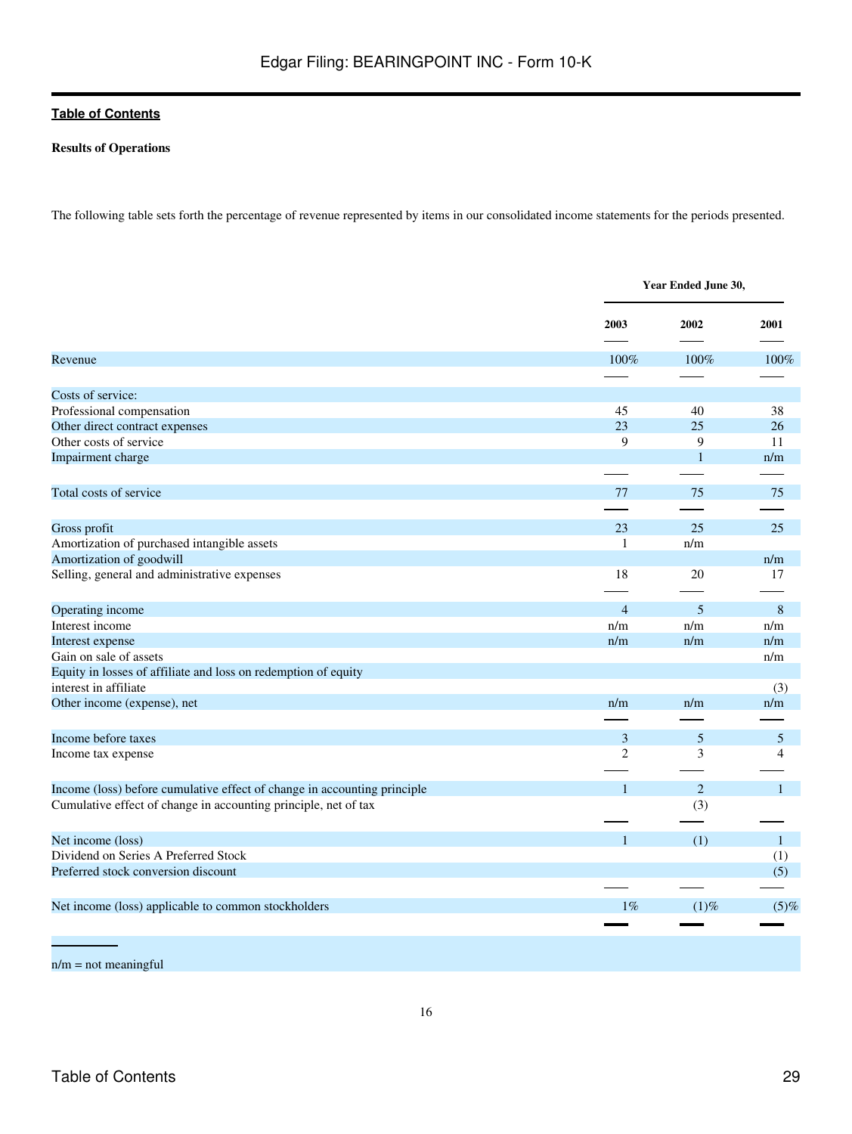### **Results of Operations**

The following table sets forth the percentage of revenue represented by items in our consolidated income statements for the periods presented.

|                                                                          |                | Year Ended June 30, |              |  |
|--------------------------------------------------------------------------|----------------|---------------------|--------------|--|
|                                                                          | 2003           | 2002                | 2001         |  |
| Revenue                                                                  | 100%           | 100%                | 100%         |  |
|                                                                          |                |                     |              |  |
| Costs of service:                                                        |                |                     |              |  |
| Professional compensation                                                | 45             | 40                  | 38           |  |
| Other direct contract expenses                                           | 23             | 25                  | 26           |  |
| Other costs of service                                                   | 9              | 9                   | 11           |  |
| Impairment charge                                                        |                | $\mathbf{1}$        | n/m          |  |
|                                                                          |                |                     |              |  |
| Total costs of service                                                   | 77             | 75                  | 75           |  |
|                                                                          |                |                     |              |  |
| Gross profit                                                             | 23             | 25                  | 25           |  |
| Amortization of purchased intangible assets                              | $\mathbf{1}$   | n/m                 |              |  |
| Amortization of goodwill                                                 |                |                     | n/m          |  |
| Selling, general and administrative expenses                             | 18             | 20                  | 17           |  |
|                                                                          |                |                     |              |  |
| Operating income                                                         | $\overline{4}$ | 5                   | 8            |  |
| Interest income                                                          | n/m            | n/m                 | n/m          |  |
| Interest expense                                                         | n/m            | n/m                 | n/m          |  |
| Gain on sale of assets                                                   |                |                     | n/m          |  |
| Equity in losses of affiliate and loss on redemption of equity           |                |                     |              |  |
| interest in affiliate                                                    |                |                     | (3)          |  |
| Other income (expense), net                                              | n/m            | n/m                 | n/m          |  |
|                                                                          |                |                     |              |  |
|                                                                          |                |                     |              |  |
| Income before taxes                                                      | 3              | 5                   | 5            |  |
| Income tax expense                                                       | $\overline{2}$ | 3                   | 4            |  |
| Income (loss) before cumulative effect of change in accounting principle | $\mathbf{1}$   | $\overline{2}$      | $\mathbf{1}$ |  |
| Cumulative effect of change in accounting principle, net of tax          |                | (3)                 |              |  |
|                                                                          |                |                     |              |  |
| Net income (loss)                                                        | $\mathbf{1}$   | (1)                 | $\mathbf{1}$ |  |
| Dividend on Series A Preferred Stock                                     |                |                     | (1)          |  |
| Preferred stock conversion discount                                      |                |                     | (5)          |  |
|                                                                          |                |                     |              |  |
|                                                                          |                |                     |              |  |
| Net income (loss) applicable to common stockholders                      | $1\%$          | $(1)$ %             | $(5)$ %      |  |
|                                                                          |                |                     |              |  |

n/m = not meaningful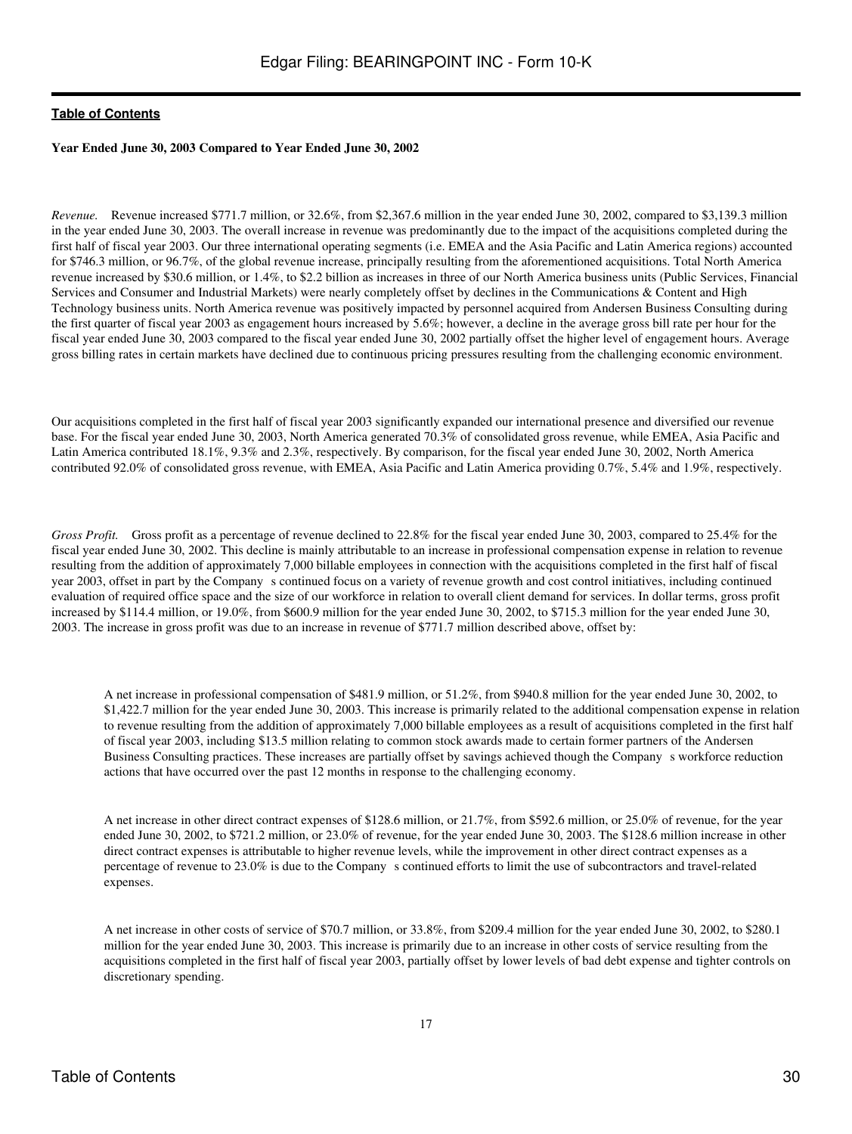### **Year Ended June 30, 2003 Compared to Year Ended June 30, 2002**

*Revenue.* Revenue increased \$771.7 million, or 32.6%, from \$2,367.6 million in the year ended June 30, 2002, compared to \$3,139.3 million in the year ended June 30, 2003. The overall increase in revenue was predominantly due to the impact of the acquisitions completed during the first half of fiscal year 2003. Our three international operating segments (i.e. EMEA and the Asia Pacific and Latin America regions) accounted for \$746.3 million, or 96.7%, of the global revenue increase, principally resulting from the aforementioned acquisitions. Total North America revenue increased by \$30.6 million, or 1.4%, to \$2.2 billion as increases in three of our North America business units (Public Services, Financial Services and Consumer and Industrial Markets) were nearly completely offset by declines in the Communications & Content and High Technology business units. North America revenue was positively impacted by personnel acquired from Andersen Business Consulting during the first quarter of fiscal year 2003 as engagement hours increased by 5.6%; however, a decline in the average gross bill rate per hour for the fiscal year ended June 30, 2003 compared to the fiscal year ended June 30, 2002 partially offset the higher level of engagement hours. Average gross billing rates in certain markets have declined due to continuous pricing pressures resulting from the challenging economic environment.

Our acquisitions completed in the first half of fiscal year 2003 significantly expanded our international presence and diversified our revenue base. For the fiscal year ended June 30, 2003, North America generated 70.3% of consolidated gross revenue, while EMEA, Asia Pacific and Latin America contributed 18.1%, 9.3% and 2.3%, respectively. By comparison, for the fiscal year ended June 30, 2002, North America contributed 92.0% of consolidated gross revenue, with EMEA, Asia Pacific and Latin America providing 0.7%, 5.4% and 1.9%, respectively.

*Gross Profit.* Gross profit as a percentage of revenue declined to 22.8% for the fiscal year ended June 30, 2003, compared to 25.4% for the fiscal year ended June 30, 2002. This decline is mainly attributable to an increase in professional compensation expense in relation to revenue resulting from the addition of approximately 7,000 billable employees in connection with the acquisitions completed in the first half of fiscal year 2003, offset in part by the Company s continued focus on a variety of revenue growth and cost control initiatives, including continued evaluation of required office space and the size of our workforce in relation to overall client demand for services. In dollar terms, gross profit increased by \$114.4 million, or 19.0%, from \$600.9 million for the year ended June 30, 2002, to \$715.3 million for the year ended June 30, 2003. The increase in gross profit was due to an increase in revenue of \$771.7 million described above, offset by:

A net increase in professional compensation of \$481.9 million, or 51.2%, from \$940.8 million for the year ended June 30, 2002, to \$1,422.7 million for the year ended June 30, 2003. This increase is primarily related to the additional compensation expense in relation to revenue resulting from the addition of approximately 7,000 billable employees as a result of acquisitions completed in the first half of fiscal year 2003, including \$13.5 million relating to common stock awards made to certain former partners of the Andersen Business Consulting practices. These increases are partially offset by savings achieved though the Company s workforce reduction actions that have occurred over the past 12 months in response to the challenging economy.

A net increase in other direct contract expenses of \$128.6 million, or 21.7%, from \$592.6 million, or 25.0% of revenue, for the year ended June 30, 2002, to \$721.2 million, or 23.0% of revenue, for the year ended June 30, 2003. The \$128.6 million increase in other direct contract expenses is attributable to higher revenue levels, while the improvement in other direct contract expenses as a percentage of revenue to 23.0% is due to the Company s continued efforts to limit the use of subcontractors and travel-related expenses.

A net increase in other costs of service of \$70.7 million, or 33.8%, from \$209.4 million for the year ended June 30, 2002, to \$280.1 million for the year ended June 30, 2003. This increase is primarily due to an increase in other costs of service resulting from the acquisitions completed in the first half of fiscal year 2003, partially offset by lower levels of bad debt expense and tighter controls on discretionary spending.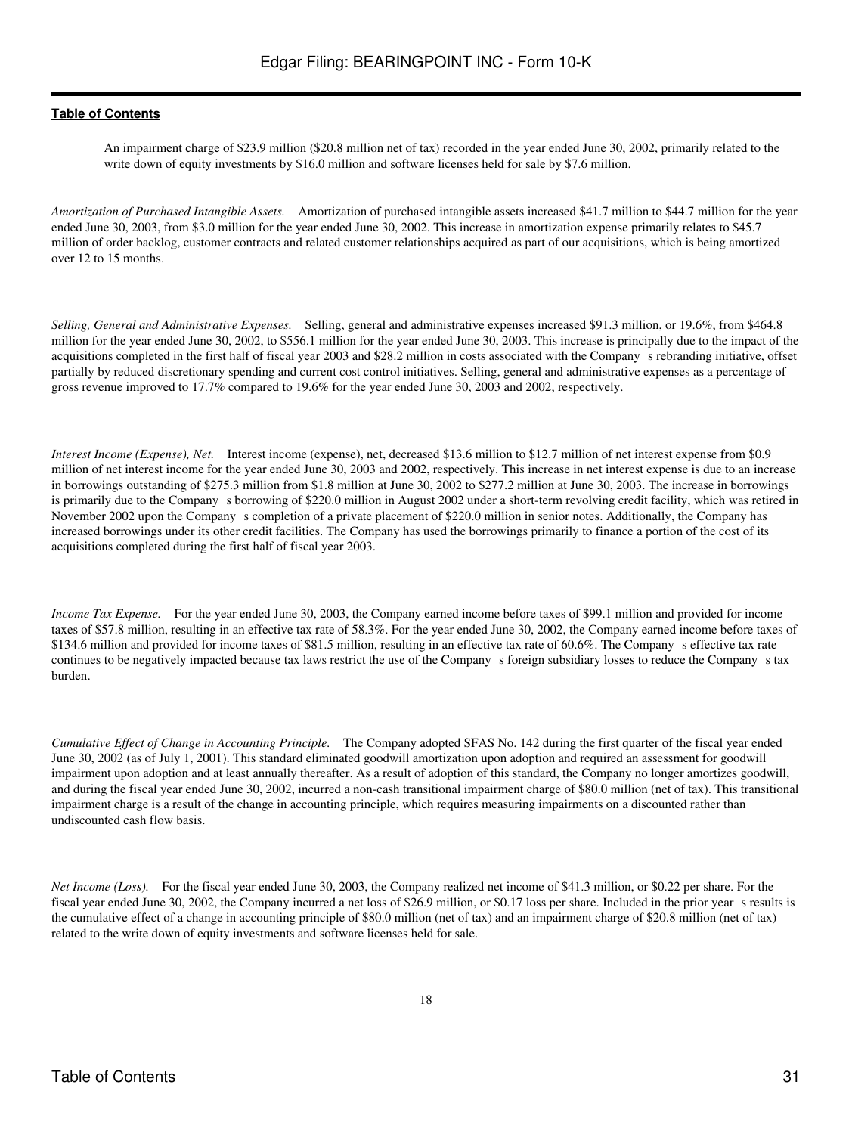An impairment charge of \$23.9 million (\$20.8 million net of tax) recorded in the year ended June 30, 2002, primarily related to the write down of equity investments by \$16.0 million and software licenses held for sale by \$7.6 million.

*Amortization of Purchased Intangible Assets.* Amortization of purchased intangible assets increased \$41.7 million to \$44.7 million for the year ended June 30, 2003, from \$3.0 million for the year ended June 30, 2002. This increase in amortization expense primarily relates to \$45.7 million of order backlog, customer contracts and related customer relationships acquired as part of our acquisitions, which is being amortized over 12 to 15 months.

*Selling, General and Administrative Expenses.* Selling, general and administrative expenses increased \$91.3 million, or 19.6%, from \$464.8 million for the year ended June 30, 2002, to \$556.1 million for the year ended June 30, 2003. This increase is principally due to the impact of the acquisitions completed in the first half of fiscal year 2003 and \$28.2 million in costs associated with the Companys rebranding initiative, offset partially by reduced discretionary spending and current cost control initiatives. Selling, general and administrative expenses as a percentage of gross revenue improved to 17.7% compared to 19.6% for the year ended June 30, 2003 and 2002, respectively.

*Interest Income (Expense), Net.* Interest income (expense), net, decreased \$13.6 million to \$12.7 million of net interest expense from \$0.9 million of net interest income for the year ended June 30, 2003 and 2002, respectively. This increase in net interest expense is due to an increase in borrowings outstanding of \$275.3 million from \$1.8 million at June 30, 2002 to \$277.2 million at June 30, 2003. The increase in borrowings is primarily due to the Company s borrowing of \$220.0 million in August 2002 under a short-term revolving credit facility, which was retired in November 2002 upon the Company s completion of a private placement of \$220.0 million in senior notes. Additionally, the Company has increased borrowings under its other credit facilities. The Company has used the borrowings primarily to finance a portion of the cost of its acquisitions completed during the first half of fiscal year 2003.

*Income Tax Expense.* For the year ended June 30, 2003, the Company earned income before taxes of \$99.1 million and provided for income taxes of \$57.8 million, resulting in an effective tax rate of 58.3%. For the year ended June 30, 2002, the Company earned income before taxes of \$134.6 million and provided for income taxes of \$81.5 million, resulting in an effective tax rate of 60.6%. The Company s effective tax rate continues to be negatively impacted because tax laws restrict the use of the Company s foreign subsidiary losses to reduce the Company s tax burden.

*Cumulative Effect of Change in Accounting Principle.* The Company adopted SFAS No. 142 during the first quarter of the fiscal year ended June 30, 2002 (as of July 1, 2001). This standard eliminated goodwill amortization upon adoption and required an assessment for goodwill impairment upon adoption and at least annually thereafter. As a result of adoption of this standard, the Company no longer amortizes goodwill, and during the fiscal year ended June 30, 2002, incurred a non-cash transitional impairment charge of \$80.0 million (net of tax). This transitional impairment charge is a result of the change in accounting principle, which requires measuring impairments on a discounted rather than undiscounted cash flow basis.

*Net Income (Loss).* For the fiscal year ended June 30, 2003, the Company realized net income of \$41.3 million, or \$0.22 per share. For the fiscal year ended June 30, 2002, the Company incurred a net loss of \$26.9 million, or \$0.17 loss per share. Included in the prior years results is the cumulative effect of a change in accounting principle of \$80.0 million (net of tax) and an impairment charge of \$20.8 million (net of tax) related to the write down of equity investments and software licenses held for sale.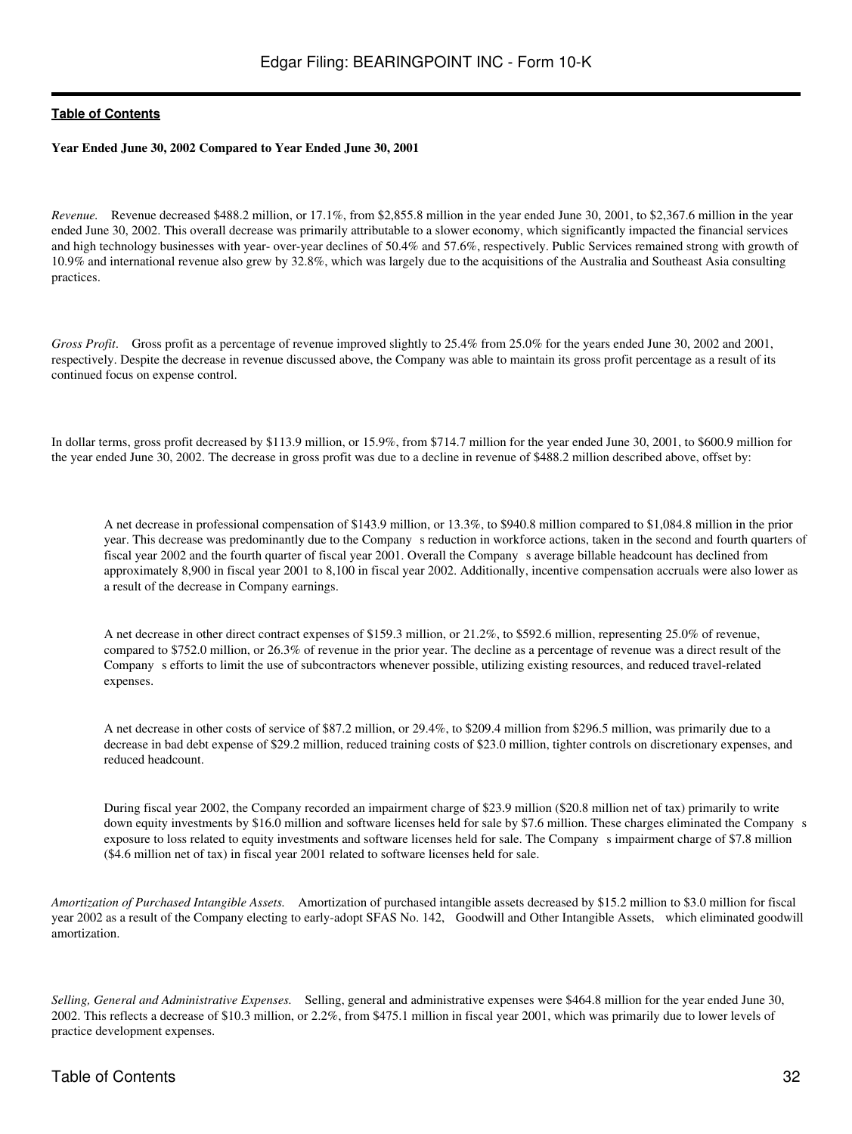### **Year Ended June 30, 2002 Compared to Year Ended June 30, 2001**

*Revenue.* Revenue decreased \$488.2 million, or 17.1%, from \$2,855.8 million in the year ended June 30, 2001, to \$2,367.6 million in the year ended June 30, 2002. This overall decrease was primarily attributable to a slower economy, which significantly impacted the financial services and high technology businesses with year- over-year declines of 50.4% and 57.6%, respectively. Public Services remained strong with growth of 10.9% and international revenue also grew by 32.8%, which was largely due to the acquisitions of the Australia and Southeast Asia consulting practices.

*Gross Profit.* Gross profit as a percentage of revenue improved slightly to 25.4% from 25.0% for the years ended June 30, 2002 and 2001, respectively. Despite the decrease in revenue discussed above, the Company was able to maintain its gross profit percentage as a result of its continued focus on expense control.

In dollar terms, gross profit decreased by \$113.9 million, or 15.9%, from \$714.7 million for the year ended June 30, 2001, to \$600.9 million for the year ended June 30, 2002. The decrease in gross profit was due to a decline in revenue of \$488.2 million described above, offset by:

A net decrease in professional compensation of \$143.9 million, or 13.3%, to \$940.8 million compared to \$1,084.8 million in the prior year. This decrease was predominantly due to the Company s reduction in workforce actions, taken in the second and fourth quarters of fiscal year 2002 and the fourth quarter of fiscal year 2001. Overall the Companys average billable headcount has declined from approximately 8,900 in fiscal year 2001 to 8,100 in fiscal year 2002. Additionally, incentive compensation accruals were also lower as a result of the decrease in Company earnings.

A net decrease in other direct contract expenses of \$159.3 million, or 21.2%, to \$592.6 million, representing 25.0% of revenue, compared to \$752.0 million, or 26.3% of revenue in the prior year. The decline as a percentage of revenue was a direct result of the Companys efforts to limit the use of subcontractors whenever possible, utilizing existing resources, and reduced travel-related expenses.

A net decrease in other costs of service of \$87.2 million, or 29.4%, to \$209.4 million from \$296.5 million, was primarily due to a decrease in bad debt expense of \$29.2 million, reduced training costs of \$23.0 million, tighter controls on discretionary expenses, and reduced headcount.

During fiscal year 2002, the Company recorded an impairment charge of \$23.9 million (\$20.8 million net of tax) primarily to write down equity investments by \$16.0 million and software licenses held for sale by \$7.6 million. These charges eliminated the Company s exposure to loss related to equity investments and software licenses held for sale. The Company s impairment charge of \$7.8 million (\$4.6 million net of tax) in fiscal year 2001 related to software licenses held for sale.

*Amortization of Purchased Intangible Assets.* Amortization of purchased intangible assets decreased by \$15.2 million to \$3.0 million for fiscal year 2002 as a result of the Company electing to early-adopt SFAS No. 142, Goodwill and Other Intangible Assets, which eliminated goodwill amortization.

*Selling, General and Administrative Expenses.* Selling, general and administrative expenses were \$464.8 million for the year ended June 30, 2002. This reflects a decrease of \$10.3 million, or 2.2%, from \$475.1 million in fiscal year 2001, which was primarily due to lower levels of practice development expenses.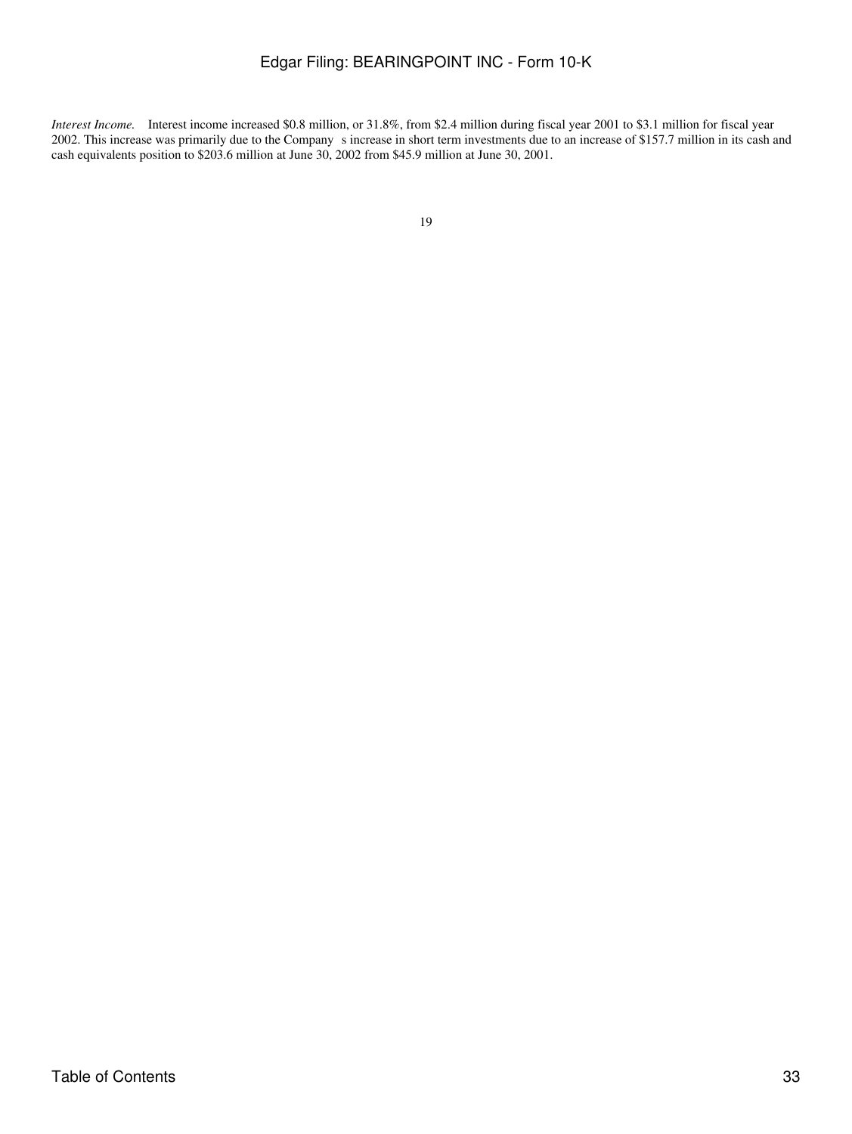*Interest Income.* Interest income increased \$0.8 million, or 31.8%, from \$2.4 million during fiscal year 2001 to \$3.1 million for fiscal year 2002. This increase was primarily due to the Company s increase in short term investments due to an increase of \$157.7 million in its cash and cash equivalents position to \$203.6 million at June 30, 2002 from \$45.9 million at June 30, 2001.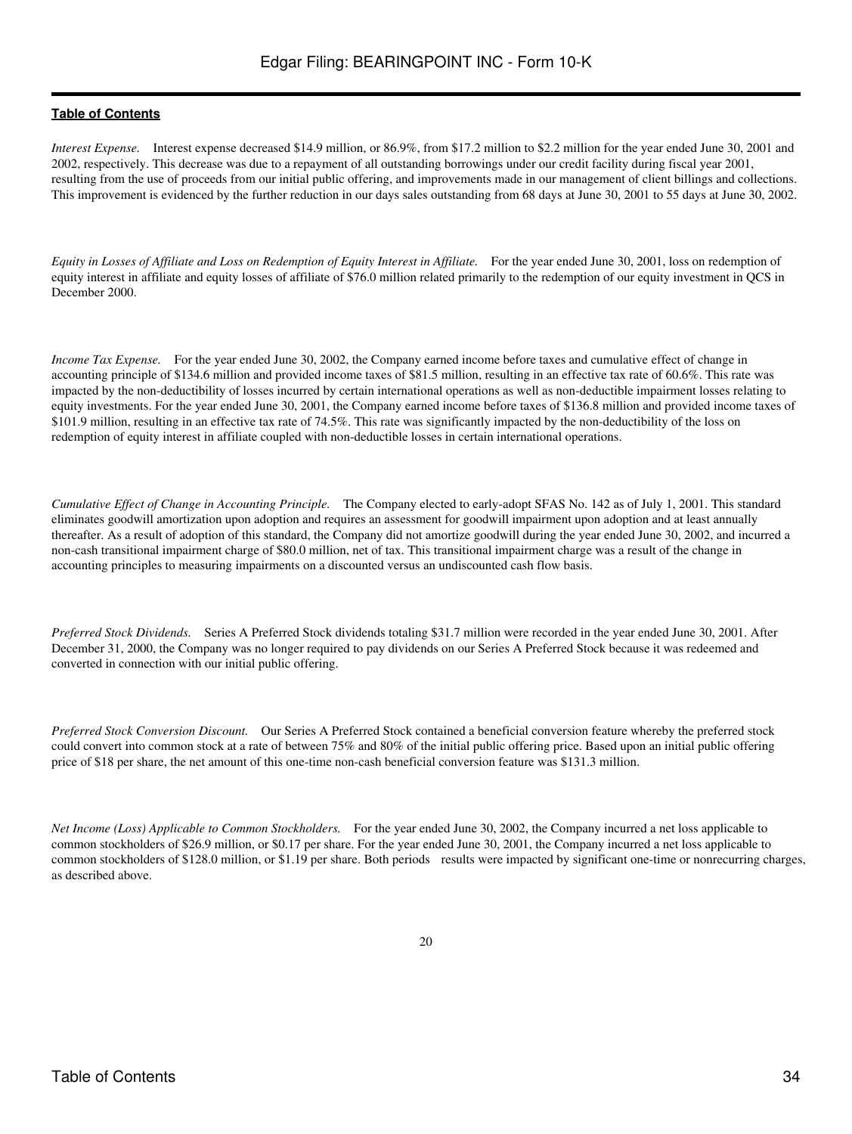*Interest Expense.* Interest expense decreased \$14.9 million, or 86.9%, from \$17.2 million to \$2.2 million for the year ended June 30, 2001 and 2002, respectively. This decrease was due to a repayment of all outstanding borrowings under our credit facility during fiscal year 2001, resulting from the use of proceeds from our initial public offering, and improvements made in our management of client billings and collections. This improvement is evidenced by the further reduction in our days sales outstanding from 68 days at June 30, 2001 to 55 days at June 30, 2002.

*Equity in Losses of Affiliate and Loss on Redemption of Equity Interest in Affiliate.* For the year ended June 30, 2001, loss on redemption of equity interest in affiliate and equity losses of affiliate of \$76.0 million related primarily to the redemption of our equity investment in QCS in December 2000.

*Income Tax Expense.* For the year ended June 30, 2002, the Company earned income before taxes and cumulative effect of change in accounting principle of \$134.6 million and provided income taxes of \$81.5 million, resulting in an effective tax rate of 60.6%. This rate was impacted by the non-deductibility of losses incurred by certain international operations as well as non-deductible impairment losses relating to equity investments. For the year ended June 30, 2001, the Company earned income before taxes of \$136.8 million and provided income taxes of \$101.9 million, resulting in an effective tax rate of 74.5%. This rate was significantly impacted by the non-deductibility of the loss on redemption of equity interest in affiliate coupled with non-deductible losses in certain international operations.

*Cumulative Effect of Change in Accounting Principle.* The Company elected to early-adopt SFAS No. 142 as of July 1, 2001. This standard eliminates goodwill amortization upon adoption and requires an assessment for goodwill impairment upon adoption and at least annually thereafter. As a result of adoption of this standard, the Company did not amortize goodwill during the year ended June 30, 2002, and incurred a non-cash transitional impairment charge of \$80.0 million, net of tax. This transitional impairment charge was a result of the change in accounting principles to measuring impairments on a discounted versus an undiscounted cash flow basis.

*Preferred Stock Dividends.* Series A Preferred Stock dividends totaling \$31.7 million were recorded in the year ended June 30, 2001. After December 31, 2000, the Company was no longer required to pay dividends on our Series A Preferred Stock because it was redeemed and converted in connection with our initial public offering.

*Preferred Stock Conversion Discount.* Our Series A Preferred Stock contained a beneficial conversion feature whereby the preferred stock could convert into common stock at a rate of between 75% and 80% of the initial public offering price. Based upon an initial public offering price of \$18 per share, the net amount of this one-time non-cash beneficial conversion feature was \$131.3 million.

*Net Income (Loss) Applicable to Common Stockholders.* For the year ended June 30, 2002, the Company incurred a net loss applicable to common stockholders of \$26.9 million, or \$0.17 per share. For the year ended June 30, 2001, the Company incurred a net loss applicable to common stockholders of \$128.0 million, or \$1.19 per share. Both periods results were impacted by significant one-time or nonrecurring charges, as described above.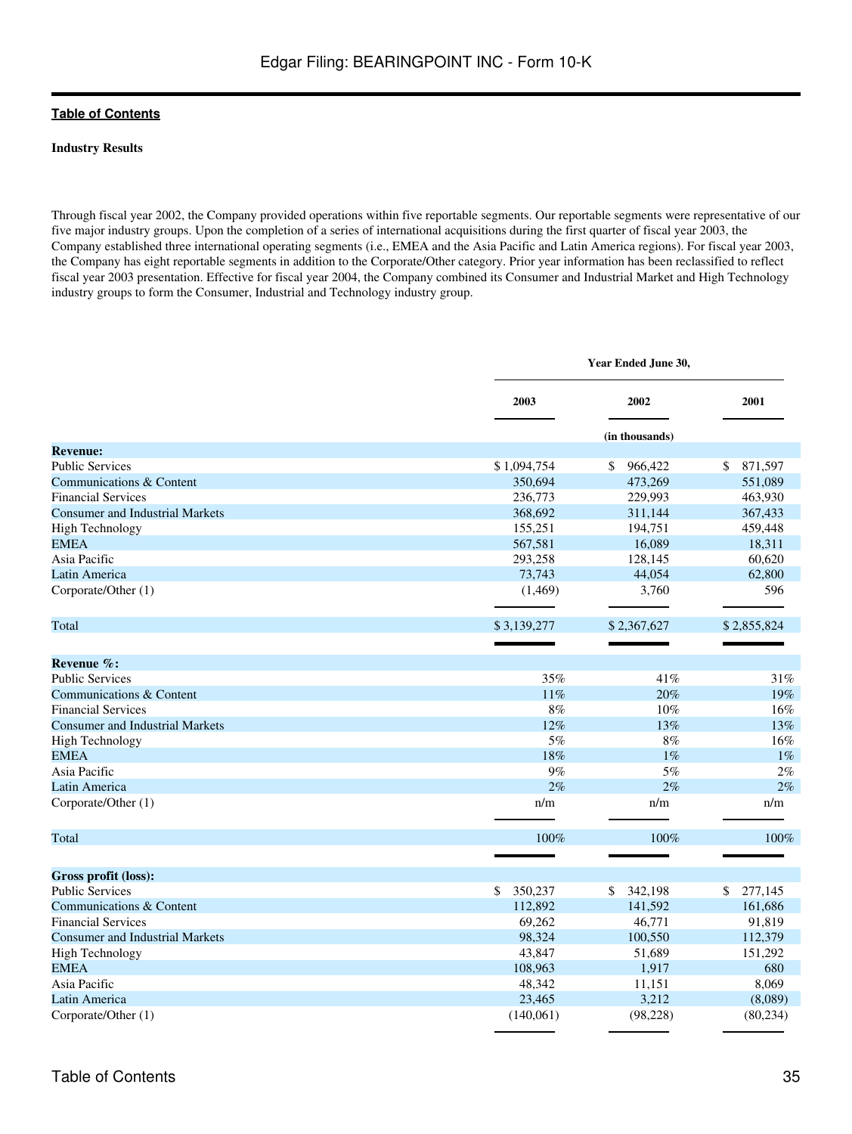### **Industry Results**

Through fiscal year 2002, the Company provided operations within five reportable segments. Our reportable segments were representative of our five major industry groups. Upon the completion of a series of international acquisitions during the first quarter of fiscal year 2003, the Company established three international operating segments (i.e., EMEA and the Asia Pacific and Latin America regions). For fiscal year 2003, the Company has eight reportable segments in addition to the Corporate/Other category. Prior year information has been reclassified to reflect fiscal year 2003 presentation. Effective for fiscal year 2004, the Company combined its Consumer and Industrial Market and High Technology industry groups to form the Consumer, Industrial and Technology industry group.

|                                        |               | Year Ended June 30, |               |  |  |  |  |
|----------------------------------------|---------------|---------------------|---------------|--|--|--|--|
|                                        | 2003          | 2002                | 2001          |  |  |  |  |
|                                        |               | (in thousands)      |               |  |  |  |  |
| <b>Revenue:</b>                        |               |                     |               |  |  |  |  |
| <b>Public Services</b>                 | \$1,094,754   | 966,422<br>\$       | 871,597<br>\$ |  |  |  |  |
| Communications & Content               | 350,694       | 473,269             | 551,089       |  |  |  |  |
| <b>Financial Services</b>              | 236,773       | 229,993             | 463,930       |  |  |  |  |
| <b>Consumer and Industrial Markets</b> | 368,692       | 311,144             | 367,433       |  |  |  |  |
| <b>High Technology</b>                 | 155,251       | 194,751             | 459,448       |  |  |  |  |
| <b>EMEA</b>                            | 567,581       | 16,089              | 18,311        |  |  |  |  |
| Asia Pacific                           | 293,258       | 128,145             | 60,620        |  |  |  |  |
| Latin America                          | 73,743        | 44,054              | 62,800        |  |  |  |  |
| Corporate/Other (1)                    | (1,469)       | 3,760               | 596           |  |  |  |  |
| Total                                  | \$3,139,277   | \$2,367,627         | \$2,855,824   |  |  |  |  |
|                                        |               |                     |               |  |  |  |  |
| Revenue %:                             |               |                     |               |  |  |  |  |
| <b>Public Services</b>                 | 35%           | 41%                 | 31%           |  |  |  |  |
| Communications & Content               | 11%           | 20%                 | 19%           |  |  |  |  |
| <b>Financial Services</b>              | $8\%$         | 10%                 | 16%           |  |  |  |  |
| <b>Consumer and Industrial Markets</b> | 12%           | 13%                 | 13%           |  |  |  |  |
| <b>High Technology</b>                 | $5\%$         | $8\%$               | 16%           |  |  |  |  |
| <b>EMEA</b>                            | 18%           | $1\%$               | $1\%$         |  |  |  |  |
| Asia Pacific                           | 9%            | 5%                  | 2%            |  |  |  |  |
| Latin America                          | 2%            | 2%                  | 2%            |  |  |  |  |
| Corporate/Other (1)                    | n/m           | n/m                 | n/m           |  |  |  |  |
| Total                                  | 100%          | 100%                | 100%          |  |  |  |  |
| Gross profit (loss):                   |               |                     |               |  |  |  |  |
| <b>Public Services</b>                 | 350,237<br>\$ | 342,198<br>\$       | \$<br>277,145 |  |  |  |  |
| Communications & Content               | 112,892       | 141,592             | 161,686       |  |  |  |  |
| <b>Financial Services</b>              | 69,262        | 46,771              | 91,819        |  |  |  |  |
| <b>Consumer and Industrial Markets</b> | 98,324        | 100,550             | 112,379       |  |  |  |  |
| <b>High Technology</b>                 | 43,847        | 51,689              | 151,292       |  |  |  |  |
| <b>EMEA</b>                            | 108,963       | 1,917               | 680           |  |  |  |  |
| Asia Pacific                           | 48,342        | 11,151              | 8,069         |  |  |  |  |
| Latin America                          | 23,465        | 3,212               | (8,089)       |  |  |  |  |
| Corporate/Other (1)                    | (140,061)     | (98, 228)           | (80, 234)     |  |  |  |  |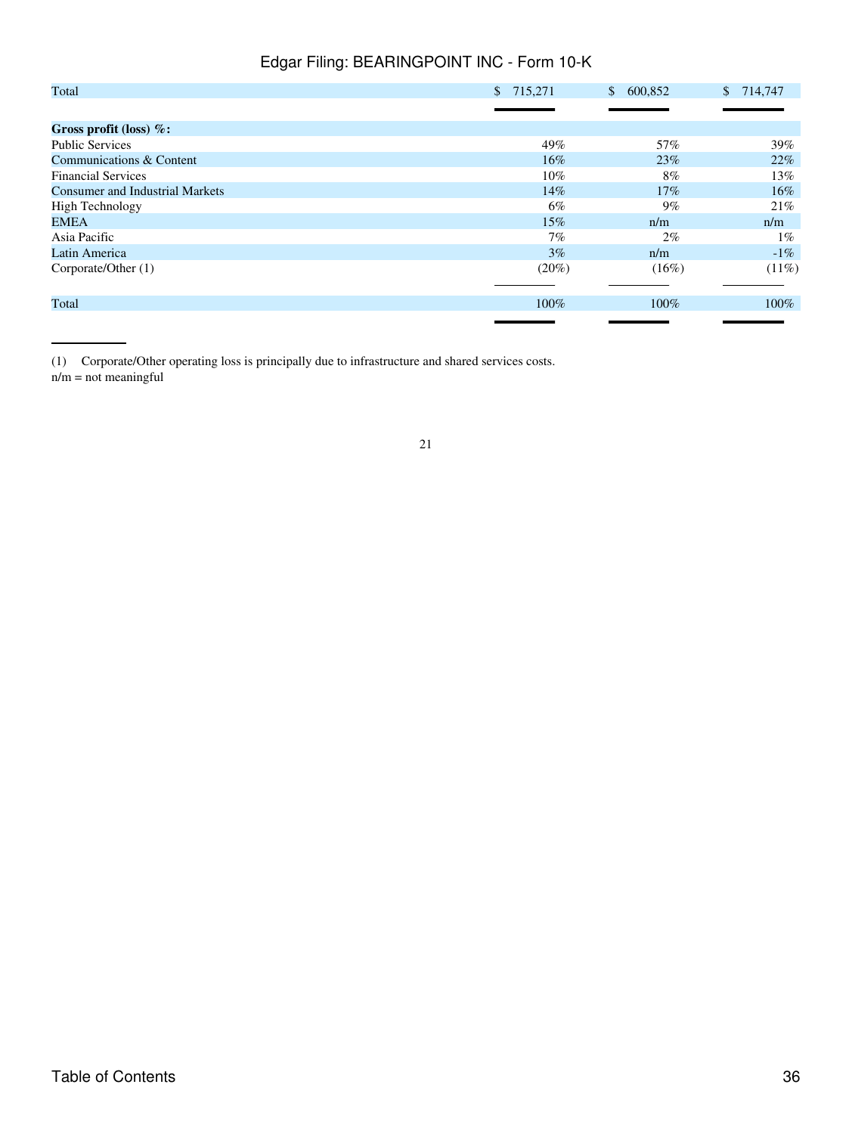| Total                                  | \$715,271 | 600,852<br>$\mathbb{S}^-$ | \$714,747 |
|----------------------------------------|-----------|---------------------------|-----------|
|                                        |           |                           |           |
| Gross profit (loss) $%$ :              |           |                           |           |
| <b>Public Services</b>                 | 49%       | 57%                       | 39%       |
| Communications & Content               | $16\%$    | 23%                       | 22%       |
| <b>Financial Services</b>              | $10\%$    | $8\%$                     | 13%       |
| <b>Consumer and Industrial Markets</b> | 14%       | 17%                       | $16\%$    |
| <b>High Technology</b>                 | 6%        | $9\%$                     | 21%       |
| EMEA                                   | $15\%$    | n/m                       | n/m       |
| Asia Pacific                           | 7%        | $2\%$                     | $1\%$     |
| Latin America                          | 3%        | n/m                       | $-1\%$    |
| Corporate/Other (1)                    | $(20\%)$  | $(16\%)$                  | $(11\%)$  |
|                                        |           |                           |           |
| Total                                  | $100\%$   | $100\%$                   | $100\%$   |
|                                        |           |                           |           |

(1) Corporate/Other operating loss is principally due to infrastructure and shared services costs. n/m = not meaningful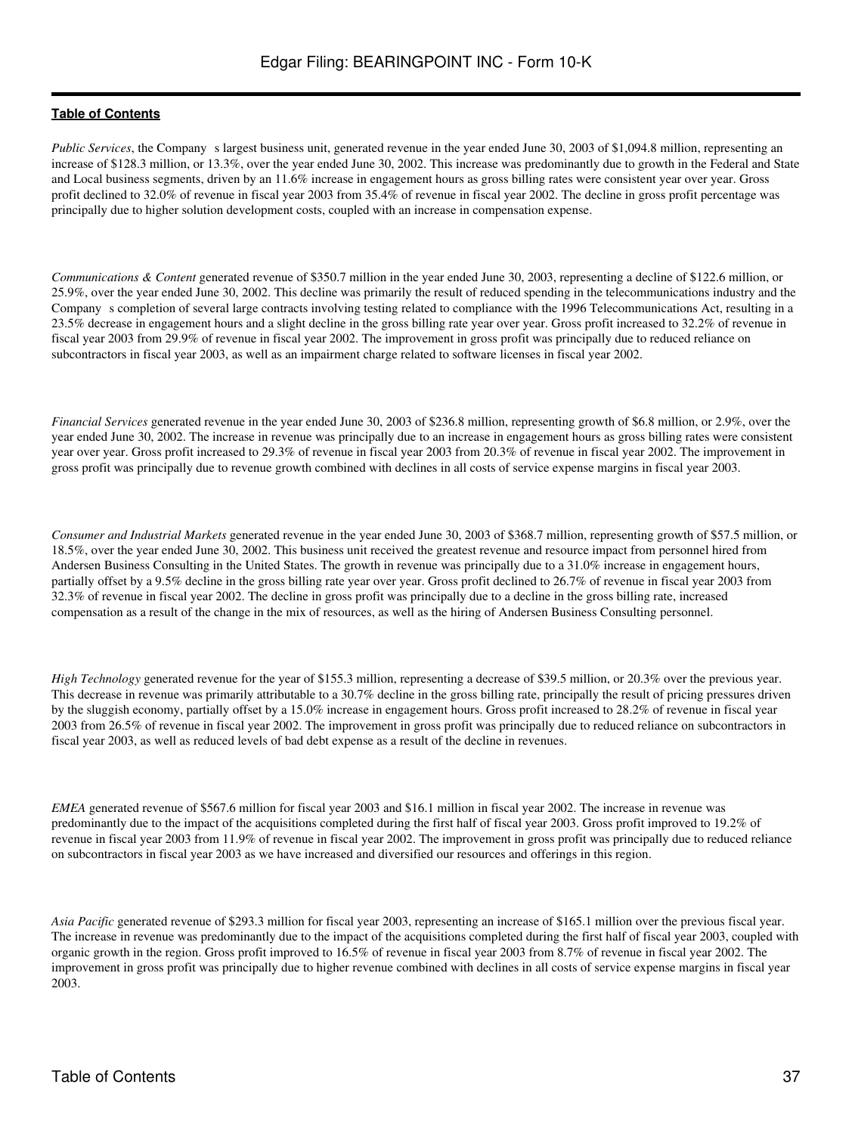*Public Services*, the Company s largest business unit, generated revenue in the year ended June 30, 2003 of \$1,094.8 million, representing an increase of \$128.3 million, or 13.3%, over the year ended June 30, 2002. This increase was predominantly due to growth in the Federal and State and Local business segments, driven by an 11.6% increase in engagement hours as gross billing rates were consistent year over year. Gross profit declined to 32.0% of revenue in fiscal year 2003 from 35.4% of revenue in fiscal year 2002. The decline in gross profit percentage was principally due to higher solution development costs, coupled with an increase in compensation expense.

*Communications & Content* generated revenue of \$350.7 million in the year ended June 30, 2003, representing a decline of \$122.6 million, or 25.9%, over the year ended June 30, 2002. This decline was primarily the result of reduced spending in the telecommunications industry and the Companys completion of several large contracts involving testing related to compliance with the 1996 Telecommunications Act, resulting in a 23.5% decrease in engagement hours and a slight decline in the gross billing rate year over year. Gross profit increased to 32.2% of revenue in fiscal year 2003 from 29.9% of revenue in fiscal year 2002. The improvement in gross profit was principally due to reduced reliance on subcontractors in fiscal year 2003, as well as an impairment charge related to software licenses in fiscal year 2002.

*Financial Services* generated revenue in the year ended June 30, 2003 of \$236.8 million, representing growth of \$6.8 million, or 2.9%, over the year ended June 30, 2002. The increase in revenue was principally due to an increase in engagement hours as gross billing rates were consistent year over year. Gross profit increased to 29.3% of revenue in fiscal year 2003 from 20.3% of revenue in fiscal year 2002. The improvement in gross profit was principally due to revenue growth combined with declines in all costs of service expense margins in fiscal year 2003.

*Consumer and Industrial Markets* generated revenue in the year ended June 30, 2003 of \$368.7 million, representing growth of \$57.5 million, or 18.5%, over the year ended June 30, 2002. This business unit received the greatest revenue and resource impact from personnel hired from Andersen Business Consulting in the United States. The growth in revenue was principally due to a 31.0% increase in engagement hours, partially offset by a 9.5% decline in the gross billing rate year over year. Gross profit declined to 26.7% of revenue in fiscal year 2003 from 32.3% of revenue in fiscal year 2002. The decline in gross profit was principally due to a decline in the gross billing rate, increased compensation as a result of the change in the mix of resources, as well as the hiring of Andersen Business Consulting personnel.

*High Technology* generated revenue for the year of \$155.3 million, representing a decrease of \$39.5 million, or 20.3% over the previous year. This decrease in revenue was primarily attributable to a 30.7% decline in the gross billing rate, principally the result of pricing pressures driven by the sluggish economy, partially offset by a 15.0% increase in engagement hours. Gross profit increased to 28.2% of revenue in fiscal year 2003 from 26.5% of revenue in fiscal year 2002. The improvement in gross profit was principally due to reduced reliance on subcontractors in fiscal year 2003, as well as reduced levels of bad debt expense as a result of the decline in revenues.

*EMEA* generated revenue of \$567.6 million for fiscal year 2003 and \$16.1 million in fiscal year 2002. The increase in revenue was predominantly due to the impact of the acquisitions completed during the first half of fiscal year 2003. Gross profit improved to 19.2% of revenue in fiscal year 2003 from 11.9% of revenue in fiscal year 2002. The improvement in gross profit was principally due to reduced reliance on subcontractors in fiscal year 2003 as we have increased and diversified our resources and offerings in this region.

*Asia Pacific* generated revenue of \$293.3 million for fiscal year 2003, representing an increase of \$165.1 million over the previous fiscal year. The increase in revenue was predominantly due to the impact of the acquisitions completed during the first half of fiscal year 2003, coupled with organic growth in the region. Gross profit improved to 16.5% of revenue in fiscal year 2003 from 8.7% of revenue in fiscal year 2002. The improvement in gross profit was principally due to higher revenue combined with declines in all costs of service expense margins in fiscal year 2003.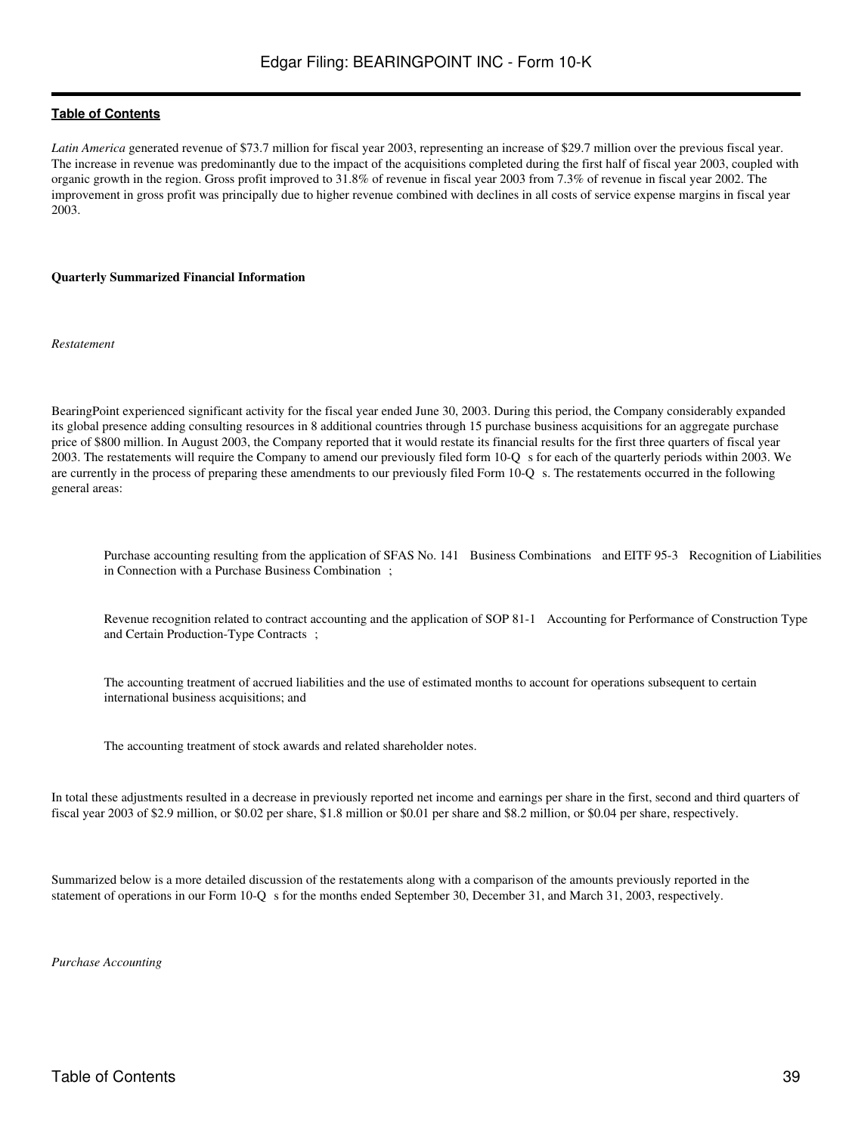Latin America generated revenue of \$73.7 million for fiscal year 2003, representing an increase of \$29.7 million over the previous fiscal year. The increase in revenue was predominantly due to the impact of the acquisitions completed during the first half of fiscal year 2003, coupled with organic growth in the region. Gross profit improved to 31.8% of revenue in fiscal year 2003 from 7.3% of revenue in fiscal year 2002. The improvement in gross profit was principally due to higher revenue combined with declines in all costs of service expense margins in fiscal year 2003.

#### **Quarterly Summarized Financial Information**

*Restatement*

BearingPoint experienced significant activity for the fiscal year ended June 30, 2003. During this period, the Company considerably expanded its global presence adding consulting resources in 8 additional countries through 15 purchase business acquisitions for an aggregate purchase price of \$800 million. In August 2003, the Company reported that it would restate its financial results for the first three quarters of fiscal year 2003. The restatements will require the Company to amend our previously filed form 10-Q s for each of the quarterly periods within 2003. We are currently in the process of preparing these amendments to our previously filed Form 10-Q s. The restatements occurred in the following general areas:

Purchase accounting resulting from the application of SFAS No. 141 Business Combinations and EITF 95-3 Recognition of Liabilities in Connection with a Purchase Business Combination;

Revenue recognition related to contract accounting and the application of SOP 81-1 Accounting for Performance of Construction Type and Certain Production-Type Contracts;

The accounting treatment of accrued liabilities and the use of estimated months to account for operations subsequent to certain international business acquisitions; and

The accounting treatment of stock awards and related shareholder notes.

In total these adjustments resulted in a decrease in previously reported net income and earnings per share in the first, second and third quarters of fiscal year 2003 of \$2.9 million, or \$0.02 per share, \$1.8 million or \$0.01 per share and \$8.2 million, or \$0.04 per share, respectively.

Summarized below is a more detailed discussion of the restatements along with a comparison of the amounts previously reported in the statement of operations in our Form 10-Q s for the months ended September 30, December 31, and March 31, 2003, respectively.

*Purchase Accounting*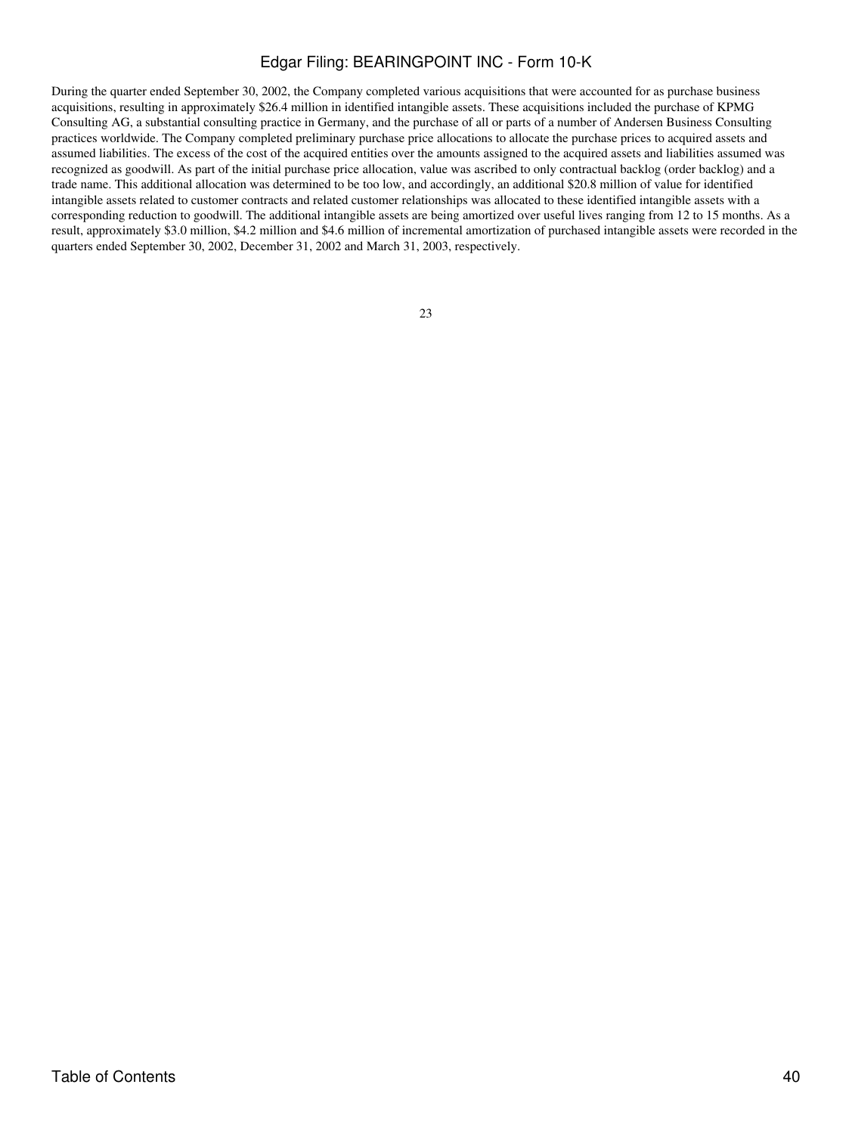During the quarter ended September 30, 2002, the Company completed various acquisitions that were accounted for as purchase business acquisitions, resulting in approximately \$26.4 million in identified intangible assets. These acquisitions included the purchase of KPMG Consulting AG, a substantial consulting practice in Germany, and the purchase of all or parts of a number of Andersen Business Consulting practices worldwide. The Company completed preliminary purchase price allocations to allocate the purchase prices to acquired assets and assumed liabilities. The excess of the cost of the acquired entities over the amounts assigned to the acquired assets and liabilities assumed was recognized as goodwill. As part of the initial purchase price allocation, value was ascribed to only contractual backlog (order backlog) and a trade name. This additional allocation was determined to be too low, and accordingly, an additional \$20.8 million of value for identified intangible assets related to customer contracts and related customer relationships was allocated to these identified intangible assets with a corresponding reduction to goodwill. The additional intangible assets are being amortized over useful lives ranging from 12 to 15 months. As a result, approximately \$3.0 million, \$4.2 million and \$4.6 million of incremental amortization of purchased intangible assets were recorded in the quarters ended September 30, 2002, December 31, 2002 and March 31, 2003, respectively.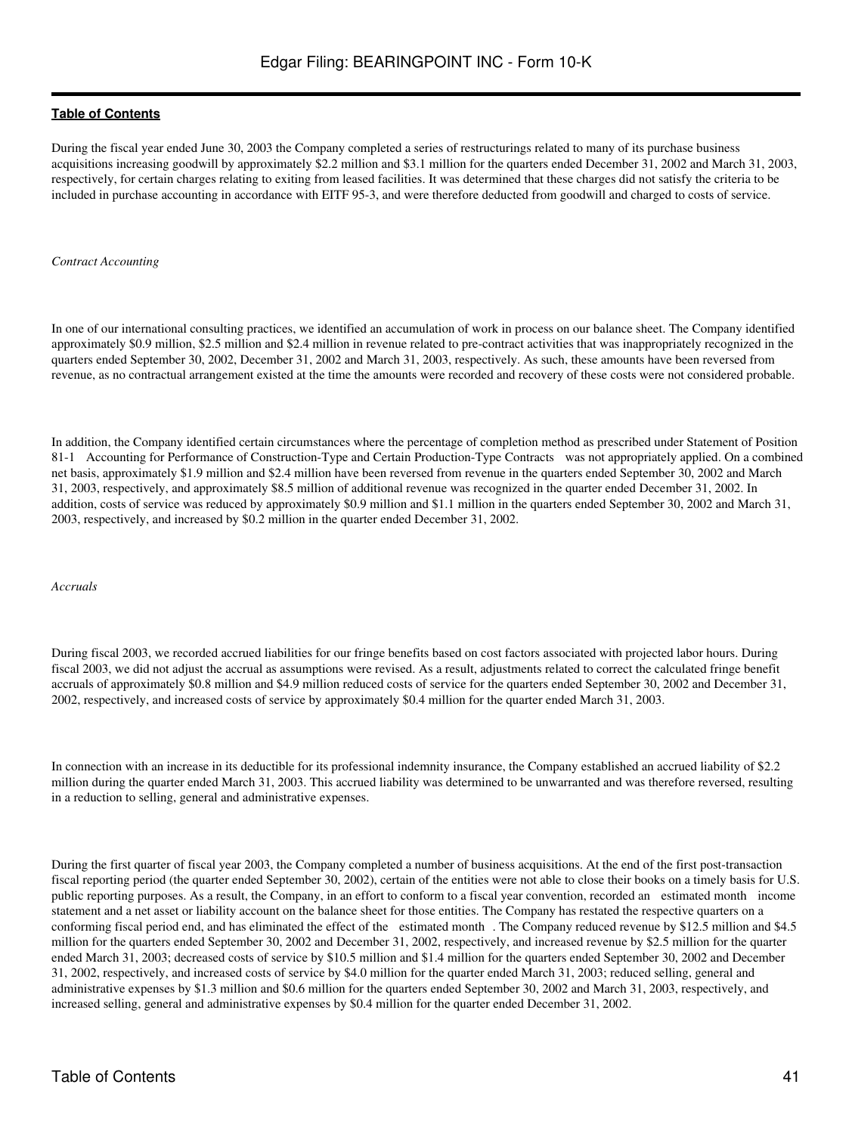During the fiscal year ended June 30, 2003 the Company completed a series of restructurings related to many of its purchase business acquisitions increasing goodwill by approximately \$2.2 million and \$3.1 million for the quarters ended December 31, 2002 and March 31, 2003, respectively, for certain charges relating to exiting from leased facilities. It was determined that these charges did not satisfy the criteria to be included in purchase accounting in accordance with EITF 95-3, and were therefore deducted from goodwill and charged to costs of service.

#### *Contract Accounting*

In one of our international consulting practices, we identified an accumulation of work in process on our balance sheet. The Company identified approximately \$0.9 million, \$2.5 million and \$2.4 million in revenue related to pre-contract activities that was inappropriately recognized in the quarters ended September 30, 2002, December 31, 2002 and March 31, 2003, respectively. As such, these amounts have been reversed from revenue, as no contractual arrangement existed at the time the amounts were recorded and recovery of these costs were not considered probable.

In addition, the Company identified certain circumstances where the percentage of completion method as prescribed under Statement of Position 81-1 Accounting for Performance of Construction-Type and Certain Production-Type Contracts was not appropriately applied. On a combined net basis, approximately \$1.9 million and \$2.4 million have been reversed from revenue in the quarters ended September 30, 2002 and March 31, 2003, respectively, and approximately \$8.5 million of additional revenue was recognized in the quarter ended December 31, 2002. In addition, costs of service was reduced by approximately \$0.9 million and \$1.1 million in the quarters ended September 30, 2002 and March 31, 2003, respectively, and increased by \$0.2 million in the quarter ended December 31, 2002.

*Accruals*

During fiscal 2003, we recorded accrued liabilities for our fringe benefits based on cost factors associated with projected labor hours. During fiscal 2003, we did not adjust the accrual as assumptions were revised. As a result, adjustments related to correct the calculated fringe benefit accruals of approximately \$0.8 million and \$4.9 million reduced costs of service for the quarters ended September 30, 2002 and December 31, 2002, respectively, and increased costs of service by approximately \$0.4 million for the quarter ended March 31, 2003.

In connection with an increase in its deductible for its professional indemnity insurance, the Company established an accrued liability of \$2.2 million during the quarter ended March 31, 2003. This accrued liability was determined to be unwarranted and was therefore reversed, resulting in a reduction to selling, general and administrative expenses.

During the first quarter of fiscal year 2003, the Company completed a number of business acquisitions. At the end of the first post-transaction fiscal reporting period (the quarter ended September 30, 2002), certain of the entities were not able to close their books on a timely basis for U.S. public reporting purposes. As a result, the Company, in an effort to conform to a fiscal year convention, recorded an estimated month income statement and a net asset or liability account on the balance sheet for those entities. The Company has restated the respective quarters on a conforming fiscal period end, and has eliminated the effect of the estimated month. The Company reduced revenue by \$12.5 million and \$4.5 million for the quarters ended September 30, 2002 and December 31, 2002, respectively, and increased revenue by \$2.5 million for the quarter ended March 31, 2003; decreased costs of service by \$10.5 million and \$1.4 million for the quarters ended September 30, 2002 and December 31, 2002, respectively, and increased costs of service by \$4.0 million for the quarter ended March 31, 2003; reduced selling, general and administrative expenses by \$1.3 million and \$0.6 million for the quarters ended September 30, 2002 and March 31, 2003, respectively, and increased selling, general and administrative expenses by \$0.4 million for the quarter ended December 31, 2002.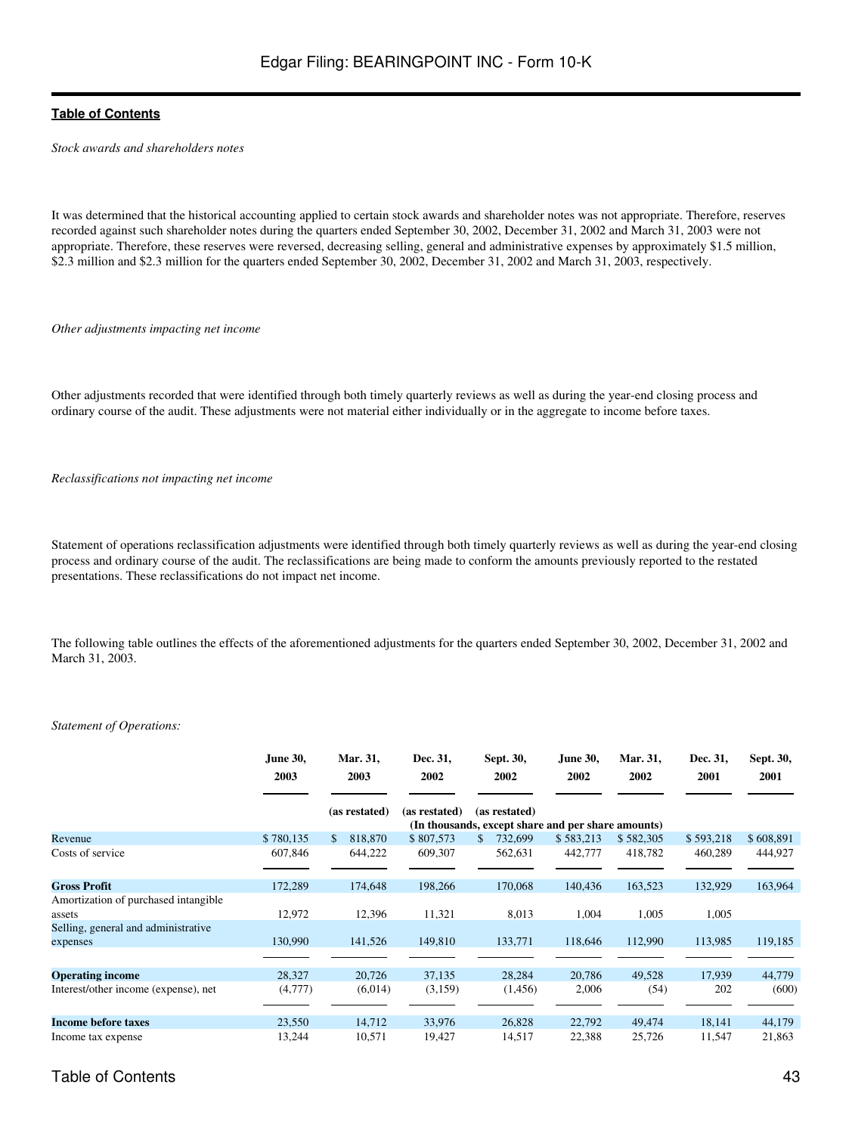*Stock awards and shareholders notes*

It was determined that the historical accounting applied to certain stock awards and shareholder notes was not appropriate. Therefore, reserves recorded against such shareholder notes during the quarters ended September 30, 2002, December 31, 2002 and March 31, 2003 were not appropriate. Therefore, these reserves were reversed, decreasing selling, general and administrative expenses by approximately \$1.5 million, \$2.3 million and \$2.3 million for the quarters ended September 30, 2002, December 31, 2002 and March 31, 2003, respectively.

*Other adjustments impacting net income*

Other adjustments recorded that were identified through both timely quarterly reviews as well as during the year-end closing process and ordinary course of the audit. These adjustments were not material either individually or in the aggregate to income before taxes.

*Reclassifications not impacting net income*

Statement of operations reclassification adjustments were identified through both timely quarterly reviews as well as during the year-end closing process and ordinary course of the audit. The reclassifications are being made to conform the amounts previously reported to the restated presentations. These reclassifications do not impact net income.

The following table outlines the effects of the aforementioned adjustments for the quarters ended September 30, 2002, December 31, 2002 and March 31, 2003.

#### *Statement of Operations:*

|                                                 | June 30,<br>2003 | Mar. 31,<br>2003 | Dec. 31,<br>2002 | Sept. 30,<br>2002                                                   | June 30,<br>2002 | Mar. 31,<br>2002 | Dec. 31,<br>2001 | Sept. 30,<br>2001 |
|-------------------------------------------------|------------------|------------------|------------------|---------------------------------------------------------------------|------------------|------------------|------------------|-------------------|
|                                                 |                  | (as restated)    | (as restated)    | (as restated)<br>(In thousands, except share and per share amounts) |                  |                  |                  |                   |
| Revenue                                         | \$780,135        | 818,870<br>\$.   | \$807,573        | 732,699<br>S.                                                       | \$583,213        | \$582,305        | \$593,218        | \$608,891         |
| Costs of service                                | 607,846          | 644,222          | 609,307          | 562,631                                                             | 442,777          | 418,782          | 460,289          | 444,927           |
| <b>Gross Profit</b>                             | 172,289          | 174,648          | 198,266          | 170,068                                                             | 140,436          | 163,523          | 132,929          | 163,964           |
| Amortization of purchased intangible<br>assets  | 12,972           | 12,396           | 11,321           | 8,013                                                               | 1,004            | 1,005            | 1,005            |                   |
| Selling, general and administrative<br>expenses | 130,990          | 141,526          | 149,810          | 133,771                                                             | 118,646          | 112,990          | 113,985          | 119,185           |
| <b>Operating income</b>                         | 28,327           | 20,726           | 37,135           | 28,284                                                              | 20,786           | 49,528           | 17,939           | 44,779            |
| Interest/other income (expense), net            | (4,777)          | (6,014)          | (3,159)          | (1,456)                                                             | 2,006            | (54)             | 202              | (600)             |
| <b>Income before taxes</b>                      | 23,550           | 14,712           | 33,976           | 26,828                                                              | 22,792           | 49,474           | 18,141           | 44,179            |
| Income tax expense                              | 13,244           | 10,571           | 19,427           | 14,517                                                              | 22,388           | 25,726           | 11,547           | 21,863            |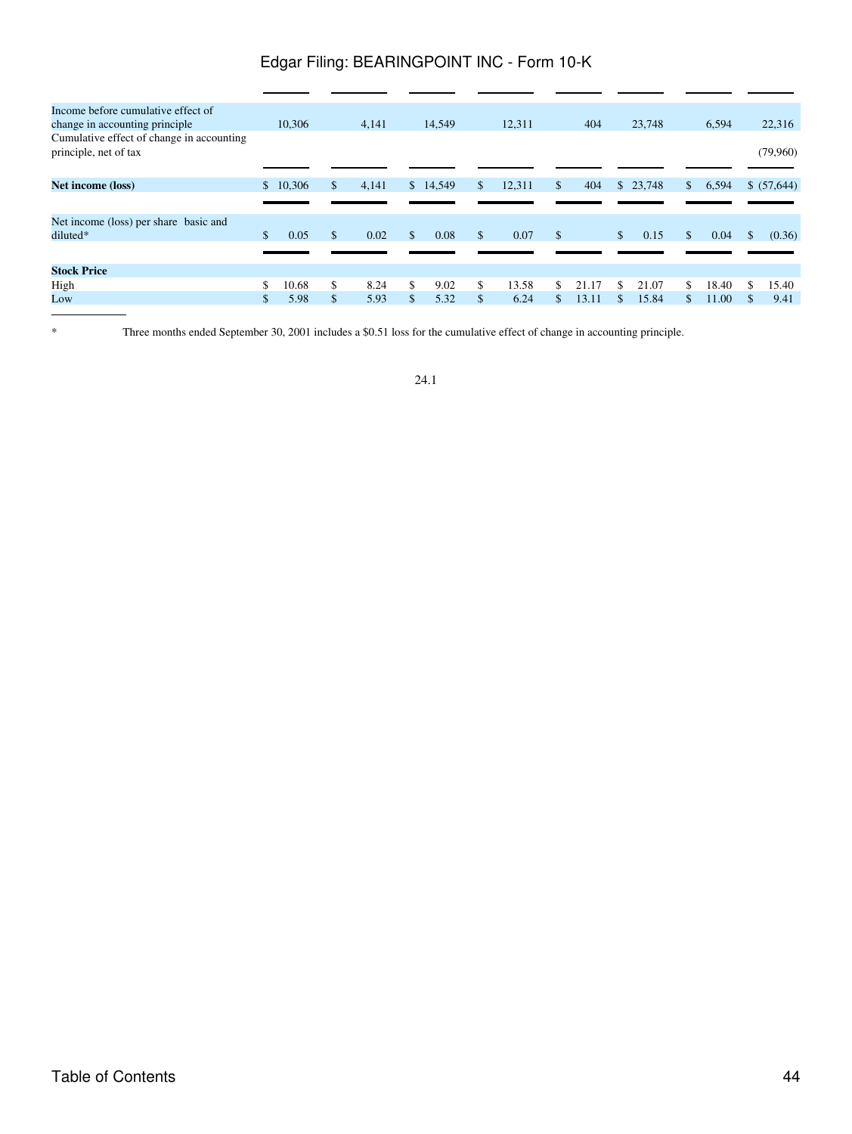| Income before cumulative effect of                                 |              |        |            |              |          |     |        |     |       |              |          |              |       |    |             |
|--------------------------------------------------------------------|--------------|--------|------------|--------------|----------|-----|--------|-----|-------|--------------|----------|--------------|-------|----|-------------|
| change in accounting principle.                                    |              | 10.306 | 4.141      |              | 14,549   |     | 12.311 |     | 404   |              | 23,748   |              | 6,594 |    | 22,316      |
| Cumulative effect of change in accounting<br>principle, net of tax |              |        |            |              |          |     |        |     |       |              |          |              |       |    | (79,960)    |
|                                                                    |              | 10,306 | \$         |              | \$14,549 | \$. | 12,311 | \$  | 404   |              | \$23,748 | $\mathbb{S}$ | 6,594 |    |             |
| <b>Net income (loss)</b>                                           | $\mathbb{S}$ |        | 4,141      |              |          |     |        |     |       |              |          |              |       |    | \$ (57,644) |
|                                                                    |              |        |            |              |          |     |        |     |       |              |          |              |       |    |             |
| Net income (loss) per share basic and                              |              |        |            |              |          |     |        |     |       |              |          |              |       |    |             |
| diluted*                                                           | \$           | 0.05   | \$<br>0.02 | $\mathbb{S}$ | 0.08     | \$  | 0.07   | \$  |       | $\mathbb{S}$ | 0.15     | \$           | 0.04  | \$ | (0.36)      |
|                                                                    |              |        |            |              |          |     |        |     |       |              |          |              |       |    |             |
| <b>Stock Price</b>                                                 |              |        |            |              |          |     |        |     |       |              |          |              |       |    |             |
| High                                                               | \$           | 10.68  | \$<br>8.24 | \$           | 9.02     | \$  | 13.58  | \$. | 21.17 | \$.          | 21.07    | \$.          | 18.40 | -S | 15.40       |
| Low                                                                | \$           | 5.98   | \$<br>5.93 | \$           | 5.32     | \$  | 6.24   | \$  | 13.11 |              | 15.84    | \$           | 11.00 | \$ | 9.41        |
|                                                                    |              |        |            |              |          |     |        |     |       |              |          |              |       |    |             |

\* Three months ended September 30, 2001 includes a \$0.51 loss for the cumulative effect of change in accounting principle.

24.1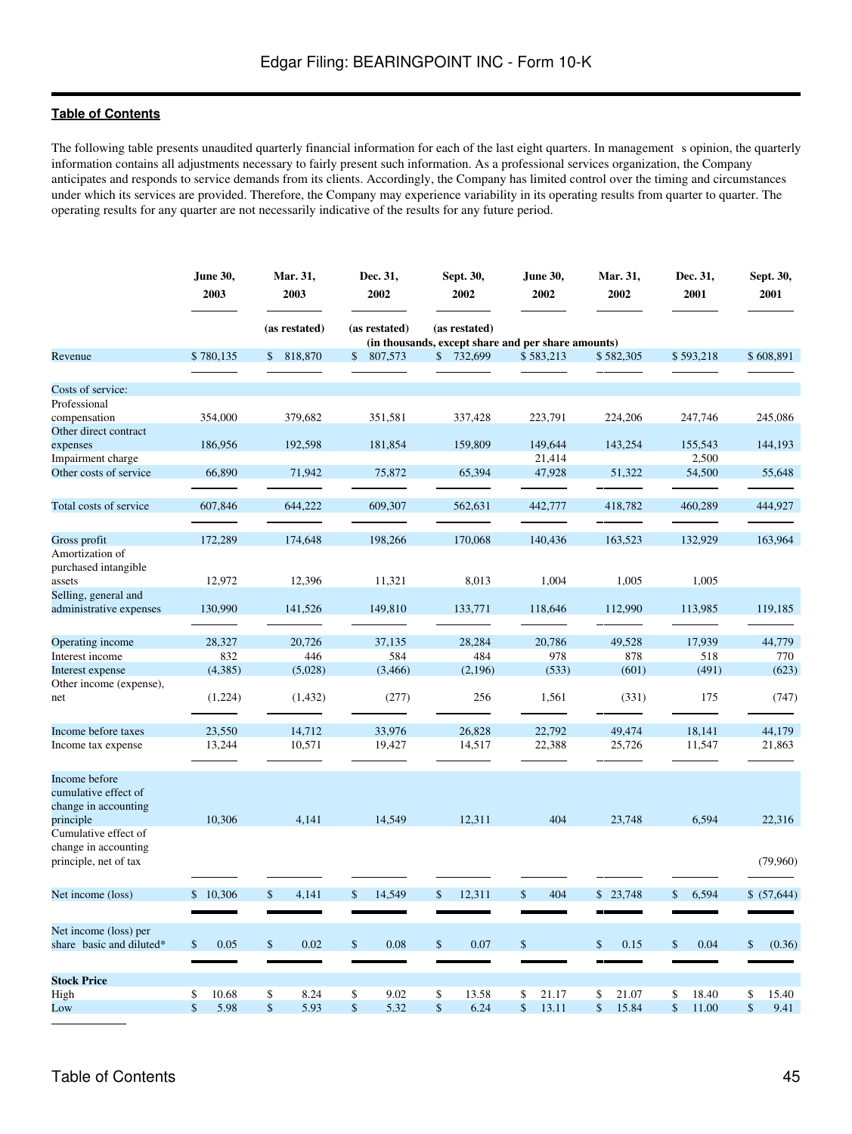The following table presents unaudited quarterly financial information for each of the last eight quarters. In management s opinion, the quarterly information contains all adjustments necessary to fairly present such information. As a professional services organization, the Company anticipates and responds to service demands from its clients. Accordingly, the Company has limited control over the timing and circumstances under which its services are provided. Therefore, the Company may experience variability in its operating results from quarter to quarter. The operating results for any quarter are not necessarily indicative of the results for any future period.

|                          | <b>June 30,</b><br>2003 | Mar. 31,<br>Dec. 31,<br>2003<br>2002 |                      | Sept. 30,<br>2002 | <b>June 30,</b><br>2002                            | Mar. 31,<br>2002 | Dec. 31,<br>2001 | Sept. 30,<br>2001 |  |  |  |
|--------------------------|-------------------------|--------------------------------------|----------------------|-------------------|----------------------------------------------------|------------------|------------------|-------------------|--|--|--|
|                          |                         | (as restated)                        | (as restated)        | (as restated)     | (in thousands, except share and per share amounts) |                  |                  |                   |  |  |  |
| Revenue                  | \$780,135               | \$<br>818,870                        | 807,573<br>\$        | \$732,699         | \$583,213                                          | \$582,305        | \$593,218        | \$608,891         |  |  |  |
| Costs of service:        |                         |                                      |                      |                   |                                                    |                  |                  |                   |  |  |  |
| Professional             |                         |                                      |                      |                   |                                                    |                  |                  |                   |  |  |  |
| compensation             | 354,000                 | 379,682                              | 351,581              | 337,428           | 223,791                                            | 224,206          | 247,746          | 245,086           |  |  |  |
| Other direct contract    |                         |                                      |                      |                   |                                                    |                  |                  |                   |  |  |  |
| expenses                 | 186,956                 | 192,598                              | 181,854              | 159,809           | 149,644                                            | 143,254          | 155,543          | 144,193           |  |  |  |
| Impairment charge        |                         |                                      |                      |                   | 21,414                                             |                  | 2,500            |                   |  |  |  |
| Other costs of service   | 66,890                  | 71,942                               | 75,872               | 65,394            | 47,928                                             | 51,322           | 54,500           | 55,648            |  |  |  |
|                          |                         |                                      |                      |                   |                                                    |                  |                  |                   |  |  |  |
|                          |                         |                                      |                      |                   |                                                    |                  |                  |                   |  |  |  |
| Total costs of service   | 607,846                 | 644,222                              | 609,307              | 562,631           | 442,777                                            | 418,782          | 460,289          | 444,927           |  |  |  |
|                          |                         |                                      |                      |                   |                                                    |                  |                  |                   |  |  |  |
| Gross profit             | 172,289                 | 174,648                              | 198,266              | 170,068           | 140,436                                            | 163,523          | 132,929          | 163,964           |  |  |  |
| Amortization of          |                         |                                      |                      |                   |                                                    |                  |                  |                   |  |  |  |
| purchased intangible     |                         |                                      |                      |                   |                                                    |                  |                  |                   |  |  |  |
| assets                   | 12,972                  | 12,396                               | 11,321               | 8,013             | 1,004                                              | 1,005            | 1,005            |                   |  |  |  |
| Selling, general and     |                         |                                      |                      |                   |                                                    |                  |                  |                   |  |  |  |
| administrative expenses  | 130,990                 | 141,526                              | 149,810              | 133,771           | 118,646                                            | 112,990          | 113,985          | 119,185           |  |  |  |
|                          |                         |                                      |                      |                   |                                                    |                  |                  |                   |  |  |  |
| Operating income         | 28,327                  | 20,726                               | 37,135               | 28,284            | 20,786                                             | 49,528           | 17,939           | 44,779            |  |  |  |
| Interest income          | 832                     | 446                                  | 584                  | 484               | 978                                                | 878              | 518              | 770               |  |  |  |
| Interest expense         | (4,385)                 | (5,028)                              | (3,466)              | (2,196)           | (533)                                              | (601)            | (491)            | (623)             |  |  |  |
| Other income (expense),  |                         |                                      |                      |                   |                                                    |                  |                  |                   |  |  |  |
| net                      | (1,224)                 | (1, 432)                             | (277)                | 256               | 1,561                                              | (331)            | 175              | (747)             |  |  |  |
|                          |                         |                                      |                      |                   |                                                    |                  |                  |                   |  |  |  |
|                          |                         |                                      |                      |                   |                                                    |                  |                  |                   |  |  |  |
| Income before taxes      | 23,550                  | 14,712                               | 33,976               | 26,828            | 22,792                                             | 49,474           | 18,141           | 44,179            |  |  |  |
| Income tax expense       | 13,244                  | 10,571                               | 19,427               | 14,517            | 22,388                                             | 25,726           | 11,547           | 21,863            |  |  |  |
|                          |                         |                                      |                      |                   |                                                    |                  |                  |                   |  |  |  |
| Income before            |                         |                                      |                      |                   |                                                    |                  |                  |                   |  |  |  |
| cumulative effect of     |                         |                                      |                      |                   |                                                    |                  |                  |                   |  |  |  |
| change in accounting     |                         |                                      |                      |                   |                                                    |                  |                  |                   |  |  |  |
| principle                | 10,306                  | 4,141                                | 14,549               | 12,311            | 404                                                | 23,748           | 6,594            | 22,316            |  |  |  |
| Cumulative effect of     |                         |                                      |                      |                   |                                                    |                  |                  |                   |  |  |  |
| change in accounting     |                         |                                      |                      |                   |                                                    |                  |                  |                   |  |  |  |
| principle, net of tax    |                         |                                      |                      |                   |                                                    |                  |                  | (79,960)          |  |  |  |
|                          |                         |                                      |                      |                   |                                                    |                  |                  |                   |  |  |  |
|                          |                         |                                      |                      |                   |                                                    |                  |                  |                   |  |  |  |
| Net income (loss)        | \$10,306                | \$<br>4,141                          | \$<br>14,549         | \$<br>12,311      | 404<br>$\mathbb{S}$                                | \$23,748         | 6,594<br>\$      | \$ (57,644)       |  |  |  |
|                          |                         |                                      |                      |                   |                                                    |                  |                  |                   |  |  |  |
| Net income (loss) per    |                         |                                      |                      |                   |                                                    |                  |                  |                   |  |  |  |
| share basic and diluted* | 0.05<br>\$              | \$<br>0.02                           | \$<br>0.08           | \$<br>0.07        | \$                                                 | 0.15<br>\$       | \$<br>0.04       | (0.36)<br>\$      |  |  |  |
|                          |                         |                                      |                      |                   |                                                    |                  |                  |                   |  |  |  |
|                          |                         |                                      |                      |                   |                                                    |                  |                  |                   |  |  |  |
| <b>Stock Price</b>       |                         |                                      |                      |                   |                                                    |                  |                  |                   |  |  |  |
| High                     | 10.68<br>\$             | \$<br>8.24                           | \$<br>9.02           | \$<br>13.58       | \$<br>21.17                                        | \$<br>21.07      | \$<br>18.40      | 15.40<br>\$       |  |  |  |
| Low                      | 5.98<br>\$              | $\mathsf{\$}$<br>5.93                | $\mathbb{S}$<br>5.32 | \$<br>6.24        | \$<br>13.11                                        | \$<br>15.84      | 11.00<br>\$      | 9.41<br>\$        |  |  |  |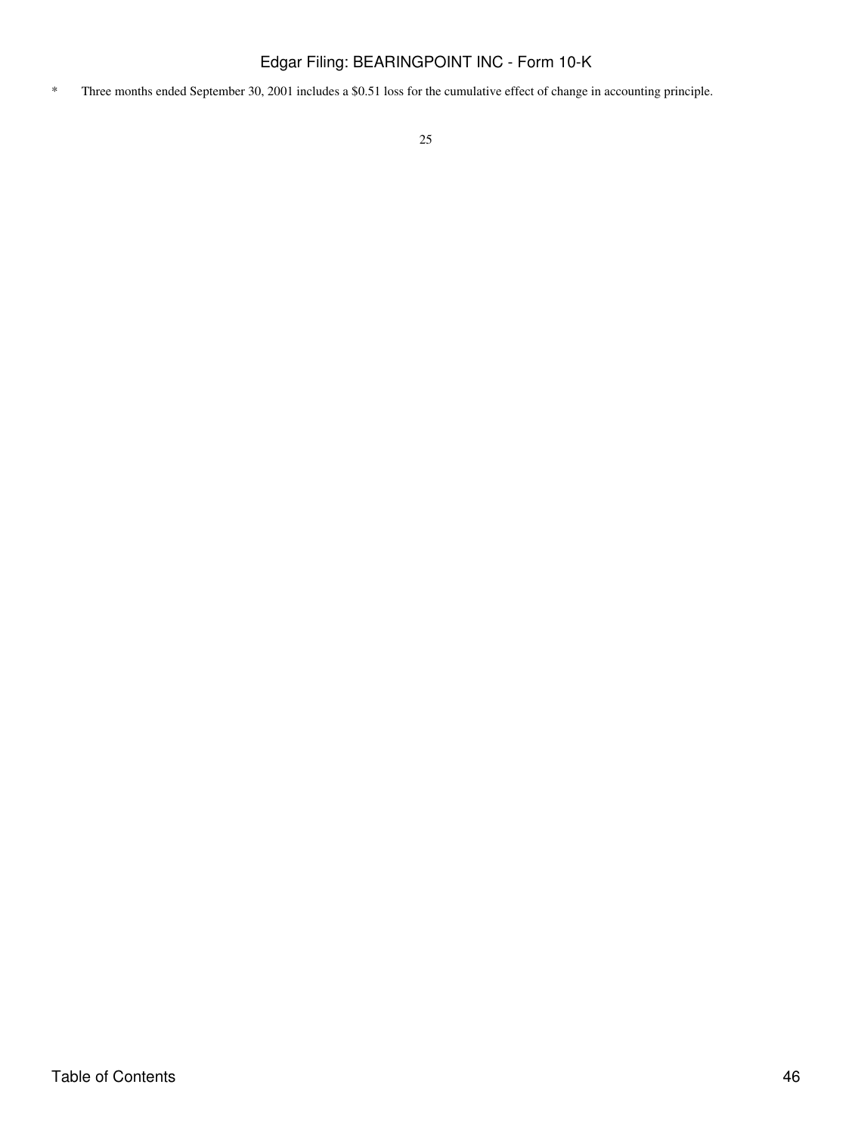\* Three months ended September 30, 2001 includes a \$0.51 loss for the cumulative effect of change in accounting principle.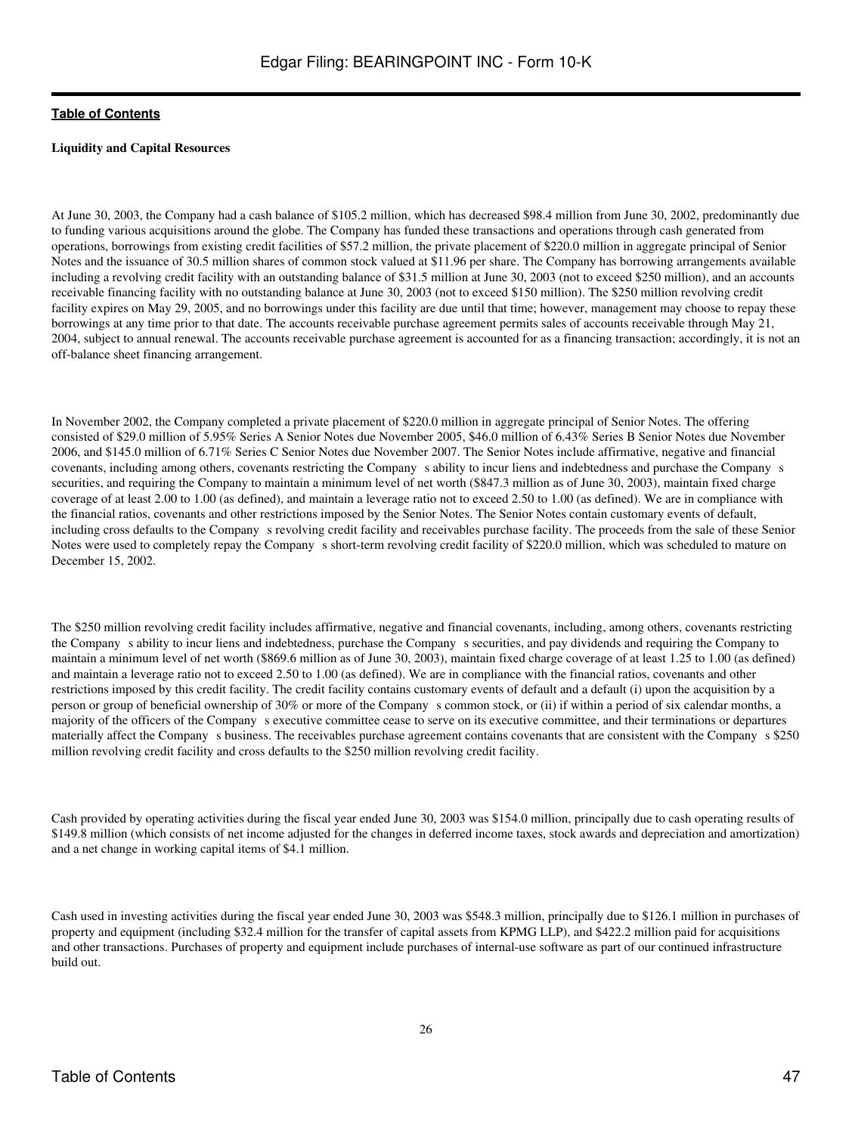### **Liquidity and Capital Resources**

At June 30, 2003, the Company had a cash balance of \$105.2 million, which has decreased \$98.4 million from June 30, 2002, predominantly due to funding various acquisitions around the globe. The Company has funded these transactions and operations through cash generated from operations, borrowings from existing credit facilities of \$57.2 million, the private placement of \$220.0 million in aggregate principal of Senior Notes and the issuance of 30.5 million shares of common stock valued at \$11.96 per share. The Company has borrowing arrangements available including a revolving credit facility with an outstanding balance of \$31.5 million at June 30, 2003 (not to exceed \$250 million), and an accounts receivable financing facility with no outstanding balance at June 30, 2003 (not to exceed \$150 million). The \$250 million revolving credit facility expires on May 29, 2005, and no borrowings under this facility are due until that time; however, management may choose to repay these borrowings at any time prior to that date. The accounts receivable purchase agreement permits sales of accounts receivable through May 21, 2004, subject to annual renewal. The accounts receivable purchase agreement is accounted for as a financing transaction; accordingly, it is not an off-balance sheet financing arrangement.

In November 2002, the Company completed a private placement of \$220.0 million in aggregate principal of Senior Notes. The offering consisted of \$29.0 million of 5.95% Series A Senior Notes due November 2005, \$46.0 million of 6.43% Series B Senior Notes due November 2006, and \$145.0 million of 6.71% Series C Senior Notes due November 2007. The Senior Notes include affirmative, negative and financial covenants, including among others, covenants restricting the Company s ability to incur liens and indebtedness and purchase the Company s securities, and requiring the Company to maintain a minimum level of net worth (\$847.3 million as of June 30, 2003), maintain fixed charge coverage of at least 2.00 to 1.00 (as defined), and maintain a leverage ratio not to exceed 2.50 to 1.00 (as defined). We are in compliance with the financial ratios, covenants and other restrictions imposed by the Senior Notes. The Senior Notes contain customary events of default, including cross defaults to the Company s revolving credit facility and receivables purchase facility. The proceeds from the sale of these Senior Notes were used to completely repay the Company s short-term revolving credit facility of \$220.0 million, which was scheduled to mature on December 15, 2002.

The \$250 million revolving credit facility includes affirmative, negative and financial covenants, including, among others, covenants restricting the Companys ability to incur liens and indebtedness, purchase the Companys securities, and pay dividends and requiring the Company to maintain a minimum level of net worth (\$869.6 million as of June 30, 2003), maintain fixed charge coverage of at least 1.25 to 1.00 (as defined) and maintain a leverage ratio not to exceed 2.50 to 1.00 (as defined). We are in compliance with the financial ratios, covenants and other restrictions imposed by this credit facility. The credit facility contains customary events of default and a default (i) upon the acquisition by a person or group of beneficial ownership of 30% or more of the Companys common stock, or (ii) if within a period of six calendar months, a majority of the officers of the Company s executive committee cease to serve on its executive committee, and their terminations or departures materially affect the Company s business. The receivables purchase agreement contains covenants that are consistent with the Company s \$250 million revolving credit facility and cross defaults to the \$250 million revolving credit facility.

Cash provided by operating activities during the fiscal year ended June 30, 2003 was \$154.0 million, principally due to cash operating results of \$149.8 million (which consists of net income adjusted for the changes in deferred income taxes, stock awards and depreciation and amortization) and a net change in working capital items of \$4.1 million.

Cash used in investing activities during the fiscal year ended June 30, 2003 was \$548.3 million, principally due to \$126.1 million in purchases of property and equipment (including \$32.4 million for the transfer of capital assets from KPMG LLP), and \$422.2 million paid for acquisitions and other transactions. Purchases of property and equipment include purchases of internal-use software as part of our continued infrastructure build out.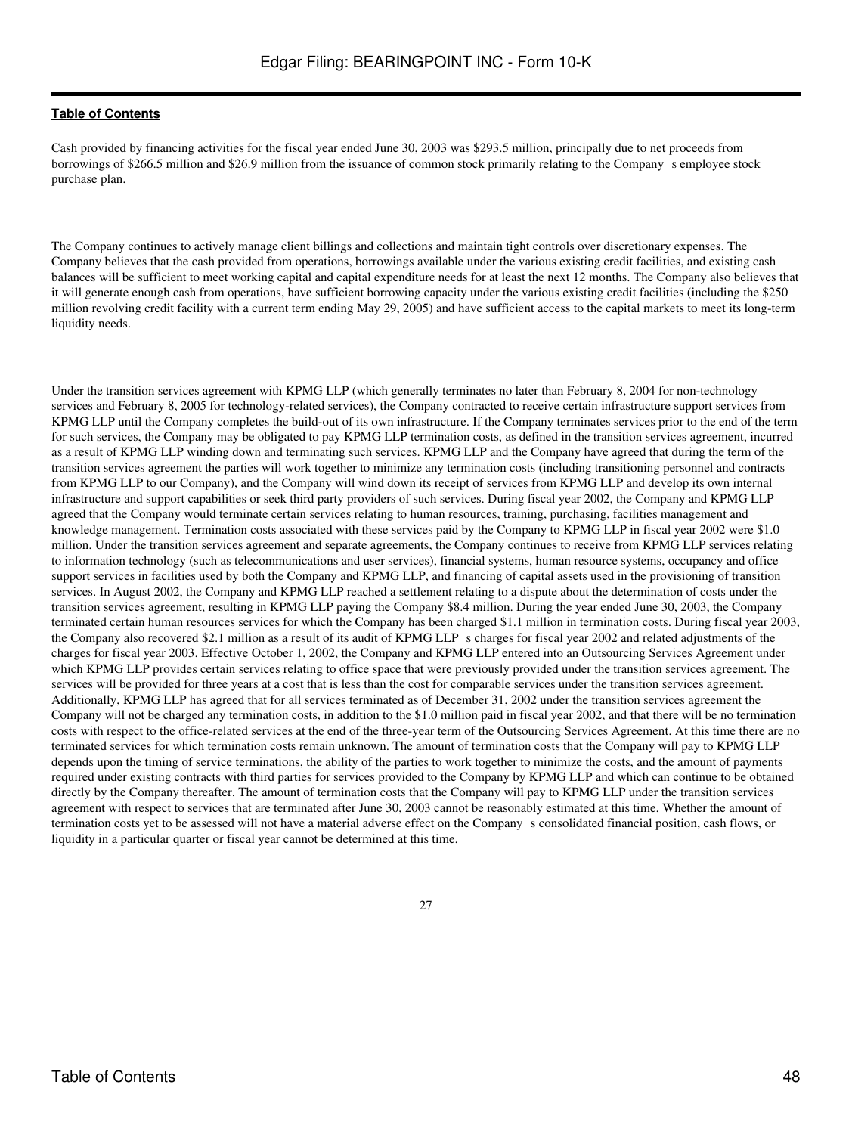Cash provided by financing activities for the fiscal year ended June 30, 2003 was \$293.5 million, principally due to net proceeds from borrowings of \$266.5 million and \$26.9 million from the issuance of common stock primarily relating to the Company s employee stock purchase plan.

The Company continues to actively manage client billings and collections and maintain tight controls over discretionary expenses. The Company believes that the cash provided from operations, borrowings available under the various existing credit facilities, and existing cash balances will be sufficient to meet working capital and capital expenditure needs for at least the next 12 months. The Company also believes that it will generate enough cash from operations, have sufficient borrowing capacity under the various existing credit facilities (including the \$250 million revolving credit facility with a current term ending May 29, 2005) and have sufficient access to the capital markets to meet its long-term liquidity needs.

Under the transition services agreement with KPMG LLP (which generally terminates no later than February 8, 2004 for non-technology services and February 8, 2005 for technology-related services), the Company contracted to receive certain infrastructure support services from KPMG LLP until the Company completes the build-out of its own infrastructure. If the Company terminates services prior to the end of the term for such services, the Company may be obligated to pay KPMG LLP termination costs, as defined in the transition services agreement, incurred as a result of KPMG LLP winding down and terminating such services. KPMG LLP and the Company have agreed that during the term of the transition services agreement the parties will work together to minimize any termination costs (including transitioning personnel and contracts from KPMG LLP to our Company), and the Company will wind down its receipt of services from KPMG LLP and develop its own internal infrastructure and support capabilities or seek third party providers of such services. During fiscal year 2002, the Company and KPMG LLP agreed that the Company would terminate certain services relating to human resources, training, purchasing, facilities management and knowledge management. Termination costs associated with these services paid by the Company to KPMG LLP in fiscal year 2002 were \$1.0 million. Under the transition services agreement and separate agreements, the Company continues to receive from KPMG LLP services relating to information technology (such as telecommunications and user services), financial systems, human resource systems, occupancy and office support services in facilities used by both the Company and KPMG LLP, and financing of capital assets used in the provisioning of transition services. In August 2002, the Company and KPMG LLP reached a settlement relating to a dispute about the determination of costs under the transition services agreement, resulting in KPMG LLP paying the Company \$8.4 million. During the year ended June 30, 2003, the Company terminated certain human resources services for which the Company has been charged \$1.1 million in termination costs. During fiscal year 2003, the Company also recovered \$2.1 million as a result of its audit of KPMG LLPs charges for fiscal year 2002 and related adjustments of the charges for fiscal year 2003. Effective October 1, 2002, the Company and KPMG LLP entered into an Outsourcing Services Agreement under which KPMG LLP provides certain services relating to office space that were previously provided under the transition services agreement. The services will be provided for three years at a cost that is less than the cost for comparable services under the transition services agreement. Additionally, KPMG LLP has agreed that for all services terminated as of December 31, 2002 under the transition services agreement the Company will not be charged any termination costs, in addition to the \$1.0 million paid in fiscal year 2002, and that there will be no termination costs with respect to the office-related services at the end of the three-year term of the Outsourcing Services Agreement. At this time there are no terminated services for which termination costs remain unknown. The amount of termination costs that the Company will pay to KPMG LLP depends upon the timing of service terminations, the ability of the parties to work together to minimize the costs, and the amount of payments required under existing contracts with third parties for services provided to the Company by KPMG LLP and which can continue to be obtained directly by the Company thereafter. The amount of termination costs that the Company will pay to KPMG LLP under the transition services agreement with respect to services that are terminated after June 30, 2003 cannot be reasonably estimated at this time. Whether the amount of termination costs yet to be assessed will not have a material adverse effect on the Companys consolidated financial position, cash flows, or liquidity in a particular quarter or fiscal year cannot be determined at this time.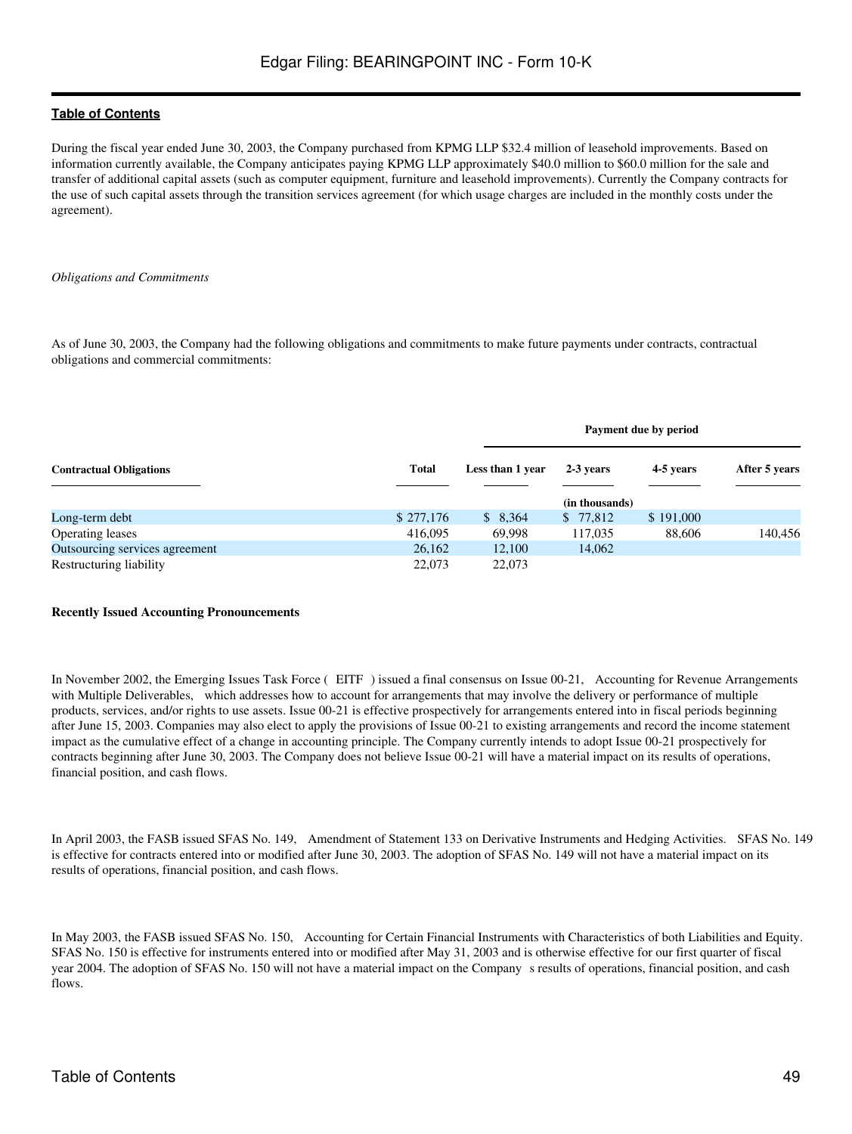During the fiscal year ended June 30, 2003, the Company purchased from KPMG LLP \$32.4 million of leasehold improvements. Based on information currently available, the Company anticipates paying KPMG LLP approximately \$40.0 million to \$60.0 million for the sale and transfer of additional capital assets (such as computer equipment, furniture and leasehold improvements). Currently the Company contracts for the use of such capital assets through the transition services agreement (for which usage charges are included in the monthly costs under the agreement).

#### *Obligations and Commitments*

As of June 30, 2003, the Company had the following obligations and commitments to make future payments under contracts, contractual obligations and commercial commitments:

|                                |              |                  |                | Payment due by period |               |  |  |
|--------------------------------|--------------|------------------|----------------|-----------------------|---------------|--|--|
| <b>Contractual Obligations</b> | <b>Total</b> | Less than 1 year | 2-3 years      | 4-5 years             | After 5 years |  |  |
|                                |              |                  | (in thousands) |                       |               |  |  |
| Long-term debt                 | \$277,176    | \$8,364          | \$ 77,812      | \$191,000             |               |  |  |
| <b>Operating leases</b>        | 416,095      | 69,998           | 117,035        | 88,606                | 140,456       |  |  |
| Outsourcing services agreement | 26,162       | 12,100           | 14,062         |                       |               |  |  |
| Restructuring liability        | 22,073       | 22,073           |                |                       |               |  |  |

#### **Recently Issued Accounting Pronouncements**

In November 2002, the Emerging Issues Task Force (EITF) issued a final consensus on Issue 00-21, Accounting for Revenue Arrangements with Multiple Deliverables, which addresses how to account for arrangements that may involve the delivery or performance of multiple products, services, and/or rights to use assets. Issue 00-21 is effective prospectively for arrangements entered into in fiscal periods beginning after June 15, 2003. Companies may also elect to apply the provisions of Issue 00-21 to existing arrangements and record the income statement impact as the cumulative effect of a change in accounting principle. The Company currently intends to adopt Issue 00-21 prospectively for contracts beginning after June 30, 2003. The Company does not believe Issue 00-21 will have a material impact on its results of operations, financial position, and cash flows.

In April 2003, the FASB issued SFAS No. 149, Amendment of Statement 133 on Derivative Instruments and Hedging Activities. SFAS No. 149 is effective for contracts entered into or modified after June 30, 2003. The adoption of SFAS No. 149 will not have a material impact on its results of operations, financial position, and cash flows.

In May 2003, the FASB issued SFAS No. 150, Accounting for Certain Financial Instruments with Characteristics of both Liabilities and Equity. SFAS No. 150 is effective for instruments entered into or modified after May 31, 2003 and is otherwise effective for our first quarter of fiscal year 2004. The adoption of SFAS No. 150 will not have a material impact on the Company s results of operations, financial position, and cash flows.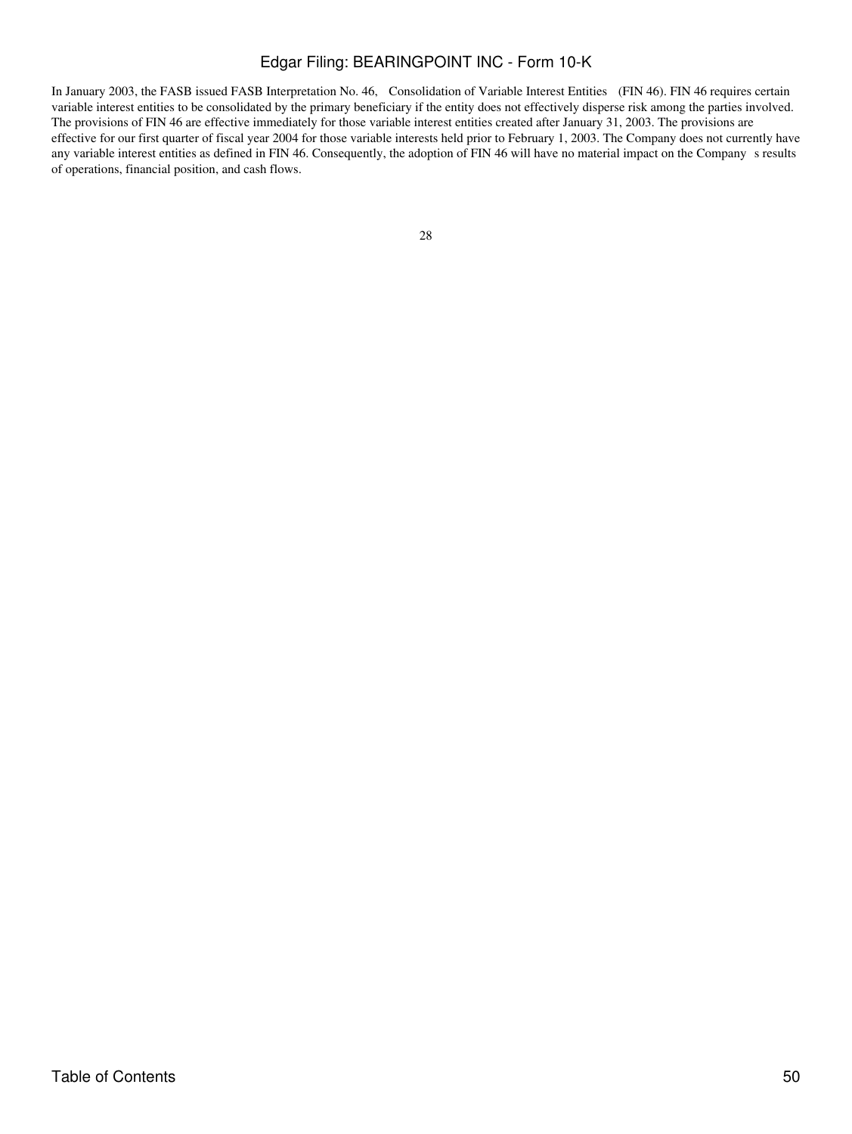In January 2003, the FASB issued FASB Interpretation No. 46, Consolidation of Variable Interest Entities (FIN 46). FIN 46 requires certain variable interest entities to be consolidated by the primary beneficiary if the entity does not effectively disperse risk among the parties involved. The provisions of FIN 46 are effective immediately for those variable interest entities created after January 31, 2003. The provisions are effective for our first quarter of fiscal year 2004 for those variable interests held prior to February 1, 2003. The Company does not currently have any variable interest entities as defined in FIN 46. Consequently, the adoption of FIN 46 will have no material impact on the Companys results of operations, financial position, and cash flows.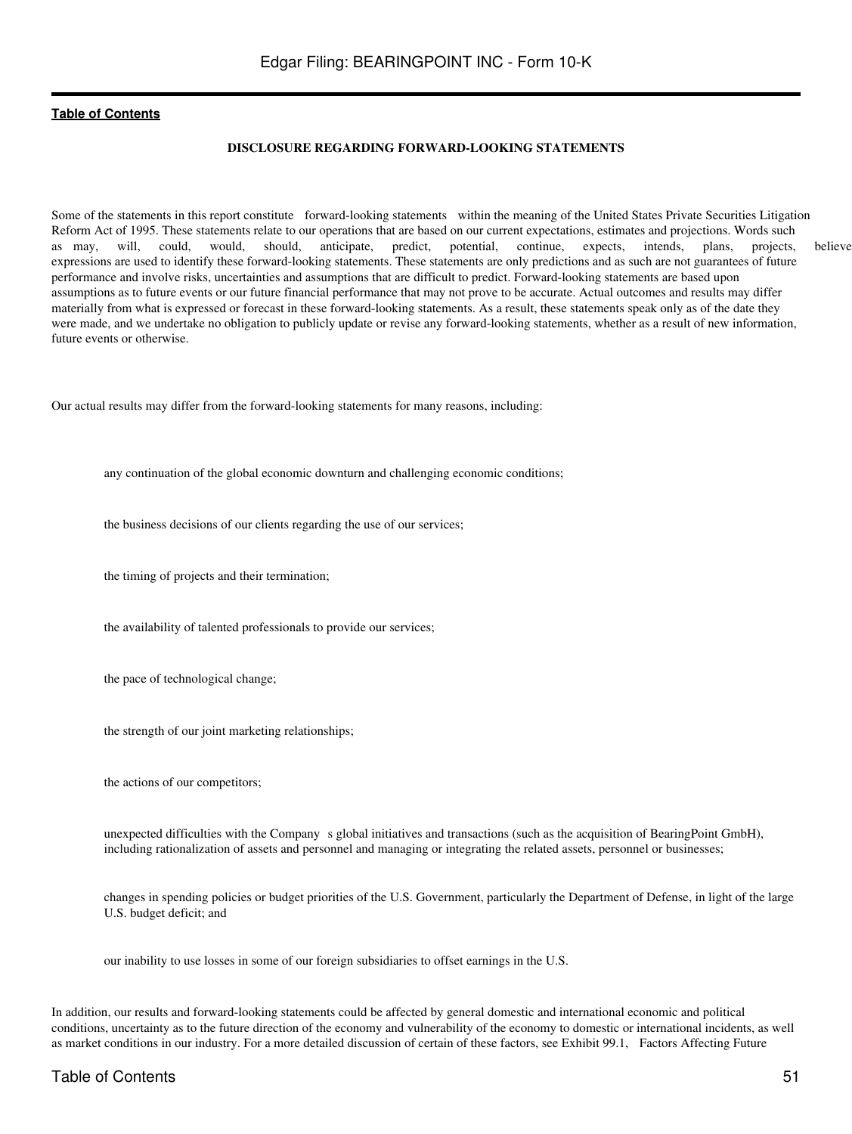### **DISCLOSURE REGARDING FORWARD-LOOKING STATEMENTS**

Some of the statements in this report constitute forward-looking statements within the meaning of the United States Private Securities Litigation Reform Act of 1995. These statements relate to our operations that are based on our current expectations, estimates and projections. Words such as may, will, could, would, should, anticipate, predict, potential, continue, expects, intends, plans, projects, believe expressions are used to identify these forward-looking statements. These statements are only predictions and as such are not guarantees of future performance and involve risks, uncertainties and assumptions that are difficult to predict. Forward-looking statements are based upon assumptions as to future events or our future financial performance that may not prove to be accurate. Actual outcomes and results may differ materially from what is expressed or forecast in these forward-looking statements. As a result, these statements speak only as of the date they were made, and we undertake no obligation to publicly update or revise any forward-looking statements, whether as a result of new information, future events or otherwise.

Our actual results may differ from the forward-looking statements for many reasons, including:

any continuation of the global economic downturn and challenging economic conditions;

the business decisions of our clients regarding the use of our services;

the timing of projects and their termination;

the availability of talented professionals to provide our services;

the pace of technological change;

the strength of our joint marketing relationships;

the actions of our competitors;

unexpected difficulties with the Company s global initiatives and transactions (such as the acquisition of BearingPoint GmbH), including rationalization of assets and personnel and managing or integrating the related assets, personnel or businesses;

changes in spending policies or budget priorities of the U.S. Government, particularly the Department of Defense, in light of the large U.S. budget deficit; and

our inability to use losses in some of our foreign subsidiaries to offset earnings in the U.S.

In addition, our results and forward-looking statements could be affected by general domestic and international economic and political conditions, uncertainty as to the future direction of the economy and vulnerability of the economy to domestic or international incidents, as well as market conditions in our industry. For a more detailed discussion of certain of these factors, see Exhibit 99.1, Factors Affecting Future

## Table of Contents 51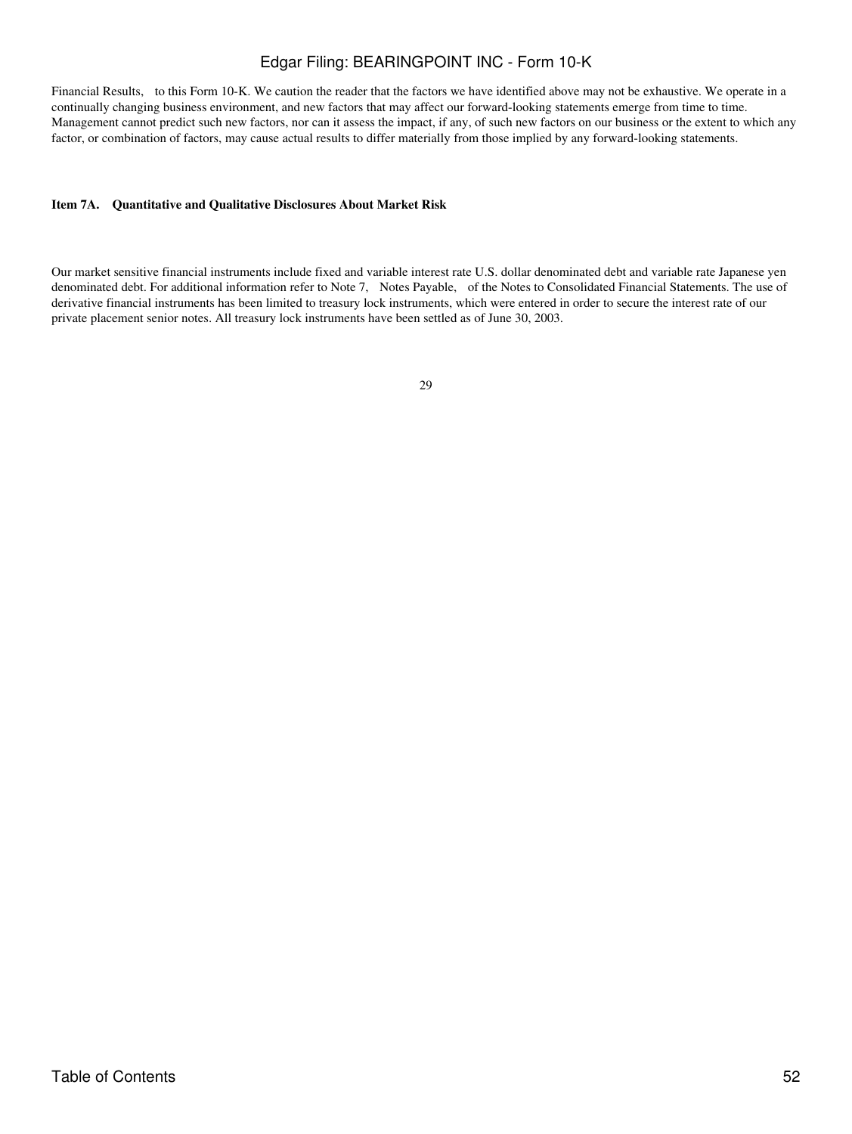Financial Results, to this Form 10-K. We caution the reader that the factors we have identified above may not be exhaustive. We operate in a continually changing business environment, and new factors that may affect our forward-looking statements emerge from time to time. Management cannot predict such new factors, nor can it assess the impact, if any, of such new factors on our business or the extent to which any factor, or combination of factors, may cause actual results to differ materially from those implied by any forward-looking statements.

#### **Item 7A. Quantitative and Qualitative Disclosures About Market Risk**

Our market sensitive financial instruments include fixed and variable interest rate U.S. dollar denominated debt and variable rate Japanese yen denominated debt. For additional information refer to Note 7, Notes Payable, of the Notes to Consolidated Financial Statements. The use of derivative financial instruments has been limited to treasury lock instruments, which were entered in order to secure the interest rate of our private placement senior notes. All treasury lock instruments have been settled as of June 30, 2003.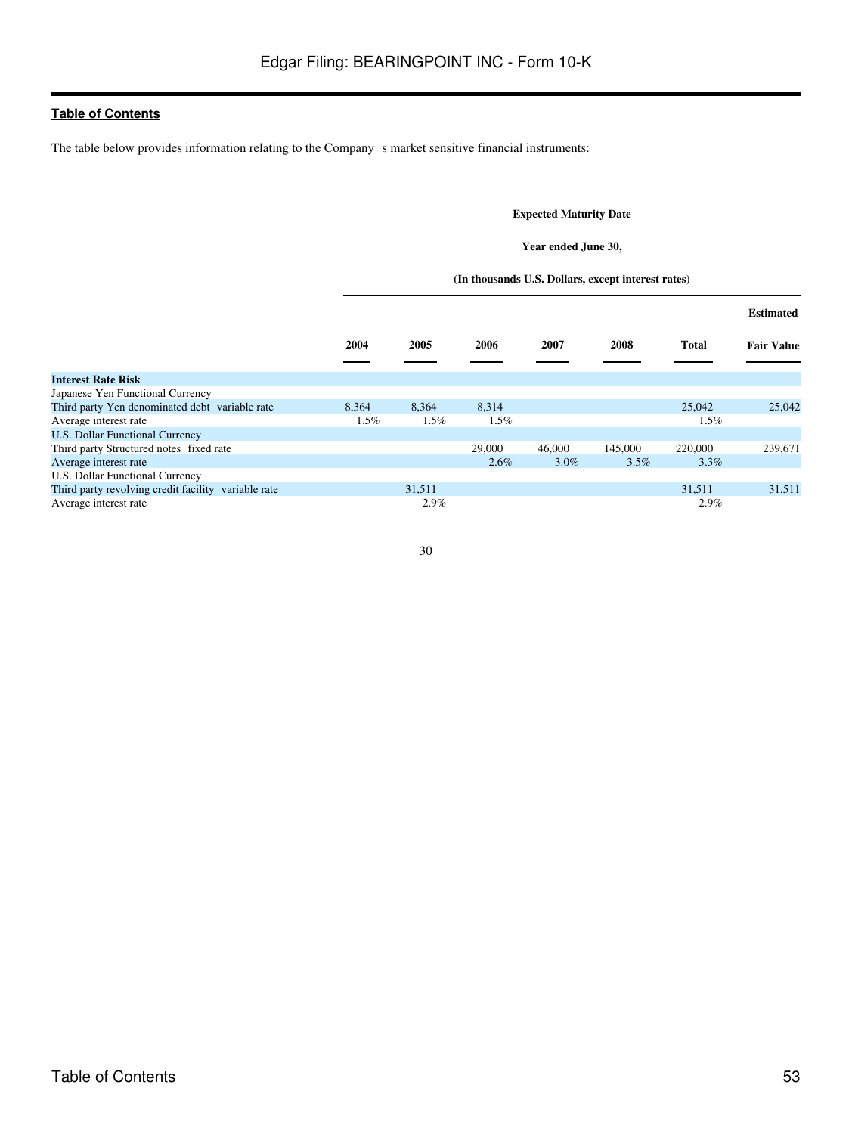The table below provides information relating to the Company s market sensitive financial instruments:

## **Expected Maturity Date**

#### **Year ended June 30,**

#### **(In thousands U.S. Dollars, except interest rates)**

|                                                     |       |         |         |         |         |              | <b>Estimated</b>  |
|-----------------------------------------------------|-------|---------|---------|---------|---------|--------------|-------------------|
|                                                     | 2004  | 2005    | 2006    | 2007    | 2008    | <b>Total</b> | <b>Fair Value</b> |
| <b>Interest Rate Risk</b>                           |       |         |         |         |         |              |                   |
| Japanese Yen Functional Currency                    |       |         |         |         |         |              |                   |
| Third party Yen denominated debt variable rate      | 8.364 | 8,364   | 8,314   |         |         | 25,042       | 25,042            |
| Average interest rate                               | 1.5%  | $1.5\%$ | $1.5\%$ |         |         | $1.5\%$      |                   |
| <b>U.S. Dollar Functional Currency</b>              |       |         |         |         |         |              |                   |
| Third party Structured notes fixed rate             |       |         | 29,000  | 46,000  | 145,000 | 220,000      | 239,671           |
| Average interest rate                               |       |         | $2.6\%$ | $3.0\%$ | $3.5\%$ | $3.3\%$      |                   |
| U.S. Dollar Functional Currency                     |       |         |         |         |         |              |                   |
| Third party revolving credit facility variable rate |       | 31,511  |         |         |         | 31,511       | 31,511            |
| Average interest rate                               |       | 2.9%    |         |         |         | 2.9%         |                   |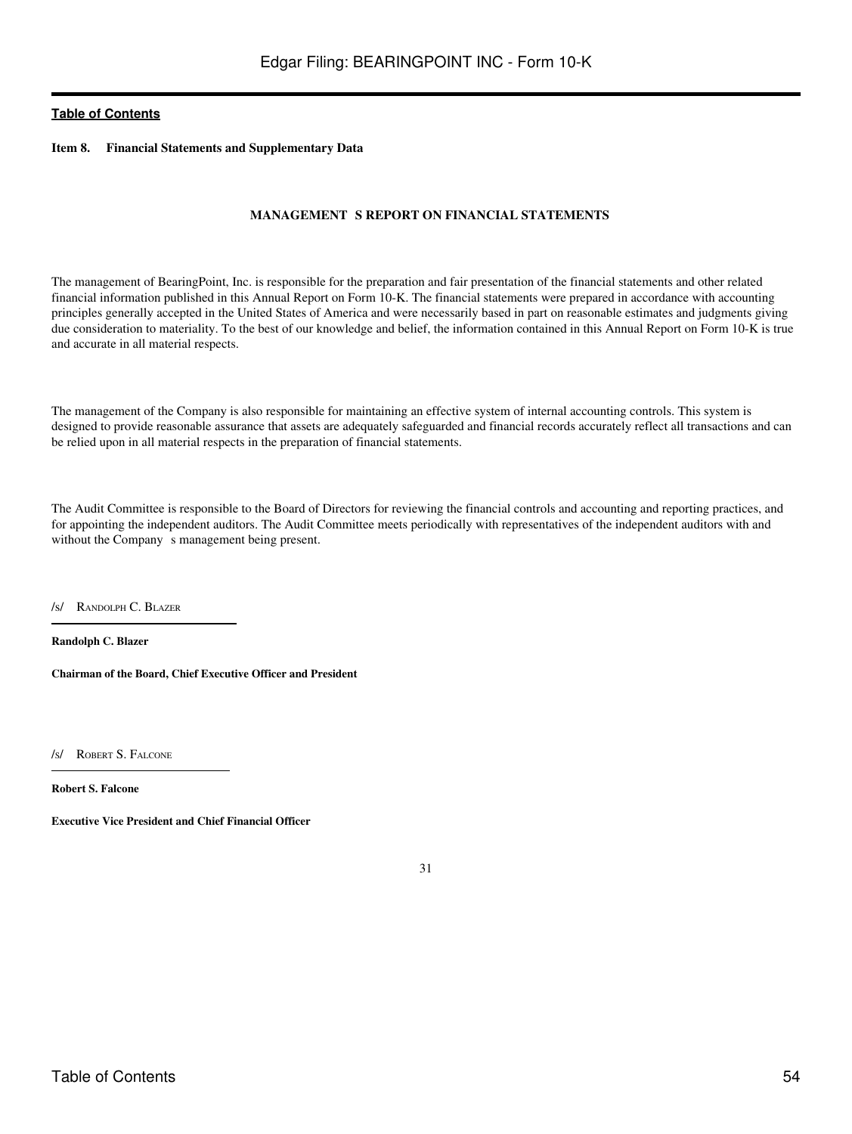**Item 8. Financial Statements and Supplementary Data**

#### **MANAGEMENT S REPORT ON FINANCIAL STATEMENTS**

The management of BearingPoint, Inc. is responsible for the preparation and fair presentation of the financial statements and other related financial information published in this Annual Report on Form 10-K. The financial statements were prepared in accordance with accounting principles generally accepted in the United States of America and were necessarily based in part on reasonable estimates and judgments giving due consideration to materiality. To the best of our knowledge and belief, the information contained in this Annual Report on Form 10-K is true and accurate in all material respects.

The management of the Company is also responsible for maintaining an effective system of internal accounting controls. This system is designed to provide reasonable assurance that assets are adequately safeguarded and financial records accurately reflect all transactions and can be relied upon in all material respects in the preparation of financial statements.

The Audit Committee is responsible to the Board of Directors for reviewing the financial controls and accounting and reporting practices, and for appointing the independent auditors. The Audit Committee meets periodically with representatives of the independent auditors with and without the Company s management being present.

/s/ RANDOLPH C. BLAZER

**Randolph C. Blazer**

**Chairman of the Board, Chief Executive Officer and President**

/S/ ROBERT S. FALCONE

**Robert S. Falcone**

**Executive Vice President and Chief Financial Officer**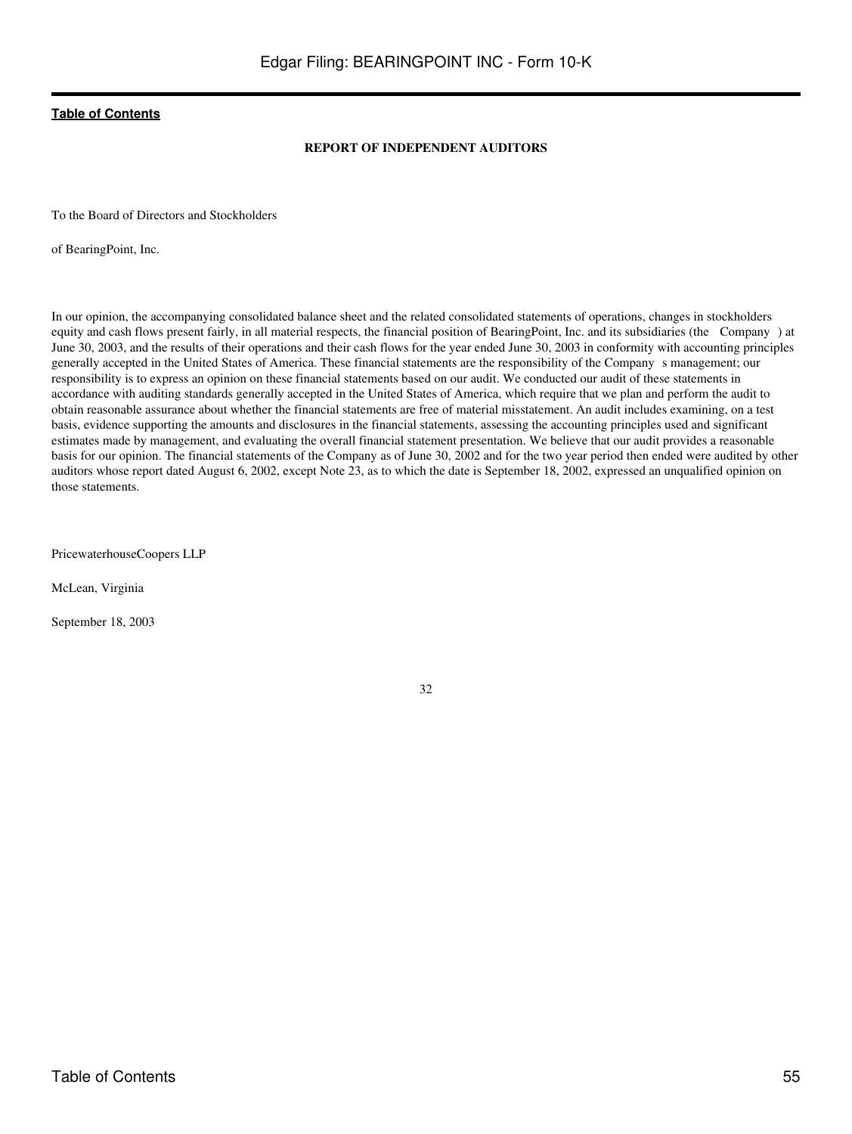## **REPORT OF INDEPENDENT AUDITORS**

To the Board of Directors and Stockholders

of BearingPoint, Inc.

In our opinion, the accompanying consolidated balance sheet and the related consolidated statements of operations, changes in stockholders equity and cash flows present fairly, in all material respects, the financial position of BearingPoint, Inc. and its subsidiaries (the Company) at June 30, 2003, and the results of their operations and their cash flows for the year ended June 30, 2003 in conformity with accounting principles generally accepted in the United States of America. These financial statements are the responsibility of the Companys management; our responsibility is to express an opinion on these financial statements based on our audit. We conducted our audit of these statements in accordance with auditing standards generally accepted in the United States of America, which require that we plan and perform the audit to obtain reasonable assurance about whether the financial statements are free of material misstatement. An audit includes examining, on a test basis, evidence supporting the amounts and disclosures in the financial statements, assessing the accounting principles used and significant estimates made by management, and evaluating the overall financial statement presentation. We believe that our audit provides a reasonable basis for our opinion. The financial statements of the Company as of June 30, 2002 and for the two year period then ended were audited by other auditors whose report dated August 6, 2002, except Note 23, as to which the date is September 18, 2002, expressed an unqualified opinion on those statements.

PricewaterhouseCoopers LLP

McLean, Virginia

September 18, 2003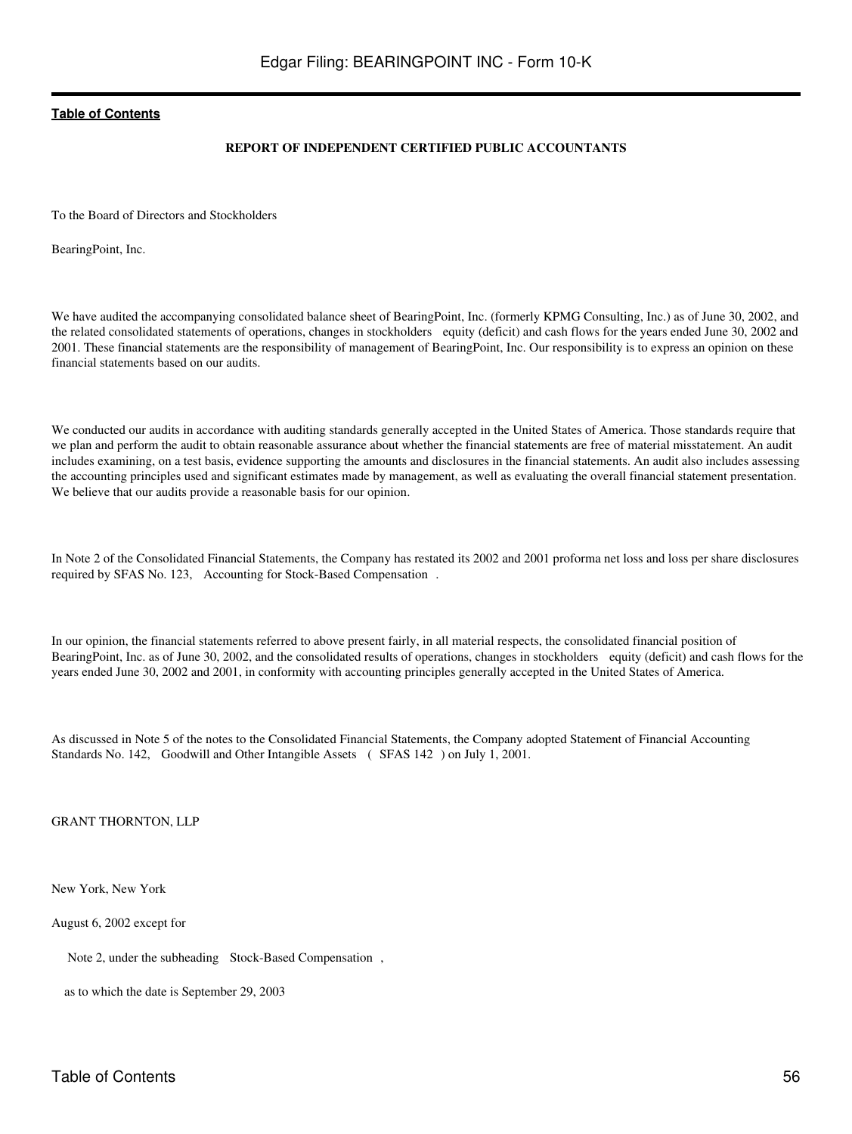#### **REPORT OF INDEPENDENT CERTIFIED PUBLIC ACCOUNTANTS**

To the Board of Directors and Stockholders

BearingPoint, Inc.

We have audited the accompanying consolidated balance sheet of BearingPoint, Inc. (formerly KPMG Consulting, Inc.) as of June 30, 2002, and the related consolidated statements of operations, changes in stockholders equity (deficit) and cash flows for the years ended June 30, 2002 and 2001. These financial statements are the responsibility of management of BearingPoint, Inc. Our responsibility is to express an opinion on these financial statements based on our audits.

We conducted our audits in accordance with auditing standards generally accepted in the United States of America. Those standards require that we plan and perform the audit to obtain reasonable assurance about whether the financial statements are free of material misstatement. An audit includes examining, on a test basis, evidence supporting the amounts and disclosures in the financial statements. An audit also includes assessing the accounting principles used and significant estimates made by management, as well as evaluating the overall financial statement presentation. We believe that our audits provide a reasonable basis for our opinion.

In Note 2 of the Consolidated Financial Statements, the Company has restated its 2002 and 2001 proforma net loss and loss per share disclosures required by SFAS No. 123, Accounting for Stock-Based Compensation.

In our opinion, the financial statements referred to above present fairly, in all material respects, the consolidated financial position of BearingPoint, Inc. as of June 30, 2002, and the consolidated results of operations, changes in stockholders equity (deficit) and cash flows for the years ended June 30, 2002 and 2001, in conformity with accounting principles generally accepted in the United States of America.

As discussed in Note 5 of the notes to the Consolidated Financial Statements, the Company adopted Statement of Financial Accounting Standards No. 142, Goodwill and Other Intangible Assets (SFAS 142) on July 1, 2001.

GRANT THORNTON, LLP

New York, New York

August 6, 2002 except for

Note 2, under the subheading Stock-Based Compensation,

as to which the date is September 29, 2003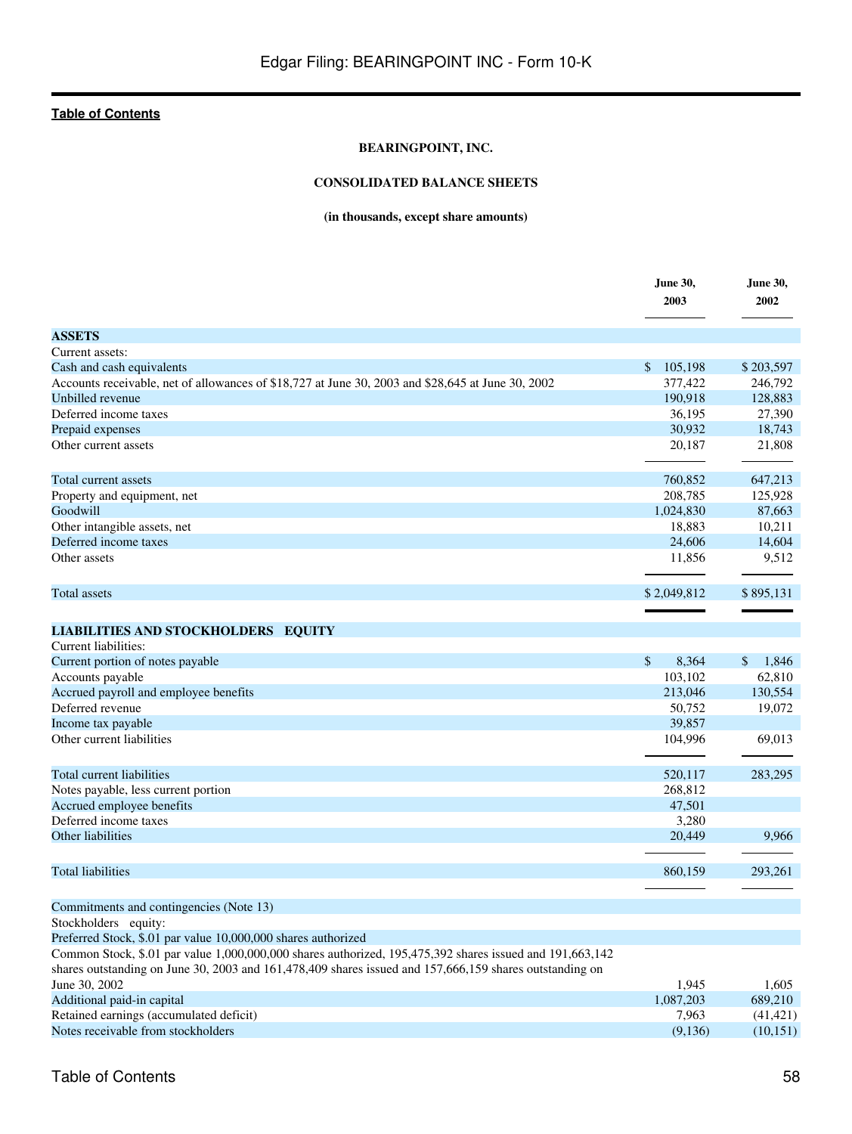## **BEARINGPOINT, INC.**

## **CONSOLIDATED BALANCE SHEETS**

## **(in thousands, except share amounts)**

|                                                                                                                                                                                                                     | <b>June 30,</b><br>2003 | <b>June 30,</b><br>2002 |
|---------------------------------------------------------------------------------------------------------------------------------------------------------------------------------------------------------------------|-------------------------|-------------------------|
| <b>ASSETS</b>                                                                                                                                                                                                       |                         |                         |
| Current assets:                                                                                                                                                                                                     |                         |                         |
| Cash and cash equivalents                                                                                                                                                                                           | $\mathbb{S}$<br>105,198 | \$203,597               |
| Accounts receivable, net of allowances of \$18,727 at June 30, 2003 and \$28,645 at June 30, 2002                                                                                                                   | 377,422                 | 246,792                 |
| Unbilled revenue                                                                                                                                                                                                    | 190,918                 | 128,883                 |
| Deferred income taxes                                                                                                                                                                                               | 36,195                  | 27,390                  |
| Prepaid expenses                                                                                                                                                                                                    | 30,932                  | 18,743                  |
| Other current assets                                                                                                                                                                                                | 20,187                  | 21,808                  |
| Total current assets                                                                                                                                                                                                | 760,852                 | 647,213                 |
| Property and equipment, net                                                                                                                                                                                         | 208,785                 | 125,928                 |
| Goodwill                                                                                                                                                                                                            | 1,024,830               | 87,663                  |
| Other intangible assets, net                                                                                                                                                                                        | 18,883                  | 10,211                  |
| Deferred income taxes                                                                                                                                                                                               | 24,606                  | 14,604                  |
| Other assets                                                                                                                                                                                                        | 11,856                  | 9,512                   |
| Total assets                                                                                                                                                                                                        | \$2,049,812             | \$895,131               |
|                                                                                                                                                                                                                     |                         |                         |
| <b>LIABILITIES AND STOCKHOLDERS EQUITY</b>                                                                                                                                                                          |                         |                         |
| Current liabilities:                                                                                                                                                                                                |                         |                         |
| Current portion of notes payable                                                                                                                                                                                    | $\mathbb{S}$<br>8,364   | $\mathcal{S}$<br>1,846  |
| Accounts payable                                                                                                                                                                                                    | 103,102                 | 62,810                  |
| Accrued payroll and employee benefits                                                                                                                                                                               | 213,046                 | 130,554                 |
| Deferred revenue                                                                                                                                                                                                    | 50,752                  | 19,072                  |
| Income tax payable                                                                                                                                                                                                  | 39,857                  |                         |
| Other current liabilities                                                                                                                                                                                           | 104,996                 | 69,013                  |
| Total current liabilities                                                                                                                                                                                           | 520,117                 | 283,295                 |
| Notes payable, less current portion                                                                                                                                                                                 | 268,812                 |                         |
| Accrued employee benefits                                                                                                                                                                                           | 47,501                  |                         |
| Deferred income taxes                                                                                                                                                                                               | 3,280                   |                         |
| Other liabilities                                                                                                                                                                                                   | 20,449                  | 9,966                   |
| <b>Total liabilities</b>                                                                                                                                                                                            |                         |                         |
|                                                                                                                                                                                                                     | 860,159                 | 293,261                 |
| Commitments and contingencies (Note 13)                                                                                                                                                                             |                         |                         |
| Stockholders equity:                                                                                                                                                                                                |                         |                         |
| Preferred Stock, \$.01 par value 10,000,000 shares authorized                                                                                                                                                       |                         |                         |
| Common Stock, \$.01 par value 1,000,000,000 shares authorized, 195,475,392 shares issued and 191,663,142<br>shares outstanding on June 30, 2003 and 161,478,409 shares issued and 157,666,159 shares outstanding on |                         |                         |
|                                                                                                                                                                                                                     |                         |                         |
| June 30, 2002                                                                                                                                                                                                       | 1,945                   | 1,605<br>689,210        |
| Additional paid-in capital<br>Retained earnings (accumulated deficit)                                                                                                                                               | 1,087,203               |                         |
| Notes receivable from stockholders                                                                                                                                                                                  | 7,963                   | (41, 421)               |
|                                                                                                                                                                                                                     | (9,136)                 | (10, 151)               |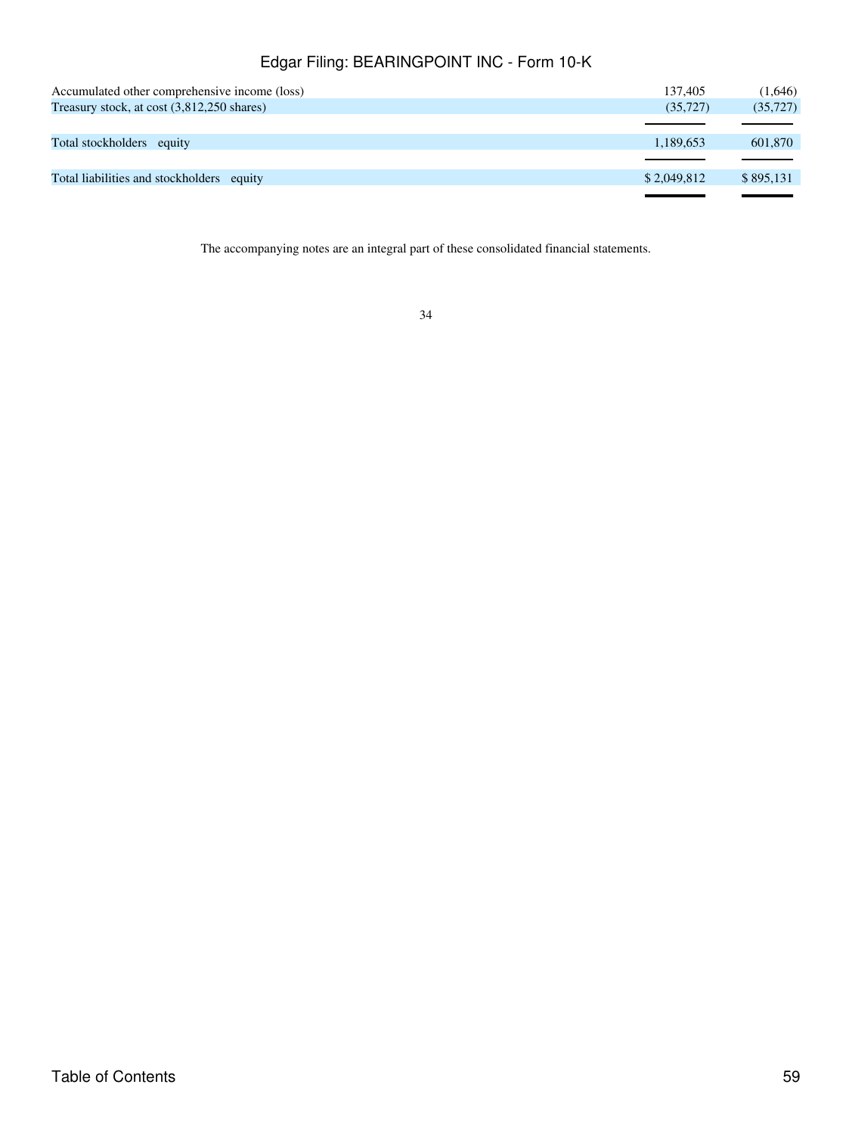| Accumulated other comprehensive income (loss) | 137.405     | (1,646)   |
|-----------------------------------------------|-------------|-----------|
| Treasury stock, at cost (3,812,250 shares)    | (35, 727)   | (35, 727) |
|                                               |             |           |
| Total stockholders equity                     | 1,189,653   | 601,870   |
|                                               |             |           |
| Total liabilities and stockholders equity     | \$2,049,812 | \$895,131 |
|                                               |             |           |

The accompanying notes are an integral part of these consolidated financial statements.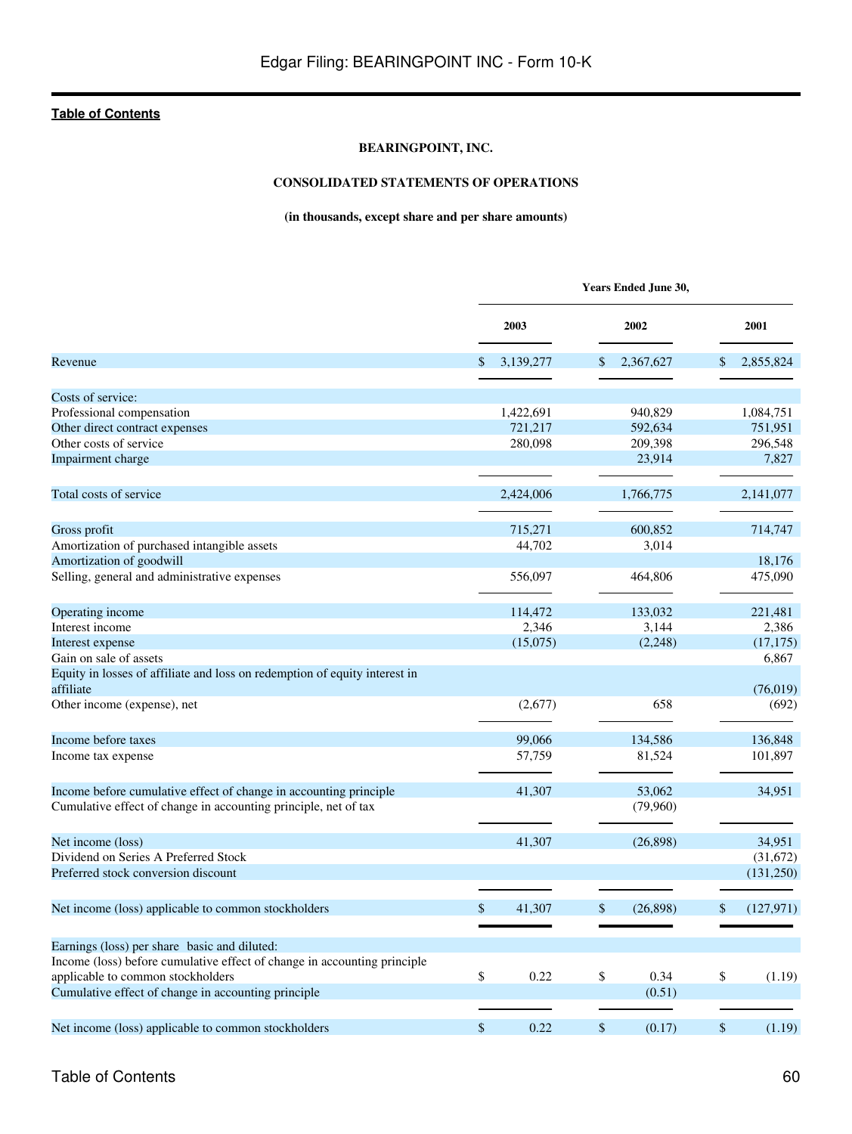## **BEARINGPOINT, INC.**

## **CONSOLIDATED STATEMENTS OF OPERATIONS**

## **(in thousands, except share and per share amounts)**

|                                                                                                                                      | Years Ended June 30, |           |    |                    |    |            |  |
|--------------------------------------------------------------------------------------------------------------------------------------|----------------------|-----------|----|--------------------|----|------------|--|
|                                                                                                                                      |                      | 2003      |    | 2002               |    | 2001       |  |
| Revenue                                                                                                                              | $\mathbb{S}$         | 3,139,277 | \$ | 2,367,627          | \$ | 2,855,824  |  |
|                                                                                                                                      |                      |           |    |                    |    |            |  |
| Costs of service:                                                                                                                    |                      |           |    |                    |    |            |  |
| Professional compensation                                                                                                            |                      | 1,422,691 |    | 940,829            |    | 1,084,751  |  |
| Other direct contract expenses                                                                                                       |                      | 721,217   |    | 592,634            |    | 751,951    |  |
| Other costs of service                                                                                                               |                      | 280,098   |    | 209,398            |    | 296,548    |  |
| Impairment charge                                                                                                                    |                      |           |    | 23,914             |    | 7,827      |  |
| Total costs of service                                                                                                               |                      | 2,424,006 |    | 1,766,775          |    | 2,141,077  |  |
| Gross profit                                                                                                                         |                      | 715,271   |    | 600,852            |    | 714,747    |  |
| Amortization of purchased intangible assets                                                                                          |                      | 44,702    |    | 3,014              |    |            |  |
| Amortization of goodwill                                                                                                             |                      |           |    |                    |    | 18,176     |  |
| Selling, general and administrative expenses                                                                                         |                      | 556,097   |    | 464,806            |    | 475,090    |  |
| Operating income                                                                                                                     |                      | 114,472   |    | 133,032            |    | 221,481    |  |
| Interest income                                                                                                                      |                      | 2,346     |    | 3,144              |    | 2,386      |  |
| Interest expense                                                                                                                     |                      | (15,075)  |    | (2, 248)           |    | (17, 175)  |  |
| Gain on sale of assets                                                                                                               |                      |           |    |                    |    | 6,867      |  |
| Equity in losses of affiliate and loss on redemption of equity interest in<br>affiliate                                              |                      |           |    |                    |    | (76, 019)  |  |
| Other income (expense), net                                                                                                          |                      | (2,677)   |    | 658                |    | (692)      |  |
| Income before taxes                                                                                                                  |                      | 99,066    |    | 134,586            |    | 136,848    |  |
| Income tax expense                                                                                                                   |                      | 57,759    |    | 81,524             |    | 101,897    |  |
| Income before cumulative effect of change in accounting principle<br>Cumulative effect of change in accounting principle, net of tax |                      | 41,307    |    | 53,062<br>(79,960) |    | 34,951     |  |
| Net income (loss)                                                                                                                    |                      | 41,307    |    | (26,898)           |    | 34,951     |  |
| Dividend on Series A Preferred Stock                                                                                                 |                      |           |    |                    |    | (31,672)   |  |
| Preferred stock conversion discount                                                                                                  |                      |           |    |                    |    | (131,250)  |  |
| Net income (loss) applicable to common stockholders                                                                                  | \$                   | 41,307    | \$ | (26, 898)          | \$ | (127, 971) |  |
|                                                                                                                                      |                      |           |    |                    |    |            |  |
| Earnings (loss) per share basic and diluted:                                                                                         |                      |           |    |                    |    |            |  |
| Income (loss) before cumulative effect of change in accounting principle                                                             |                      |           |    |                    |    |            |  |
| applicable to common stockholders                                                                                                    | \$                   | 0.22      | \$ | 0.34               | \$ | (1.19)     |  |
| Cumulative effect of change in accounting principle                                                                                  |                      |           |    | (0.51)             |    |            |  |
| Net income (loss) applicable to common stockholders                                                                                  | \$                   | 0.22      | \$ | (0.17)             | \$ | (1.19)     |  |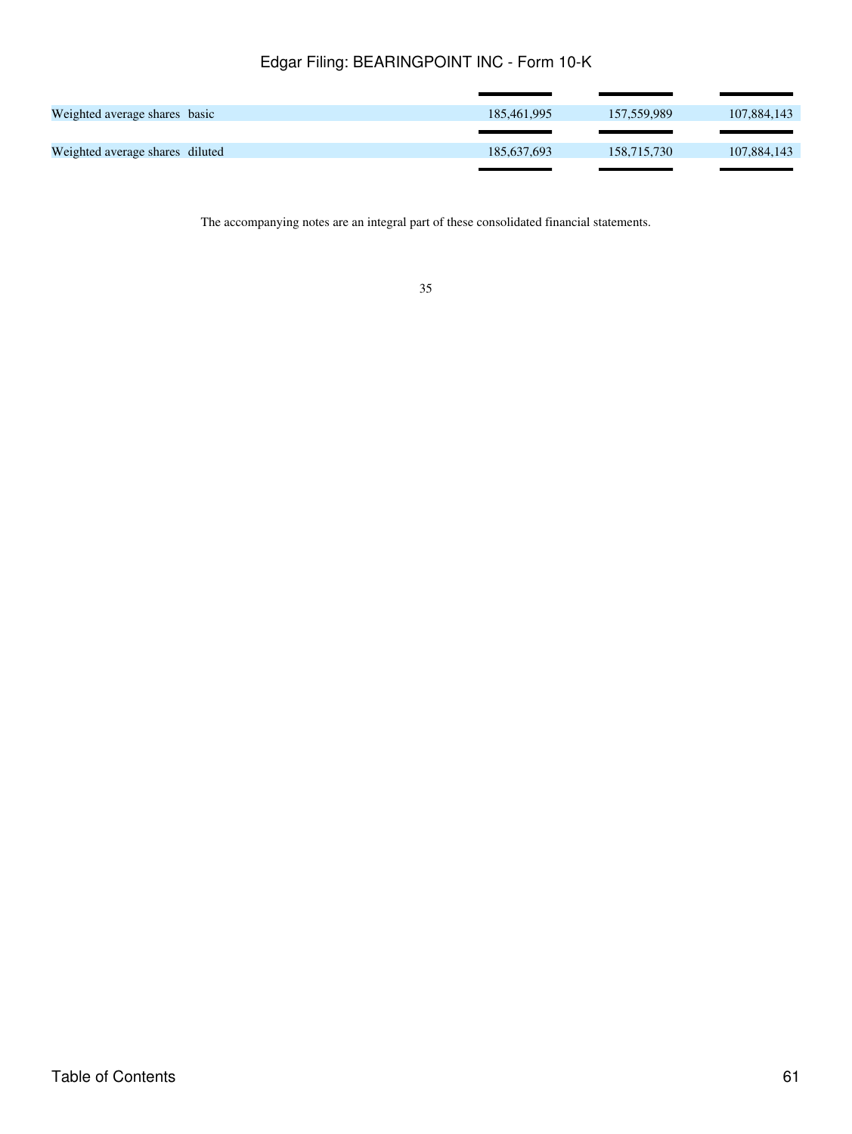| Weighted average shares basic   | 185,461,995 | 157.559.989 | 107,884,143 |
|---------------------------------|-------------|-------------|-------------|
|                                 |             |             |             |
| Weighted average shares diluted | 185,637,693 | 158,715,730 | 107,884,143 |
|                                 |             |             |             |

The accompanying notes are an integral part of these consolidated financial statements.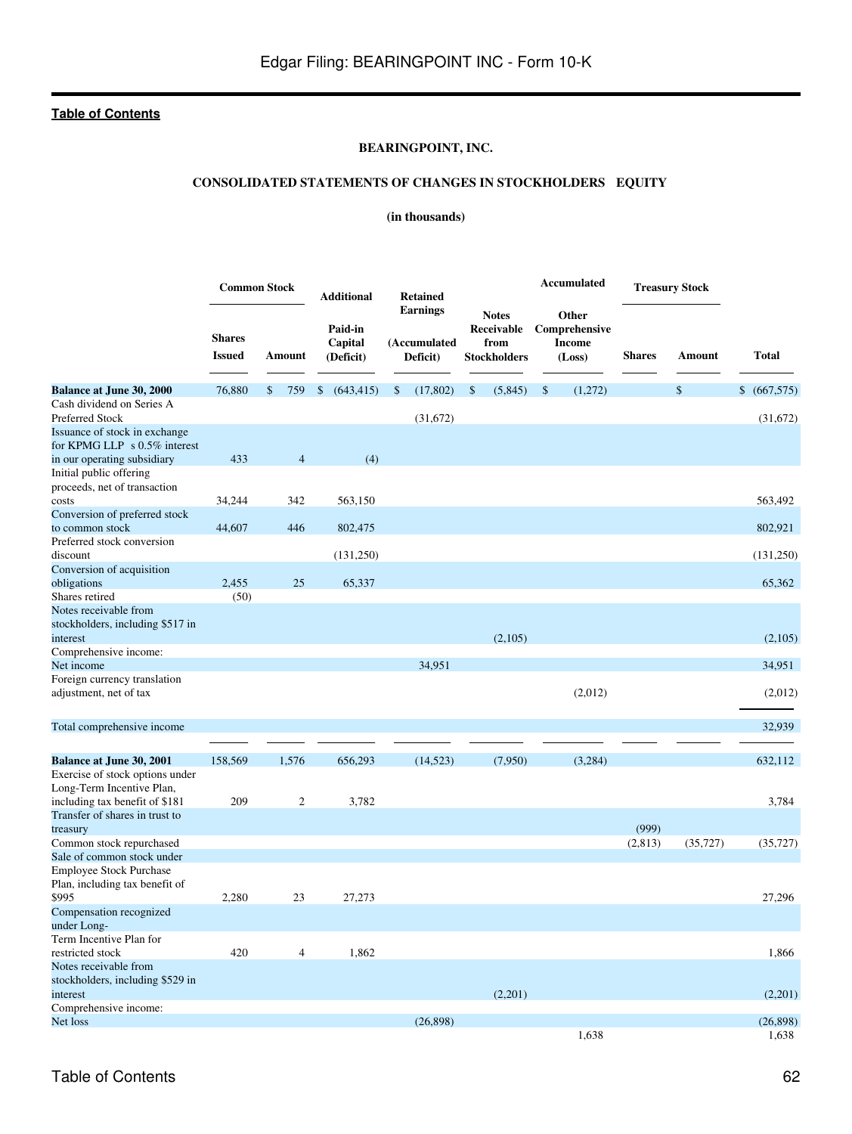## **BEARINGPOINT, INC.**

## **CONSOLIDATED STATEMENTS OF CHANGES IN STOCKHOLDERS EQUITY**

## **(in thousands)**

|                                                                       |                                | <b>Common Stock</b> | <b>Additional</b>               | <b>Retained</b>                             |                                                           | Accumulated                                       | <b>Treasury Stock</b> |           |              |
|-----------------------------------------------------------------------|--------------------------------|---------------------|---------------------------------|---------------------------------------------|-----------------------------------------------------------|---------------------------------------------------|-----------------------|-----------|--------------|
|                                                                       | <b>Shares</b><br><b>Issued</b> | Amount              | Paid-in<br>Capital<br>(Deficit) | <b>Earnings</b><br>(Accumulated<br>Deficit) | <b>Notes</b><br>Receivable<br>from<br><b>Stockholders</b> | Other<br>Comprehensive<br><b>Income</b><br>(Loss) | <b>Shares</b>         | Amount    | <b>Total</b> |
| <b>Balance at June 30, 2000</b>                                       | 76,880                         | 759<br>\$           | (643, 415)<br>\$                | (17, 802)<br>\$                             | (5,845)<br>\$                                             | \$<br>(1,272)                                     |                       | \$        | \$ (667,575) |
| Cash dividend on Series A<br><b>Preferred Stock</b>                   |                                |                     |                                 | (31,672)                                    |                                                           |                                                   |                       |           | (31,672)     |
| Issuance of stock in exchange<br>for KPMG LLP $\,$ s 0.5% interest    |                                |                     |                                 |                                             |                                                           |                                                   |                       |           |              |
| in our operating subsidiary                                           | 433                            | $\overline{4}$      | (4)                             |                                             |                                                           |                                                   |                       |           |              |
| Initial public offering<br>proceeds, net of transaction               |                                |                     |                                 |                                             |                                                           |                                                   |                       |           |              |
| costs                                                                 | 34,244                         | 342                 | 563,150                         |                                             |                                                           |                                                   |                       |           | 563,492      |
| Conversion of preferred stock                                         |                                |                     |                                 |                                             |                                                           |                                                   |                       |           |              |
| to common stock                                                       | 44,607                         | 446                 | 802,475                         |                                             |                                                           |                                                   |                       |           | 802,921      |
| Preferred stock conversion                                            |                                |                     |                                 |                                             |                                                           |                                                   |                       |           |              |
| discount                                                              |                                |                     | (131,250)                       |                                             |                                                           |                                                   |                       |           | (131,250)    |
| Conversion of acquisition                                             |                                |                     |                                 |                                             |                                                           |                                                   |                       |           |              |
| obligations                                                           | 2,455                          | 25                  | 65,337                          |                                             |                                                           |                                                   |                       |           | 65,362       |
| Shares retired                                                        | (50)                           |                     |                                 |                                             |                                                           |                                                   |                       |           |              |
| Notes receivable from                                                 |                                |                     |                                 |                                             |                                                           |                                                   |                       |           |              |
| stockholders, including \$517 in<br>interest                          |                                |                     |                                 |                                             | (2,105)                                                   |                                                   |                       |           | (2,105)      |
| Comprehensive income:                                                 |                                |                     |                                 |                                             |                                                           |                                                   |                       |           |              |
| Net income                                                            |                                |                     |                                 | 34,951                                      |                                                           |                                                   |                       |           | 34,951       |
| Foreign currency translation<br>adjustment, net of tax                |                                |                     |                                 |                                             |                                                           | (2,012)                                           |                       |           | (2,012)      |
| Total comprehensive income                                            |                                |                     |                                 |                                             |                                                           |                                                   |                       |           | 32,939       |
|                                                                       |                                |                     |                                 |                                             |                                                           |                                                   |                       |           |              |
| <b>Balance at June 30, 2001</b>                                       | 158,569                        | 1,576               | 656,293                         | (14, 523)                                   | (7,950)                                                   | (3,284)                                           |                       |           | 632,112      |
| Exercise of stock options under                                       |                                |                     |                                 |                                             |                                                           |                                                   |                       |           |              |
| Long-Term Incentive Plan,                                             |                                |                     |                                 |                                             |                                                           |                                                   |                       |           |              |
| including tax benefit of \$181                                        | 209                            | 2                   | 3,782                           |                                             |                                                           |                                                   |                       |           | 3,784        |
| Transfer of shares in trust to                                        |                                |                     |                                 |                                             |                                                           |                                                   |                       |           |              |
| treasury                                                              |                                |                     |                                 |                                             |                                                           |                                                   | (999)                 |           |              |
| Common stock repurchased                                              |                                |                     |                                 |                                             |                                                           |                                                   | (2,813)               | (35, 727) | (35, 727)    |
| Sale of common stock under                                            |                                |                     |                                 |                                             |                                                           |                                                   |                       |           |              |
| <b>Employee Stock Purchase</b>                                        |                                |                     |                                 |                                             |                                                           |                                                   |                       |           |              |
| Plan, including tax benefit of<br>\$995                               | 2,280                          | 23                  | 27,273                          |                                             |                                                           |                                                   |                       |           | 27,296       |
| Compensation recognized<br>under Long-                                |                                |                     |                                 |                                             |                                                           |                                                   |                       |           |              |
| Term Incentive Plan for                                               |                                |                     |                                 |                                             |                                                           |                                                   |                       |           |              |
| restricted stock                                                      | 420                            | $\overline{4}$      | 1,862                           |                                             |                                                           |                                                   |                       |           | 1,866        |
| Notes receivable from<br>stockholders, including \$529 in<br>interest |                                |                     |                                 |                                             | (2,201)                                                   |                                                   |                       |           | (2,201)      |
| Comprehensive income:                                                 |                                |                     |                                 |                                             |                                                           |                                                   |                       |           |              |
| Net loss                                                              |                                |                     |                                 | (26,898)                                    |                                                           |                                                   |                       |           | (26,898)     |
|                                                                       |                                |                     |                                 |                                             |                                                           | 1,638                                             |                       |           | 1,638        |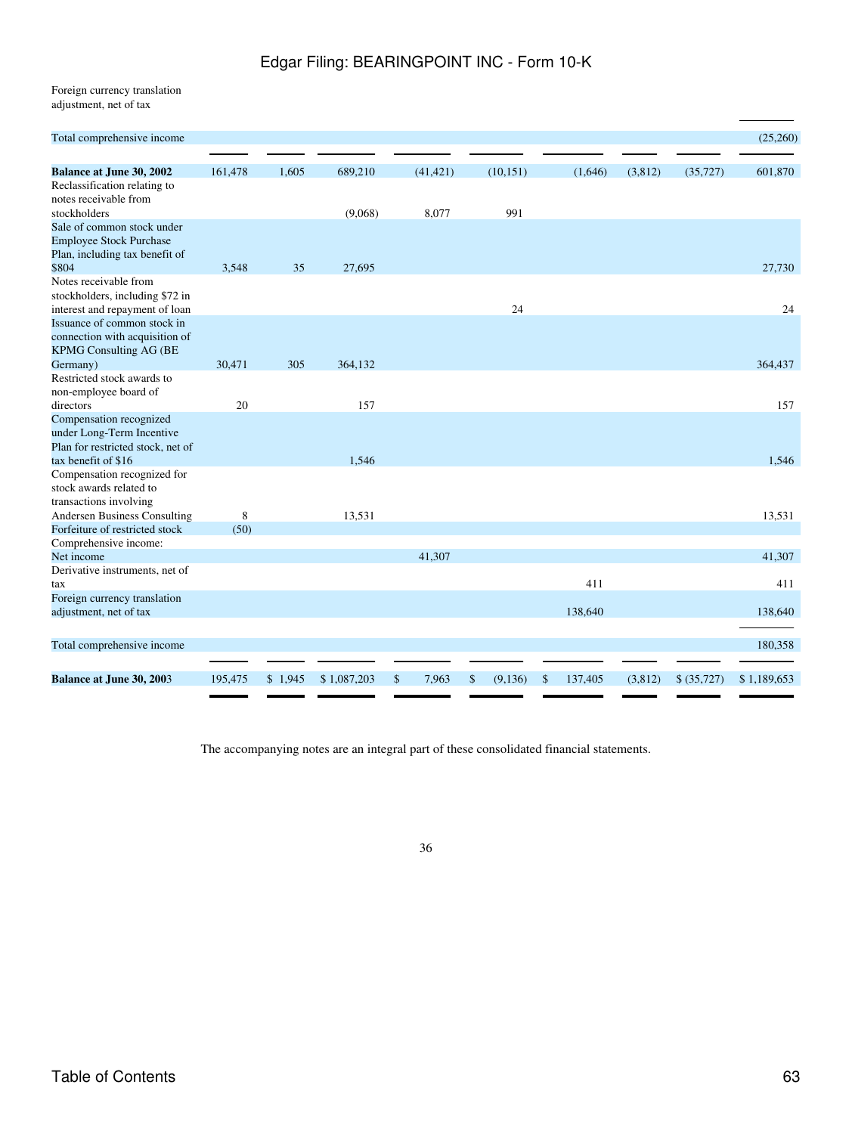Foreign currency translation adjustment, net of tax

| Total comprehensive income                                                                |         |         |             |             |   |           |               |         |         |             | (25,260)    |
|-------------------------------------------------------------------------------------------|---------|---------|-------------|-------------|---|-----------|---------------|---------|---------|-------------|-------------|
| <b>Balance at June 30, 2002</b>                                                           | 161,478 | 1,605   | 689,210     | (41, 421)   |   | (10, 151) |               | (1,646) | (3,812) | (35, 727)   | 601,870     |
| Reclassification relating to<br>notes receivable from                                     |         |         |             |             |   |           |               |         |         |             |             |
| stockholders                                                                              |         |         | (9,068)     | 8,077       |   | 991       |               |         |         |             |             |
| Sale of common stock under<br><b>Employee Stock Purchase</b>                              |         |         |             |             |   |           |               |         |         |             |             |
| Plan, including tax benefit of<br>\$804                                                   | 3,548   | 35      | 27,695      |             |   |           |               |         |         |             | 27,730      |
| Notes receivable from<br>stockholders, including \$72 in                                  |         |         |             |             |   |           |               |         |         |             |             |
| interest and repayment of loan<br>Issuance of common stock in                             |         |         |             |             |   | 24        |               |         |         |             | 24          |
| connection with acquisition of<br><b>KPMG Consulting AG (BE</b>                           |         |         |             |             |   |           |               |         |         |             |             |
| Germany)                                                                                  | 30,471  | 305     | 364,132     |             |   |           |               |         |         |             | 364,437     |
| Restricted stock awards to                                                                |         |         |             |             |   |           |               |         |         |             |             |
| non-employee board of                                                                     |         |         |             |             |   |           |               |         |         |             |             |
| directors                                                                                 | 20      |         | 157         |             |   |           |               |         |         |             | 157         |
| Compensation recognized<br>under Long-Term Incentive<br>Plan for restricted stock, net of |         |         |             |             |   |           |               |         |         |             |             |
| tax benefit of \$16                                                                       |         |         | 1,546       |             |   |           |               |         |         |             | 1,546       |
| Compensation recognized for<br>stock awards related to<br>transactions involving          |         |         |             |             |   |           |               |         |         |             |             |
| <b>Andersen Business Consulting</b>                                                       | 8       |         | 13,531      |             |   |           |               |         |         |             | 13,531      |
| Forfeiture of restricted stock                                                            | (50)    |         |             |             |   |           |               |         |         |             |             |
| Comprehensive income:                                                                     |         |         |             |             |   |           |               |         |         |             |             |
| Net income                                                                                |         |         |             | 41,307      |   |           |               |         |         |             | 41,307      |
| Derivative instruments, net of                                                            |         |         |             |             |   |           |               |         |         |             |             |
| tax                                                                                       |         |         |             |             |   |           |               | 411     |         |             | 411         |
| Foreign currency translation                                                              |         |         |             |             |   |           |               |         |         |             |             |
| adjustment, net of tax                                                                    |         |         |             |             |   |           |               | 138,640 |         |             | 138,640     |
| Total comprehensive income                                                                |         |         |             |             |   |           |               |         |         |             | 180,358     |
|                                                                                           |         |         |             |             |   |           |               |         |         |             |             |
| <b>Balance at June 30, 2003</b>                                                           | 195,475 | \$1,945 | \$1,087,203 | \$<br>7,963 | S | (9,136)   | <sup>\$</sup> | 137,405 | (3,812) | \$ (35,727) | \$1,189,653 |

The accompanying notes are an integral part of these consolidated financial statements.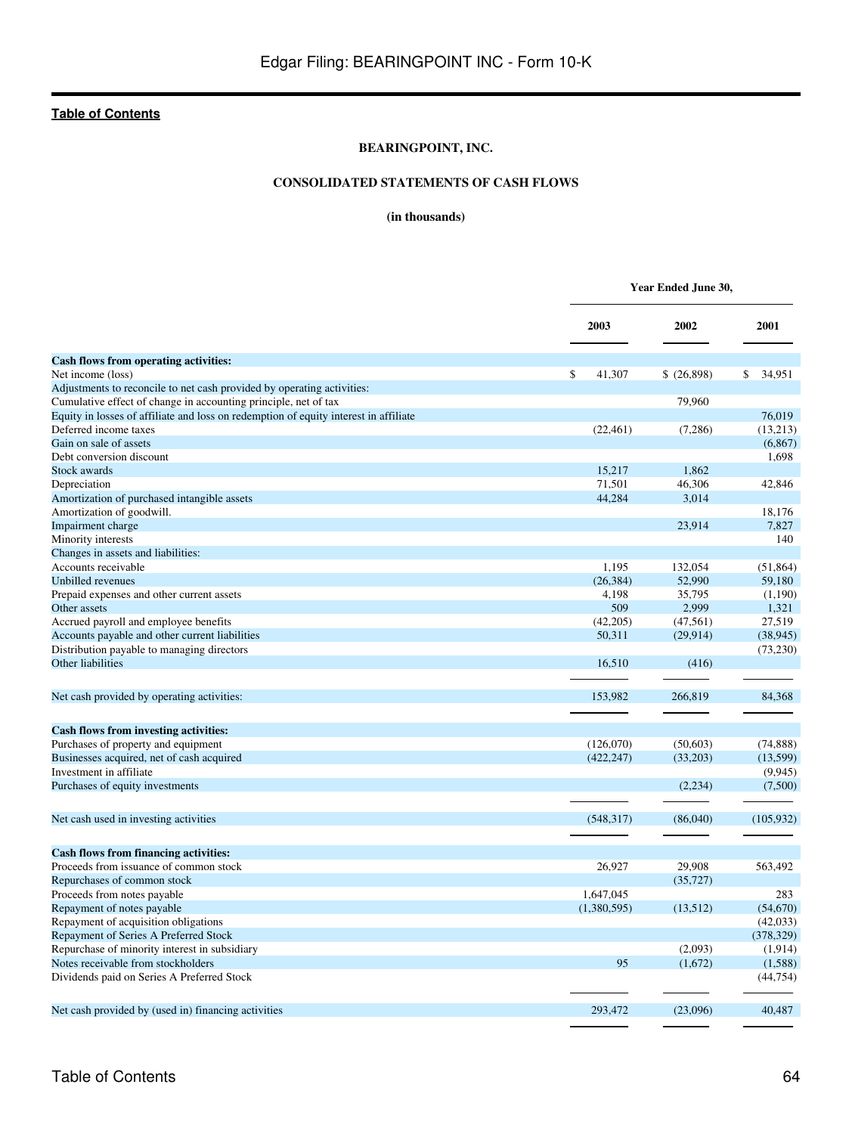## **BEARINGPOINT, INC.**

## **CONSOLIDATED STATEMENTS OF CASH FLOWS**

## **(in thousands)**

|                                                                                      |                    | Year Ended June 30, |              |  |  |  |  |
|--------------------------------------------------------------------------------------|--------------------|---------------------|--------------|--|--|--|--|
|                                                                                      | 2003               | 2002                | 2001         |  |  |  |  |
| <b>Cash flows from operating activities:</b>                                         |                    |                     |              |  |  |  |  |
| Net income (loss)                                                                    | \$<br>41,307       | \$ (26,898)         | 34.951<br>\$ |  |  |  |  |
| Adjustments to reconcile to net cash provided by operating activities:               |                    |                     |              |  |  |  |  |
| Cumulative effect of change in accounting principle, net of tax                      |                    | 79,960              |              |  |  |  |  |
| Equity in losses of affiliate and loss on redemption of equity interest in affiliate |                    |                     | 76.019       |  |  |  |  |
| Deferred income taxes                                                                | (22, 461)          | (7,286)             | (13,213)     |  |  |  |  |
| Gain on sale of assets                                                               |                    |                     | (6, 867)     |  |  |  |  |
| Debt conversion discount                                                             |                    |                     | 1,698        |  |  |  |  |
| <b>Stock awards</b>                                                                  | 15,217             | 1,862               |              |  |  |  |  |
| Depreciation                                                                         | 71,501             | 46,306              | 42,846       |  |  |  |  |
| Amortization of purchased intangible assets                                          | 44,284             | 3,014               |              |  |  |  |  |
| Amortization of goodwill.                                                            |                    |                     | 18,176       |  |  |  |  |
| Impairment charge                                                                    |                    | 23,914              | 7,827        |  |  |  |  |
| Minority interests                                                                   |                    |                     | 140          |  |  |  |  |
| Changes in assets and liabilities:                                                   |                    |                     |              |  |  |  |  |
| Accounts receivable                                                                  | 1,195              | 132,054             | (51, 864)    |  |  |  |  |
| Unbilled revenues                                                                    | (26, 384)          | 52,990              | 59,180       |  |  |  |  |
| Prepaid expenses and other current assets                                            | 4,198              | 35,795              | (1,190)      |  |  |  |  |
| Other assets                                                                         | 509                | 2,999               | 1,321        |  |  |  |  |
|                                                                                      |                    |                     |              |  |  |  |  |
| Accrued payroll and employee benefits                                                | (42,205)<br>50.311 | (47, 561)           | 27,519       |  |  |  |  |
| Accounts payable and other current liabilities                                       |                    | (29, 914)           | (38, 945)    |  |  |  |  |
| Distribution payable to managing directors<br>Other liabilities                      | 16.510             | (416)               | (73, 230)    |  |  |  |  |
|                                                                                      |                    |                     |              |  |  |  |  |
| Net cash provided by operating activities:                                           | 153,982            | 266,819             | 84,368       |  |  |  |  |
| <b>Cash flows from investing activities:</b>                                         |                    |                     |              |  |  |  |  |
| Purchases of property and equipment                                                  | (126,070)          | (50,603)            | (74, 888)    |  |  |  |  |
| Businesses acquired, net of cash acquired                                            | (422, 247)         | (33,203)            | (13,599)     |  |  |  |  |
| Investment in affiliate                                                              |                    |                     | (9, 945)     |  |  |  |  |
| Purchases of equity investments                                                      |                    | (2,234)             | (7,500)      |  |  |  |  |
| Net cash used in investing activities                                                | (548, 317)         | (86,040)            | (105, 932)   |  |  |  |  |
|                                                                                      |                    |                     |              |  |  |  |  |
| <b>Cash flows from financing activities:</b>                                         |                    |                     |              |  |  |  |  |
| Proceeds from issuance of common stock                                               | 26,927             | 29.908              | 563,492      |  |  |  |  |
| Repurchases of common stock                                                          |                    | (35, 727)           |              |  |  |  |  |
| Proceeds from notes payable                                                          | 1,647,045          |                     | 283          |  |  |  |  |
| Repayment of notes payable                                                           | (1,380,595)        | (13,512)            | (54,670)     |  |  |  |  |
| Repayment of acquisition obligations                                                 |                    |                     | (42, 033)    |  |  |  |  |
| Repayment of Series A Preferred Stock                                                |                    |                     | (378, 329)   |  |  |  |  |
| Repurchase of minority interest in subsidiary                                        |                    | (2,093)             | (1,914)      |  |  |  |  |
| Notes receivable from stockholders                                                   | 95                 | (1,672)             | (1,588)      |  |  |  |  |
| Dividends paid on Series A Preferred Stock                                           |                    |                     | (44, 754)    |  |  |  |  |
| Net cash provided by (used in) financing activities                                  | 293.472            | (23,096)            | 40.487       |  |  |  |  |
|                                                                                      |                    |                     |              |  |  |  |  |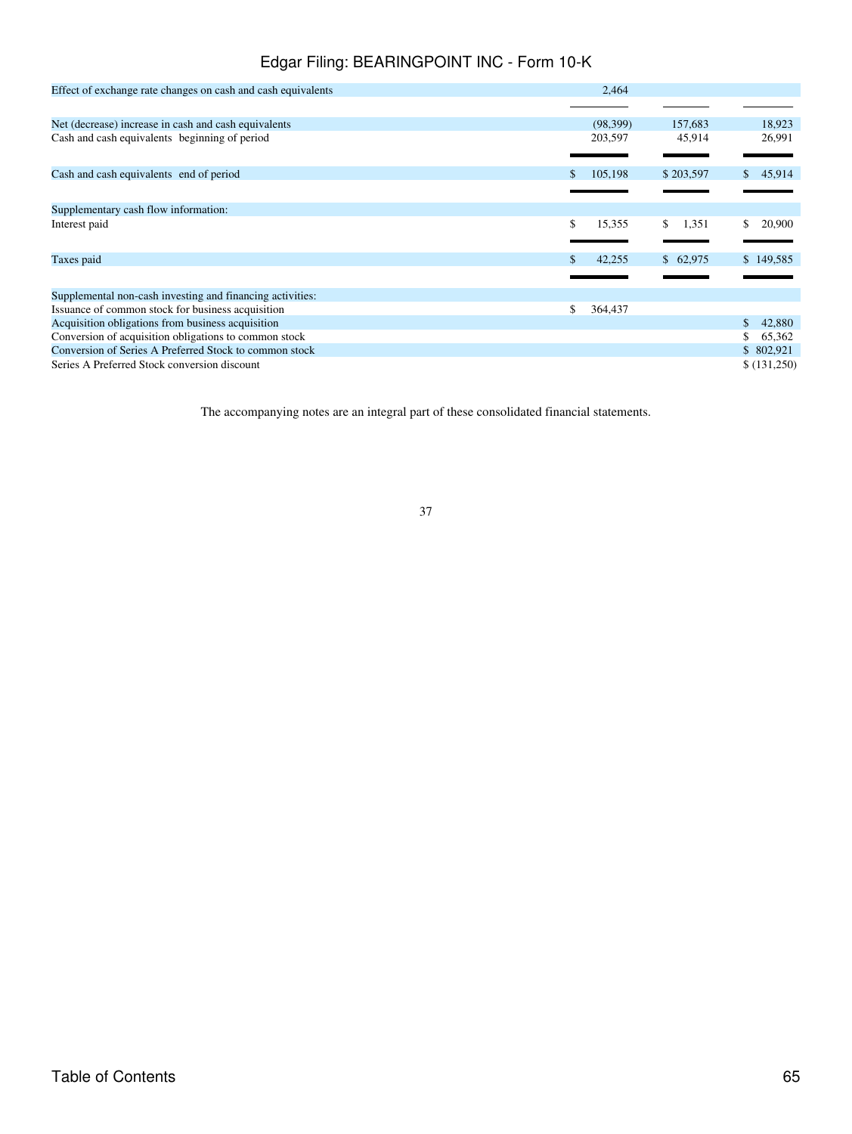| Effect of exchange rate changes on cash and cash equivalents | 2,464                        |              |
|--------------------------------------------------------------|------------------------------|--------------|
|                                                              |                              |              |
| Net (decrease) increase in cash and cash equivalents         | (98, 399)<br>157,683         | 18,923       |
| Cash and cash equivalents beginning of period                | 203,597<br>45,914            | 26,991       |
| Cash and cash equivalents end of period                      | \$203,597<br>105,198         | 45,914<br>\$ |
|                                                              |                              |              |
| Supplementary cash flow information:                         |                              |              |
| Interest paid                                                | \$.<br>\$<br>15,355<br>1,351 | \$<br>20,900 |
| Taxes paid                                                   | 42,255<br>\$62,975           | \$149,585    |
|                                                              |                              |              |
| Supplemental non-cash investing and financing activities:    |                              |              |
| Issuance of common stock for business acquisition            | \$<br>364,437                |              |
| Acquisition obligations from business acquisition            |                              | 42,880<br>\$ |
| Conversion of acquisition obligations to common stock        |                              | 65,362<br>\$ |
| Conversion of Series A Preferred Stock to common stock       |                              | \$802,921    |
| Series A Preferred Stock conversion discount                 |                              | \$(131,250)  |

The accompanying notes are an integral part of these consolidated financial statements.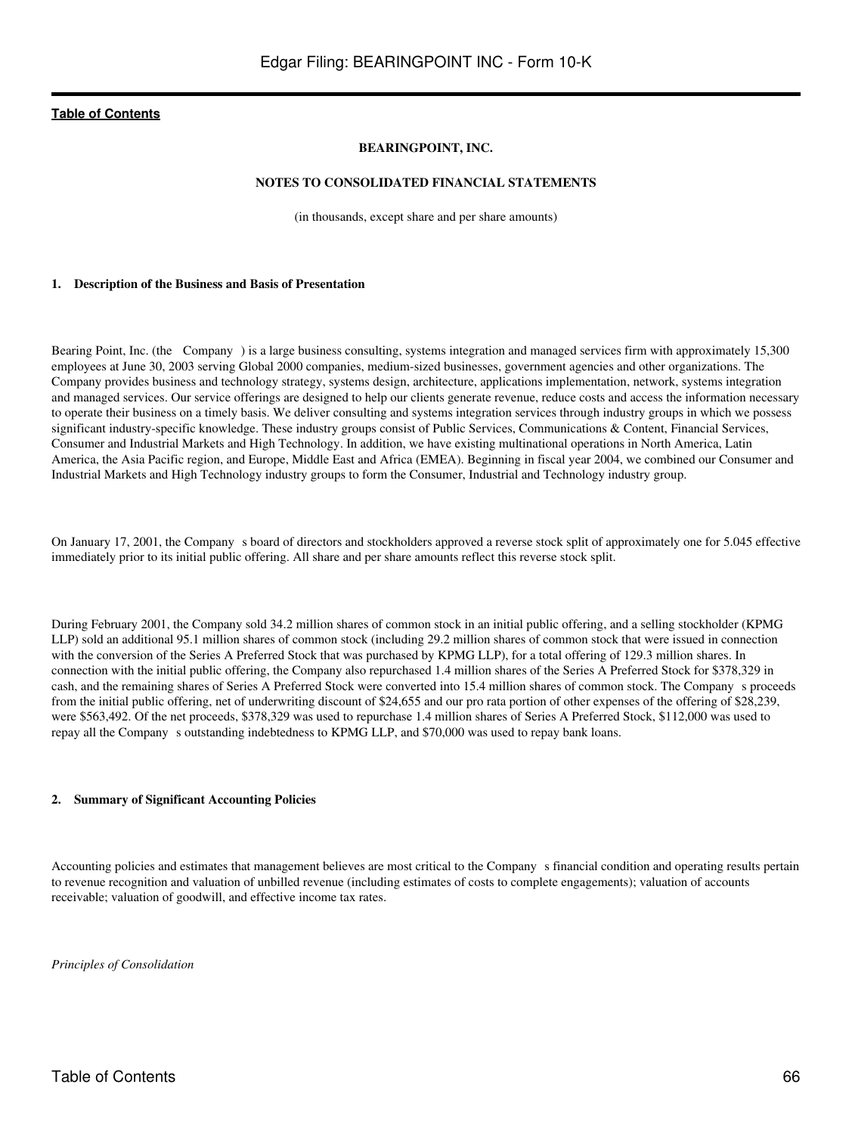#### **BEARINGPOINT, INC.**

#### **NOTES TO CONSOLIDATED FINANCIAL STATEMENTS**

(in thousands, except share and per share amounts)

#### **1. Description of the Business and Basis of Presentation**

Bearing Point, Inc. (the Company) is a large business consulting, systems integration and managed services firm with approximately 15,300 employees at June 30, 2003 serving Global 2000 companies, medium-sized businesses, government agencies and other organizations. The Company provides business and technology strategy, systems design, architecture, applications implementation, network, systems integration and managed services. Our service offerings are designed to help our clients generate revenue, reduce costs and access the information necessary to operate their business on a timely basis. We deliver consulting and systems integration services through industry groups in which we possess significant industry-specific knowledge. These industry groups consist of Public Services, Communications & Content, Financial Services, Consumer and Industrial Markets and High Technology. In addition, we have existing multinational operations in North America, Latin America, the Asia Pacific region, and Europe, Middle East and Africa (EMEA). Beginning in fiscal year 2004, we combined our Consumer and Industrial Markets and High Technology industry groups to form the Consumer, Industrial and Technology industry group.

On January 17, 2001, the Companys board of directors and stockholders approved a reverse stock split of approximately one for 5.045 effective immediately prior to its initial public offering. All share and per share amounts reflect this reverse stock split.

During February 2001, the Company sold 34.2 million shares of common stock in an initial public offering, and a selling stockholder (KPMG LLP) sold an additional 95.1 million shares of common stock (including 29.2 million shares of common stock that were issued in connection with the conversion of the Series A Preferred Stock that was purchased by KPMG LLP), for a total offering of 129.3 million shares. In connection with the initial public offering, the Company also repurchased 1.4 million shares of the Series A Preferred Stock for \$378,329 in cash, and the remaining shares of Series A Preferred Stock were converted into 15.4 million shares of common stock. The Companys proceeds from the initial public offering, net of underwriting discount of \$24,655 and our pro rata portion of other expenses of the offering of \$28,239, were \$563,492. Of the net proceeds, \$378,329 was used to repurchase 1.4 million shares of Series A Preferred Stock, \$112,000 was used to repay all the Company s outstanding indebtedness to KPMG LLP, and \$70,000 was used to repay bank loans.

#### **2. Summary of Significant Accounting Policies**

Accounting policies and estimates that management believes are most critical to the Company s financial condition and operating results pertain to revenue recognition and valuation of unbilled revenue (including estimates of costs to complete engagements); valuation of accounts receivable; valuation of goodwill, and effective income tax rates.

*Principles of Consolidation*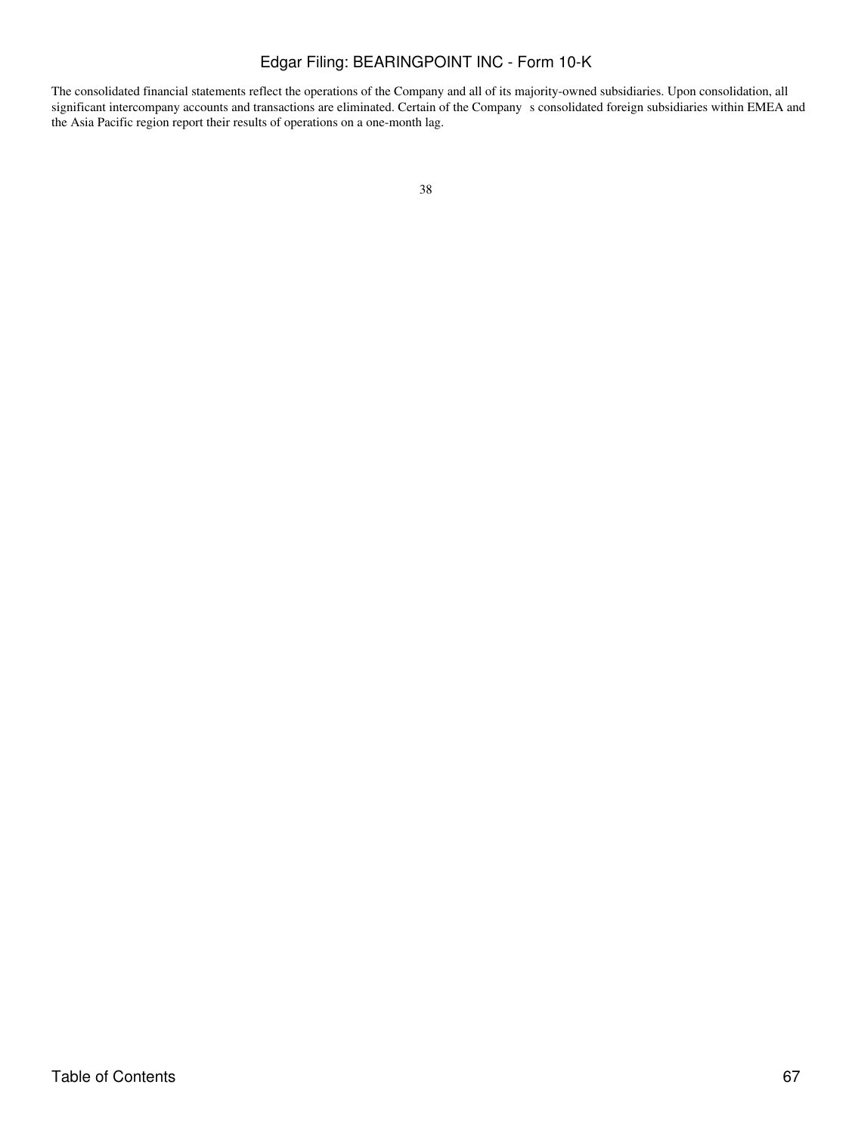The consolidated financial statements reflect the operations of the Company and all of its majority-owned subsidiaries. Upon consolidation, all significant intercompany accounts and transactions are eliminated. Certain of the Company s consolidated foreign subsidiaries within EMEA and the Asia Pacific region report their results of operations on a one-month lag.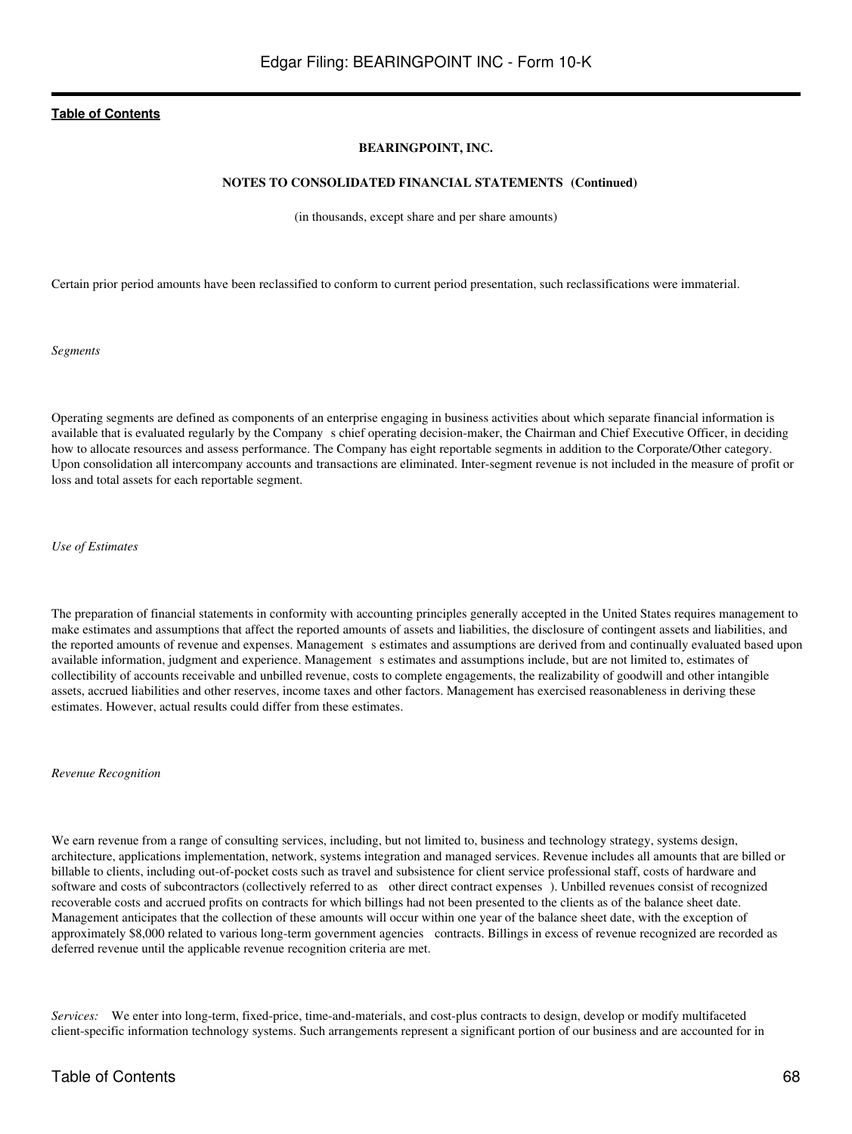#### **BEARINGPOINT, INC.**

#### **NOTES TO CONSOLIDATED FINANCIAL STATEMENTS (Continued)**

(in thousands, except share and per share amounts)

Certain prior period amounts have been reclassified to conform to current period presentation, such reclassifications were immaterial.

*Segments*

Operating segments are defined as components of an enterprise engaging in business activities about which separate financial information is available that is evaluated regularly by the Company s chief operating decision-maker, the Chairman and Chief Executive Officer, in deciding how to allocate resources and assess performance. The Company has eight reportable segments in addition to the Corporate/Other category. Upon consolidation all intercompany accounts and transactions are eliminated. Inter-segment revenue is not included in the measure of profit or loss and total assets for each reportable segment.

*Use of Estimates*

The preparation of financial statements in conformity with accounting principles generally accepted in the United States requires management to make estimates and assumptions that affect the reported amounts of assets and liabilities, the disclosure of contingent assets and liabilities, and the reported amounts of revenue and expenses. Management s estimates and assumptions are derived from and continually evaluated based upon available information, judgment and experience. Management s estimates and assumptions include, but are not limited to, estimates of collectibility of accounts receivable and unbilled revenue, costs to complete engagements, the realizability of goodwill and other intangible assets, accrued liabilities and other reserves, income taxes and other factors. Management has exercised reasonableness in deriving these estimates. However, actual results could differ from these estimates.

*Revenue Recognition*

We earn revenue from a range of consulting services, including, but not limited to, business and technology strategy, systems design, architecture, applications implementation, network, systems integration and managed services. Revenue includes all amounts that are billed or billable to clients, including out-of-pocket costs such as travel and subsistence for client service professional staff, costs of hardware and software and costs of subcontractors (collectively referred to as other direct contract expenses). Unbilled revenues consist of recognized recoverable costs and accrued profits on contracts for which billings had not been presented to the clients as of the balance sheet date. Management anticipates that the collection of these amounts will occur within one year of the balance sheet date, with the exception of approximately \$8,000 related to various long-term government agencies contracts. Billings in excess of revenue recognized are recorded as deferred revenue until the applicable revenue recognition criteria are met.

*Services:* We enter into long-term, fixed-price, time-and-materials, and cost-plus contracts to design, develop or modify multifaceted client-specific information technology systems. Such arrangements represent a significant portion of our business and are accounted for in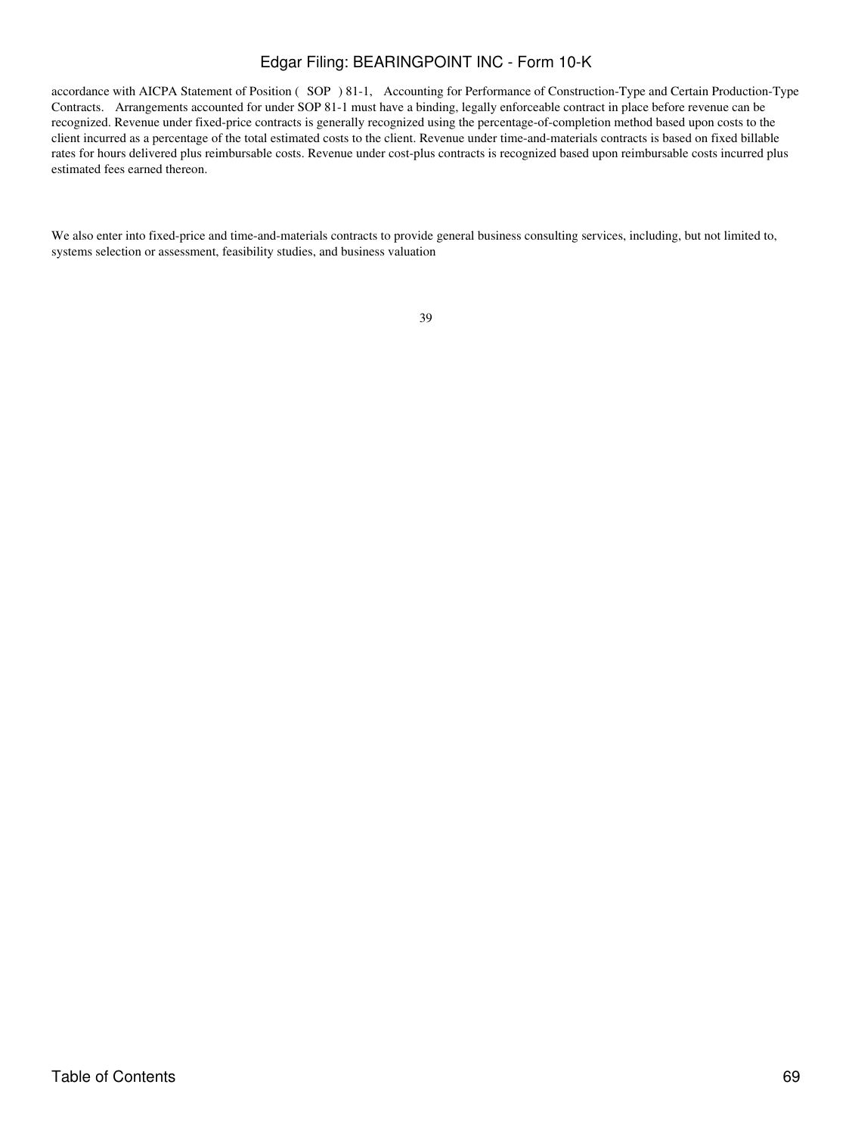accordance with AICPA Statement of Position (SOP) 81-1, Accounting for Performance of Construction-Type and Certain Production-Type Contracts. Arrangements accounted for under SOP 81-1 must have a binding, legally enforceable contract in place before revenue can be recognized. Revenue under fixed-price contracts is generally recognized using the percentage-of-completion method based upon costs to the client incurred as a percentage of the total estimated costs to the client. Revenue under time-and-materials contracts is based on fixed billable rates for hours delivered plus reimbursable costs. Revenue under cost-plus contracts is recognized based upon reimbursable costs incurred plus estimated fees earned thereon.

We also enter into fixed-price and time-and-materials contracts to provide general business consulting services, including, but not limited to, systems selection or assessment, feasibility studies, and business valuation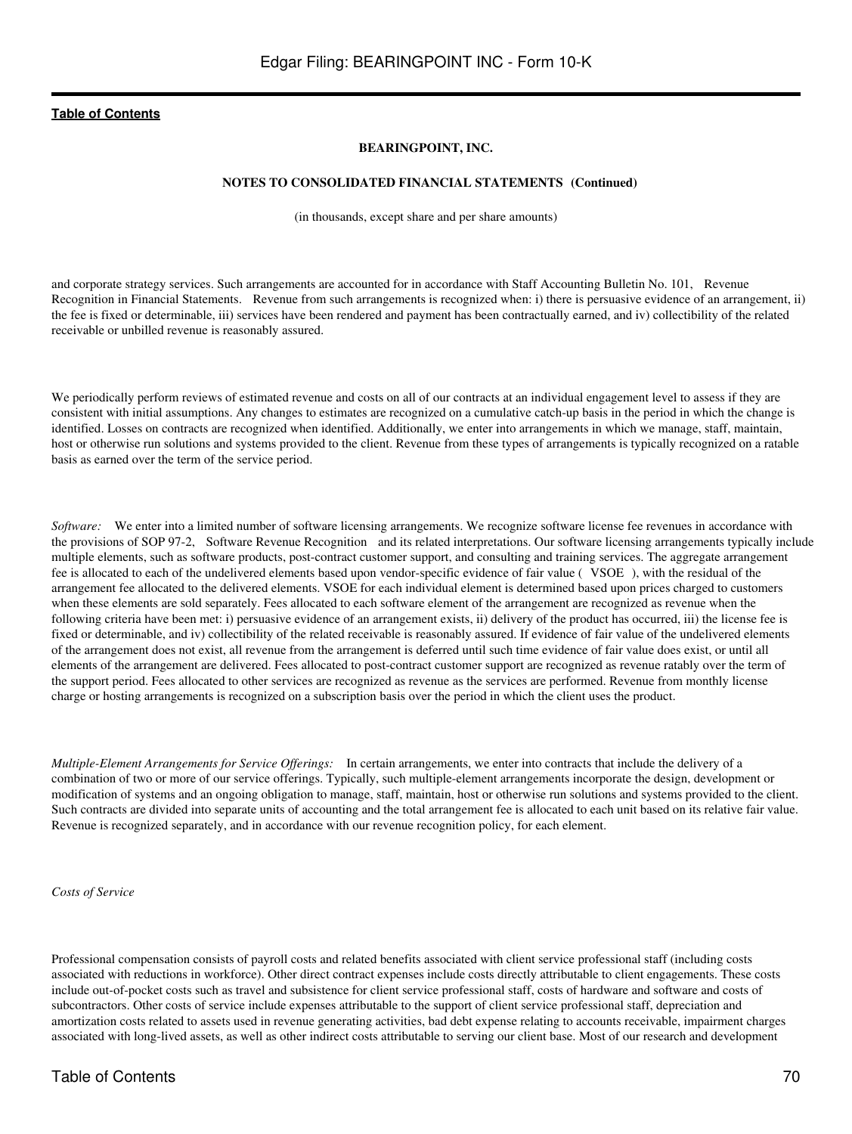#### **BEARINGPOINT, INC.**

#### **NOTES TO CONSOLIDATED FINANCIAL STATEMENTS (Continued)**

(in thousands, except share and per share amounts)

and corporate strategy services. Such arrangements are accounted for in accordance with Staff Accounting Bulletin No. 101, Revenue Recognition in Financial Statements. Revenue from such arrangements is recognized when: i) there is persuasive evidence of an arrangement, ii) the fee is fixed or determinable, iii) services have been rendered and payment has been contractually earned, and iv) collectibility of the related receivable or unbilled revenue is reasonably assured.

We periodically perform reviews of estimated revenue and costs on all of our contracts at an individual engagement level to assess if they are consistent with initial assumptions. Any changes to estimates are recognized on a cumulative catch-up basis in the period in which the change is identified. Losses on contracts are recognized when identified. Additionally, we enter into arrangements in which we manage, staff, maintain, host or otherwise run solutions and systems provided to the client. Revenue from these types of arrangements is typically recognized on a ratable basis as earned over the term of the service period.

*Software:* We enter into a limited number of software licensing arrangements. We recognize software license fee revenues in accordance with the provisions of SOP 97-2, Software Revenue Recognition and its related interpretations. Our software licensing arrangements typically include multiple elements, such as software products, post-contract customer support, and consulting and training services. The aggregate arrangement fee is allocated to each of the undelivered elements based upon vendor-specific evidence of fair value (VSOE), with the residual of the arrangement fee allocated to the delivered elements. VSOE for each individual element is determined based upon prices charged to customers when these elements are sold separately. Fees allocated to each software element of the arrangement are recognized as revenue when the following criteria have been met: i) persuasive evidence of an arrangement exists, ii) delivery of the product has occurred, iii) the license fee is fixed or determinable, and iv) collectibility of the related receivable is reasonably assured. If evidence of fair value of the undelivered elements of the arrangement does not exist, all revenue from the arrangement is deferred until such time evidence of fair value does exist, or until all elements of the arrangement are delivered. Fees allocated to post-contract customer support are recognized as revenue ratably over the term of the support period. Fees allocated to other services are recognized as revenue as the services are performed. Revenue from monthly license charge or hosting arrangements is recognized on a subscription basis over the period in which the client uses the product.

*Multiple-Element Arrangements for Service Offerings:* In certain arrangements, we enter into contracts that include the delivery of a combination of two or more of our service offerings. Typically, such multiple-element arrangements incorporate the design, development or modification of systems and an ongoing obligation to manage, staff, maintain, host or otherwise run solutions and systems provided to the client. Such contracts are divided into separate units of accounting and the total arrangement fee is allocated to each unit based on its relative fair value. Revenue is recognized separately, and in accordance with our revenue recognition policy, for each element.

#### *Costs of Service*

Professional compensation consists of payroll costs and related benefits associated with client service professional staff (including costs associated with reductions in workforce). Other direct contract expenses include costs directly attributable to client engagements. These costs include out-of-pocket costs such as travel and subsistence for client service professional staff, costs of hardware and software and costs of subcontractors. Other costs of service include expenses attributable to the support of client service professional staff, depreciation and amortization costs related to assets used in revenue generating activities, bad debt expense relating to accounts receivable, impairment charges associated with long-lived assets, as well as other indirect costs attributable to serving our client base. Most of our research and development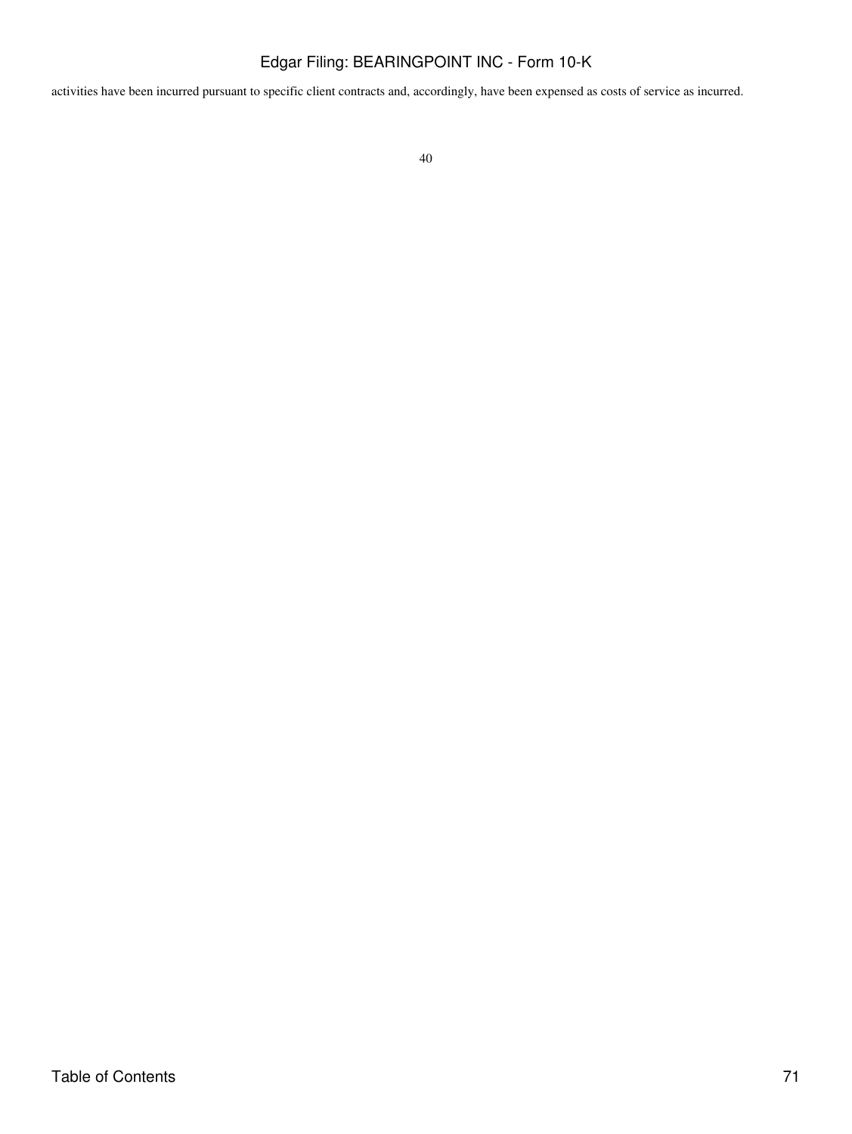activities have been incurred pursuant to specific client contracts and, accordingly, have been expensed as costs of service as incurred.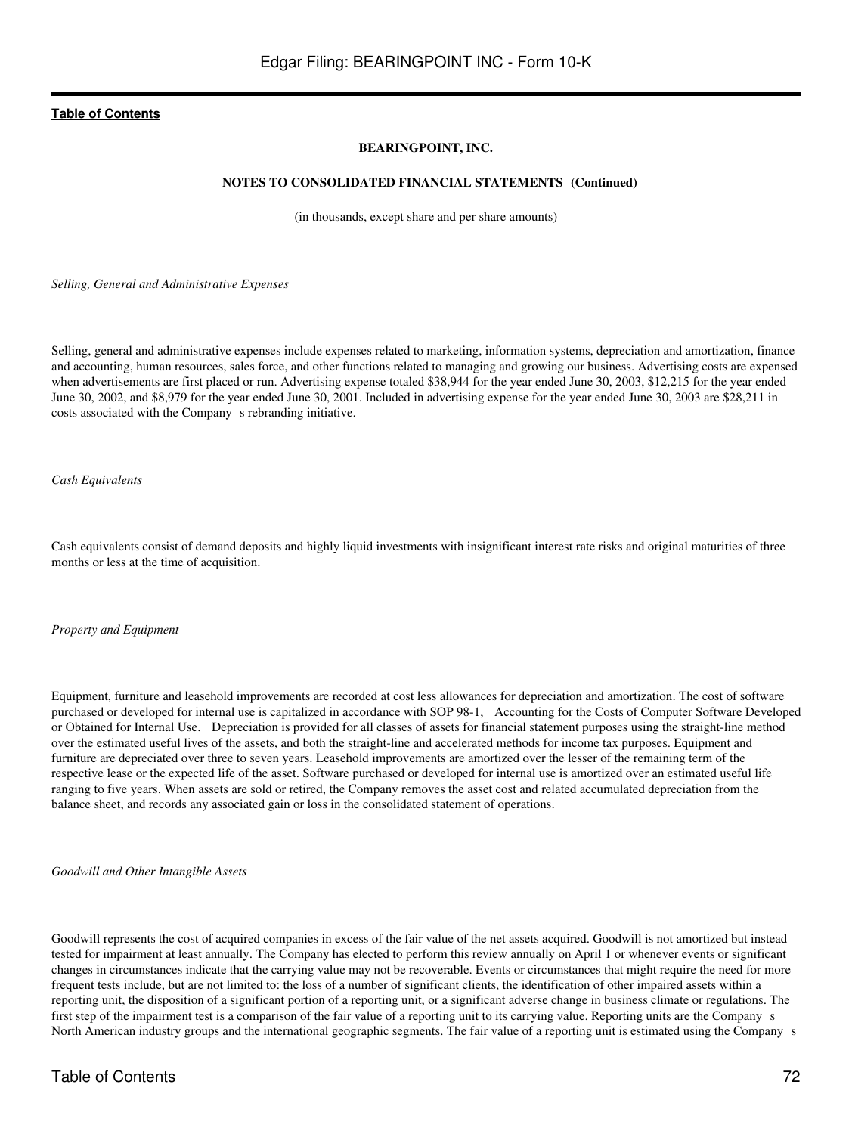### **BEARINGPOINT, INC.**

#### **NOTES TO CONSOLIDATED FINANCIAL STATEMENTS (Continued)**

(in thousands, except share and per share amounts)

*Selling, General and Administrative Expenses*

Selling, general and administrative expenses include expenses related to marketing, information systems, depreciation and amortization, finance and accounting, human resources, sales force, and other functions related to managing and growing our business. Advertising costs are expensed when advertisements are first placed or run. Advertising expense totaled \$38,944 for the year ended June 30, 2003, \$12,215 for the year ended June 30, 2002, and \$8,979 for the year ended June 30, 2001. Included in advertising expense for the year ended June 30, 2003 are \$28,211 in costs associated with the Company s rebranding initiative.

*Cash Equivalents*

Cash equivalents consist of demand deposits and highly liquid investments with insignificant interest rate risks and original maturities of three months or less at the time of acquisition.

*Property and Equipment*

Equipment, furniture and leasehold improvements are recorded at cost less allowances for depreciation and amortization. The cost of software purchased or developed for internal use is capitalized in accordance with SOP 98-1, Accounting for the Costs of Computer Software Developed or Obtained for Internal Use. Depreciation is provided for all classes of assets for financial statement purposes using the straight-line method over the estimated useful lives of the assets, and both the straight-line and accelerated methods for income tax purposes. Equipment and furniture are depreciated over three to seven years. Leasehold improvements are amortized over the lesser of the remaining term of the respective lease or the expected life of the asset. Software purchased or developed for internal use is amortized over an estimated useful life ranging to five years. When assets are sold or retired, the Company removes the asset cost and related accumulated depreciation from the balance sheet, and records any associated gain or loss in the consolidated statement of operations.

*Goodwill and Other Intangible Assets*

Goodwill represents the cost of acquired companies in excess of the fair value of the net assets acquired. Goodwill is not amortized but instead tested for impairment at least annually. The Company has elected to perform this review annually on April 1 or whenever events or significant changes in circumstances indicate that the carrying value may not be recoverable. Events or circumstances that might require the need for more frequent tests include, but are not limited to: the loss of a number of significant clients, the identification of other impaired assets within a reporting unit, the disposition of a significant portion of a reporting unit, or a significant adverse change in business climate or regulations. The first step of the impairment test is a comparison of the fair value of a reporting unit to its carrying value. Reporting units are the Companys North American industry groups and the international geographic segments. The fair value of a reporting unit is estimated using the Companys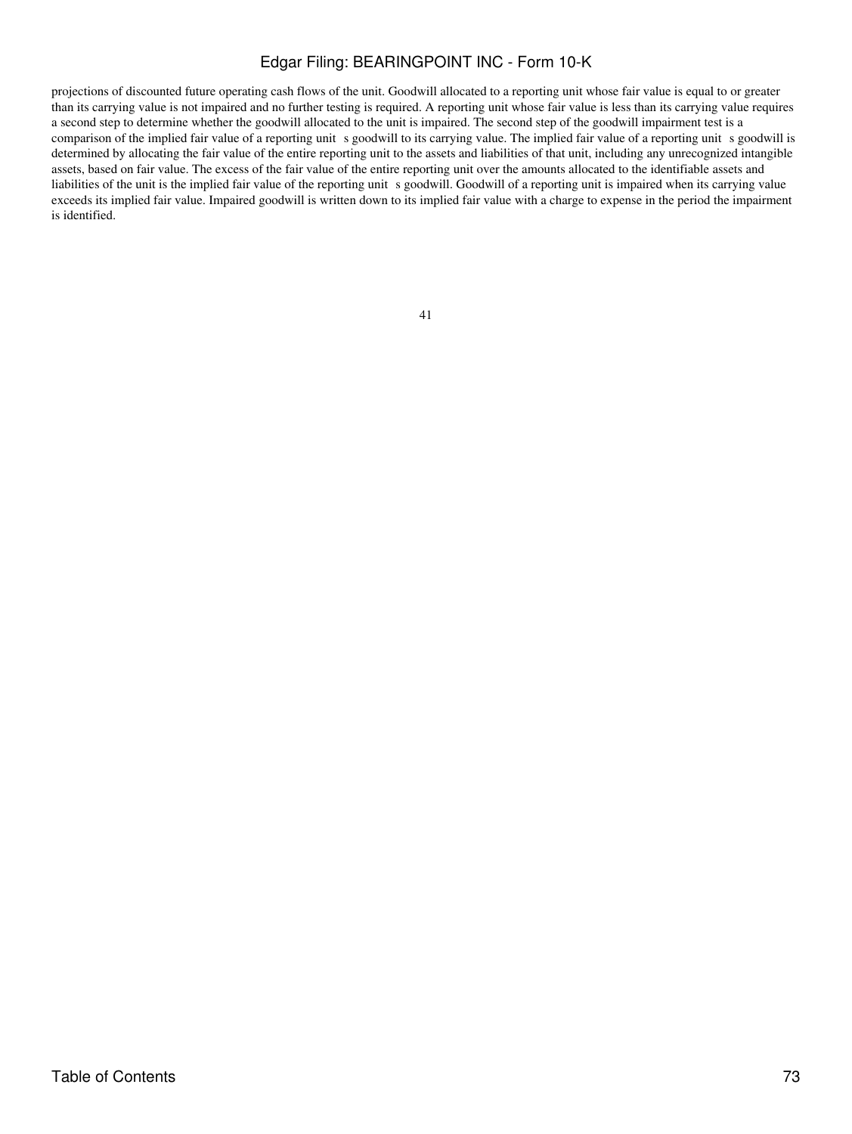projections of discounted future operating cash flows of the unit. Goodwill allocated to a reporting unit whose fair value is equal to or greater than its carrying value is not impaired and no further testing is required. A reporting unit whose fair value is less than its carrying value requires a second step to determine whether the goodwill allocated to the unit is impaired. The second step of the goodwill impairment test is a comparison of the implied fair value of a reporting unit s goodwill to its carrying value. The implied fair value of a reporting unit s goodwill is determined by allocating the fair value of the entire reporting unit to the assets and liabilities of that unit, including any unrecognized intangible assets, based on fair value. The excess of the fair value of the entire reporting unit over the amounts allocated to the identifiable assets and liabilities of the unit is the implied fair value of the reporting unit s goodwill. Goodwill of a reporting unit is impaired when its carrying value exceeds its implied fair value. Impaired goodwill is written down to its implied fair value with a charge to expense in the period the impairment is identified.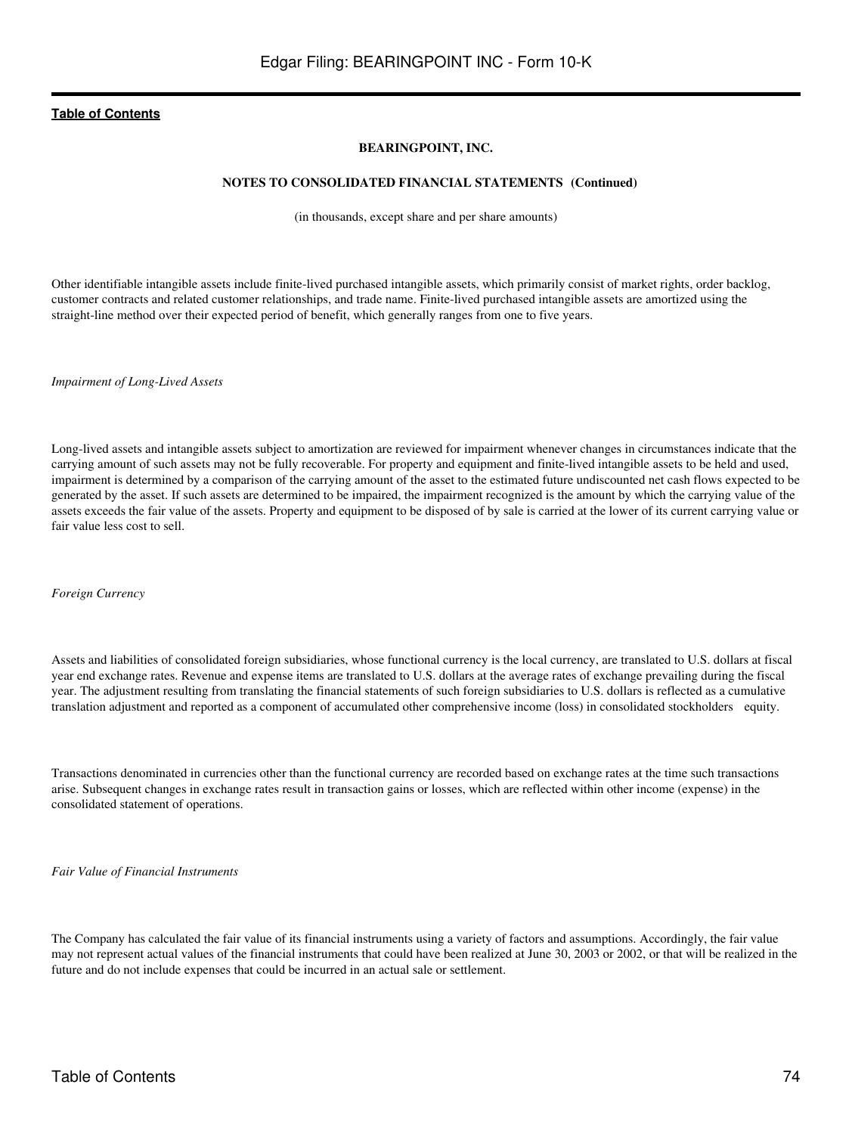### **BEARINGPOINT, INC.**

#### **NOTES TO CONSOLIDATED FINANCIAL STATEMENTS (Continued)**

(in thousands, except share and per share amounts)

Other identifiable intangible assets include finite-lived purchased intangible assets, which primarily consist of market rights, order backlog, customer contracts and related customer relationships, and trade name. Finite-lived purchased intangible assets are amortized using the straight-line method over their expected period of benefit, which generally ranges from one to five years.

*Impairment of Long-Lived Assets*

Long-lived assets and intangible assets subject to amortization are reviewed for impairment whenever changes in circumstances indicate that the carrying amount of such assets may not be fully recoverable. For property and equipment and finite-lived intangible assets to be held and used, impairment is determined by a comparison of the carrying amount of the asset to the estimated future undiscounted net cash flows expected to be generated by the asset. If such assets are determined to be impaired, the impairment recognized is the amount by which the carrying value of the assets exceeds the fair value of the assets. Property and equipment to be disposed of by sale is carried at the lower of its current carrying value or fair value less cost to sell.

*Foreign Currency*

Assets and liabilities of consolidated foreign subsidiaries, whose functional currency is the local currency, are translated to U.S. dollars at fiscal year end exchange rates. Revenue and expense items are translated to U.S. dollars at the average rates of exchange prevailing during the fiscal year. The adjustment resulting from translating the financial statements of such foreign subsidiaries to U.S. dollars is reflected as a cumulative translation adjustment and reported as a component of accumulated other comprehensive income (loss) in consolidated stockholders equity.

Transactions denominated in currencies other than the functional currency are recorded based on exchange rates at the time such transactions arise. Subsequent changes in exchange rates result in transaction gains or losses, which are reflected within other income (expense) in the consolidated statement of operations.

*Fair Value of Financial Instruments*

The Company has calculated the fair value of its financial instruments using a variety of factors and assumptions. Accordingly, the fair value may not represent actual values of the financial instruments that could have been realized at June 30, 2003 or 2002, or that will be realized in the future and do not include expenses that could be incurred in an actual sale or settlement.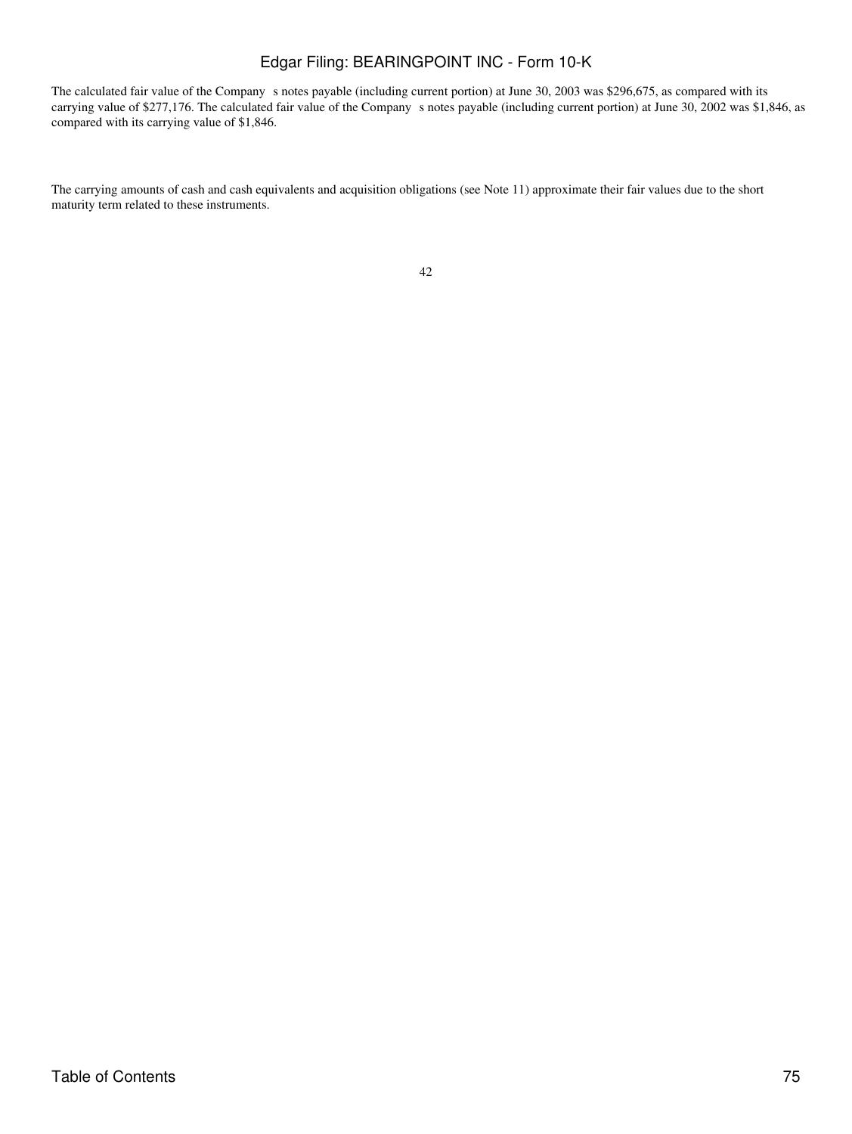The calculated fair value of the Company s notes payable (including current portion) at June 30, 2003 was \$296,675, as compared with its carrying value of \$277,176. The calculated fair value of the Company s notes payable (including current portion) at June 30, 2002 was \$1,846, as compared with its carrying value of \$1,846.

The carrying amounts of cash and cash equivalents and acquisition obligations (see Note 11) approximate their fair values due to the short maturity term related to these instruments.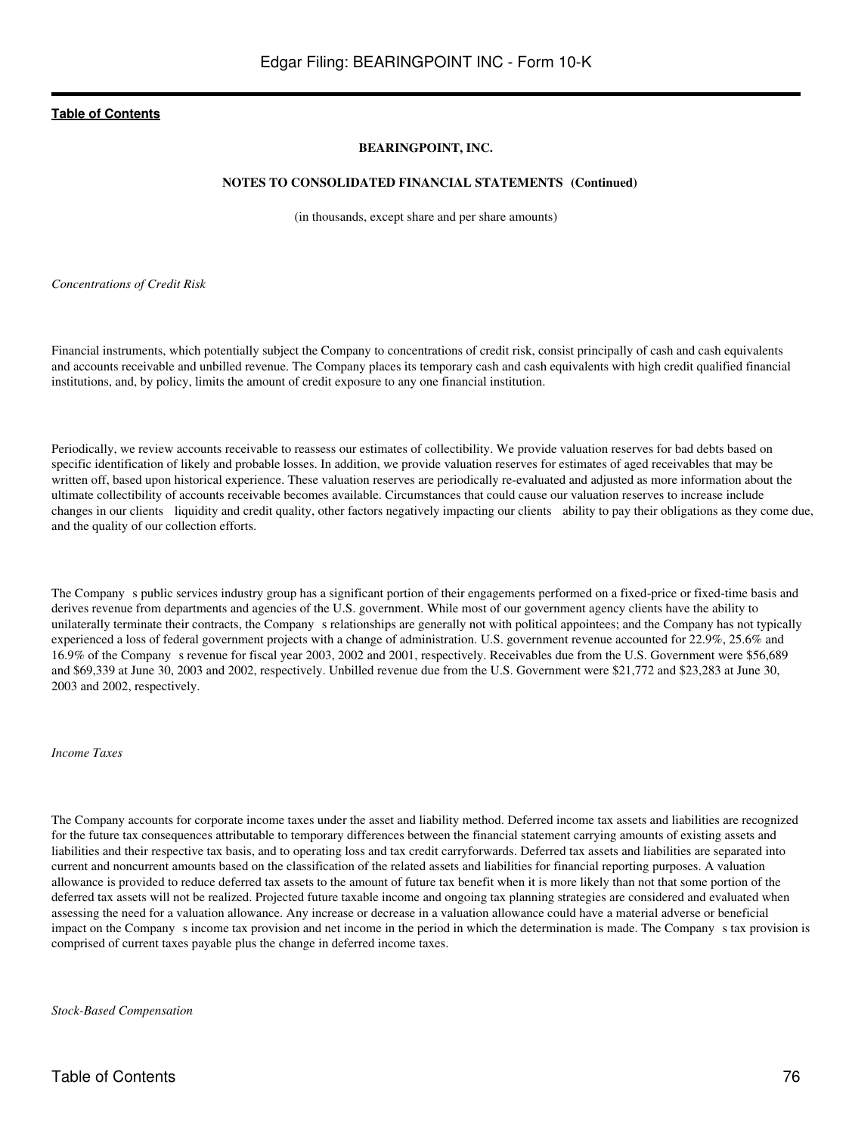## **BEARINGPOINT, INC.**

### **NOTES TO CONSOLIDATED FINANCIAL STATEMENTS (Continued)**

(in thousands, except share and per share amounts)

*Concentrations of Credit Risk*

Financial instruments, which potentially subject the Company to concentrations of credit risk, consist principally of cash and cash equivalents and accounts receivable and unbilled revenue. The Company places its temporary cash and cash equivalents with high credit qualified financial institutions, and, by policy, limits the amount of credit exposure to any one financial institution.

Periodically, we review accounts receivable to reassess our estimates of collectibility. We provide valuation reserves for bad debts based on specific identification of likely and probable losses. In addition, we provide valuation reserves for estimates of aged receivables that may be written off, based upon historical experience. These valuation reserves are periodically re-evaluated and adjusted as more information about the ultimate collectibility of accounts receivable becomes available. Circumstances that could cause our valuation reserves to increase include changes in our clients liquidity and credit quality, other factors negatively impacting our clients ability to pay their obligations as they come due, and the quality of our collection efforts.

The Company s public services industry group has a significant portion of their engagements performed on a fixed-price or fixed-time basis and derives revenue from departments and agencies of the U.S. government. While most of our government agency clients have the ability to unilaterally terminate their contracts, the Company s relationships are generally not with political appointees; and the Company has not typically experienced a loss of federal government projects with a change of administration. U.S. government revenue accounted for 22.9%, 25.6% and 16.9% of the Companys revenue for fiscal year 2003, 2002 and 2001, respectively. Receivables due from the U.S. Government were \$56,689 and \$69,339 at June 30, 2003 and 2002, respectively. Unbilled revenue due from the U.S. Government were \$21,772 and \$23,283 at June 30, 2003 and 2002, respectively.

#### *Income Taxes*

The Company accounts for corporate income taxes under the asset and liability method. Deferred income tax assets and liabilities are recognized for the future tax consequences attributable to temporary differences between the financial statement carrying amounts of existing assets and liabilities and their respective tax basis, and to operating loss and tax credit carryforwards. Deferred tax assets and liabilities are separated into current and noncurrent amounts based on the classification of the related assets and liabilities for financial reporting purposes. A valuation allowance is provided to reduce deferred tax assets to the amount of future tax benefit when it is more likely than not that some portion of the deferred tax assets will not be realized. Projected future taxable income and ongoing tax planning strategies are considered and evaluated when assessing the need for a valuation allowance. Any increase or decrease in a valuation allowance could have a material adverse or beneficial impact on the Company s income tax provision and net income in the period in which the determination is made. The Company s tax provision is comprised of current taxes payable plus the change in deferred income taxes.

*Stock-Based Compensation*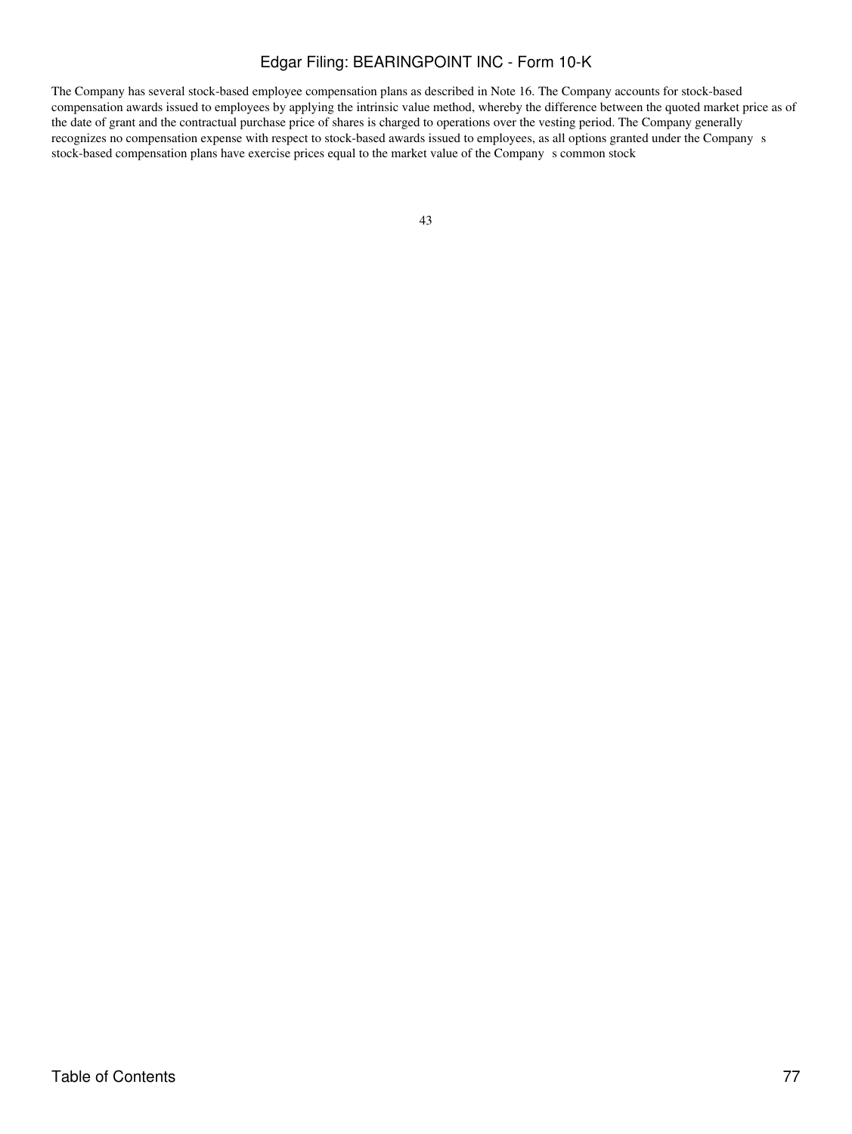The Company has several stock-based employee compensation plans as described in Note 16. The Company accounts for stock-based compensation awards issued to employees by applying the intrinsic value method, whereby the difference between the quoted market price as of the date of grant and the contractual purchase price of shares is charged to operations over the vesting period. The Company generally recognizes no compensation expense with respect to stock-based awards issued to employees, as all options granted under the Company s stock-based compensation plans have exercise prices equal to the market value of the Company s common stock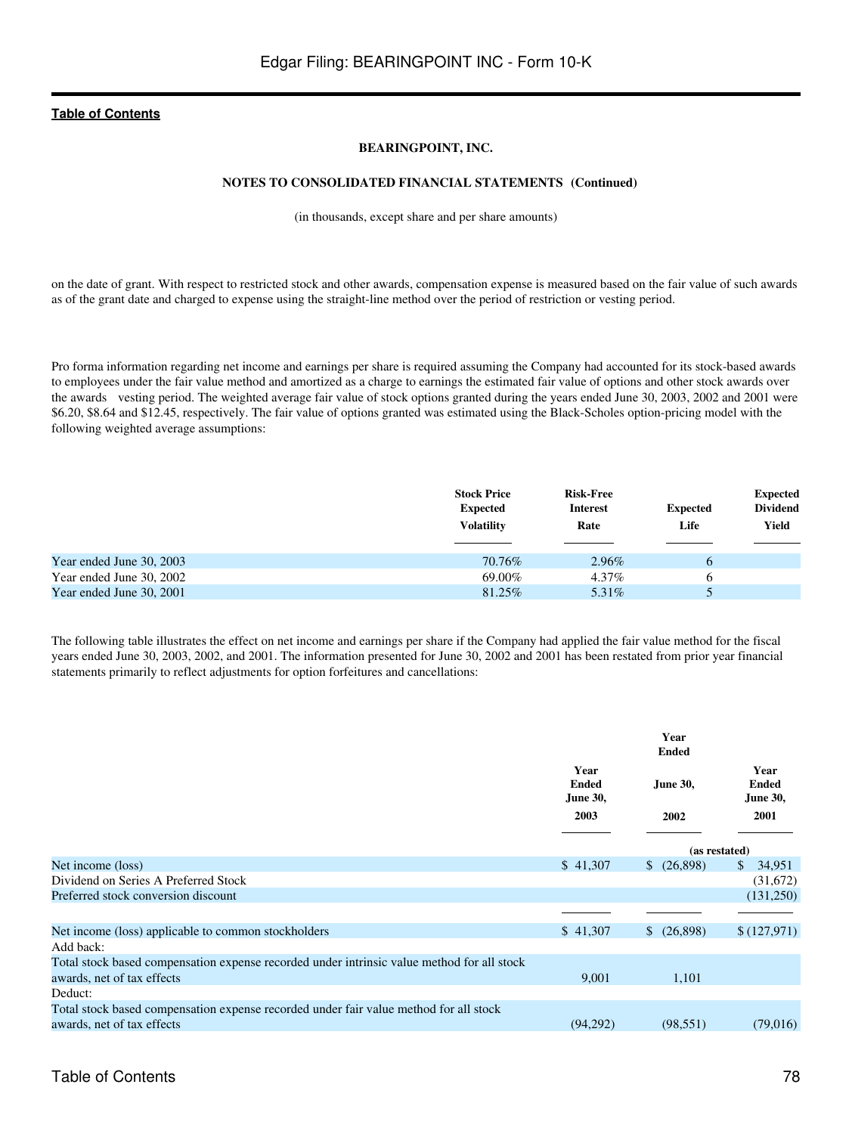## **BEARINGPOINT, INC.**

### **NOTES TO CONSOLIDATED FINANCIAL STATEMENTS (Continued)**

(in thousands, except share and per share amounts)

on the date of grant. With respect to restricted stock and other awards, compensation expense is measured based on the fair value of such awards as of the grant date and charged to expense using the straight-line method over the period of restriction or vesting period.

Pro forma information regarding net income and earnings per share is required assuming the Company had accounted for its stock-based awards to employees under the fair value method and amortized as a charge to earnings the estimated fair value of options and other stock awards over the awards vesting period. The weighted average fair value of stock options granted during the years ended June 30, 2003, 2002 and 2001 were \$6.20, \$8.64 and \$12.45, respectively. The fair value of options granted was estimated using the Black-Scholes option-pricing model with the following weighted average assumptions:

|                          | <b>Stock Price</b><br><b>Expected</b><br><b>Volatility</b> | <b>Risk-Free</b><br><b>Interest</b><br>Rate | <b>Expected</b><br>Life | <b>Expected</b><br><b>Dividend</b><br>Yield |
|--------------------------|------------------------------------------------------------|---------------------------------------------|-------------------------|---------------------------------------------|
| Year ended June 30, 2003 | 70.76%                                                     | 2.96%                                       | 6                       |                                             |
| Year ended June 30, 2002 | 69.00%                                                     | 4.37%                                       | 6                       |                                             |
| Year ended June 30, 2001 | 81.25%                                                     | 5.31\%                                      |                         |                                             |

The following table illustrates the effect on net income and earnings per share if the Company had applied the fair value method for the fiscal years ended June 30, 2003, 2002, and 2001. The information presented for June 30, 2002 and 2001 has been restated from prior year financial statements primarily to reflect adjustments for option forfeitures and cancellations:

|                                                                                            | Year<br><b>Ended</b><br><b>June 30,</b> | <b>June 30,</b> | Year<br><b>Ended</b><br><b>June 30,</b> |  |
|--------------------------------------------------------------------------------------------|-----------------------------------------|-----------------|-----------------------------------------|--|
|                                                                                            | 2003                                    | 2002            | 2001                                    |  |
|                                                                                            |                                         | (as restated)   |                                         |  |
| Net income (loss)                                                                          | \$41,307                                | $$^{(26,898)}$  | 34,951<br>S.                            |  |
| Dividend on Series A Preferred Stock                                                       |                                         |                 | (31,672)                                |  |
| Preferred stock conversion discount                                                        |                                         |                 | (131,250)                               |  |
|                                                                                            |                                         |                 |                                         |  |
| Net income (loss) applicable to common stockholders                                        | \$41,307                                | $$^{(26,898)}$$ | \$(127,971)                             |  |
| Add back:                                                                                  |                                         |                 |                                         |  |
| Total stock based compensation expense recorded under intrinsic value method for all stock |                                         |                 |                                         |  |
| awards, net of tax effects                                                                 | 9,001                                   | 1,101           |                                         |  |
| Deduct:                                                                                    |                                         |                 |                                         |  |
| Total stock based compensation expense recorded under fair value method for all stock      |                                         |                 |                                         |  |
| awards, net of tax effects                                                                 | (94,292)                                | (98, 551)       | (79,016)                                |  |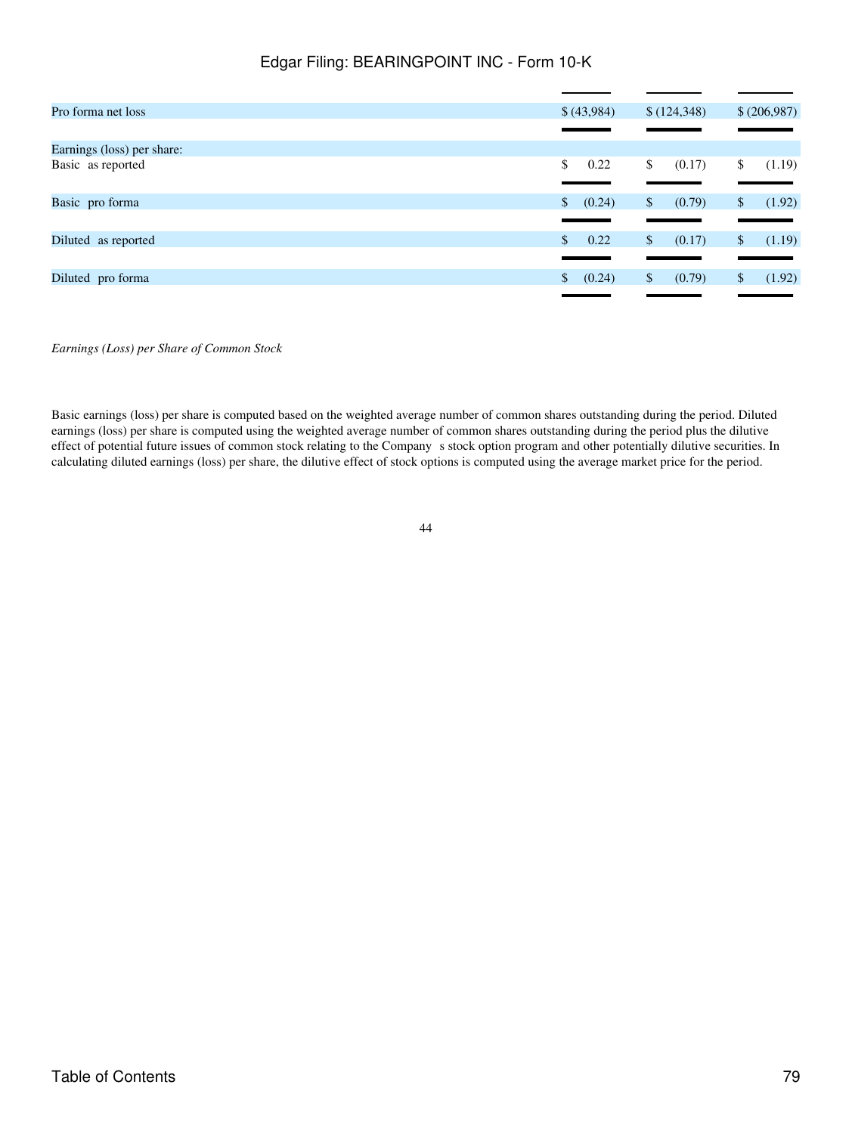| Pro forma net loss         | \$(43,984)               | \$(124,348)            | \$ (206,987)           |
|----------------------------|--------------------------|------------------------|------------------------|
|                            |                          |                        |                        |
| Earnings (loss) per share: |                          |                        |                        |
| Basic as reported          | 0.22<br>\$               | (0.17)<br>\$           | (1.19)<br>\$           |
|                            |                          |                        |                        |
| Basic pro forma            | (0.24)<br>$\mathbb{S}^-$ | (0.79)<br>$\mathbb{S}$ | (1.92)<br>$\mathbb{S}$ |
|                            |                          |                        |                        |
| Diluted as reported        | 0.22<br>$\mathbb{S}^-$   | (0.17)<br>\$.          | (1.19)<br>\$           |
|                            |                          |                        |                        |
| Diluted pro forma          | (0.24)<br>S.             | (0.79)<br>\$           | (1.92)<br>\$           |
|                            |                          |                        |                        |

*Earnings (Loss) per Share of Common Stock*

Basic earnings (loss) per share is computed based on the weighted average number of common shares outstanding during the period. Diluted earnings (loss) per share is computed using the weighted average number of common shares outstanding during the period plus the dilutive effect of potential future issues of common stock relating to the Company s stock option program and other potentially dilutive securities. In calculating diluted earnings (loss) per share, the dilutive effect of stock options is computed using the average market price for the period.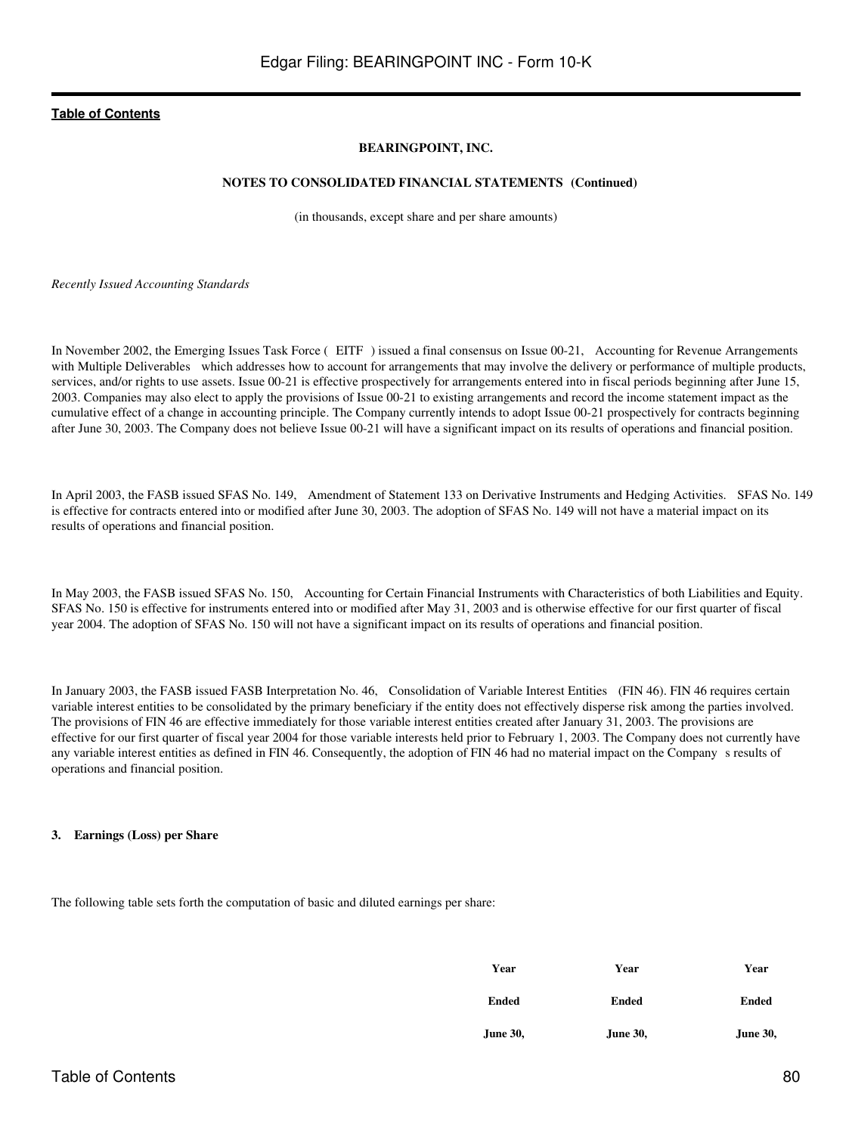## **BEARINGPOINT, INC.**

### **NOTES TO CONSOLIDATED FINANCIAL STATEMENTS (Continued)**

(in thousands, except share and per share amounts)

*Recently Issued Accounting Standards*

In November 2002, the Emerging Issues Task Force (EITF) issued a final consensus on Issue 00-21, Accounting for Revenue Arrangements with Multiple Deliverables which addresses how to account for arrangements that may involve the delivery or performance of multiple products, services, and/or rights to use assets. Issue 00-21 is effective prospectively for arrangements entered into in fiscal periods beginning after June 15, 2003. Companies may also elect to apply the provisions of Issue 00-21 to existing arrangements and record the income statement impact as the cumulative effect of a change in accounting principle. The Company currently intends to adopt Issue 00-21 prospectively for contracts beginning after June 30, 2003. The Company does not believe Issue 00-21 will have a significant impact on its results of operations and financial position.

In April 2003, the FASB issued SFAS No. 149, Amendment of Statement 133 on Derivative Instruments and Hedging Activities. SFAS No. 149 is effective for contracts entered into or modified after June 30, 2003. The adoption of SFAS No. 149 will not have a material impact on its results of operations and financial position.

In May 2003, the FASB issued SFAS No. 150, Accounting for Certain Financial Instruments with Characteristics of both Liabilities and Equity. SFAS No. 150 is effective for instruments entered into or modified after May 31, 2003 and is otherwise effective for our first quarter of fiscal year 2004. The adoption of SFAS No. 150 will not have a significant impact on its results of operations and financial position.

In January 2003, the FASB issued FASB Interpretation No. 46, Consolidation of Variable Interest Entities (FIN 46). FIN 46 requires certain variable interest entities to be consolidated by the primary beneficiary if the entity does not effectively disperse risk among the parties involved. The provisions of FIN 46 are effective immediately for those variable interest entities created after January 31, 2003. The provisions are effective for our first quarter of fiscal year 2004 for those variable interests held prior to February 1, 2003. The Company does not currently have any variable interest entities as defined in FIN 46. Consequently, the adoption of FIN 46 had no material impact on the Companys results of operations and financial position.

## **3. Earnings (Loss) per Share**

The following table sets forth the computation of basic and diluted earnings per share:

| Year     | Year         | Year         |
|----------|--------------|--------------|
| Ended    | <b>Ended</b> | <b>Ended</b> |
| June 30, | June 30,     | June 30,     |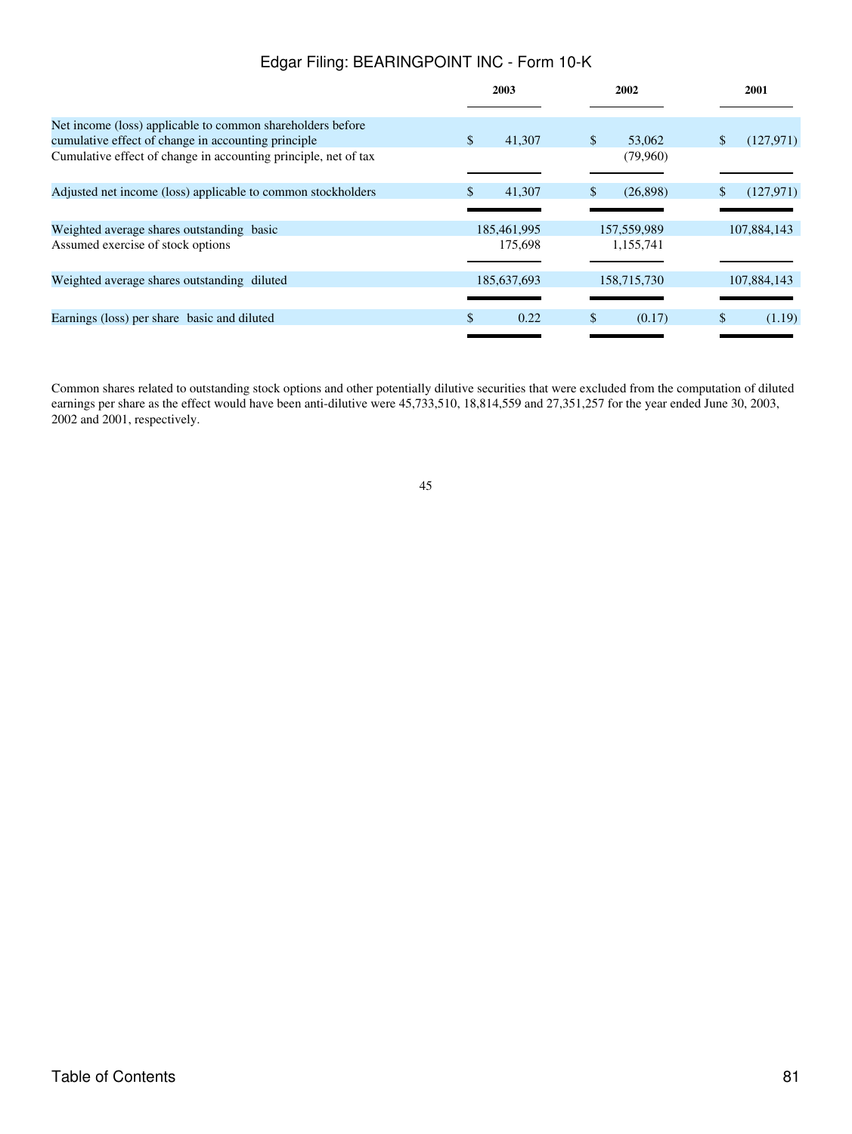|                                                                 | 2003                  | 2002                      | 2001          |
|-----------------------------------------------------------------|-----------------------|---------------------------|---------------|
| Net income (loss) applicable to common shareholders before      |                       |                           |               |
| cumulative effect of change in accounting principle             | 41,307<br>\$.         | $\mathbb{S}$<br>53,062    | (127.971)     |
| Cumulative effect of change in accounting principle, net of tax |                       | (79,960)                  |               |
| Adjusted net income (loss) applicable to common stockholders    | 41,307<br>S.          | (26,898)<br><sup>\$</sup> | (127, 971)    |
|                                                                 |                       |                           |               |
| Weighted average shares outstanding basic                       | 185,461,995           | 157,559,989               | 107,884,143   |
| Assumed exercise of stock options                               | 175,698               | 1,155,741                 |               |
|                                                                 |                       |                           |               |
| Weighted average shares outstanding diluted                     | 185,637,693           | 158,715,730               | 107,884,143   |
|                                                                 |                       |                           |               |
| Earnings (loss) per share basic and diluted                     | $\mathcal{S}$<br>0.22 | \$<br>(0.17)              | \$.<br>(1.19) |
|                                                                 |                       |                           |               |

Common shares related to outstanding stock options and other potentially dilutive securities that were excluded from the computation of diluted earnings per share as the effect would have been anti-dilutive were 45,733,510, 18,814,559 and 27,351,257 for the year ended June 30, 2003, 2002 and 2001, respectively.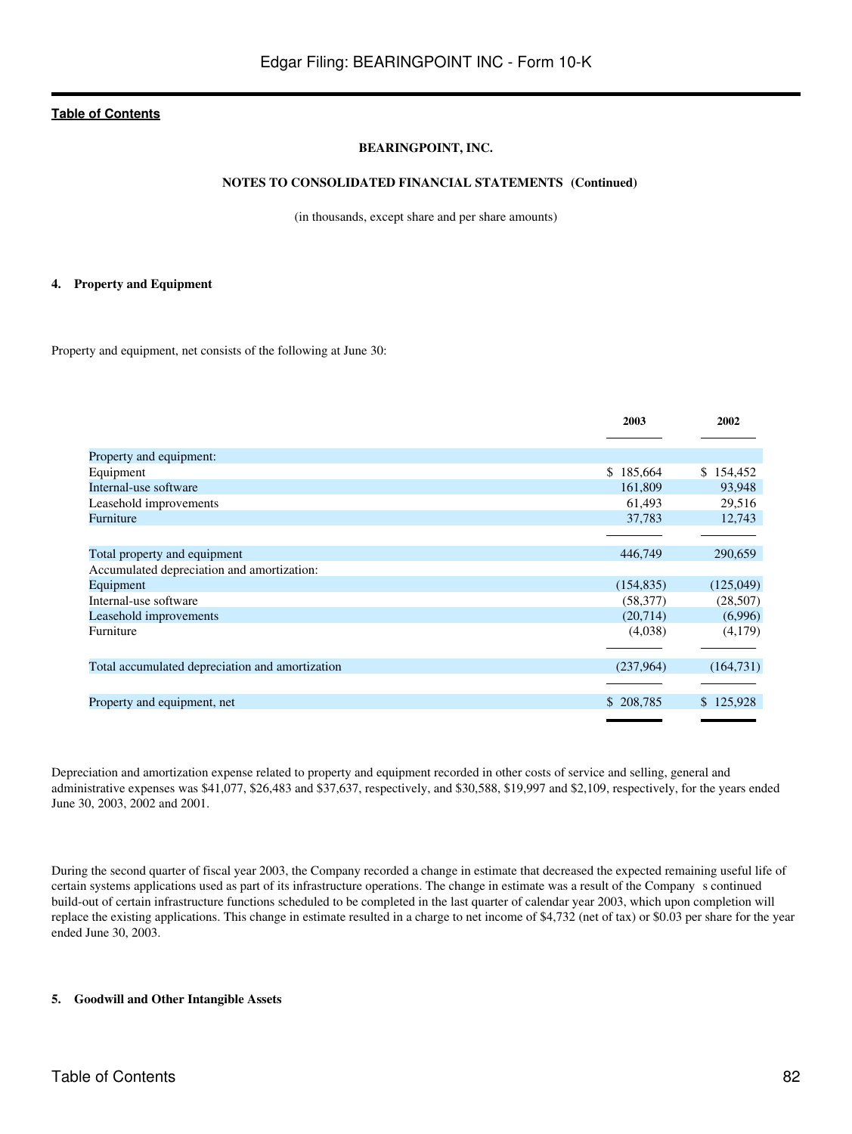## **BEARINGPOINT, INC.**

## **NOTES TO CONSOLIDATED FINANCIAL STATEMENTS (Continued)**

(in thousands, except share and per share amounts)

#### **4. Property and Equipment**

Property and equipment, net consists of the following at June 30:

|                                                 | 2003       | 2002       |
|-------------------------------------------------|------------|------------|
|                                                 |            |            |
| Property and equipment:                         |            |            |
| Equipment                                       | \$185,664  | \$154,452  |
| Internal-use software                           | 161,809    | 93,948     |
| Leasehold improvements                          | 61,493     | 29,516     |
| Furniture                                       | 37,783     | 12,743     |
|                                                 |            |            |
| Total property and equipment                    | 446,749    | 290,659    |
| Accumulated depreciation and amortization:      |            |            |
| Equipment                                       | (154, 835) | (125,049)  |
| Internal-use software                           | (58, 377)  | (28,507)   |
| Leasehold improvements                          | (20,714)   | (6,996)    |
| Furniture                                       | (4,038)    | (4,179)    |
|                                                 |            |            |
| Total accumulated depreciation and amortization | (237,964)  | (164, 731) |
|                                                 |            |            |
| Property and equipment, net                     | \$208,785  | \$125,928  |
|                                                 |            |            |

Depreciation and amortization expense related to property and equipment recorded in other costs of service and selling, general and administrative expenses was \$41,077, \$26,483 and \$37,637, respectively, and \$30,588, \$19,997 and \$2,109, respectively, for the years ended June 30, 2003, 2002 and 2001.

During the second quarter of fiscal year 2003, the Company recorded a change in estimate that decreased the expected remaining useful life of certain systems applications used as part of its infrastructure operations. The change in estimate was a result of the Company s continued build-out of certain infrastructure functions scheduled to be completed in the last quarter of calendar year 2003, which upon completion will replace the existing applications. This change in estimate resulted in a charge to net income of \$4,732 (net of tax) or \$0.03 per share for the year ended June 30, 2003.

### **5. Goodwill and Other Intangible Assets**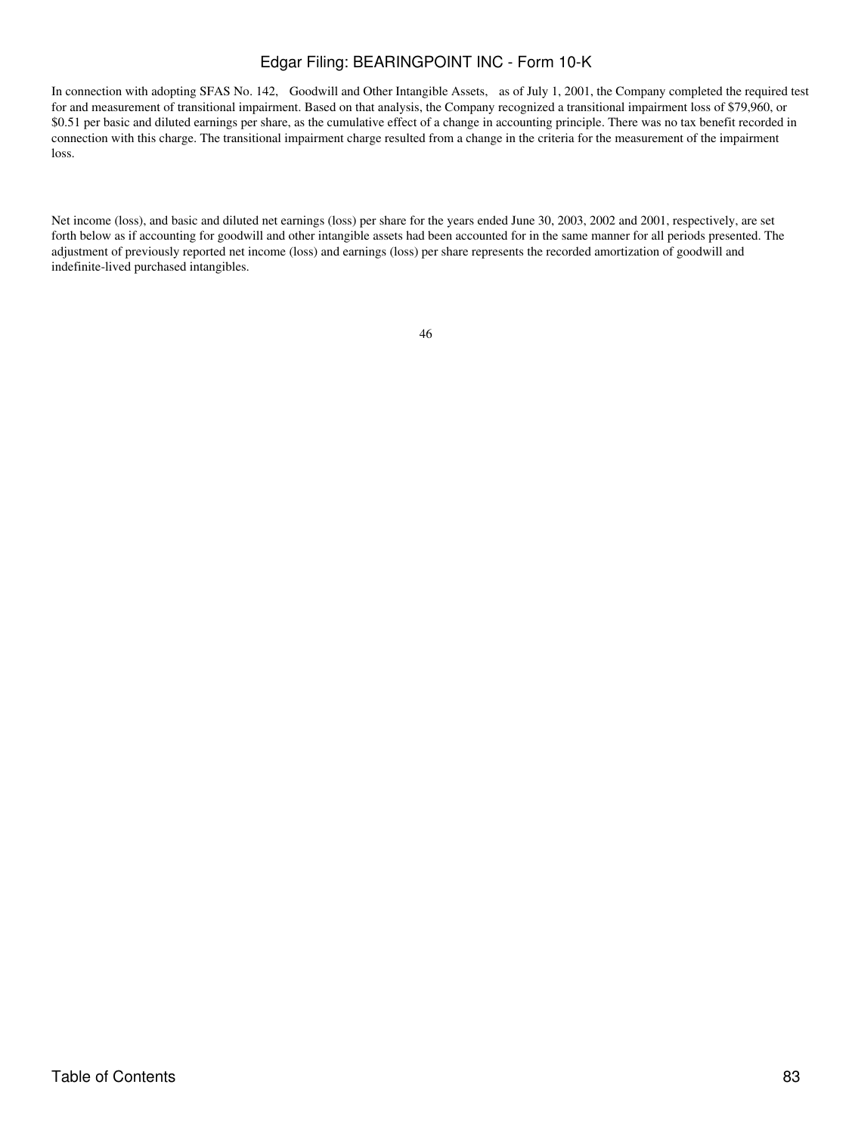In connection with adopting SFAS No. 142, Goodwill and Other Intangible Assets, as of July 1, 2001, the Company completed the required test for and measurement of transitional impairment. Based on that analysis, the Company recognized a transitional impairment loss of \$79,960, or \$0.51 per basic and diluted earnings per share, as the cumulative effect of a change in accounting principle. There was no tax benefit recorded in connection with this charge. The transitional impairment charge resulted from a change in the criteria for the measurement of the impairment loss.

Net income (loss), and basic and diluted net earnings (loss) per share for the years ended June 30, 2003, 2002 and 2001, respectively, are set forth below as if accounting for goodwill and other intangible assets had been accounted for in the same manner for all periods presented. The adjustment of previously reported net income (loss) and earnings (loss) per share represents the recorded amortization of goodwill and indefinite-lived purchased intangibles.

| ۰. |                   |
|----|-------------------|
|    | ×<br>i<br>M.<br>٧ |
|    |                   |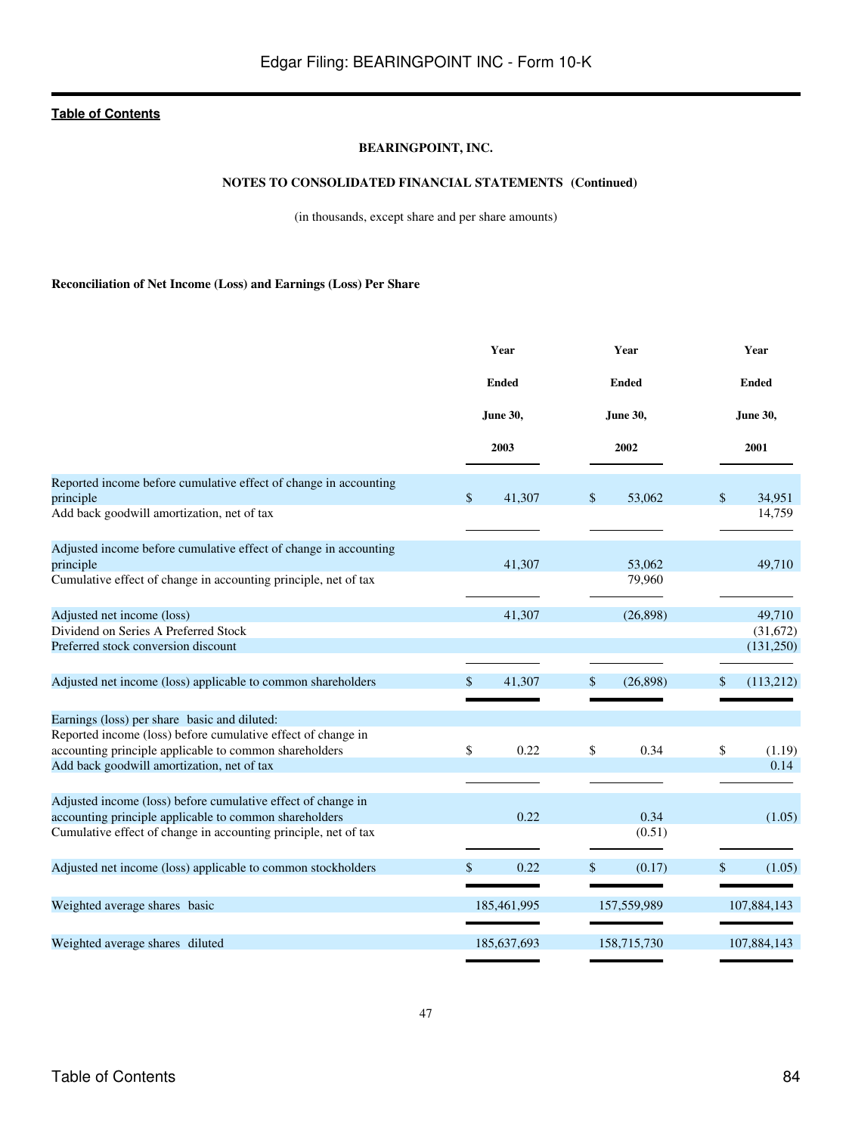## **BEARINGPOINT, INC.**

## **NOTES TO CONSOLIDATED FINANCIAL STATEMENTS (Continued)**

(in thousands, except share and per share amounts)

**Reconciliation of Net Income (Loss) and Earnings (Loss) Per Share**

|                                                                  | Year<br><b>Ended</b> |                 |              | Year        |              | Year            |  |
|------------------------------------------------------------------|----------------------|-----------------|--------------|-------------|--------------|-----------------|--|
|                                                                  |                      |                 | <b>Ended</b> |             | <b>Ended</b> |                 |  |
|                                                                  |                      | <b>June 30,</b> | June 30,     |             |              | <b>June 30,</b> |  |
|                                                                  |                      | 2003            |              | 2002        |              | 2001            |  |
| Reported income before cumulative effect of change in accounting |                      |                 |              |             |              |                 |  |
| principle                                                        | \$                   | 41,307          | \$           | 53,062      | $\mathbb{S}$ | 34.951          |  |
| Add back goodwill amortization, net of tax                       |                      |                 |              |             |              | 14,759          |  |
| Adjusted income before cumulative effect of change in accounting |                      |                 |              |             |              |                 |  |
| principle                                                        |                      | 41,307          |              | 53,062      |              | 49,710          |  |
| Cumulative effect of change in accounting principle, net of tax  |                      |                 |              | 79,960      |              |                 |  |
| Adjusted net income (loss)                                       |                      | 41,307          |              | (26,898)    |              | 49,710          |  |
| Dividend on Series A Preferred Stock                             |                      |                 |              |             |              | (31,672)        |  |
| Preferred stock conversion discount                              |                      |                 |              |             |              | (131, 250)      |  |
|                                                                  |                      |                 |              |             |              |                 |  |
| Adjusted net income (loss) applicable to common shareholders     | \$                   | 41,307          | \$           | (26, 898)   | \$           | (113,212)       |  |
|                                                                  |                      |                 |              |             |              |                 |  |
| Earnings (loss) per share basic and diluted:                     |                      |                 |              |             |              |                 |  |
| Reported income (loss) before cumulative effect of change in     |                      |                 |              |             |              |                 |  |
| accounting principle applicable to common shareholders           | \$                   | 0.22            | \$           | 0.34        | \$           | (1.19)          |  |
| Add back goodwill amortization, net of tax                       |                      |                 |              |             |              | 0.14            |  |
|                                                                  |                      |                 |              |             |              |                 |  |
| Adjusted income (loss) before cumulative effect of change in     |                      |                 |              |             |              |                 |  |
| accounting principle applicable to common shareholders           |                      | 0.22            |              | 0.34        |              | (1.05)          |  |
| Cumulative effect of change in accounting principle, net of tax  |                      |                 |              | (0.51)      |              |                 |  |
| Adjusted net income (loss) applicable to common stockholders     | \$                   | 0.22            | \$           | (0.17)      | \$           | (1.05)          |  |
|                                                                  |                      |                 |              |             |              |                 |  |
| Weighted average shares basic                                    |                      | 185,461,995     |              | 157,559,989 |              | 107,884,143     |  |
|                                                                  |                      |                 |              |             |              |                 |  |
| Weighted average shares diluted                                  |                      | 185,637,693     |              | 158,715,730 |              | 107,884,143     |  |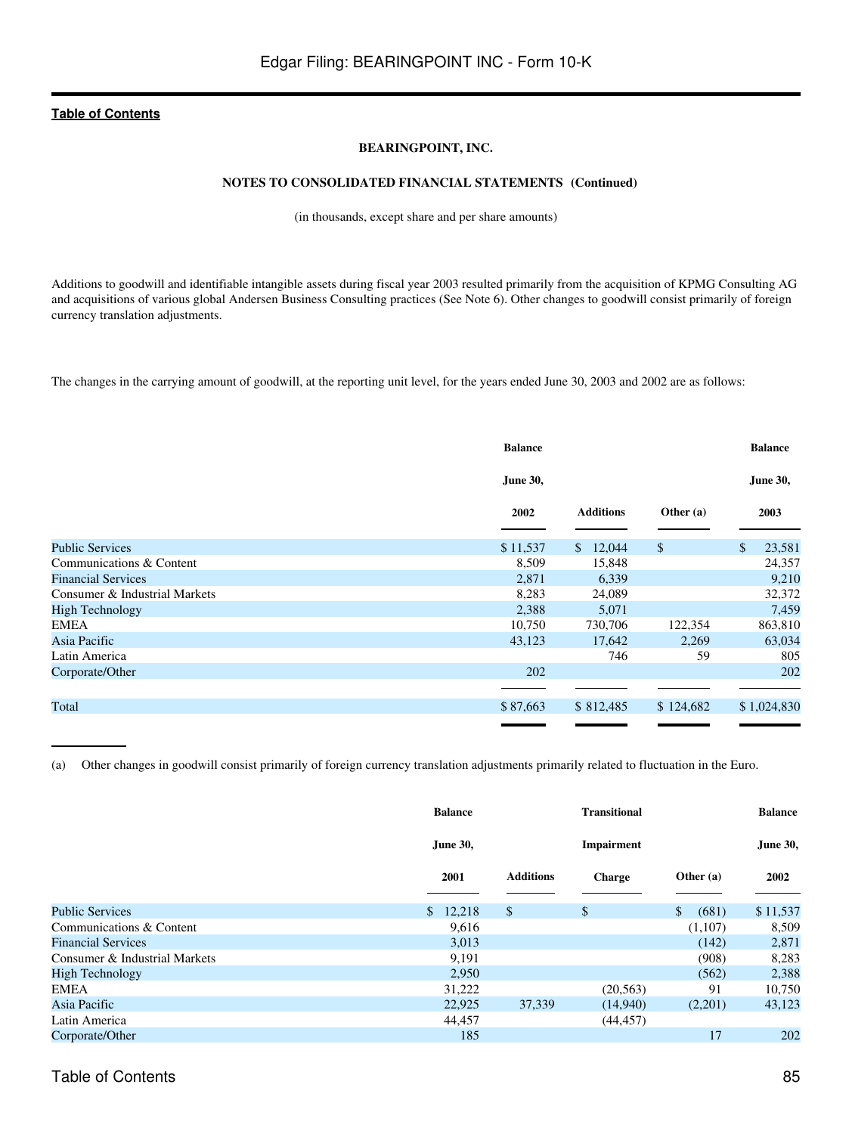## **BEARINGPOINT, INC.**

## **NOTES TO CONSOLIDATED FINANCIAL STATEMENTS (Continued)**

(in thousands, except share and per share amounts)

Additions to goodwill and identifiable intangible assets during fiscal year 2003 resulted primarily from the acquisition of KPMG Consulting AG and acquisitions of various global Andersen Business Consulting practices (See Note 6). Other changes to goodwill consist primarily of foreign currency translation adjustments.

The changes in the carrying amount of goodwill, at the reporting unit level, for the years ended June 30, 2003 and 2002 are as follows:

|                               | <b>Balance</b>  |                  |              | <b>Balance</b>  |
|-------------------------------|-----------------|------------------|--------------|-----------------|
|                               | <b>June 30,</b> |                  |              | <b>June 30,</b> |
|                               | 2002            | <b>Additions</b> | Other $(a)$  | 2003            |
| <b>Public Services</b>        | \$11,537        | \$12,044         | $\mathbb{S}$ | \$<br>23,581    |
| Communications & Content      | 8,509           | 15,848           |              | 24,357          |
| <b>Financial Services</b>     | 2,871           | 6,339            |              | 9,210           |
| Consumer & Industrial Markets | 8,283           | 24,089           |              | 32,372          |
| <b>High Technology</b>        | 2,388           | 5,071            |              | 7,459           |
| <b>EMEA</b>                   | 10,750          | 730,706          | 122,354      | 863,810         |
| Asia Pacific                  | 43,123          | 17,642           | 2,269        | 63,034          |
| Latin America                 |                 | 746              | 59           | 805             |
| Corporate/Other               | 202             |                  |              | 202             |
|                               |                 |                  |              |                 |
| Total                         | \$87,663        | \$812,485        | \$124,682    | \$1,024,830     |
|                               |                 |                  |              |                 |

(a) Other changes in goodwill consist primarily of foreign currency translation adjustments primarily related to fluctuation in the Euro.

|                               | <b>Balance</b> |                  |               | <b>Transitional</b>   |                 |
|-------------------------------|----------------|------------------|---------------|-----------------------|-----------------|
|                               | June 30,       |                  | Impairment    |                       | <b>June 30,</b> |
|                               | 2001           | <b>Additions</b> | <b>Charge</b> | Other $(a)$           | 2002            |
| <b>Public Services</b>        | \$12,218       | $\mathcal{S}$    | $\mathbb{S}$  | $\mathbb{S}$<br>(681) | \$11,537        |
| Communications & Content      | 9,616          |                  |               | (1,107)               | 8,509           |
| <b>Financial Services</b>     | 3,013          |                  |               | (142)                 | 2,871           |
| Consumer & Industrial Markets | 9,191          |                  |               | (908)                 | 8,283           |
| <b>High Technology</b>        | 2,950          |                  |               | (562)                 | 2,388           |
| <b>EMEA</b>                   | 31,222         |                  | (20, 563)     | 91                    | 10,750          |
| Asia Pacific                  | 22,925         | 37,339           | (14,940)      | (2,201)               | 43,123          |
| Latin America                 | 44,457         |                  | (44, 457)     |                       |                 |
| Corporate/Other               | 185            |                  |               | 17                    | 202             |

# Table of Contents 85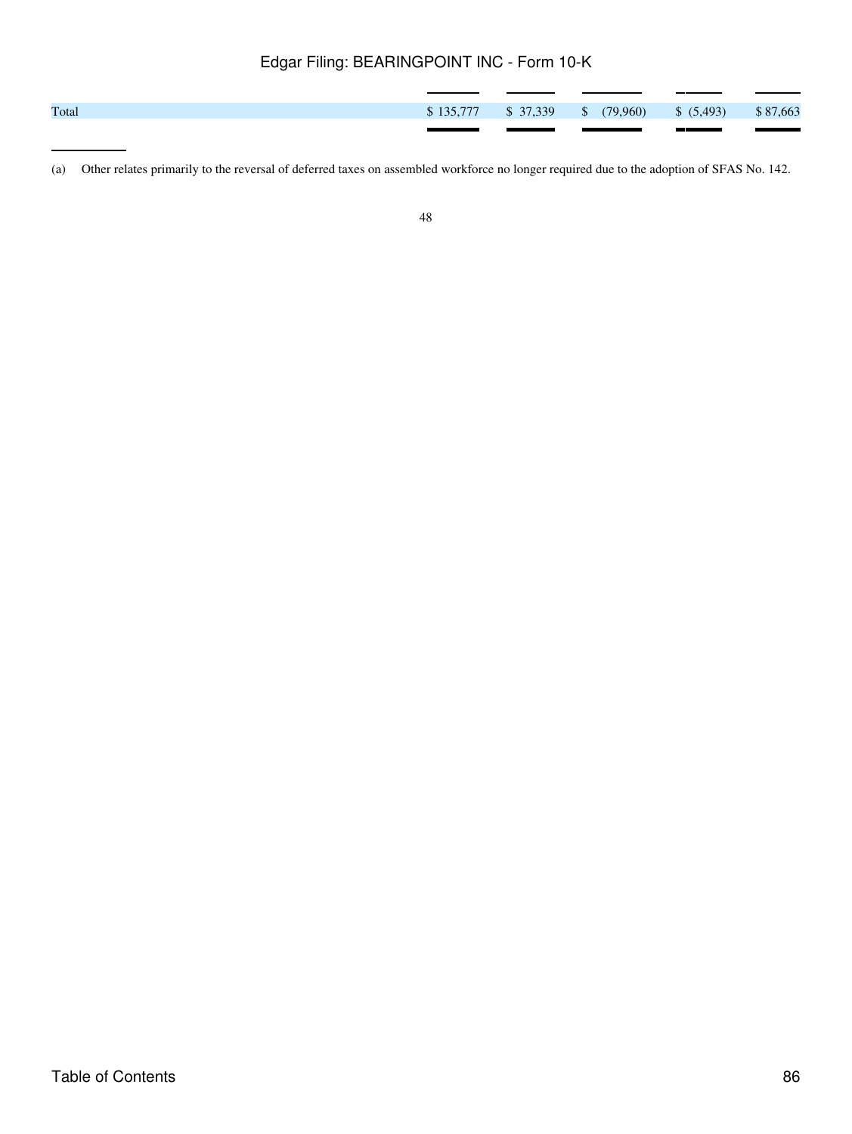| Total |  | $$135,777$ $$37,339$ $$$ $(79,960)$ $$ (5,493)$ $$87,663$ |  |
|-------|--|-----------------------------------------------------------|--|
|       |  |                                                           |  |

<sup>(</sup>a) Other relates primarily to the reversal of deferred taxes on assembled workforce no longer required due to the adoption of SFAS No. 142.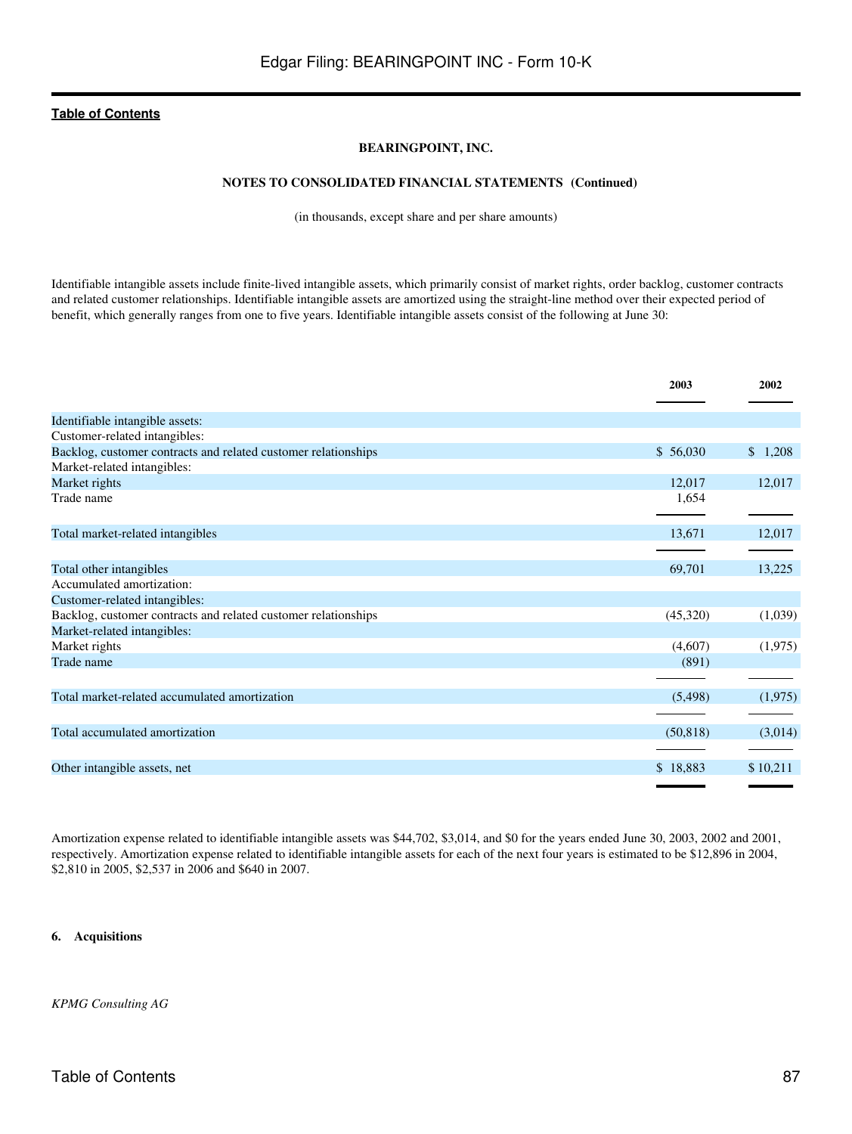## **BEARINGPOINT, INC.**

## **NOTES TO CONSOLIDATED FINANCIAL STATEMENTS (Continued)**

(in thousands, except share and per share amounts)

Identifiable intangible assets include finite-lived intangible assets, which primarily consist of market rights, order backlog, customer contracts and related customer relationships. Identifiable intangible assets are amortized using the straight-line method over their expected period of benefit, which generally ranges from one to five years. Identifiable intangible assets consist of the following at June 30:

|                                                                | 2003      | 2002     |
|----------------------------------------------------------------|-----------|----------|
| Identifiable intangible assets:                                |           |          |
| Customer-related intangibles:                                  |           |          |
| Backlog, customer contracts and related customer relationships | \$56,030  | \$1,208  |
| Market-related intangibles:                                    |           |          |
| Market rights                                                  | 12,017    | 12,017   |
| Trade name                                                     | 1,654     |          |
|                                                                |           |          |
| Total market-related intangibles                               | 13,671    | 12,017   |
|                                                                |           |          |
| Total other intangibles                                        | 69,701    | 13,225   |
| Accumulated amortization:                                      |           |          |
| Customer-related intangibles:                                  |           |          |
| Backlog, customer contracts and related customer relationships | (45,320)  | (1,039)  |
| Market-related intangibles:                                    |           |          |
| Market rights                                                  | (4,607)   | (1,975)  |
| Trade name                                                     | (891)     |          |
|                                                                |           |          |
| Total market-related accumulated amortization                  | (5,498)   | (1,975)  |
|                                                                |           |          |
| Total accumulated amortization                                 | (50, 818) | (3,014)  |
|                                                                |           |          |
| Other intangible assets, net                                   | \$18,883  | \$10,211 |
|                                                                |           |          |

Amortization expense related to identifiable intangible assets was \$44,702, \$3,014, and \$0 for the years ended June 30, 2003, 2002 and 2001, respectively. Amortization expense related to identifiable intangible assets for each of the next four years is estimated to be \$12,896 in 2004, \$2,810 in 2005, \$2,537 in 2006 and \$640 in 2007.

### **6. Acquisitions**

*KPMG Consulting AG*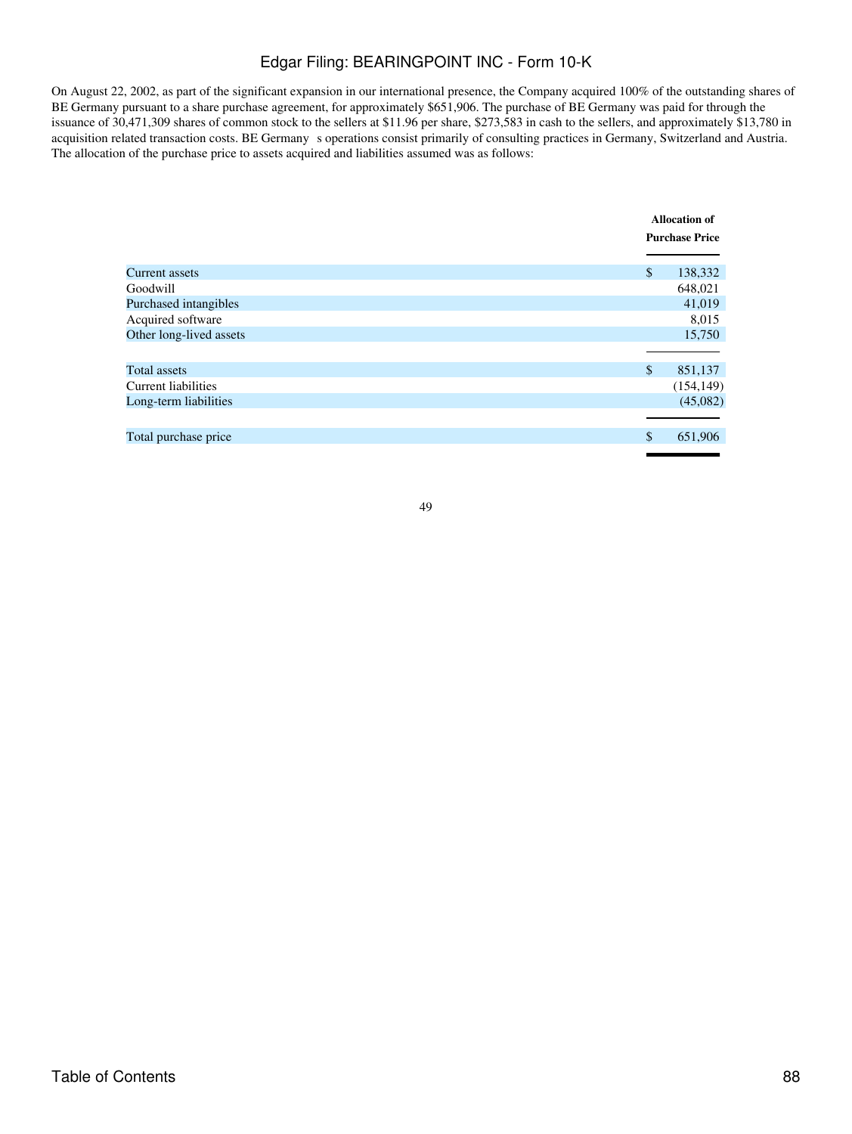On August 22, 2002, as part of the significant expansion in our international presence, the Company acquired 100% of the outstanding shares of BE Germany pursuant to a share purchase agreement, for approximately \$651,906. The purchase of BE Germany was paid for through the issuance of 30,471,309 shares of common stock to the sellers at \$11.96 per share, \$273,583 in cash to the sellers, and approximately \$13,780 in acquisition related transaction costs. BE Germanys operations consist primarily of consulting practices in Germany, Switzerland and Austria. The allocation of the purchase price to assets acquired and liabilities assumed was as follows:

|                            | <b>Allocation of</b><br><b>Purchase Price</b> |            |
|----------------------------|-----------------------------------------------|------------|
|                            |                                               |            |
|                            |                                               |            |
| Current assets             | \$                                            | 138,332    |
| Goodwill                   |                                               | 648,021    |
| Purchased intangibles      |                                               | 41,019     |
| Acquired software          |                                               | 8,015      |
| Other long-lived assets    |                                               | 15,750     |
|                            |                                               |            |
| Total assets               | \$                                            | 851,137    |
| <b>Current liabilities</b> |                                               | (154, 149) |
| Long-term liabilities      |                                               | (45,082)   |
|                            |                                               |            |
| Total purchase price       | \$                                            | 651,906    |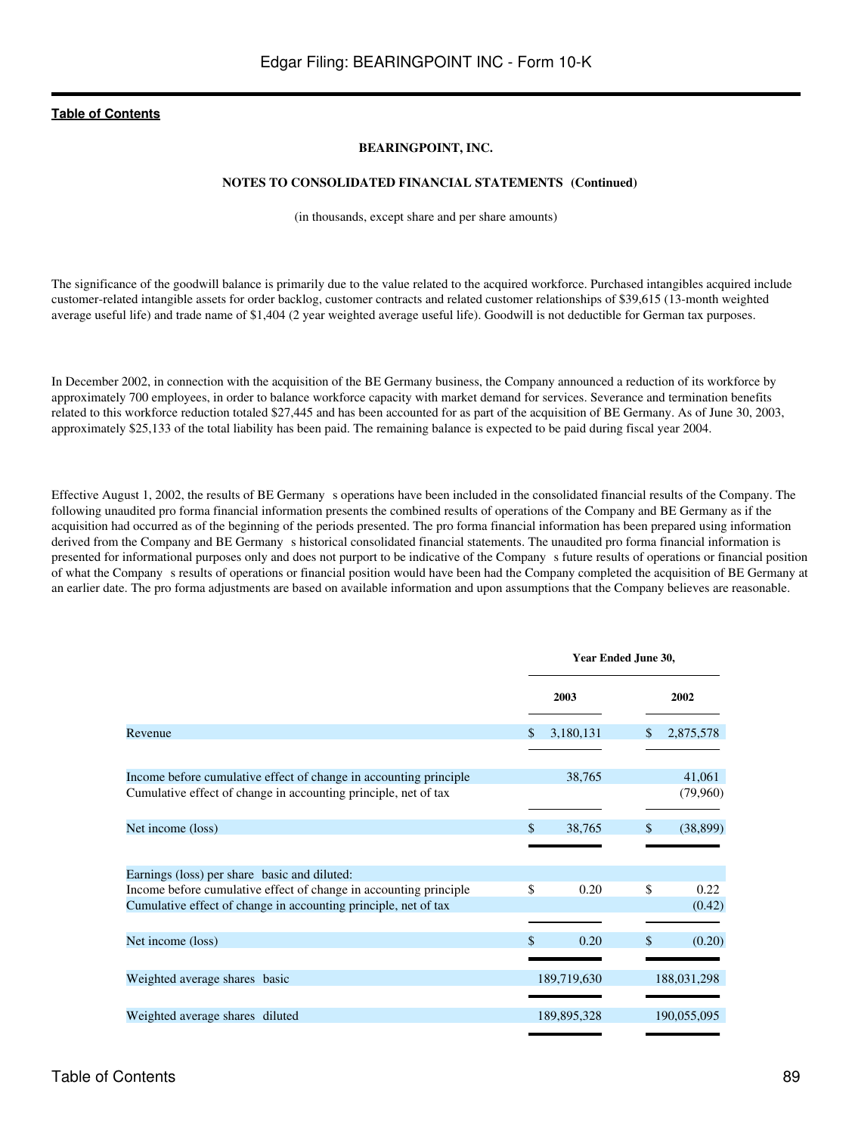## **BEARINGPOINT, INC.**

### **NOTES TO CONSOLIDATED FINANCIAL STATEMENTS (Continued)**

(in thousands, except share and per share amounts)

The significance of the goodwill balance is primarily due to the value related to the acquired workforce. Purchased intangibles acquired include customer-related intangible assets for order backlog, customer contracts and related customer relationships of \$39,615 (13-month weighted average useful life) and trade name of \$1,404 (2 year weighted average useful life). Goodwill is not deductible for German tax purposes.

In December 2002, in connection with the acquisition of the BE Germany business, the Company announced a reduction of its workforce by approximately 700 employees, in order to balance workforce capacity with market demand for services. Severance and termination benefits related to this workforce reduction totaled \$27,445 and has been accounted for as part of the acquisition of BE Germany. As of June 30, 2003, approximately \$25,133 of the total liability has been paid. The remaining balance is expected to be paid during fiscal year 2004.

Effective August 1, 2002, the results of BE Germanys operations have been included in the consolidated financial results of the Company. The following unaudited pro forma financial information presents the combined results of operations of the Company and BE Germany as if the acquisition had occurred as of the beginning of the periods presented. The pro forma financial information has been prepared using information derived from the Company and BE Germany s historical consolidated financial statements. The unaudited pro forma financial information is presented for informational purposes only and does not purport to be indicative of the Companys future results of operations or financial position of what the Company s results of operations or financial position would have been had the Company completed the acquisition of BE Germany at an earlier date. The pro forma adjustments are based on available information and upon assumptions that the Company believes are reasonable.

|                                                                                                                                      | Year Ended June 30, |                            |  |
|--------------------------------------------------------------------------------------------------------------------------------------|---------------------|----------------------------|--|
|                                                                                                                                      | 2003                | 2002                       |  |
| Revenue                                                                                                                              | 3,180,131<br>\$.    | 2,875,578                  |  |
| Income before cumulative effect of change in accounting principle<br>Cumulative effect of change in accounting principle, net of tax | 38,765              | 41,061<br>(79,960)         |  |
|                                                                                                                                      |                     |                            |  |
| Net income (loss)                                                                                                                    | \$.<br>38,765       | $\mathcal{S}$<br>(38, 899) |  |
| Earnings (loss) per share basic and diluted:                                                                                         |                     |                            |  |
| Income before cumulative effect of change in accounting principle<br>Cumulative effect of change in accounting principle, net of tax | \$<br>0.20          | \$<br>0.22<br>(0.42)       |  |
| Net income (loss)                                                                                                                    | \$.<br>0.20         | \$<br>(0.20)               |  |
|                                                                                                                                      |                     |                            |  |
| Weighted average shares basic                                                                                                        | 189,719,630         | 188,031,298                |  |
| Weighted average shares diluted                                                                                                      | 189,895,328         | 190,055,095                |  |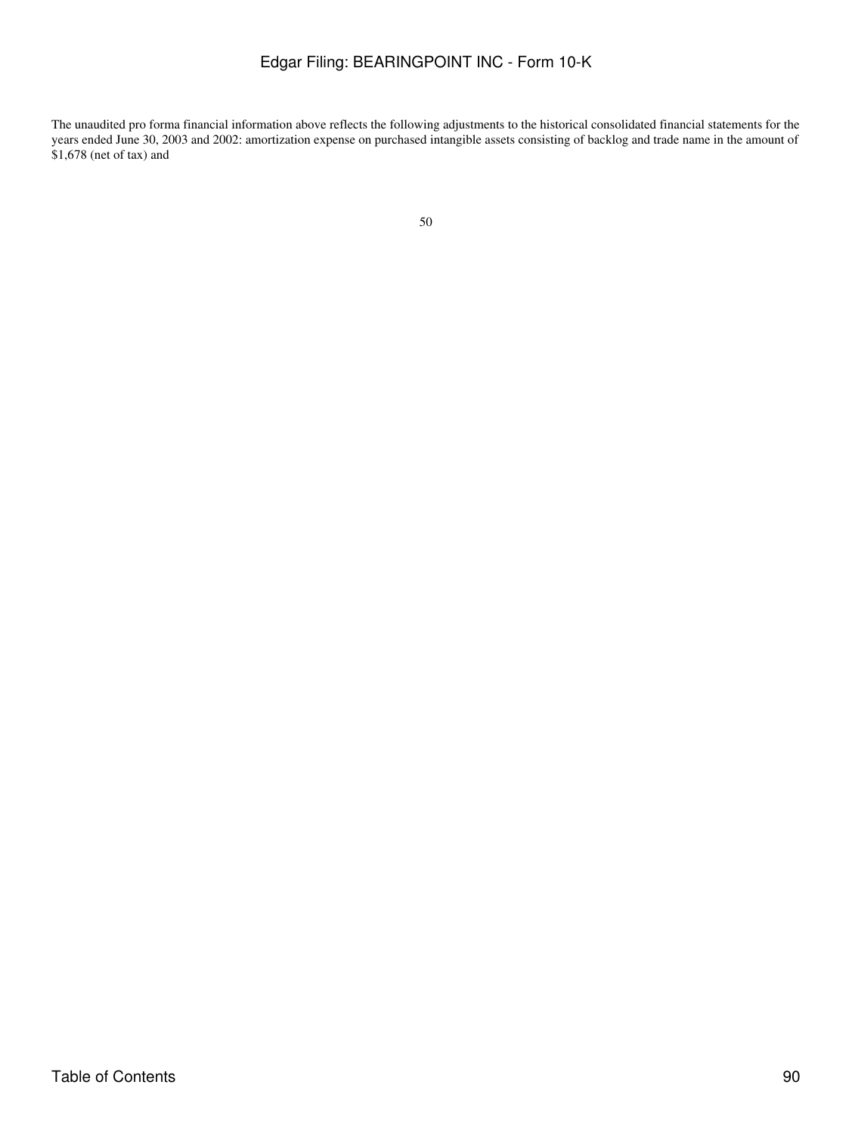The unaudited pro forma financial information above reflects the following adjustments to the historical consolidated financial statements for the years ended June 30, 2003 and 2002: amortization expense on purchased intangible assets consisting of backlog and trade name in the amount of \$1,678 (net of tax) and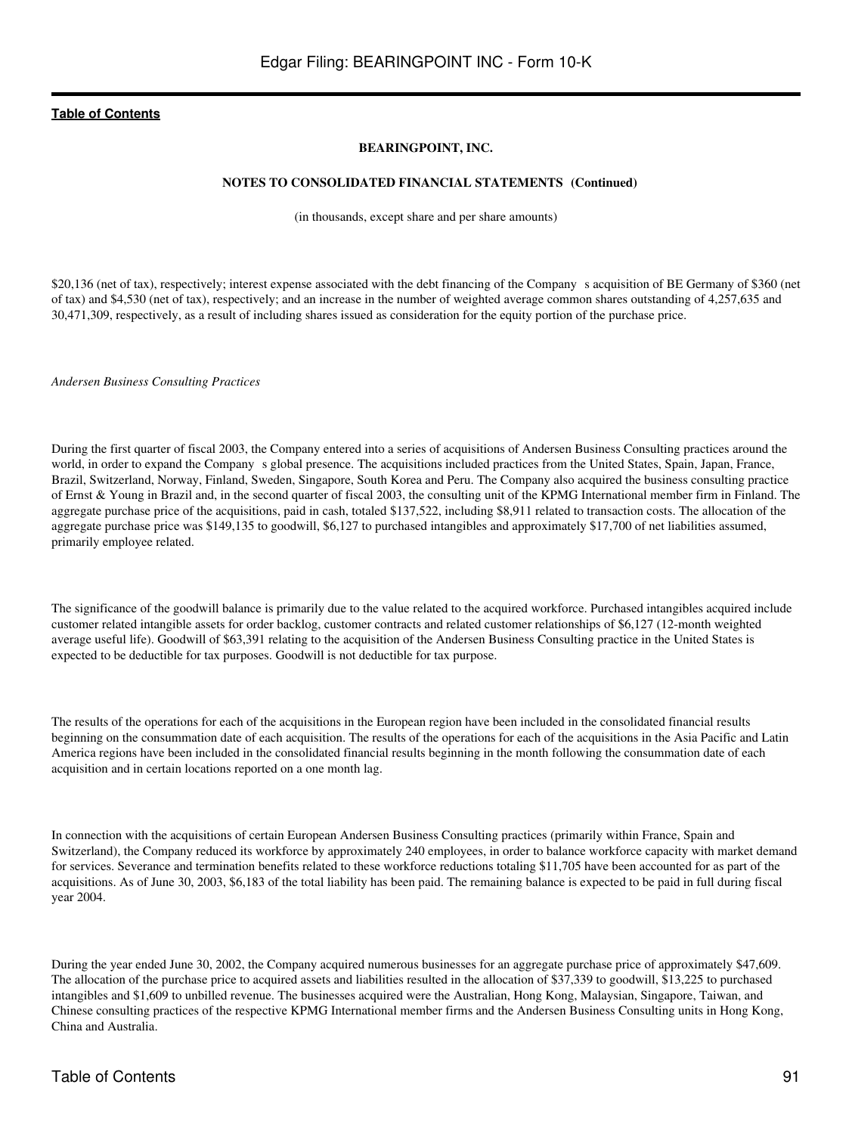### **BEARINGPOINT, INC.**

#### **NOTES TO CONSOLIDATED FINANCIAL STATEMENTS (Continued)**

(in thousands, except share and per share amounts)

\$20,136 (net of tax), respectively; interest expense associated with the debt financing of the Company s acquisition of BE Germany of \$360 (net of tax) and \$4,530 (net of tax), respectively; and an increase in the number of weighted average common shares outstanding of 4,257,635 and 30,471,309, respectively, as a result of including shares issued as consideration for the equity portion of the purchase price.

*Andersen Business Consulting Practices*

During the first quarter of fiscal 2003, the Company entered into a series of acquisitions of Andersen Business Consulting practices around the world, in order to expand the Company s global presence. The acquisitions included practices from the United States, Spain, Japan, France, Brazil, Switzerland, Norway, Finland, Sweden, Singapore, South Korea and Peru. The Company also acquired the business consulting practice of Ernst & Young in Brazil and, in the second quarter of fiscal 2003, the consulting unit of the KPMG International member firm in Finland. The aggregate purchase price of the acquisitions, paid in cash, totaled \$137,522, including \$8,911 related to transaction costs. The allocation of the aggregate purchase price was \$149,135 to goodwill, \$6,127 to purchased intangibles and approximately \$17,700 of net liabilities assumed, primarily employee related.

The significance of the goodwill balance is primarily due to the value related to the acquired workforce. Purchased intangibles acquired include customer related intangible assets for order backlog, customer contracts and related customer relationships of \$6,127 (12-month weighted average useful life). Goodwill of \$63,391 relating to the acquisition of the Andersen Business Consulting practice in the United States is expected to be deductible for tax purposes. Goodwill is not deductible for tax purpose.

The results of the operations for each of the acquisitions in the European region have been included in the consolidated financial results beginning on the consummation date of each acquisition. The results of the operations for each of the acquisitions in the Asia Pacific and Latin America regions have been included in the consolidated financial results beginning in the month following the consummation date of each acquisition and in certain locations reported on a one month lag.

In connection with the acquisitions of certain European Andersen Business Consulting practices (primarily within France, Spain and Switzerland), the Company reduced its workforce by approximately 240 employees, in order to balance workforce capacity with market demand for services. Severance and termination benefits related to these workforce reductions totaling \$11,705 have been accounted for as part of the acquisitions. As of June 30, 2003, \$6,183 of the total liability has been paid. The remaining balance is expected to be paid in full during fiscal year 2004.

During the year ended June 30, 2002, the Company acquired numerous businesses for an aggregate purchase price of approximately \$47,609. The allocation of the purchase price to acquired assets and liabilities resulted in the allocation of \$37,339 to goodwill, \$13,225 to purchased intangibles and \$1,609 to unbilled revenue. The businesses acquired were the Australian, Hong Kong, Malaysian, Singapore, Taiwan, and Chinese consulting practices of the respective KPMG International member firms and the Andersen Business Consulting units in Hong Kong, China and Australia.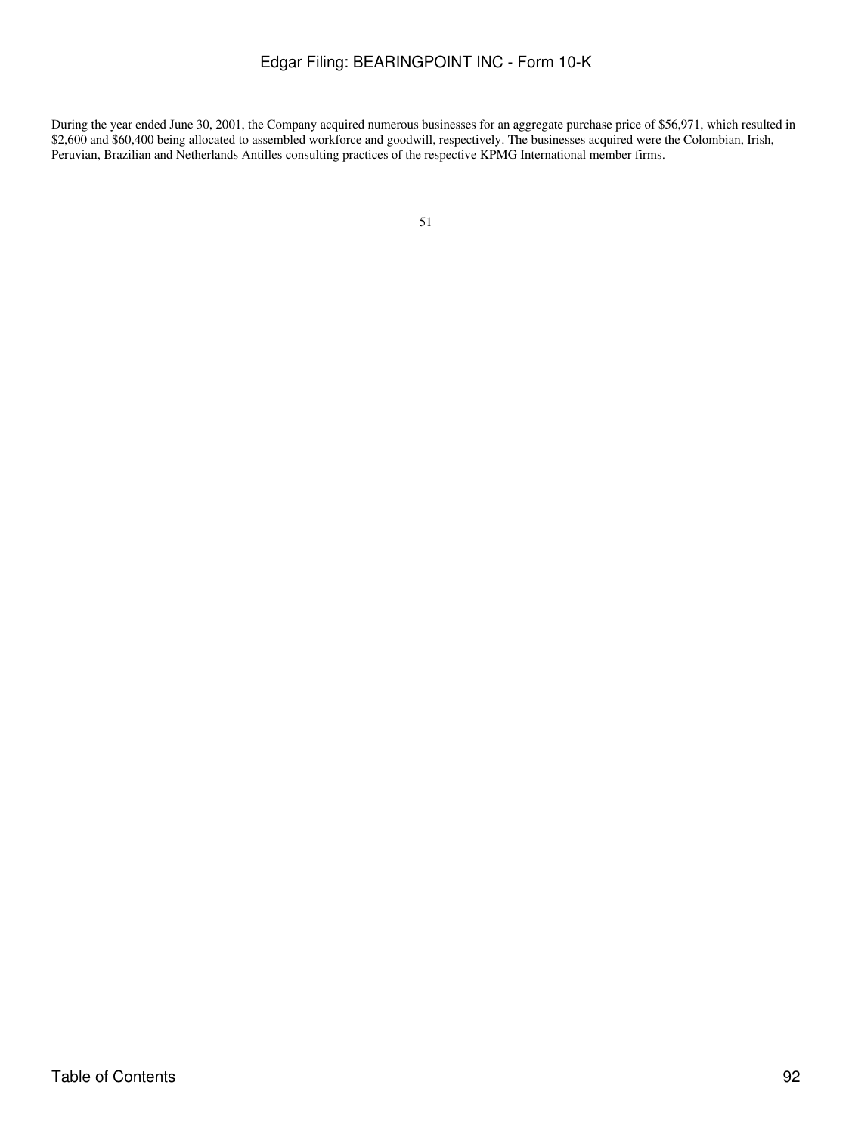During the year ended June 30, 2001, the Company acquired numerous businesses for an aggregate purchase price of \$56,971, which resulted in \$2,600 and \$60,400 being allocated to assembled workforce and goodwill, respectively. The businesses acquired were the Colombian, Irish, Peruvian, Brazilian and Netherlands Antilles consulting practices of the respective KPMG International member firms.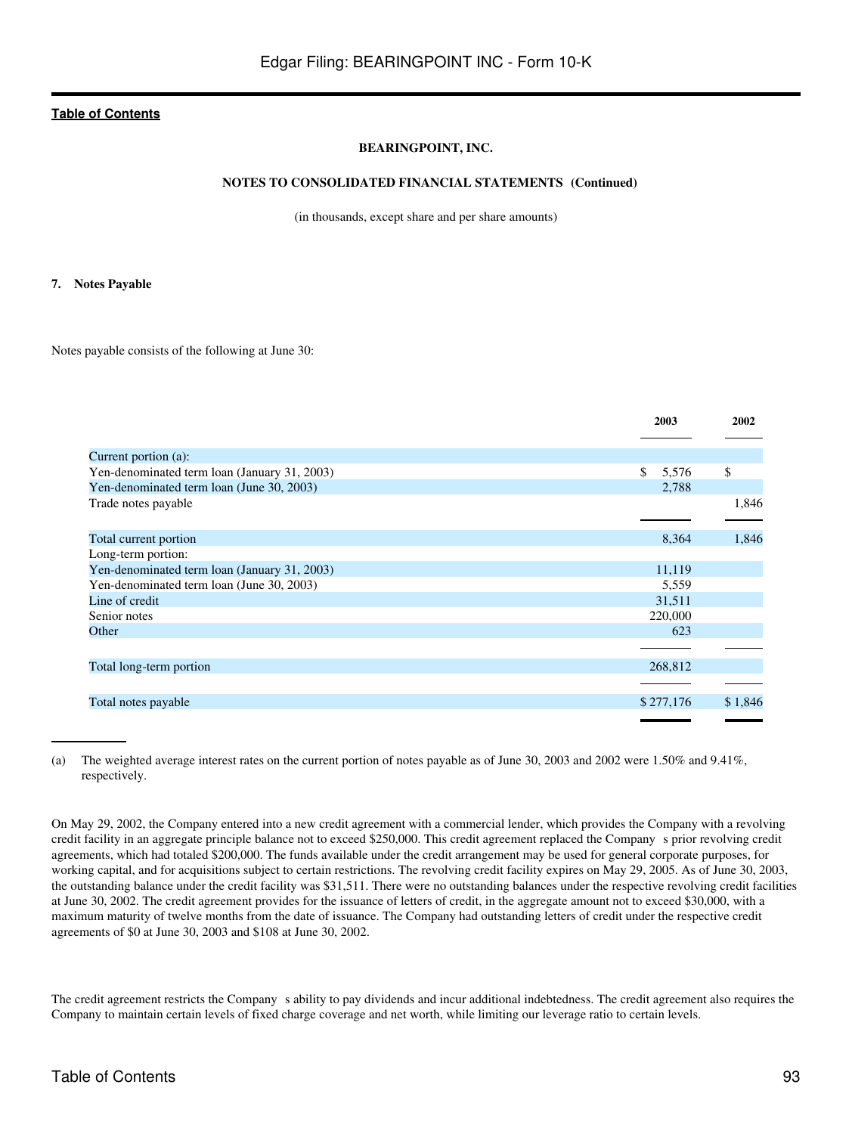## **BEARINGPOINT, INC.**

### **NOTES TO CONSOLIDATED FINANCIAL STATEMENTS (Continued)**

(in thousands, except share and per share amounts)

#### **7. Notes Payable**

Notes payable consists of the following at June 30:

|                                              | 2003        | 2002    |
|----------------------------------------------|-------------|---------|
| Current portion (a):                         |             |         |
| Yen-denominated term loan (January 31, 2003) | \$<br>5,576 | \$      |
| Yen-denominated term loan (June 30, 2003)    | 2,788       |         |
| Trade notes payable                          |             | 1,846   |
|                                              |             |         |
| Total current portion                        | 8,364       | 1,846   |
| Long-term portion:                           |             |         |
| Yen-denominated term loan (January 31, 2003) | 11,119      |         |
| Yen-denominated term loan (June 30, 2003)    | 5,559       |         |
| Line of credit                               | 31,511      |         |
| Senior notes                                 | 220,000     |         |
| Other                                        | 623         |         |
|                                              |             |         |
| Total long-term portion                      | 268,812     |         |
|                                              |             |         |
| Total notes payable                          | \$277,176   | \$1,846 |
|                                              |             |         |

(a) The weighted average interest rates on the current portion of notes payable as of June 30, 2003 and 2002 were 1.50% and 9.41%, respectively.

On May 29, 2002, the Company entered into a new credit agreement with a commercial lender, which provides the Company with a revolving credit facility in an aggregate principle balance not to exceed \$250,000. This credit agreement replaced the Companys prior revolving credit agreements, which had totaled \$200,000. The funds available under the credit arrangement may be used for general corporate purposes, for working capital, and for acquisitions subject to certain restrictions. The revolving credit facility expires on May 29, 2005. As of June 30, 2003, the outstanding balance under the credit facility was \$31,511. There were no outstanding balances under the respective revolving credit facilities at June 30, 2002. The credit agreement provides for the issuance of letters of credit, in the aggregate amount not to exceed \$30,000, with a maximum maturity of twelve months from the date of issuance. The Company had outstanding letters of credit under the respective credit agreements of \$0 at June 30, 2003 and \$108 at June 30, 2002.

The credit agreement restricts the Company s ability to pay dividends and incur additional indebtedness. The credit agreement also requires the Company to maintain certain levels of fixed charge coverage and net worth, while limiting our leverage ratio to certain levels.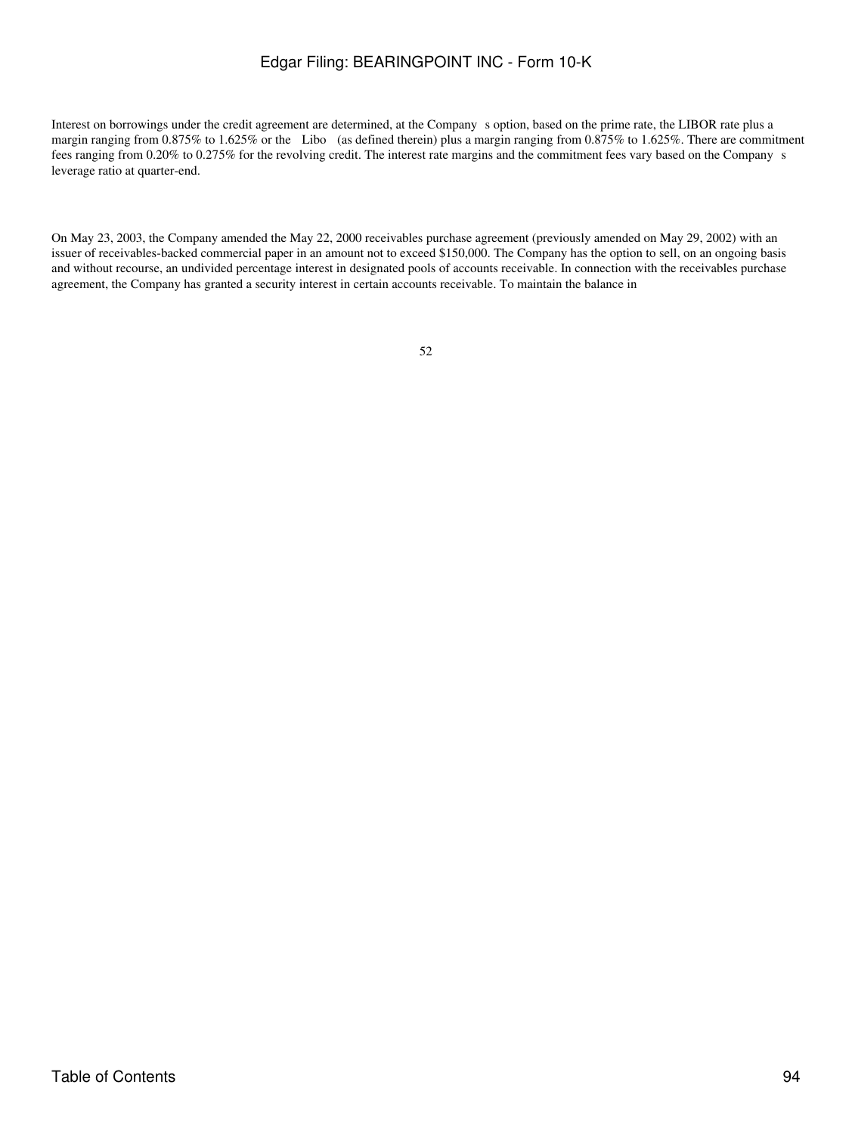Interest on borrowings under the credit agreement are determined, at the Companys option, based on the prime rate, the LIBOR rate plus a margin ranging from 0.875% to 1.625% or the Libo (as defined therein) plus a margin ranging from 0.875% to 1.625%. There are commitment fees ranging from 0.20% to 0.275% for the revolving credit. The interest rate margins and the commitment fees vary based on the Companys leverage ratio at quarter-end.

On May 23, 2003, the Company amended the May 22, 2000 receivables purchase agreement (previously amended on May 29, 2002) with an issuer of receivables-backed commercial paper in an amount not to exceed \$150,000. The Company has the option to sell, on an ongoing basis and without recourse, an undivided percentage interest in designated pools of accounts receivable. In connection with the receivables purchase agreement, the Company has granted a security interest in certain accounts receivable. To maintain the balance in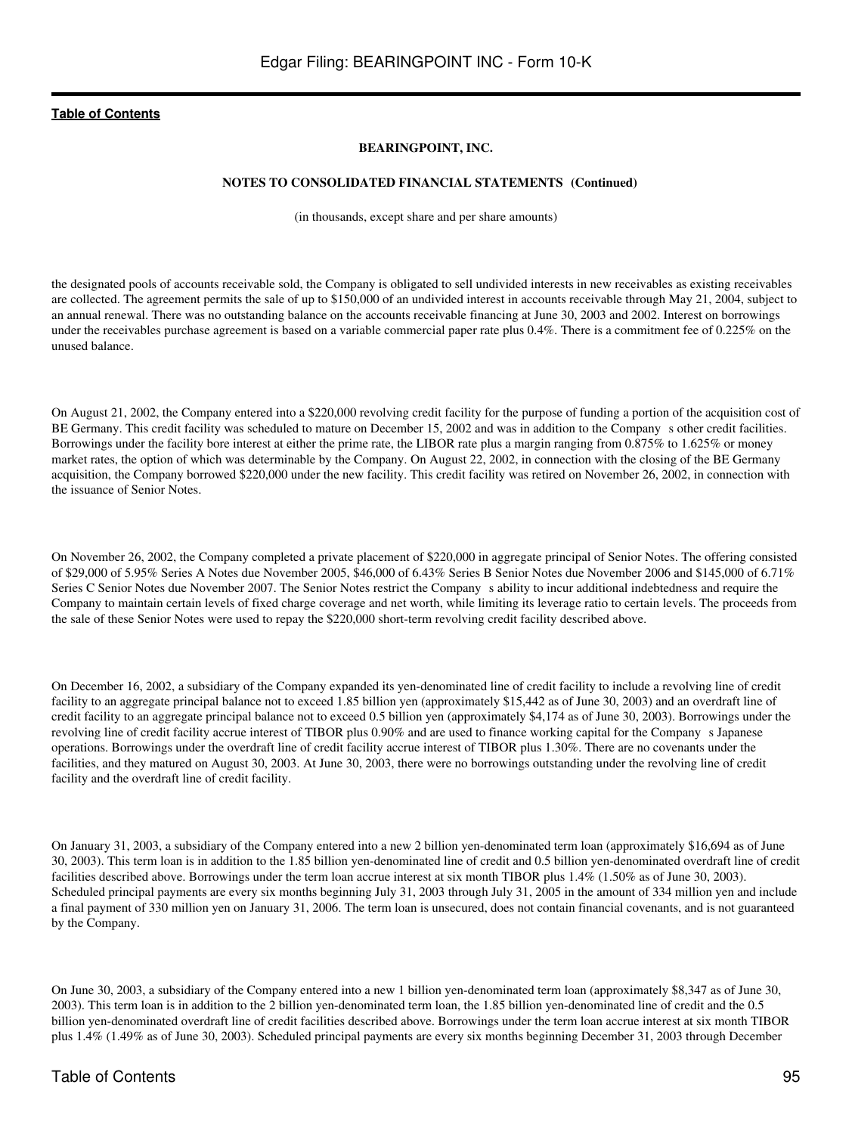## **BEARINGPOINT, INC.**

#### **NOTES TO CONSOLIDATED FINANCIAL STATEMENTS (Continued)**

(in thousands, except share and per share amounts)

the designated pools of accounts receivable sold, the Company is obligated to sell undivided interests in new receivables as existing receivables are collected. The agreement permits the sale of up to \$150,000 of an undivided interest in accounts receivable through May 21, 2004, subject to an annual renewal. There was no outstanding balance on the accounts receivable financing at June 30, 2003 and 2002. Interest on borrowings under the receivables purchase agreement is based on a variable commercial paper rate plus 0.4%. There is a commitment fee of 0.225% on the unused balance.

On August 21, 2002, the Company entered into a \$220,000 revolving credit facility for the purpose of funding a portion of the acquisition cost of BE Germany. This credit facility was scheduled to mature on December 15, 2002 and was in addition to the Company s other credit facilities. Borrowings under the facility bore interest at either the prime rate, the LIBOR rate plus a margin ranging from 0.875% to 1.625% or money market rates, the option of which was determinable by the Company. On August 22, 2002, in connection with the closing of the BE Germany acquisition, the Company borrowed \$220,000 under the new facility. This credit facility was retired on November 26, 2002, in connection with the issuance of Senior Notes.

On November 26, 2002, the Company completed a private placement of \$220,000 in aggregate principal of Senior Notes. The offering consisted of \$29,000 of 5.95% Series A Notes due November 2005, \$46,000 of 6.43% Series B Senior Notes due November 2006 and \$145,000 of 6.71% Series C Senior Notes due November 2007. The Senior Notes restrict the Company s ability to incur additional indebtedness and require the Company to maintain certain levels of fixed charge coverage and net worth, while limiting its leverage ratio to certain levels. The proceeds from the sale of these Senior Notes were used to repay the \$220,000 short-term revolving credit facility described above.

On December 16, 2002, a subsidiary of the Company expanded its yen-denominated line of credit facility to include a revolving line of credit facility to an aggregate principal balance not to exceed 1.85 billion yen (approximately \$15,442 as of June 30, 2003) and an overdraft line of credit facility to an aggregate principal balance not to exceed 0.5 billion yen (approximately \$4,174 as of June 30, 2003). Borrowings under the revolving line of credit facility accrue interest of TIBOR plus 0.90% and are used to finance working capital for the Companys Japanese operations. Borrowings under the overdraft line of credit facility accrue interest of TIBOR plus 1.30%. There are no covenants under the facilities, and they matured on August 30, 2003. At June 30, 2003, there were no borrowings outstanding under the revolving line of credit facility and the overdraft line of credit facility.

On January 31, 2003, a subsidiary of the Company entered into a new 2 billion yen-denominated term loan (approximately \$16,694 as of June 30, 2003). This term loan is in addition to the 1.85 billion yen-denominated line of credit and 0.5 billion yen-denominated overdraft line of credit facilities described above. Borrowings under the term loan accrue interest at six month TIBOR plus 1.4% (1.50% as of June 30, 2003). Scheduled principal payments are every six months beginning July 31, 2003 through July 31, 2005 in the amount of 334 million yen and include a final payment of 330 million yen on January 31, 2006. The term loan is unsecured, does not contain financial covenants, and is not guaranteed by the Company.

On June 30, 2003, a subsidiary of the Company entered into a new 1 billion yen-denominated term loan (approximately \$8,347 as of June 30, 2003). This term loan is in addition to the 2 billion yen-denominated term loan, the 1.85 billion yen-denominated line of credit and the 0.5 billion yen-denominated overdraft line of credit facilities described above. Borrowings under the term loan accrue interest at six month TIBOR plus 1.4% (1.49% as of June 30, 2003). Scheduled principal payments are every six months beginning December 31, 2003 through December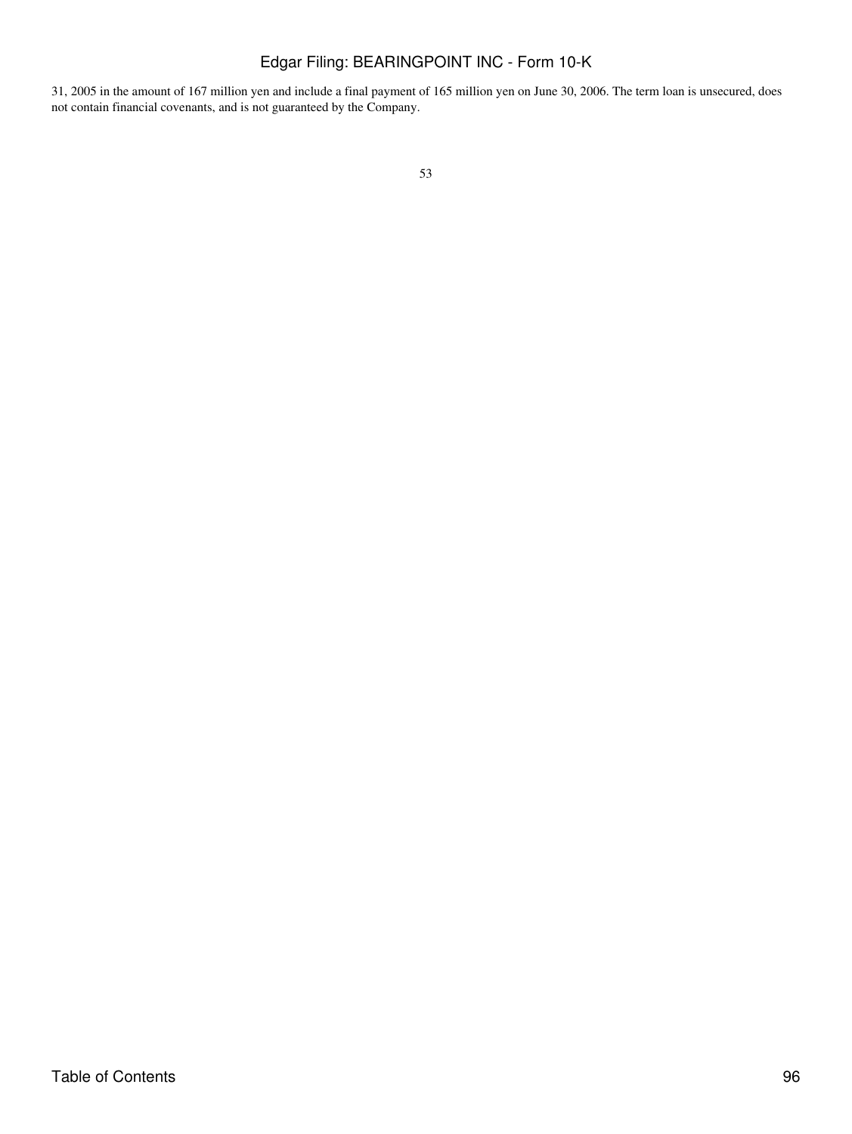31, 2005 in the amount of 167 million yen and include a final payment of 165 million yen on June 30, 2006. The term loan is unsecured, does not contain financial covenants, and is not guaranteed by the Company.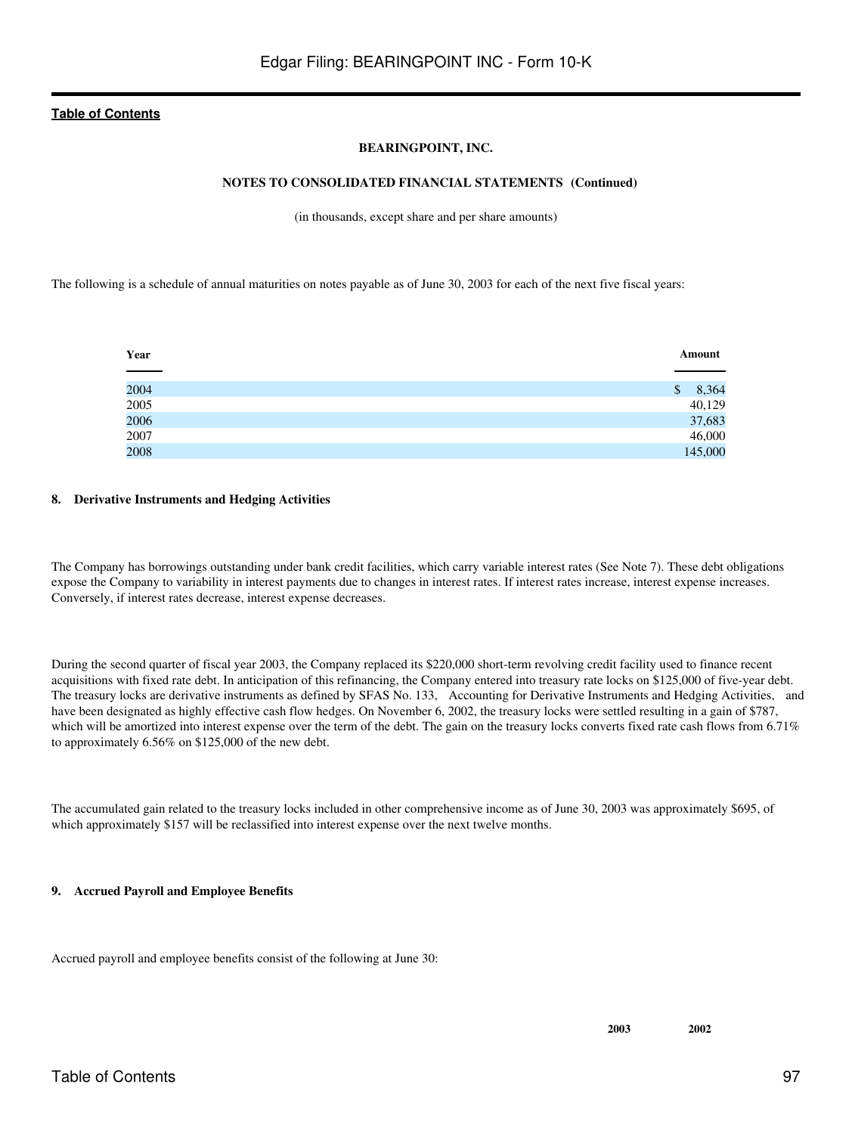## **BEARINGPOINT, INC.**

### **NOTES TO CONSOLIDATED FINANCIAL STATEMENTS (Continued)**

(in thousands, except share and per share amounts)

The following is a schedule of annual maturities on notes payable as of June 30, 2003 for each of the next five fiscal years:

| Year         | Amount      |
|--------------|-------------|
|              |             |
| 2004         | 8,364<br>\$ |
|              | 40,129      |
| 2005<br>2006 | 37,683      |
| 2007         | 46,000      |
| 2008         | 145,000     |

#### **8. Derivative Instruments and Hedging Activities**

The Company has borrowings outstanding under bank credit facilities, which carry variable interest rates (See Note 7). These debt obligations expose the Company to variability in interest payments due to changes in interest rates. If interest rates increase, interest expense increases. Conversely, if interest rates decrease, interest expense decreases.

During the second quarter of fiscal year 2003, the Company replaced its \$220,000 short-term revolving credit facility used to finance recent acquisitions with fixed rate debt. In anticipation of this refinancing, the Company entered into treasury rate locks on \$125,000 of five-year debt. The treasury locks are derivative instruments as defined by SFAS No. 133, Accounting for Derivative Instruments and Hedging Activities, and have been designated as highly effective cash flow hedges. On November 6, 2002, the treasury locks were settled resulting in a gain of \$787, which will be amortized into interest expense over the term of the debt. The gain on the treasury locks converts fixed rate cash flows from 6.71% to approximately 6.56% on \$125,000 of the new debt.

The accumulated gain related to the treasury locks included in other comprehensive income as of June 30, 2003 was approximately \$695, of which approximately \$157 will be reclassified into interest expense over the next twelve months.

## **9. Accrued Payroll and Employee Benefits**

Accrued payroll and employee benefits consist of the following at June 30: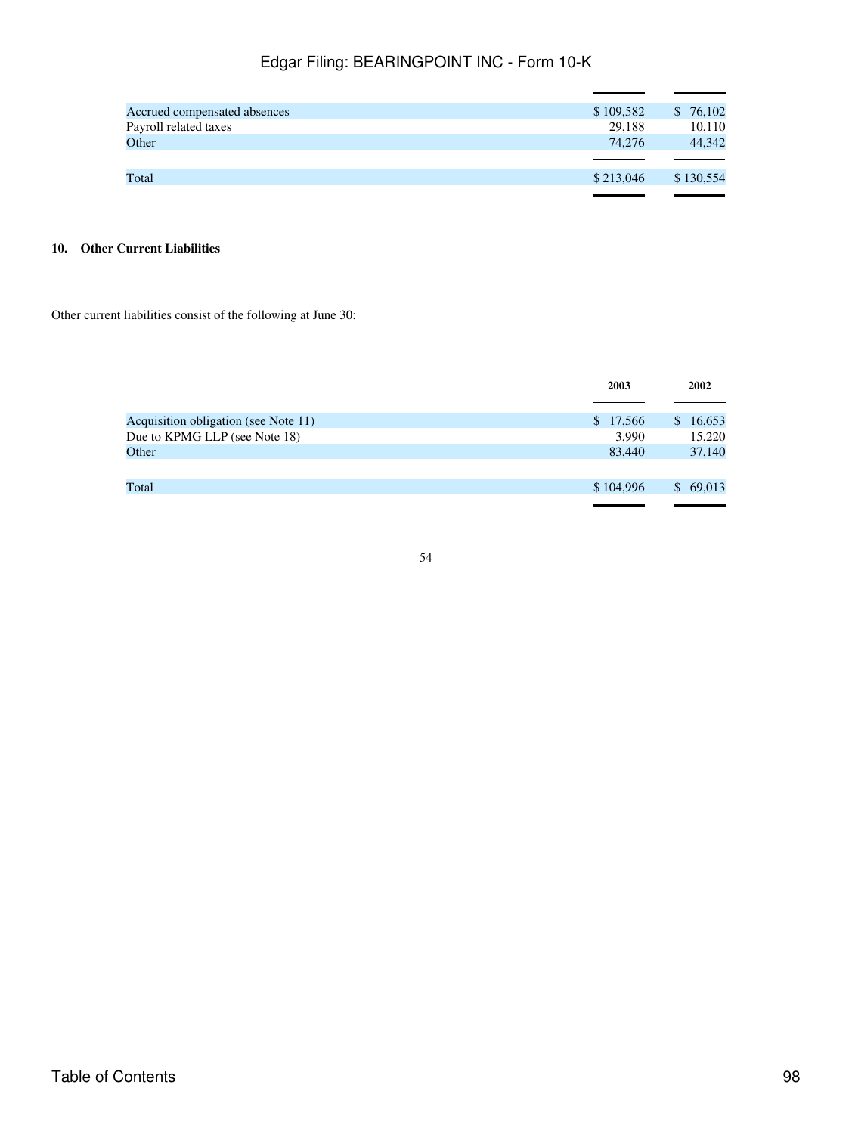| Accrued compensated absences | \$109,582 | 76,102    |
|------------------------------|-----------|-----------|
| Payroll related taxes        | 29.188    | 10,110    |
| Other                        | 74.276    | 44.342    |
|                              |           |           |
| Total                        | \$213,046 | \$130,554 |
|                              |           |           |

## **10. Other Current Liabilities**

Other current liabilities consist of the following at June 30:

|                                      | 2003      | 2002                   |
|--------------------------------------|-----------|------------------------|
| Acquisition obligation (see Note 11) | \$17,566  | 16,653<br>$\mathbb{S}$ |
| Due to KPMG LLP (see Note 18)        | 3,990     | 15,220                 |
| Other                                | 83,440    | 37,140                 |
|                                      |           |                        |
| Total                                | \$104,996 | 69,013<br>$\mathbb{S}$ |
|                                      |           |                        |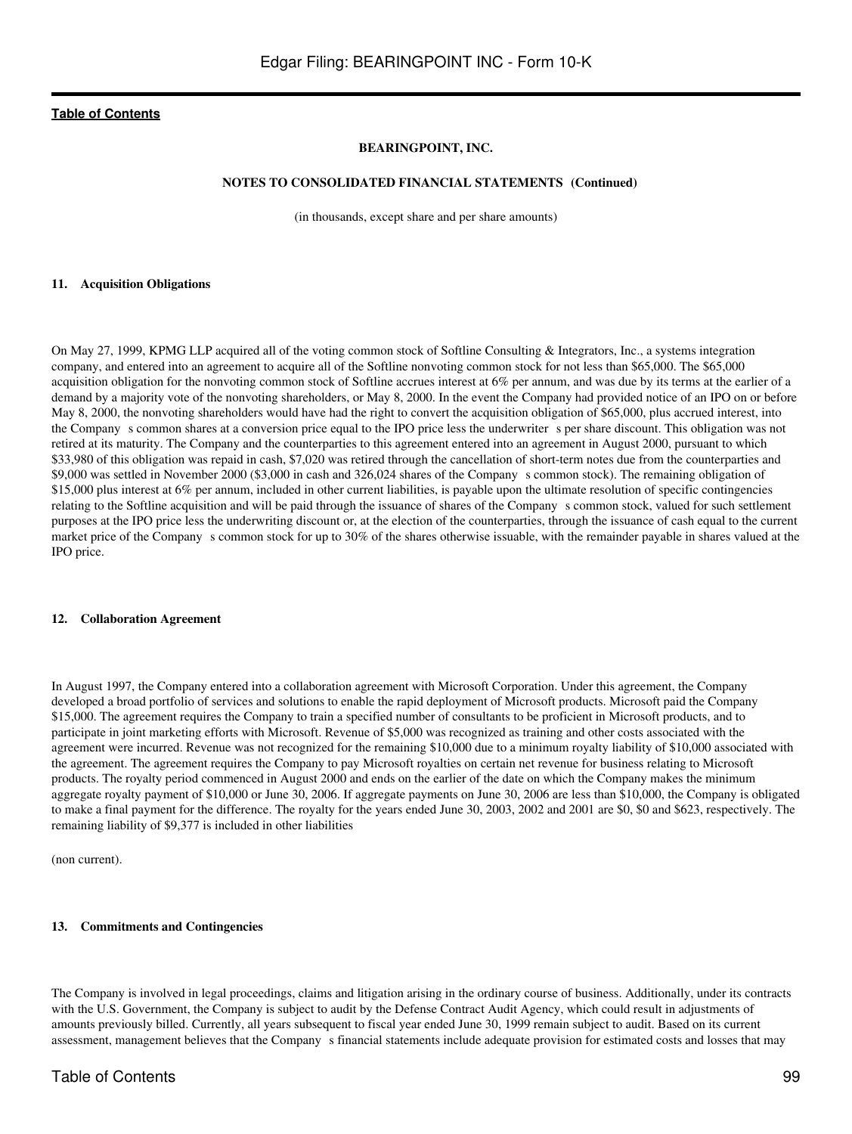### **BEARINGPOINT, INC.**

#### **NOTES TO CONSOLIDATED FINANCIAL STATEMENTS (Continued)**

(in thousands, except share and per share amounts)

#### **11. Acquisition Obligations**

On May 27, 1999, KPMG LLP acquired all of the voting common stock of Softline Consulting & Integrators, Inc., a systems integration company, and entered into an agreement to acquire all of the Softline nonvoting common stock for not less than \$65,000. The \$65,000 acquisition obligation for the nonvoting common stock of Softline accrues interest at 6% per annum, and was due by its terms at the earlier of a demand by a majority vote of the nonvoting shareholders, or May 8, 2000. In the event the Company had provided notice of an IPO on or before May 8, 2000, the nonvoting shareholders would have had the right to convert the acquisition obligation of \$65,000, plus accrued interest, into the Company s common shares at a conversion price equal to the IPO price less the underwriter s per share discount. This obligation was not retired at its maturity. The Company and the counterparties to this agreement entered into an agreement in August 2000, pursuant to which \$33,980 of this obligation was repaid in cash, \$7,020 was retired through the cancellation of short-term notes due from the counterparties and \$9,000 was settled in November 2000 (\$3,000 in cash and 326,024 shares of the Companys common stock). The remaining obligation of \$15,000 plus interest at 6% per annum, included in other current liabilities, is payable upon the ultimate resolution of specific contingencies relating to the Softline acquisition and will be paid through the issuance of shares of the Companys common stock, valued for such settlement purposes at the IPO price less the underwriting discount or, at the election of the counterparties, through the issuance of cash equal to the current market price of the Company s common stock for up to 30% of the shares otherwise issuable, with the remainder payable in shares valued at the IPO price.

#### **12. Collaboration Agreement**

In August 1997, the Company entered into a collaboration agreement with Microsoft Corporation. Under this agreement, the Company developed a broad portfolio of services and solutions to enable the rapid deployment of Microsoft products. Microsoft paid the Company \$15,000. The agreement requires the Company to train a specified number of consultants to be proficient in Microsoft products, and to participate in joint marketing efforts with Microsoft. Revenue of \$5,000 was recognized as training and other costs associated with the agreement were incurred. Revenue was not recognized for the remaining \$10,000 due to a minimum royalty liability of \$10,000 associated with the agreement. The agreement requires the Company to pay Microsoft royalties on certain net revenue for business relating to Microsoft products. The royalty period commenced in August 2000 and ends on the earlier of the date on which the Company makes the minimum aggregate royalty payment of \$10,000 or June 30, 2006. If aggregate payments on June 30, 2006 are less than \$10,000, the Company is obligated to make a final payment for the difference. The royalty for the years ended June 30, 2003, 2002 and 2001 are \$0, \$0 and \$623, respectively. The remaining liability of \$9,377 is included in other liabilities

(non current).

#### **13. Commitments and Contingencies**

The Company is involved in legal proceedings, claims and litigation arising in the ordinary course of business. Additionally, under its contracts with the U.S. Government, the Company is subject to audit by the Defense Contract Audit Agency, which could result in adjustments of amounts previously billed. Currently, all years subsequent to fiscal year ended June 30, 1999 remain subject to audit. Based on its current assessment, management believes that the Company s financial statements include adequate provision for estimated costs and losses that may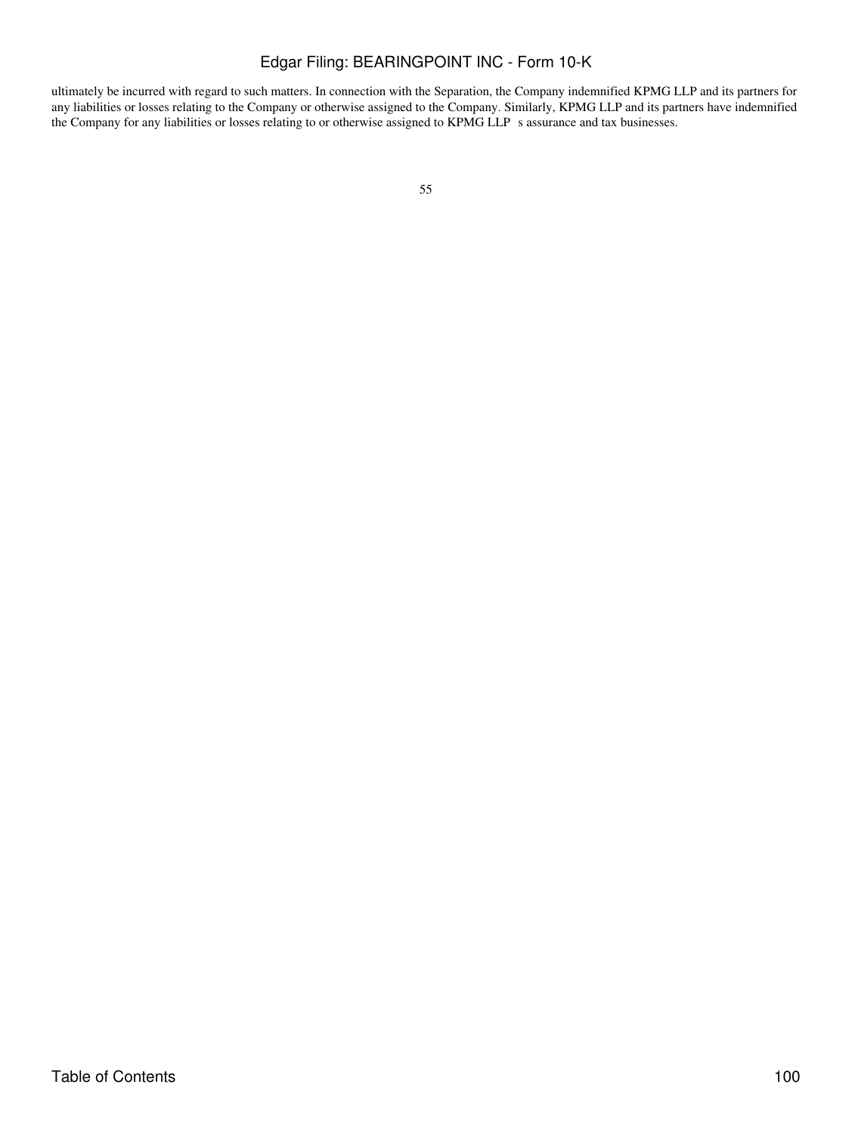ultimately be incurred with regard to such matters. In connection with the Separation, the Company indemnified KPMG LLP and its partners for any liabilities or losses relating to the Company or otherwise assigned to the Company. Similarly, KPMG LLP and its partners have indemnified the Company for any liabilities or losses relating to or otherwise assigned to KPMG LLP s assurance and tax businesses.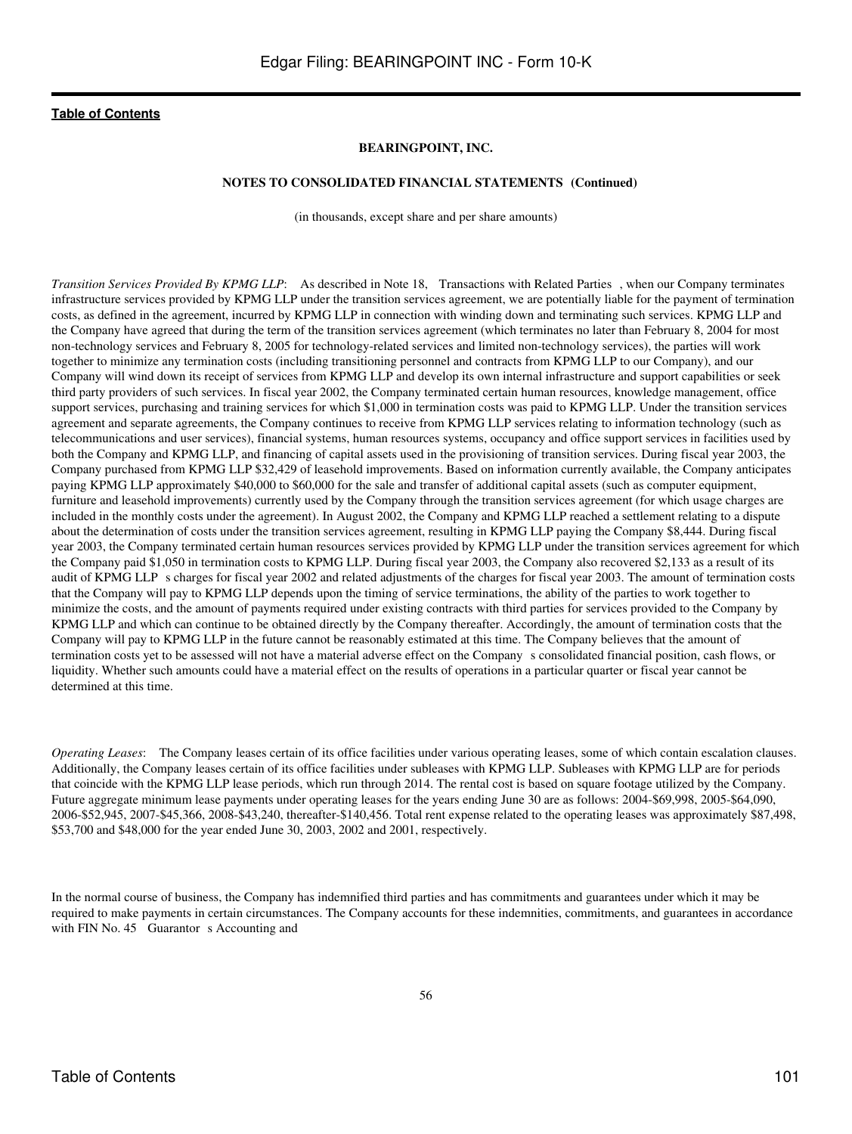## **BEARINGPOINT, INC.**

#### **NOTES TO CONSOLIDATED FINANCIAL STATEMENTS (Continued)**

(in thousands, except share and per share amounts)

*Transition Services Provided By KPMG LLP*: As described in Note 18, Transactions with Related Parties, when our Company terminates infrastructure services provided by KPMG LLP under the transition services agreement, we are potentially liable for the payment of termination costs, as defined in the agreement, incurred by KPMG LLP in connection with winding down and terminating such services. KPMG LLP and the Company have agreed that during the term of the transition services agreement (which terminates no later than February 8, 2004 for most non-technology services and February 8, 2005 for technology-related services and limited non-technology services), the parties will work together to minimize any termination costs (including transitioning personnel and contracts from KPMG LLP to our Company), and our Company will wind down its receipt of services from KPMG LLP and develop its own internal infrastructure and support capabilities or seek third party providers of such services. In fiscal year 2002, the Company terminated certain human resources, knowledge management, office support services, purchasing and training services for which \$1,000 in termination costs was paid to KPMG LLP. Under the transition services agreement and separate agreements, the Company continues to receive from KPMG LLP services relating to information technology (such as telecommunications and user services), financial systems, human resources systems, occupancy and office support services in facilities used by both the Company and KPMG LLP, and financing of capital assets used in the provisioning of transition services. During fiscal year 2003, the Company purchased from KPMG LLP \$32,429 of leasehold improvements. Based on information currently available, the Company anticipates paying KPMG LLP approximately \$40,000 to \$60,000 for the sale and transfer of additional capital assets (such as computer equipment, furniture and leasehold improvements) currently used by the Company through the transition services agreement (for which usage charges are included in the monthly costs under the agreement). In August 2002, the Company and KPMG LLP reached a settlement relating to a dispute about the determination of costs under the transition services agreement, resulting in KPMG LLP paying the Company \$8,444. During fiscal year 2003, the Company terminated certain human resources services provided by KPMG LLP under the transition services agreement for which the Company paid \$1,050 in termination costs to KPMG LLP. During fiscal year 2003, the Company also recovered \$2,133 as a result of its audit of KPMG LLP s charges for fiscal year 2002 and related adjustments of the charges for fiscal year 2003. The amount of termination costs that the Company will pay to KPMG LLP depends upon the timing of service terminations, the ability of the parties to work together to minimize the costs, and the amount of payments required under existing contracts with third parties for services provided to the Company by KPMG LLP and which can continue to be obtained directly by the Company thereafter. Accordingly, the amount of termination costs that the Company will pay to KPMG LLP in the future cannot be reasonably estimated at this time. The Company believes that the amount of termination costs yet to be assessed will not have a material adverse effect on the Companys consolidated financial position, cash flows, or liquidity. Whether such amounts could have a material effect on the results of operations in a particular quarter or fiscal year cannot be determined at this time.

*Operating Leases*: The Company leases certain of its office facilities under various operating leases, some of which contain escalation clauses. Additionally, the Company leases certain of its office facilities under subleases with KPMG LLP. Subleases with KPMG LLP are for periods that coincide with the KPMG LLP lease periods, which run through 2014. The rental cost is based on square footage utilized by the Company. Future aggregate minimum lease payments under operating leases for the years ending June 30 are as follows: 2004-\$69,998, 2005-\$64,090, 2006-\$52,945, 2007-\$45,366, 2008-\$43,240, thereafter-\$140,456. Total rent expense related to the operating leases was approximately \$87,498, \$53,700 and \$48,000 for the year ended June 30, 2003, 2002 and 2001, respectively.

In the normal course of business, the Company has indemnified third parties and has commitments and guarantees under which it may be required to make payments in certain circumstances. The Company accounts for these indemnities, commitments, and guarantees in accordance with FIN No. 45 Guarantor s Accounting and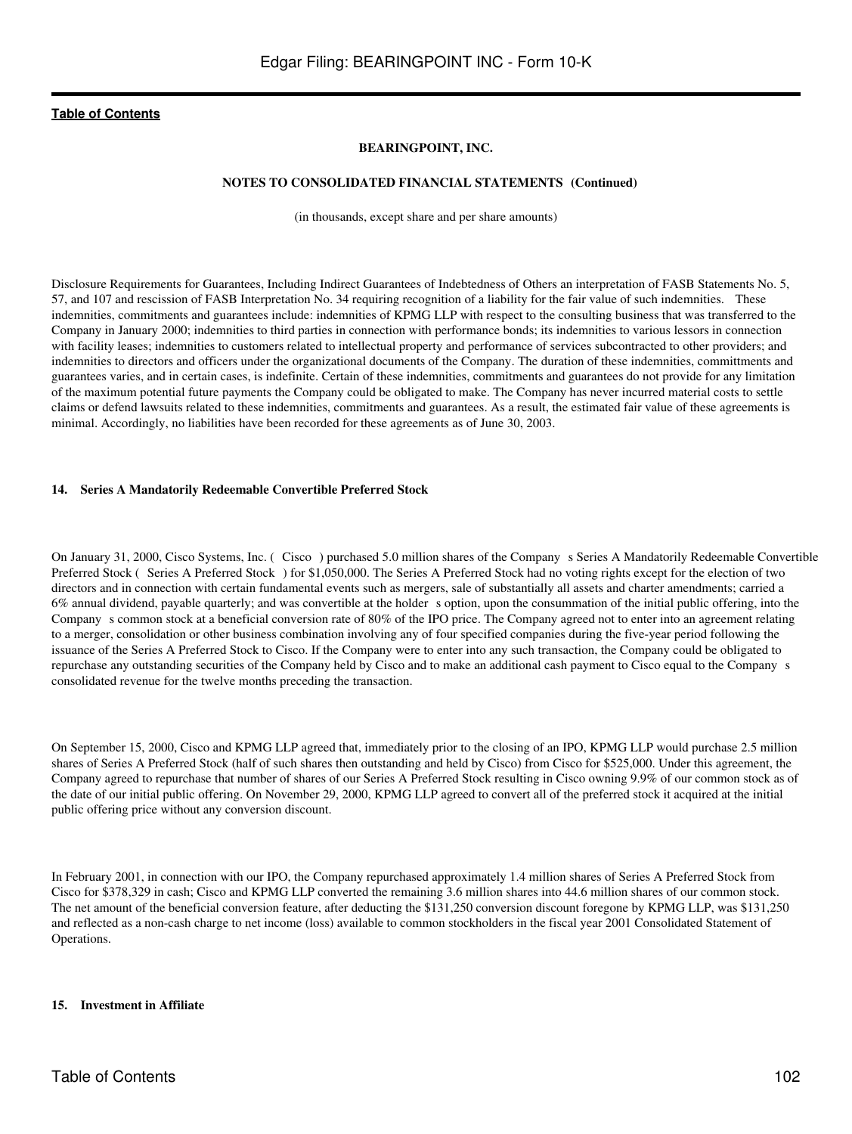## **BEARINGPOINT, INC.**

### **NOTES TO CONSOLIDATED FINANCIAL STATEMENTS (Continued)**

(in thousands, except share and per share amounts)

Disclosure Requirements for Guarantees, Including Indirect Guarantees of Indebtedness of Others an interpretation of FASB Statements No. 5, 57, and 107 and rescission of FASB Interpretation No. 34 requiring recognition of a liability for the fair value of such indemnities. These indemnities, commitments and guarantees include: indemnities of KPMG LLP with respect to the consulting business that was transferred to the Company in January 2000; indemnities to third parties in connection with performance bonds; its indemnities to various lessors in connection with facility leases; indemnities to customers related to intellectual property and performance of services subcontracted to other providers; and indemnities to directors and officers under the organizational documents of the Company. The duration of these indemnities, committments and guarantees varies, and in certain cases, is indefinite. Certain of these indemnities, commitments and guarantees do not provide for any limitation of the maximum potential future payments the Company could be obligated to make. The Company has never incurred material costs to settle claims or defend lawsuits related to these indemnities, commitments and guarantees. As a result, the estimated fair value of these agreements is minimal. Accordingly, no liabilities have been recorded for these agreements as of June 30, 2003.

### **14. Series A Mandatorily Redeemable Convertible Preferred Stock**

On January 31, 2000, Cisco Systems, Inc. (Cisco) purchased 5.0 million shares of the Companys Series A Mandatorily Redeemable Convertible Preferred Stock (Series A Preferred Stock) for \$1,050,000. The Series A Preferred Stock had no voting rights except for the election of two directors and in connection with certain fundamental events such as mergers, sale of substantially all assets and charter amendments; carried a 6% annual dividend, payable quarterly; and was convertible at the holder s option, upon the consummation of the initial public offering, into the Company s common stock at a beneficial conversion rate of 80% of the IPO price. The Company agreed not to enter into an agreement relating to a merger, consolidation or other business combination involving any of four specified companies during the five-year period following the issuance of the Series A Preferred Stock to Cisco. If the Company were to enter into any such transaction, the Company could be obligated to repurchase any outstanding securities of the Company held by Cisco and to make an additional cash payment to Cisco equal to the Companys consolidated revenue for the twelve months preceding the transaction.

On September 15, 2000, Cisco and KPMG LLP agreed that, immediately prior to the closing of an IPO, KPMG LLP would purchase 2.5 million shares of Series A Preferred Stock (half of such shares then outstanding and held by Cisco) from Cisco for \$525,000. Under this agreement, the Company agreed to repurchase that number of shares of our Series A Preferred Stock resulting in Cisco owning 9.9% of our common stock as of the date of our initial public offering. On November 29, 2000, KPMG LLP agreed to convert all of the preferred stock it acquired at the initial public offering price without any conversion discount.

In February 2001, in connection with our IPO, the Company repurchased approximately 1.4 million shares of Series A Preferred Stock from Cisco for \$378,329 in cash; Cisco and KPMG LLP converted the remaining 3.6 million shares into 44.6 million shares of our common stock. The net amount of the beneficial conversion feature, after deducting the \$131,250 conversion discount foregone by KPMG LLP, was \$131,250 and reflected as a non-cash charge to net income (loss) available to common stockholders in the fiscal year 2001 Consolidated Statement of Operations.

## **15. Investment in Affiliate**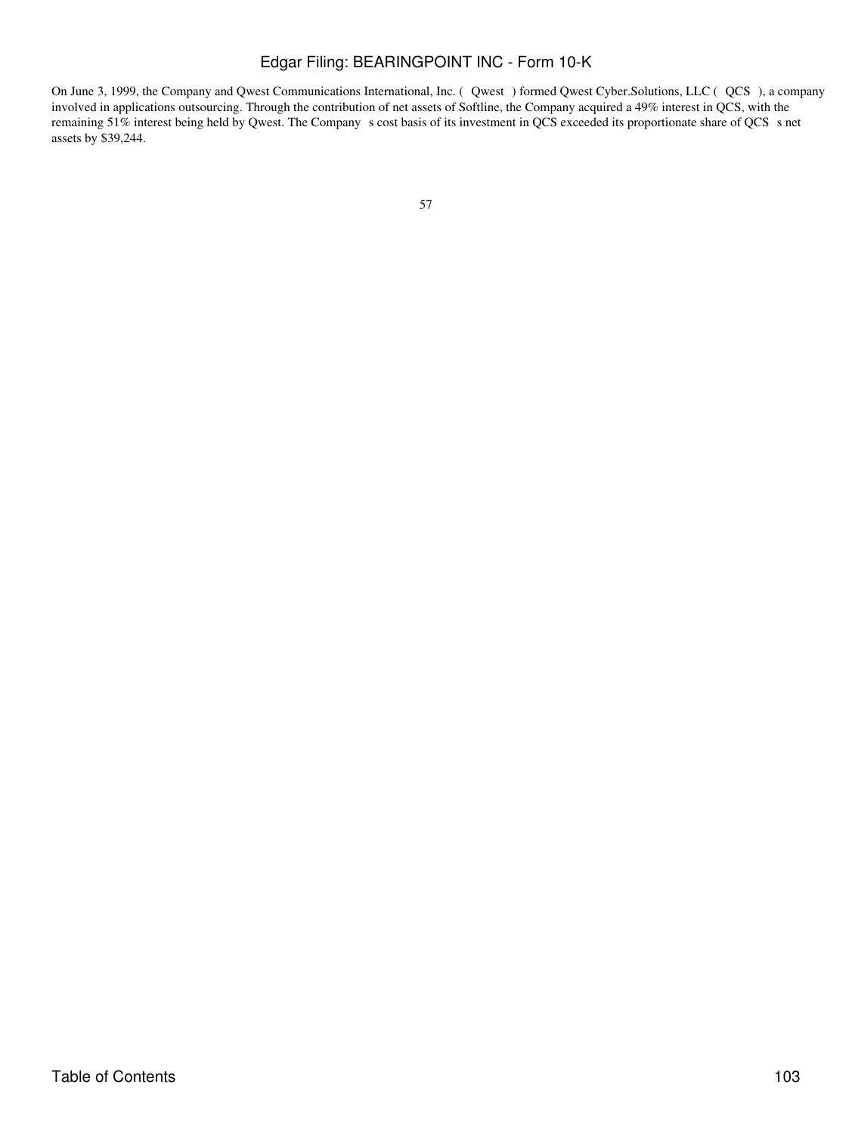On June 3, 1999, the Company and Qwest Communications International, Inc. (Qwest) formed Qwest Cyber.Solutions, LLC (QCS), a company involved in applications outsourcing. Through the contribution of net assets of Softline, the Company acquired a 49% interest in QCS, with the remaining 51% interest being held by Qwest. The Company s cost basis of its investment in QCS exceeded its proportionate share of QCS s net assets by \$39,244.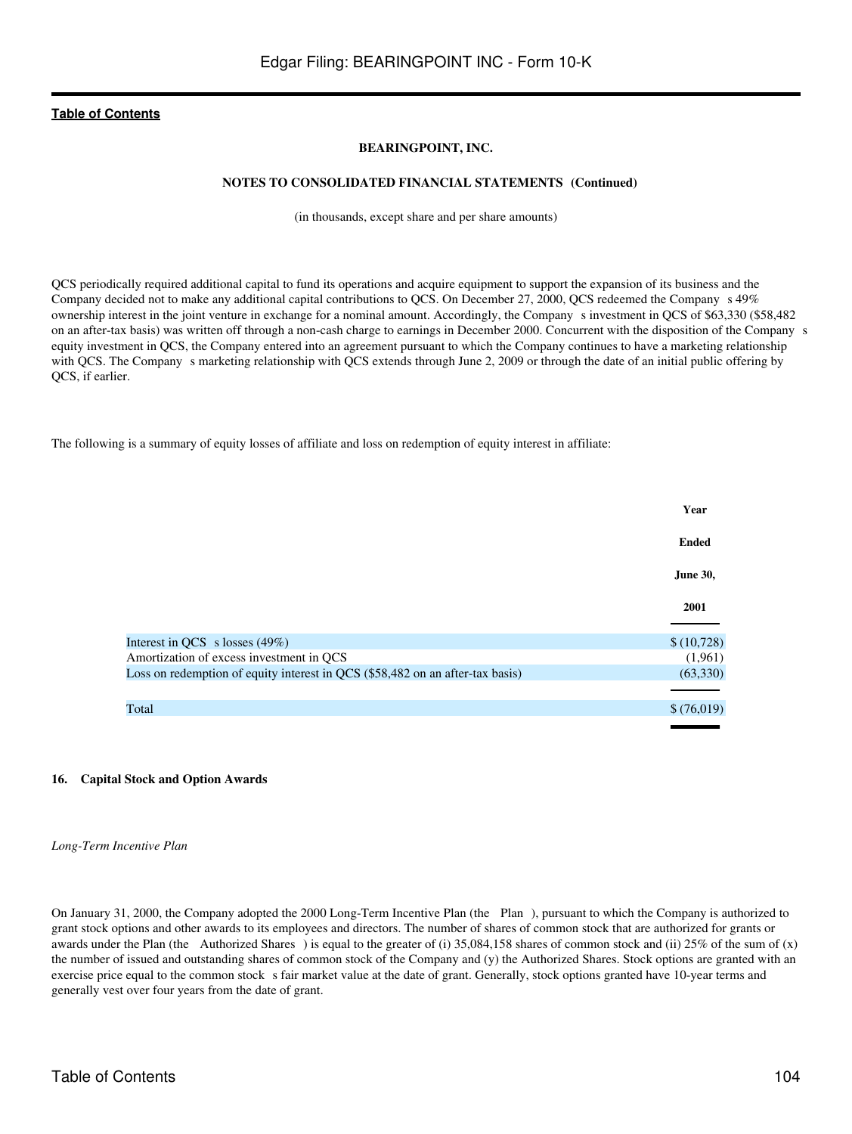## **BEARINGPOINT, INC.**

#### **NOTES TO CONSOLIDATED FINANCIAL STATEMENTS (Continued)**

(in thousands, except share and per share amounts)

QCS periodically required additional capital to fund its operations and acquire equipment to support the expansion of its business and the Company decided not to make any additional capital contributions to QCS. On December 27, 2000, QCS redeemed the Company s 49% ownership interest in the joint venture in exchange for a nominal amount. Accordingly, the Companys investment in QCS of \$63,330 (\$58,482 on an after-tax basis) was written off through a non-cash charge to earnings in December 2000. Concurrent with the disposition of the Companys equity investment in QCS, the Company entered into an agreement pursuant to which the Company continues to have a marketing relationship with QCS. The Company s marketing relationship with QCS extends through June 2, 2009 or through the date of an initial public offering by QCS, if earlier.

The following is a summary of equity losses of affiliate and loss on redemption of equity interest in affiliate:

|                                                                               | Year            |
|-------------------------------------------------------------------------------|-----------------|
|                                                                               | <b>Ended</b>    |
|                                                                               | <b>June 30,</b> |
|                                                                               | 2001            |
| Interest in QCS s losses $(49\%)$                                             | \$(10,728)      |
| Amortization of excess investment in QCS                                      | (1,961)         |
| Loss on redemption of equity interest in QCS (\$58,482 on an after-tax basis) | (63,330)        |
|                                                                               |                 |
| Total                                                                         | \$(76,019)      |
|                                                                               |                 |

#### **16. Capital Stock and Option Awards**

*Long-Term Incentive Plan*

On January 31, 2000, the Company adopted the 2000 Long-Term Incentive Plan (the Plan), pursuant to which the Company is authorized to grant stock options and other awards to its employees and directors. The number of shares of common stock that are authorized for grants or awards under the Plan (the Authorized Shares) is equal to the greater of (i) 35,084,158 shares of common stock and (ii) 25% of the sum of (x) the number of issued and outstanding shares of common stock of the Company and (y) the Authorized Shares. Stock options are granted with an exercise price equal to the common stock s fair market value at the date of grant. Generally, stock options granted have 10-year terms and generally vest over four years from the date of grant.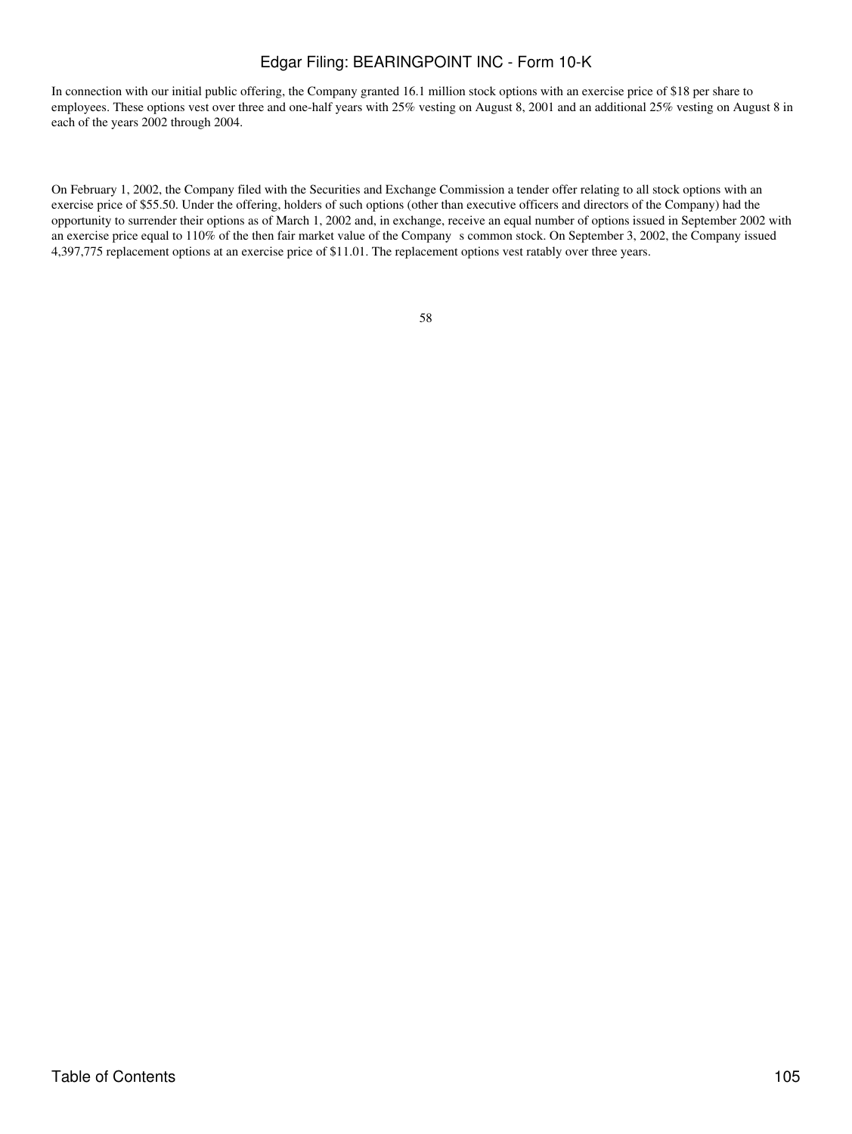In connection with our initial public offering, the Company granted 16.1 million stock options with an exercise price of \$18 per share to employees. These options vest over three and one-half years with 25% vesting on August 8, 2001 and an additional 25% vesting on August 8 in each of the years 2002 through 2004.

On February 1, 2002, the Company filed with the Securities and Exchange Commission a tender offer relating to all stock options with an exercise price of \$55.50. Under the offering, holders of such options (other than executive officers and directors of the Company) had the opportunity to surrender their options as of March 1, 2002 and, in exchange, receive an equal number of options issued in September 2002 with an exercise price equal to 110% of the then fair market value of the Company s common stock. On September 3, 2002, the Company issued 4,397,775 replacement options at an exercise price of \$11.01. The replacement options vest ratably over three years.

| n sa              |                    |
|-------------------|--------------------|
| I<br>I<br>v<br>۰. | I<br>۰.<br>×<br>۰. |
|                   |                    |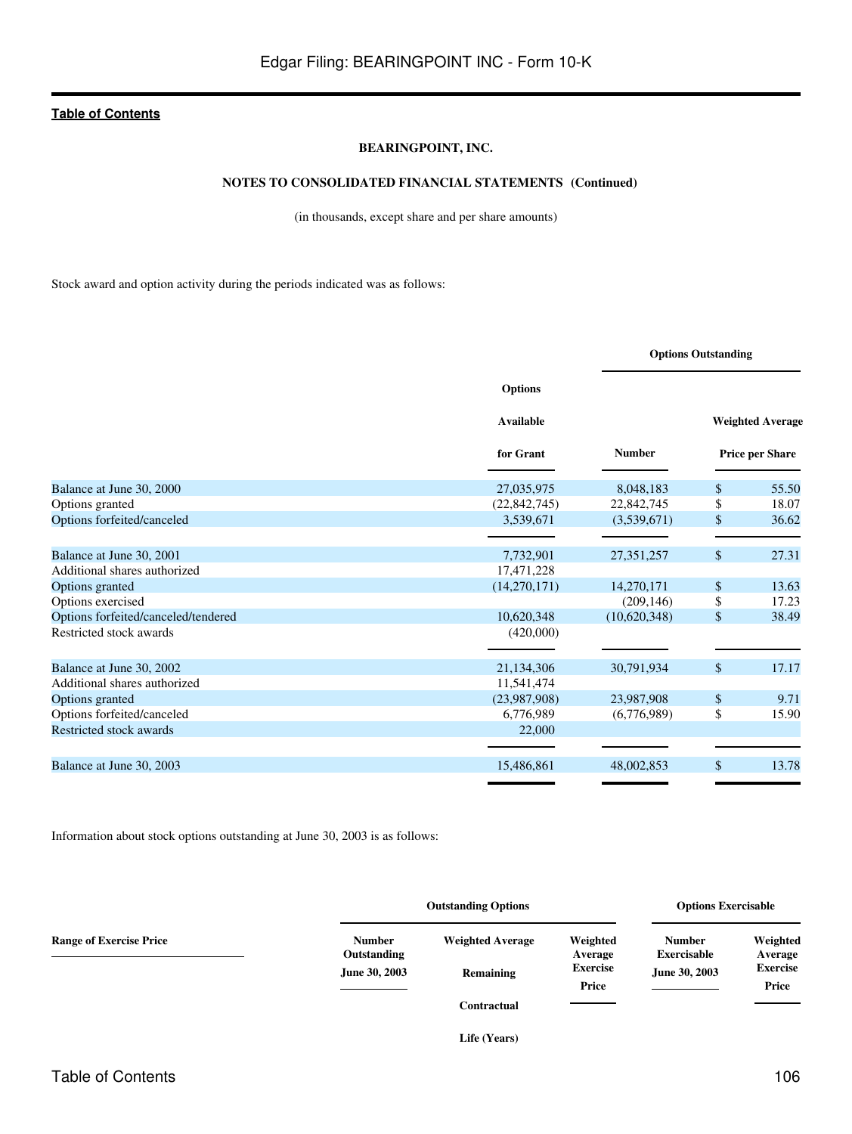### **BEARINGPOINT, INC.**

## **NOTES TO CONSOLIDATED FINANCIAL STATEMENTS (Continued)**

(in thousands, except share and per share amounts)

Stock award and option activity during the periods indicated was as follows:

|                                     |                  | <b>Options Outstanding</b> |               |                         |
|-------------------------------------|------------------|----------------------------|---------------|-------------------------|
|                                     | <b>Options</b>   |                            |               |                         |
|                                     | <b>Available</b> |                            |               | <b>Weighted Average</b> |
|                                     | for Grant        | <b>Number</b>              |               | <b>Price per Share</b>  |
| Balance at June 30, 2000            | 27,035,975       | 8,048,183                  | $\mathbb{S}$  | 55.50                   |
| Options granted                     | (22, 842, 745)   | 22,842,745                 | \$            | 18.07                   |
| Options forfeited/canceled          | 3,539,671        | (3,539,671)                | \$            | 36.62                   |
|                                     |                  |                            |               |                         |
| Balance at June 30, 2001            | 7,732,901        | 27,351,257                 | $\mathbb{S}$  | 27.31                   |
| Additional shares authorized        | 17,471,228       |                            |               |                         |
| Options granted                     | (14,270,171)     | 14,270,171                 | <sup>\$</sup> | 13.63                   |
| Options exercised                   |                  | (209, 146)                 | \$            | 17.23                   |
| Options forfeited/canceled/tendered | 10,620,348       | (10,620,348)               | \$            | 38.49                   |
| Restricted stock awards             | (420,000)        |                            |               |                         |
|                                     |                  |                            |               |                         |
| Balance at June 30, 2002            | 21,134,306       | 30,791,934                 | $\sqrt{\ }$   | 17.17                   |
| Additional shares authorized        | 11,541,474       |                            |               |                         |
| Options granted                     | (23,987,908)     | 23,987,908                 | \$            | 9.71                    |
| Options forfeited/canceled          | 6,776,989        | (6,776,989)                | $\mathbb{S}$  | 15.90                   |
| Restricted stock awards             | 22,000           |                            |               |                         |
|                                     |                  |                            |               |                         |
| Balance at June 30, 2003            | 15,486,861       | 48,002,853                 | \$            | 13.78                   |
|                                     |                  |                            |               |                         |

Information about stock options outstanding at June 30, 2003 is as follows:

|                                | <b>Outstanding Options</b>   |                         |                          | <b>Options Exercisable</b>          |                          |
|--------------------------------|------------------------------|-------------------------|--------------------------|-------------------------------------|--------------------------|
| <b>Range of Exercise Price</b> | <b>Number</b><br>Outstanding | <b>Weighted Average</b> | Weighted<br>Average      | <b>Number</b><br><b>Exercisable</b> | Weighted<br>Average      |
|                                | June 30, 2003                | Remaining               | <b>Exercise</b><br>Price | June 30, 2003                       | <b>Exercise</b><br>Price |
|                                |                              | Contractual             |                          |                                     | <b>Contract Contract</b> |
|                                |                              | Life (Years)            |                          |                                     |                          |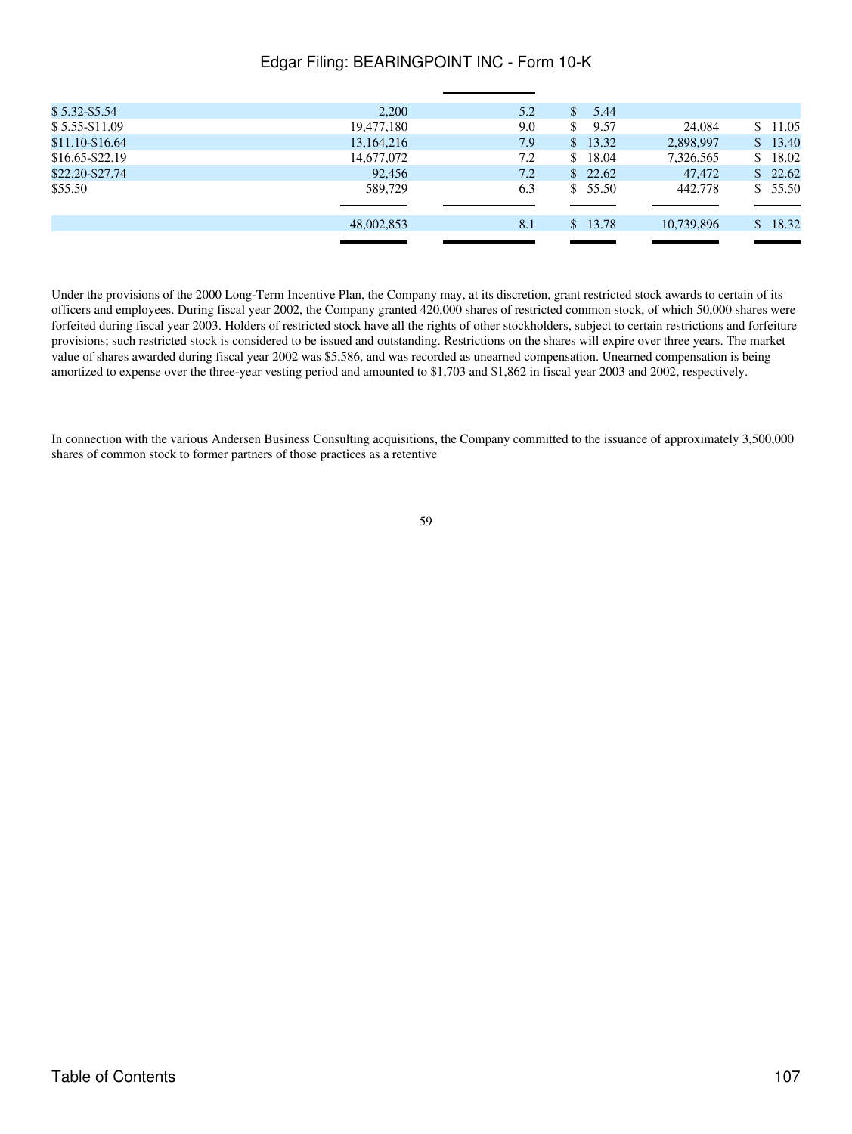| $$5.32 - $5.54$   | 2,200      | 5.2 | 5.44<br>S. |            |         |
|-------------------|------------|-----|------------|------------|---------|
| $$5.55-S11.09$    | 19,477,180 | 9.0 | 9.57<br>\$ | 24,084     | \$11.05 |
| \$11.10-\$16.64   | 13,164,216 | 7.9 | \$13.32    | 2,898,997  | \$13.40 |
| $$16.65 - $22.19$ | 14,677,072 | 7.2 | \$18.04    | 7,326,565  | \$18.02 |
| \$22.20-\$27.74   | 92,456     | 7.2 | \$22.62    | 47,472     | \$22.62 |
| \$55.50           | 589,729    | 6.3 | \$55.50    | 442,778    | \$55.50 |
|                   |            |     |            |            |         |
|                   | 48,002,853 | 8.1 | \$13.78    | 10.739.896 | \$18.32 |
|                   |            |     |            |            |         |

Under the provisions of the 2000 Long-Term Incentive Plan, the Company may, at its discretion, grant restricted stock awards to certain of its officers and employees. During fiscal year 2002, the Company granted 420,000 shares of restricted common stock, of which 50,000 shares were forfeited during fiscal year 2003. Holders of restricted stock have all the rights of other stockholders, subject to certain restrictions and forfeiture provisions; such restricted stock is considered to be issued and outstanding. Restrictions on the shares will expire over three years. The market value of shares awarded during fiscal year 2002 was \$5,586, and was recorded as unearned compensation. Unearned compensation is being amortized to expense over the three-year vesting period and amounted to \$1,703 and \$1,862 in fiscal year 2003 and 2002, respectively.

In connection with the various Andersen Business Consulting acquisitions, the Company committed to the issuance of approximately 3,500,000 shares of common stock to former partners of those practices as a retentive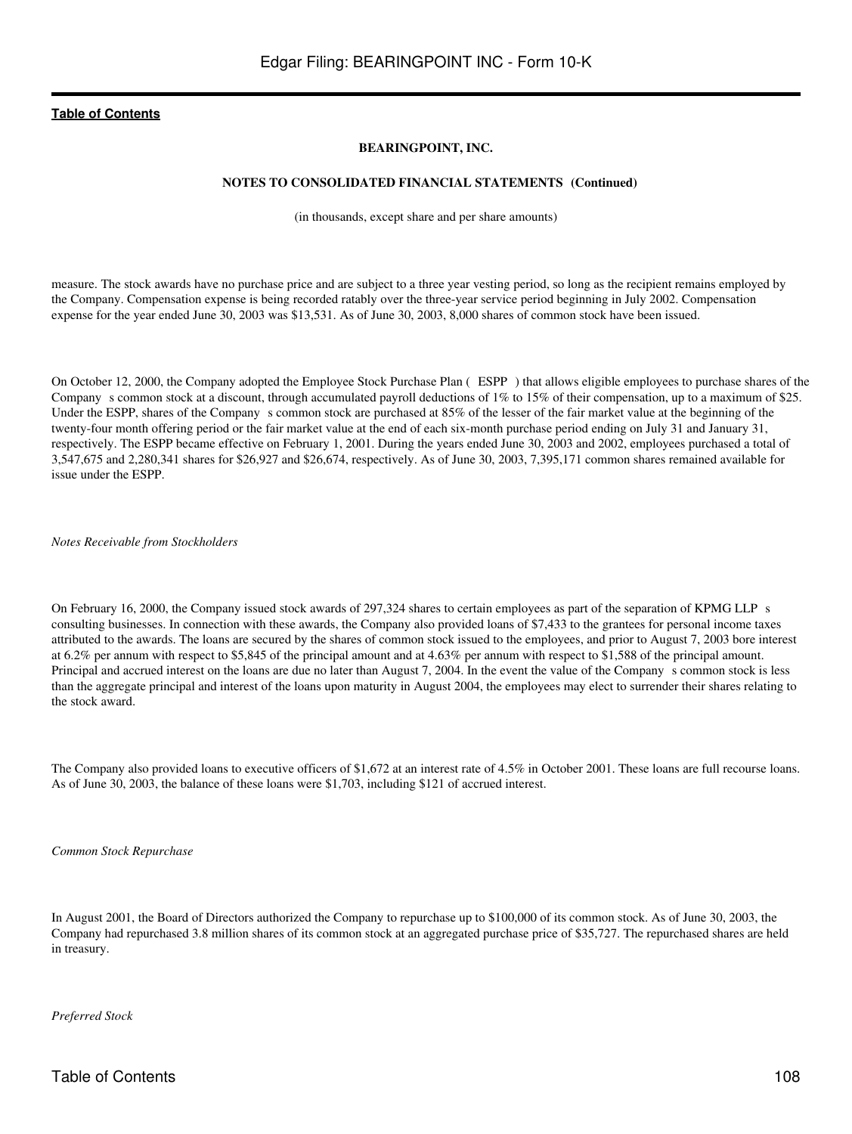## **BEARINGPOINT, INC.**

#### **NOTES TO CONSOLIDATED FINANCIAL STATEMENTS (Continued)**

(in thousands, except share and per share amounts)

measure. The stock awards have no purchase price and are subject to a three year vesting period, so long as the recipient remains employed by the Company. Compensation expense is being recorded ratably over the three-year service period beginning in July 2002. Compensation expense for the year ended June 30, 2003 was \$13,531. As of June 30, 2003, 8,000 shares of common stock have been issued.

On October 12, 2000, the Company adopted the Employee Stock Purchase Plan (ESPP) that allows eligible employees to purchase shares of the Company s common stock at a discount, through accumulated payroll deductions of 1% to 15% of their compensation, up to a maximum of \$25. Under the ESPP, shares of the Company s common stock are purchased at 85% of the lesser of the fair market value at the beginning of the twenty-four month offering period or the fair market value at the end of each six-month purchase period ending on July 31 and January 31, respectively. The ESPP became effective on February 1, 2001. During the years ended June 30, 2003 and 2002, employees purchased a total of 3,547,675 and 2,280,341 shares for \$26,927 and \$26,674, respectively. As of June 30, 2003, 7,395,171 common shares remained available for issue under the ESPP.

*Notes Receivable from Stockholders*

On February 16, 2000, the Company issued stock awards of 297,324 shares to certain employees as part of the separation of KPMG LLPs consulting businesses. In connection with these awards, the Company also provided loans of \$7,433 to the grantees for personal income taxes attributed to the awards. The loans are secured by the shares of common stock issued to the employees, and prior to August 7, 2003 bore interest at 6.2% per annum with respect to \$5,845 of the principal amount and at 4.63% per annum with respect to \$1,588 of the principal amount. Principal and accrued interest on the loans are due no later than August 7, 2004. In the event the value of the Company s common stock is less than the aggregate principal and interest of the loans upon maturity in August 2004, the employees may elect to surrender their shares relating to the stock award.

The Company also provided loans to executive officers of \$1,672 at an interest rate of 4.5% in October 2001. These loans are full recourse loans. As of June 30, 2003, the balance of these loans were \$1,703, including \$121 of accrued interest.

*Common Stock Repurchase*

In August 2001, the Board of Directors authorized the Company to repurchase up to \$100,000 of its common stock. As of June 30, 2003, the Company had repurchased 3.8 million shares of its common stock at an aggregated purchase price of \$35,727. The repurchased shares are held in treasury.

*Preferred Stock*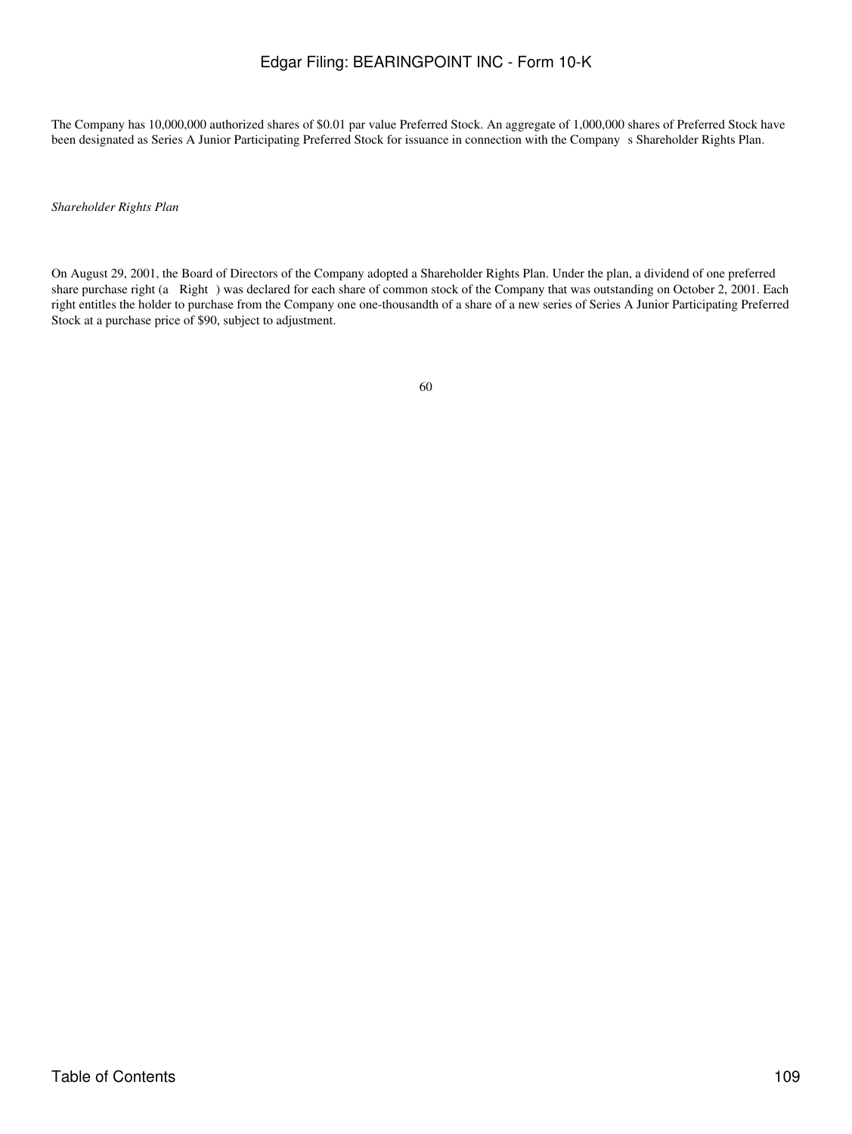The Company has 10,000,000 authorized shares of \$0.01 par value Preferred Stock. An aggregate of 1,000,000 shares of Preferred Stock have been designated as Series A Junior Participating Preferred Stock for issuance in connection with the Company s Shareholder Rights Plan.

*Shareholder Rights Plan*

On August 29, 2001, the Board of Directors of the Company adopted a Shareholder Rights Plan. Under the plan, a dividend of one preferred share purchase right (a Right) was declared for each share of common stock of the Company that was outstanding on October 2, 2001. Each right entitles the holder to purchase from the Company one one-thousandth of a share of a new series of Series A Junior Participating Preferred Stock at a purchase price of \$90, subject to adjustment.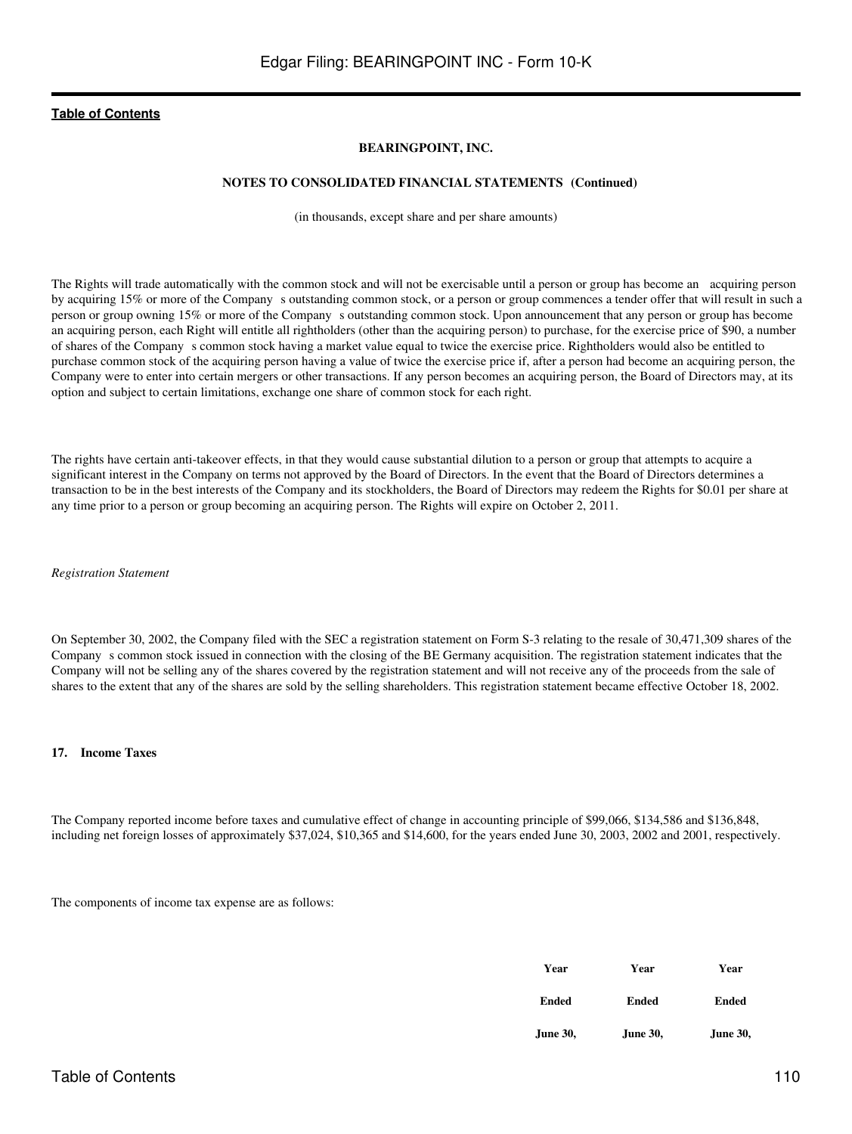### **BEARINGPOINT, INC.**

### **NOTES TO CONSOLIDATED FINANCIAL STATEMENTS (Continued)**

(in thousands, except share and per share amounts)

The Rights will trade automatically with the common stock and will not be exercisable until a person or group has become an acquiring person by acquiring 15% or more of the Company s outstanding common stock, or a person or group commences a tender offer that will result in such a person or group owning 15% or more of the Companys outstanding common stock. Upon announcement that any person or group has become an acquiring person, each Right will entitle all rightholders (other than the acquiring person) to purchase, for the exercise price of \$90, a number of shares of the Companys common stock having a market value equal to twice the exercise price. Rightholders would also be entitled to purchase common stock of the acquiring person having a value of twice the exercise price if, after a person had become an acquiring person, the Company were to enter into certain mergers or other transactions. If any person becomes an acquiring person, the Board of Directors may, at its option and subject to certain limitations, exchange one share of common stock for each right.

The rights have certain anti-takeover effects, in that they would cause substantial dilution to a person or group that attempts to acquire a significant interest in the Company on terms not approved by the Board of Directors. In the event that the Board of Directors determines a transaction to be in the best interests of the Company and its stockholders, the Board of Directors may redeem the Rights for \$0.01 per share at any time prior to a person or group becoming an acquiring person. The Rights will expire on October 2, 2011.

*Registration Statement*

On September 30, 2002, the Company filed with the SEC a registration statement on Form S-3 relating to the resale of 30,471,309 shares of the Companys common stock issued in connection with the closing of the BE Germany acquisition. The registration statement indicates that the Company will not be selling any of the shares covered by the registration statement and will not receive any of the proceeds from the sale of shares to the extent that any of the shares are sold by the selling shareholders. This registration statement became effective October 18, 2002.

#### **17. Income Taxes**

The Company reported income before taxes and cumulative effect of change in accounting principle of \$99,066, \$134,586 and \$136,848, including net foreign losses of approximately \$37,024, \$10,365 and \$14,600, for the years ended June 30, 2003, 2002 and 2001, respectively.

The components of income tax expense are as follows:

| Year     | Year     | Year            |  |
|----------|----------|-----------------|--|
| Ended    | Ended    | Ended           |  |
| June 30, | June 30, | <b>June 30,</b> |  |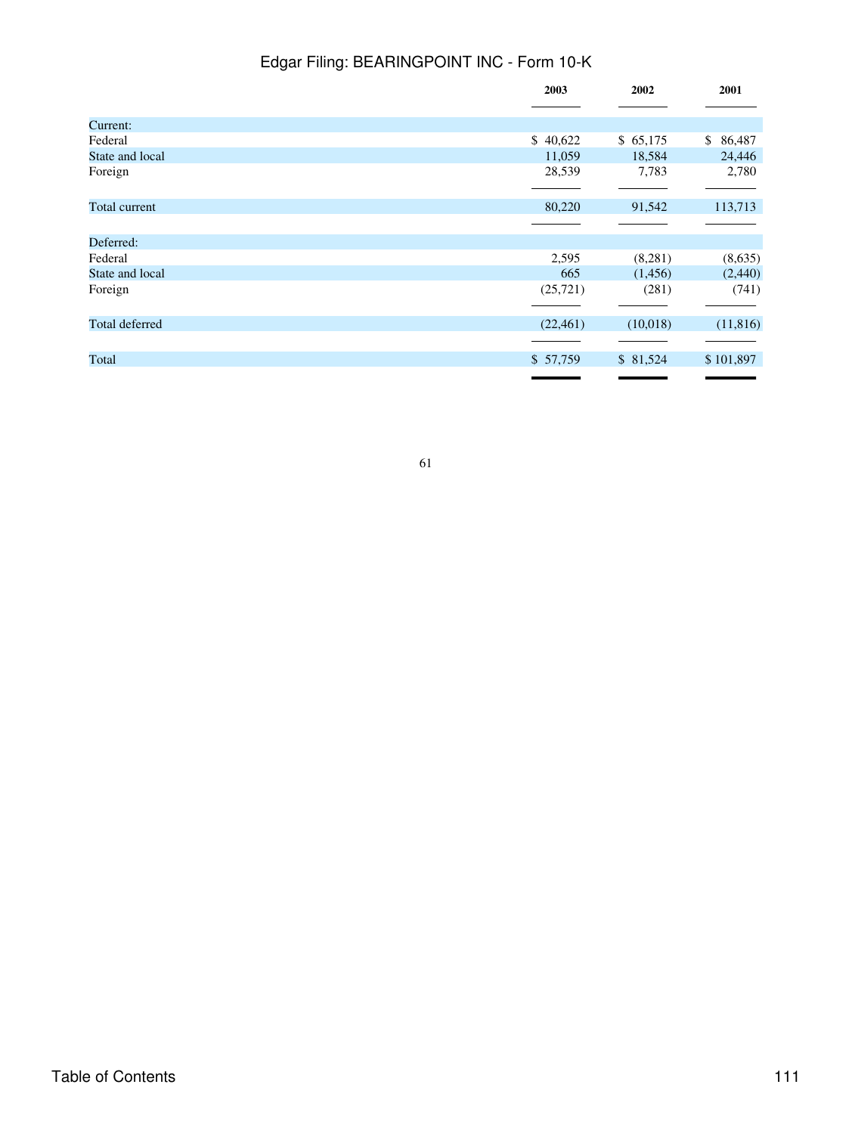|                 | 2003      | 2002     | 2001                     |
|-----------------|-----------|----------|--------------------------|
|                 |           |          |                          |
| Current:        |           |          |                          |
| Federal         | \$40,622  | \$65,175 | $\mathbb{S}^-$<br>86,487 |
| State and local | 11,059    | 18,584   | 24,446                   |
| Foreign         | 28,539    | 7,783    | 2,780                    |
|                 |           |          |                          |
| Total current   | 80,220    | 91,542   | 113,713                  |
|                 |           |          |                          |
| Deferred:       |           |          |                          |
| Federal         | 2,595     | (8,281)  | (8,635)                  |
| State and local | 665       | (1,456)  | (2,440)                  |
| Foreign         | (25,721)  | (281)    | (741)                    |
|                 |           |          |                          |
| Total deferred  | (22, 461) | (10,018) | (11, 816)                |
|                 |           |          |                          |
| Total           | \$57,759  | \$81,524 | \$101,897                |
|                 |           |          |                          |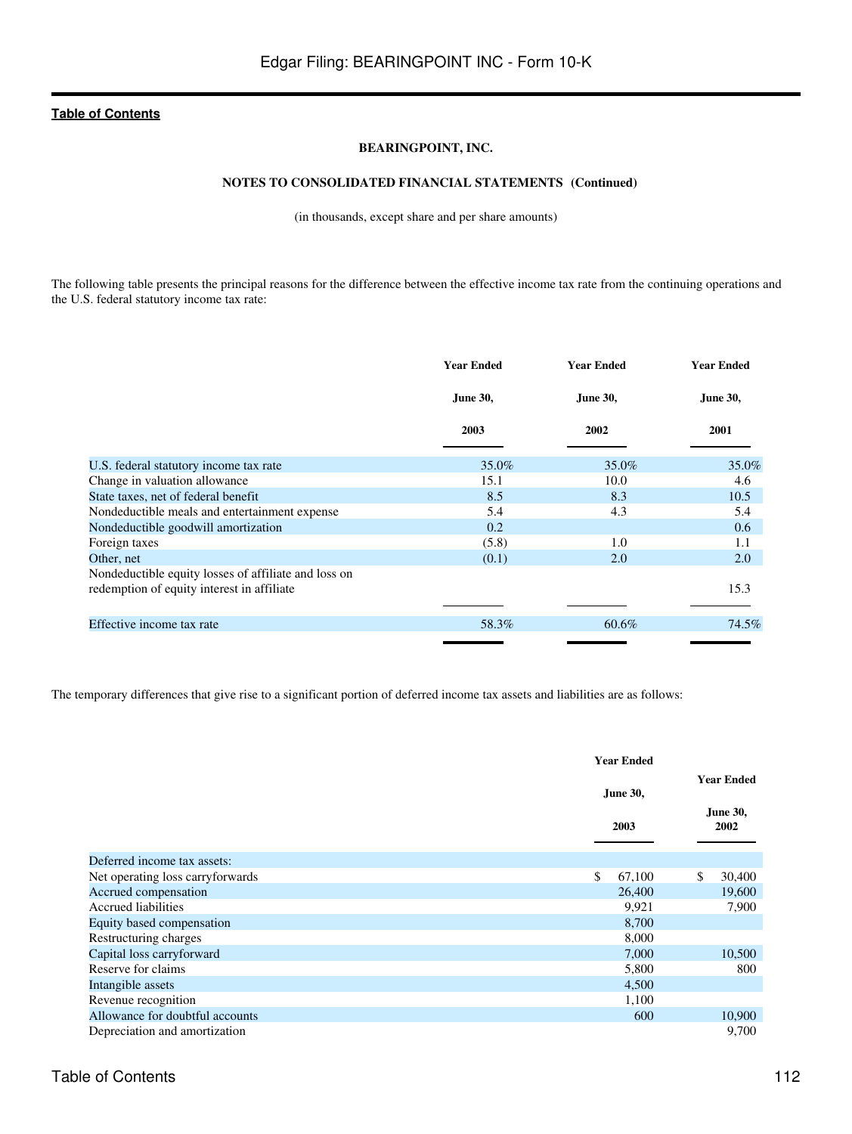### **BEARINGPOINT, INC.**

## **NOTES TO CONSOLIDATED FINANCIAL STATEMENTS (Continued)**

(in thousands, except share and per share amounts)

The following table presents the principal reasons for the difference between the effective income tax rate from the continuing operations and the U.S. federal statutory income tax rate:

|                                                      | <b>Year Ended</b> | Year Ended      | <b>Year Ended</b> |
|------------------------------------------------------|-------------------|-----------------|-------------------|
|                                                      | <b>June 30,</b>   | <b>June 30,</b> | June 30,          |
|                                                      | 2003              | 2002            | 2001              |
| U.S. federal statutory income tax rate               | 35.0%             | 35.0%           | 35.0%             |
| Change in valuation allowance                        | 15.1              | 10.0            | 4.6               |
| State taxes, net of federal benefit                  | 8.5               | 8.3             | 10.5              |
| Nondeductible meals and entertainment expense        | 5.4               | 4.3             | 5.4               |
| Nondeductible goodwill amortization                  | 0.2               |                 | 0.6               |
| Foreign taxes                                        | (5.8)             | 1.0             | $1.1\,$           |
| Other, net                                           | (0.1)             | 2.0             | 2.0               |
| Nondeductible equity losses of affiliate and loss on |                   |                 |                   |
| redemption of equity interest in affiliate           |                   |                 | 15.3              |
|                                                      |                   |                 |                   |
| Effective income tax rate                            | 58.3%             | $60.6\%$        | 74.5%             |
|                                                      |                   |                 |                   |

The temporary differences that give rise to a significant portion of deferred income tax assets and liabilities are as follows:

|                                  | <b>Year Ended</b>       |                                              |
|----------------------------------|-------------------------|----------------------------------------------|
|                                  | <b>June 30,</b><br>2003 | <b>Year Ended</b><br><b>June 30,</b><br>2002 |
|                                  |                         |                                              |
| Deferred income tax assets:      |                         |                                              |
| Net operating loss carryforwards | \$<br>67,100            | \$<br>30,400                                 |
| Accrued compensation             | 26,400                  | 19,600                                       |
| <b>Accrued liabilities</b>       | 9,921                   | 7,900                                        |
| Equity based compensation        | 8,700                   |                                              |
| Restructuring charges            | 8,000                   |                                              |
| Capital loss carryforward        | 7,000                   | 10,500                                       |
| Reserve for claims               | 5,800                   | 800                                          |
| Intangible assets                | 4,500                   |                                              |
| Revenue recognition              | 1,100                   |                                              |
| Allowance for doubtful accounts  | 600                     | 10,900                                       |
| Depreciation and amortization    |                         | 9,700                                        |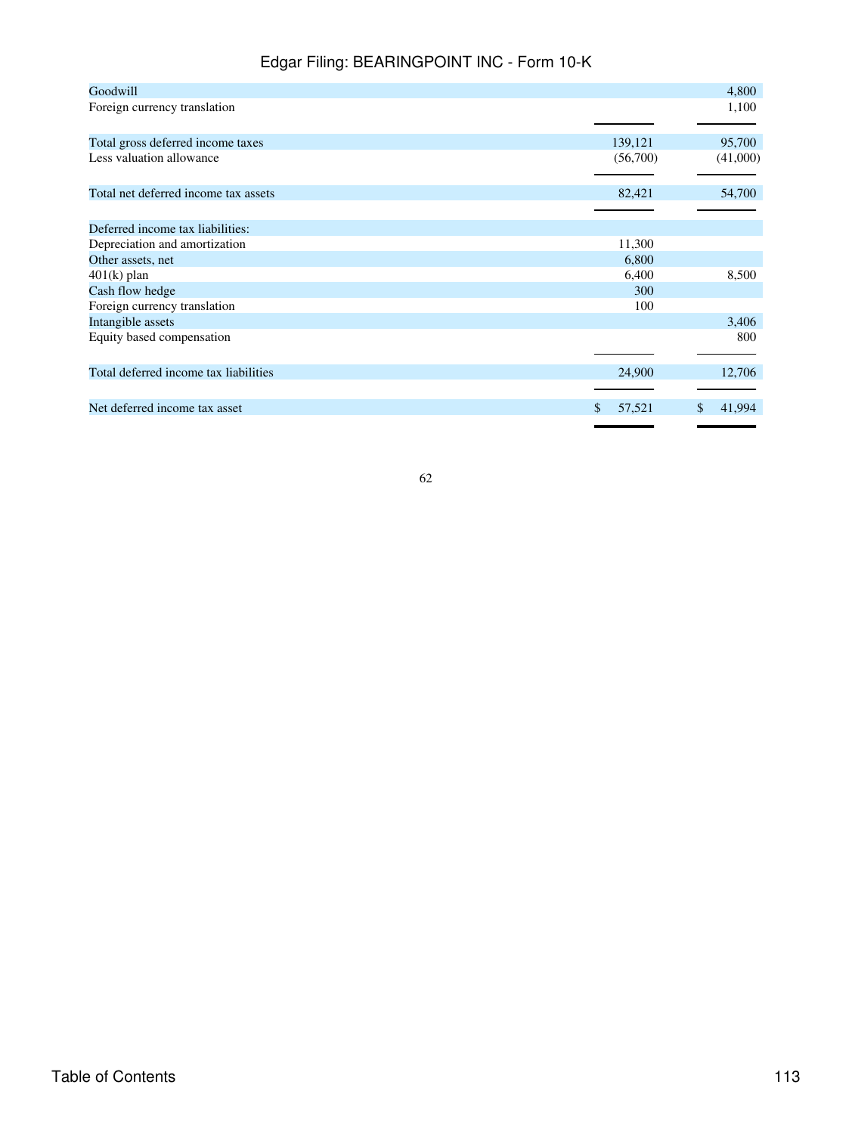| Goodwill                              |              | 4,800    |
|---------------------------------------|--------------|----------|
| Foreign currency translation          |              | 1,100    |
|                                       |              |          |
| Total gross deferred income taxes     | 139,121      | 95,700   |
| Less valuation allowance              | (56,700)     | (41,000) |
|                                       |              |          |
| Total net deferred income tax assets  | 82,421       | 54,700   |
|                                       |              |          |
| Deferred income tax liabilities:      |              |          |
| Depreciation and amortization         | 11,300       |          |
| Other assets, net                     | 6,800        |          |
| $401(k)$ plan                         | 6,400        | 8,500    |
| Cash flow hedge                       | 300          |          |
| Foreign currency translation          | 100          |          |
| Intangible assets                     |              | 3,406    |
| Equity based compensation             |              | 800      |
|                                       |              |          |
| Total deferred income tax liabilities | 24,900       | 12,706   |
|                                       |              |          |
| Net deferred income tax asset         | \$<br>57,521 | 41,994   |
|                                       |              |          |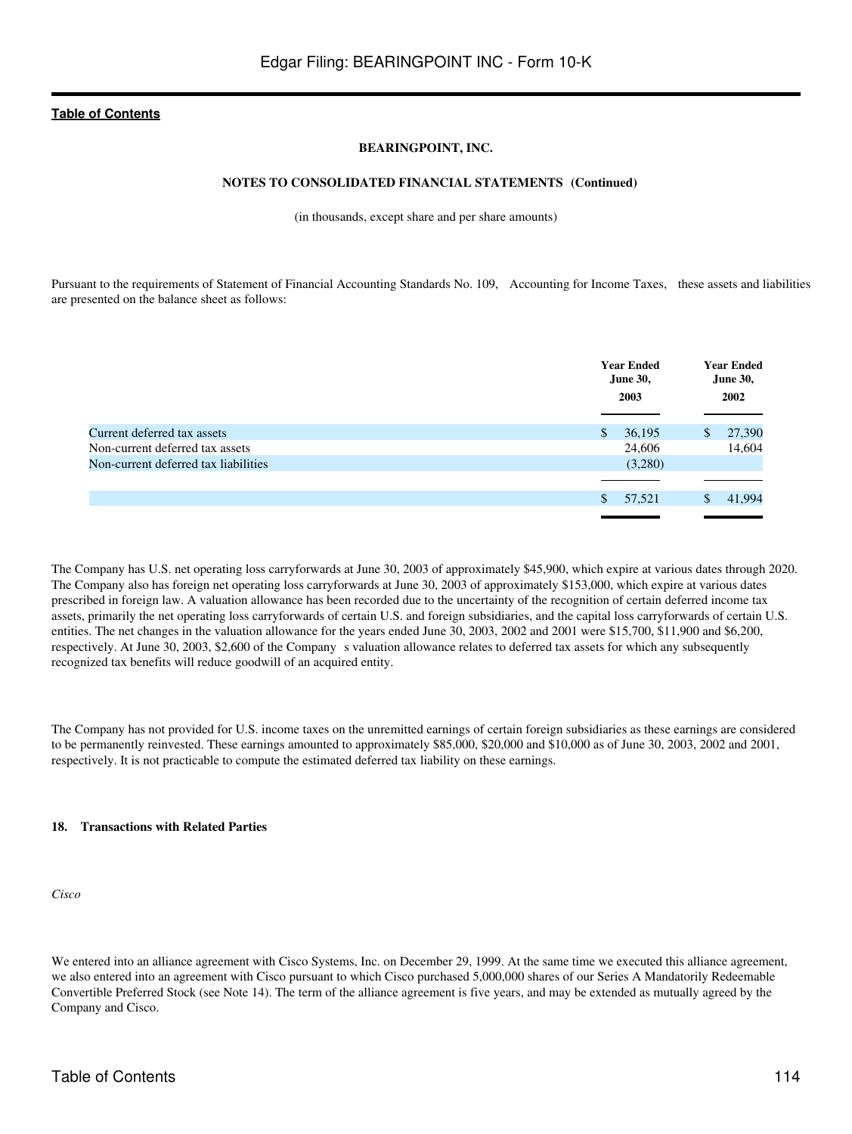### **BEARINGPOINT, INC.**

### **NOTES TO CONSOLIDATED FINANCIAL STATEMENTS (Continued)**

(in thousands, except share and per share amounts)

Pursuant to the requirements of Statement of Financial Accounting Standards No. 109, Accounting for Income Taxes, these assets and liabilities are presented on the balance sheet as follows:

|                                      | <b>Year Ended</b><br><b>June 30,</b><br>2003 | <b>Year Ended</b><br><b>June 30,</b><br>2002 |
|--------------------------------------|----------------------------------------------|----------------------------------------------|
|                                      |                                              |                                              |
| Current deferred tax assets          | <sup>\$</sup><br>36,195                      | 27,390<br>$\mathbb{S}$                       |
| Non-current deferred tax assets      | 24,606                                       | 14,604                                       |
| Non-current deferred tax liabilities | (3,280)                                      |                                              |
|                                      |                                              |                                              |
|                                      | 57,521<br><sup>\$</sup>                      | 41.994<br>S                                  |
|                                      |                                              |                                              |

The Company has U.S. net operating loss carryforwards at June 30, 2003 of approximately \$45,900, which expire at various dates through 2020. The Company also has foreign net operating loss carryforwards at June 30, 2003 of approximately \$153,000, which expire at various dates prescribed in foreign law. A valuation allowance has been recorded due to the uncertainty of the recognition of certain deferred income tax assets, primarily the net operating loss carryforwards of certain U.S. and foreign subsidiaries, and the capital loss carryforwards of certain U.S. entities. The net changes in the valuation allowance for the years ended June 30, 2003, 2002 and 2001 were \$15,700, \$11,900 and \$6,200, respectively. At June 30, 2003, \$2,600 of the Company s valuation allowance relates to deferred tax assets for which any subsequently recognized tax benefits will reduce goodwill of an acquired entity.

The Company has not provided for U.S. income taxes on the unremitted earnings of certain foreign subsidiaries as these earnings are considered to be permanently reinvested. These earnings amounted to approximately \$85,000, \$20,000 and \$10,000 as of June 30, 2003, 2002 and 2001, respectively. It is not practicable to compute the estimated deferred tax liability on these earnings.

#### **18. Transactions with Related Parties**

*Cisco*

We entered into an alliance agreement with Cisco Systems, Inc. on December 29, 1999. At the same time we executed this alliance agreement, we also entered into an agreement with Cisco pursuant to which Cisco purchased 5,000,000 shares of our Series A Mandatorily Redeemable Convertible Preferred Stock (see Note 14). The term of the alliance agreement is five years, and may be extended as mutually agreed by the Company and Cisco.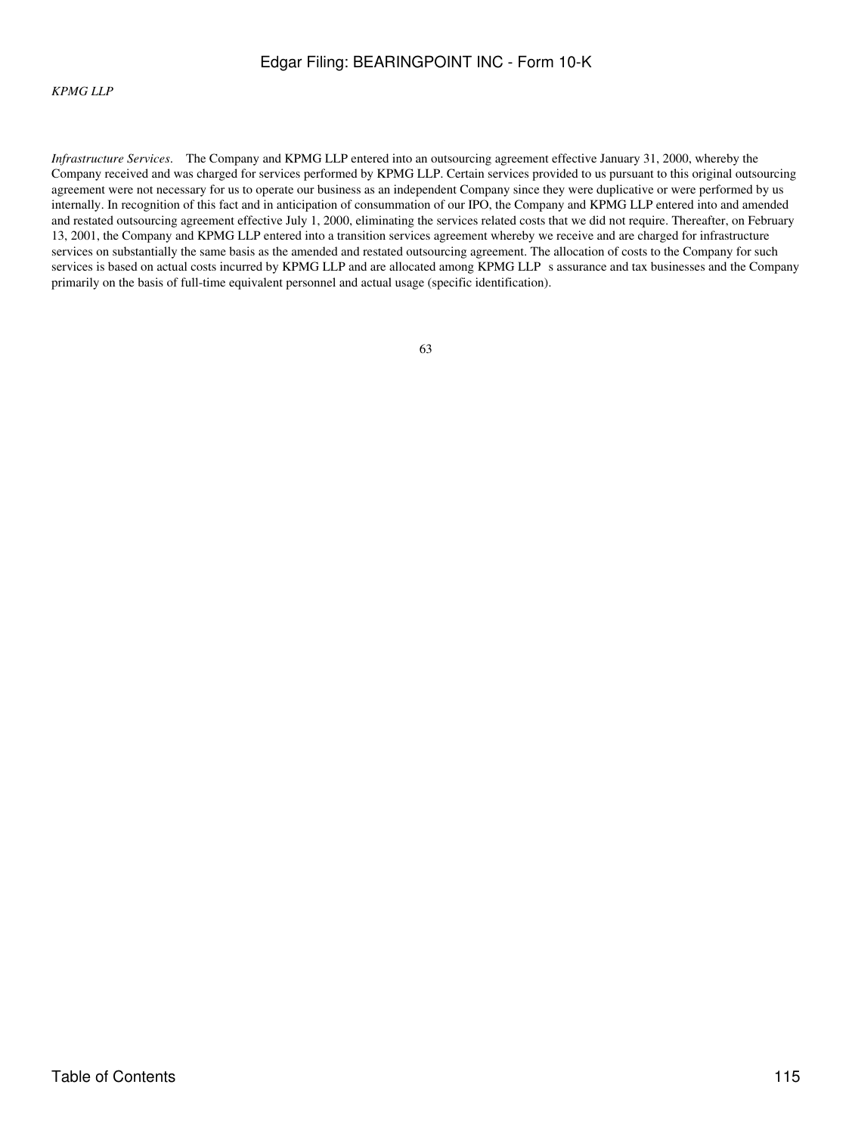### *KPMG LLP*

*Infrastructure Services*. The Company and KPMG LLP entered into an outsourcing agreement effective January 31, 2000, whereby the Company received and was charged for services performed by KPMG LLP. Certain services provided to us pursuant to this original outsourcing agreement were not necessary for us to operate our business as an independent Company since they were duplicative or were performed by us internally. In recognition of this fact and in anticipation of consummation of our IPO, the Company and KPMG LLP entered into and amended and restated outsourcing agreement effective July 1, 2000, eliminating the services related costs that we did not require. Thereafter, on February 13, 2001, the Company and KPMG LLP entered into a transition services agreement whereby we receive and are charged for infrastructure services on substantially the same basis as the amended and restated outsourcing agreement. The allocation of costs to the Company for such services is based on actual costs incurred by KPMG LLP and are allocated among KPMG LLP s assurance and tax businesses and the Company primarily on the basis of full-time equivalent personnel and actual usage (specific identification).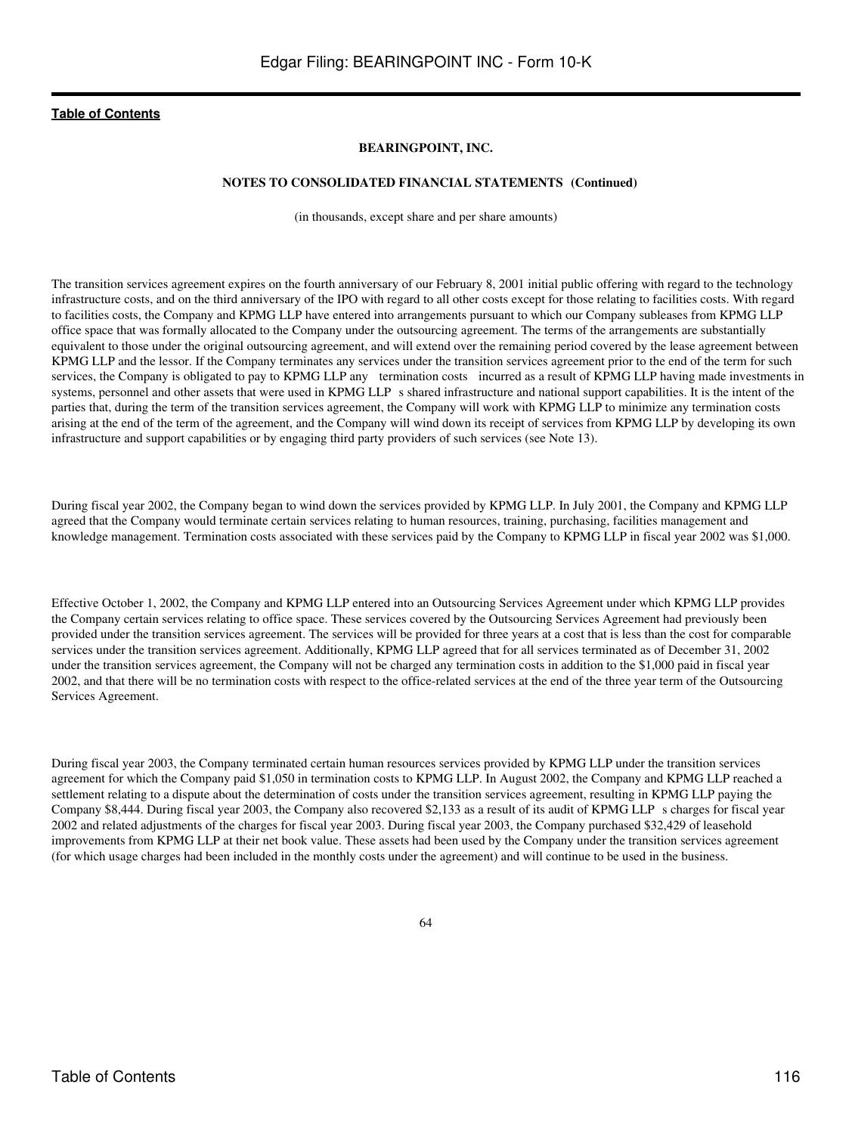### **BEARINGPOINT, INC.**

### **NOTES TO CONSOLIDATED FINANCIAL STATEMENTS (Continued)**

(in thousands, except share and per share amounts)

The transition services agreement expires on the fourth anniversary of our February 8, 2001 initial public offering with regard to the technology infrastructure costs, and on the third anniversary of the IPO with regard to all other costs except for those relating to facilities costs. With regard to facilities costs, the Company and KPMG LLP have entered into arrangements pursuant to which our Company subleases from KPMG LLP office space that was formally allocated to the Company under the outsourcing agreement. The terms of the arrangements are substantially equivalent to those under the original outsourcing agreement, and will extend over the remaining period covered by the lease agreement between KPMG LLP and the lessor. If the Company terminates any services under the transition services agreement prior to the end of the term for such services, the Company is obligated to pay to KPMG LLP any termination costs incurred as a result of KPMG LLP having made investments in systems, personnel and other assets that were used in KPMG LLP s shared infrastructure and national support capabilities. It is the intent of the parties that, during the term of the transition services agreement, the Company will work with KPMG LLP to minimize any termination costs arising at the end of the term of the agreement, and the Company will wind down its receipt of services from KPMG LLP by developing its own infrastructure and support capabilities or by engaging third party providers of such services (see Note 13).

During fiscal year 2002, the Company began to wind down the services provided by KPMG LLP. In July 2001, the Company and KPMG LLP agreed that the Company would terminate certain services relating to human resources, training, purchasing, facilities management and knowledge management. Termination costs associated with these services paid by the Company to KPMG LLP in fiscal year 2002 was \$1,000.

Effective October 1, 2002, the Company and KPMG LLP entered into an Outsourcing Services Agreement under which KPMG LLP provides the Company certain services relating to office space. These services covered by the Outsourcing Services Agreement had previously been provided under the transition services agreement. The services will be provided for three years at a cost that is less than the cost for comparable services under the transition services agreement. Additionally, KPMG LLP agreed that for all services terminated as of December 31, 2002 under the transition services agreement, the Company will not be charged any termination costs in addition to the \$1,000 paid in fiscal year 2002, and that there will be no termination costs with respect to the office-related services at the end of the three year term of the Outsourcing Services Agreement.

During fiscal year 2003, the Company terminated certain human resources services provided by KPMG LLP under the transition services agreement for which the Company paid \$1,050 in termination costs to KPMG LLP. In August 2002, the Company and KPMG LLP reached a settlement relating to a dispute about the determination of costs under the transition services agreement, resulting in KPMG LLP paying the Company \$8,444. During fiscal year 2003, the Company also recovered \$2,133 as a result of its audit of KPMG LLPs charges for fiscal year 2002 and related adjustments of the charges for fiscal year 2003. During fiscal year 2003, the Company purchased \$32,429 of leasehold improvements from KPMG LLP at their net book value. These assets had been used by the Company under the transition services agreement (for which usage charges had been included in the monthly costs under the agreement) and will continue to be used in the business.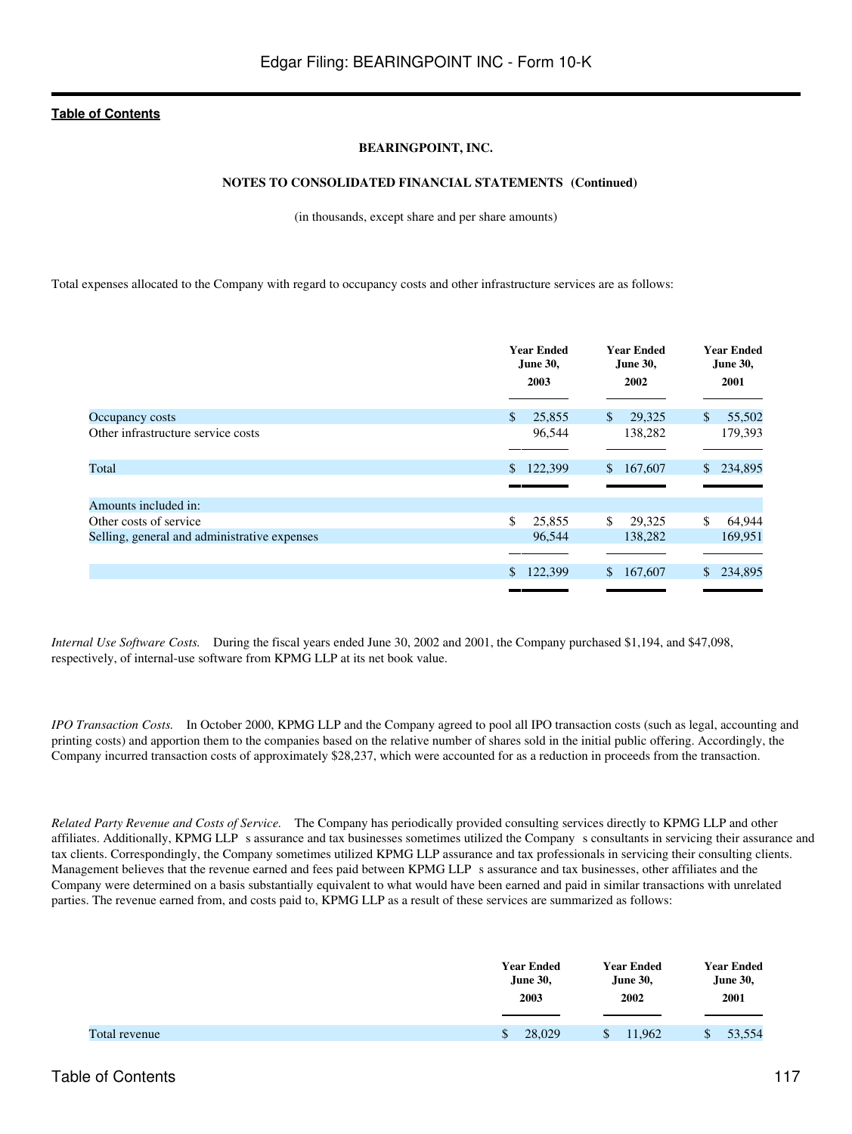### **BEARINGPOINT, INC.**

### **NOTES TO CONSOLIDATED FINANCIAL STATEMENTS (Continued)**

(in thousands, except share and per share amounts)

Total expenses allocated to the Company with regard to occupancy costs and other infrastructure services are as follows:

|                                              | <b>Year Ended</b><br><b>Year Ended</b><br><b>June 30,</b><br>June 30,<br>2003<br>2002 |                         | <b>Year Ended</b><br><b>June 30,</b><br>2001 |
|----------------------------------------------|---------------------------------------------------------------------------------------|-------------------------|----------------------------------------------|
| Occupancy costs                              | \$<br>25,855                                                                          | \$<br>29,325            | 55,502<br>\$                                 |
| Other infrastructure service costs           | 96,544                                                                                | 138,282                 | 179,393                                      |
| Total                                        | 122,399<br>\$                                                                         | \$167,607               | 234,895<br>\$.                               |
| Amounts included in:                         |                                                                                       |                         |                                              |
| Other costs of service                       | \$<br>25,855                                                                          | \$<br>29,325            | \$<br>64,944                                 |
| Selling, general and administrative expenses | 96,544                                                                                | 138,282                 | 169,951                                      |
|                                              | 122,399<br>$\mathbb{S}$                                                               | $\mathbb{S}$<br>167,607 | 234,895                                      |
|                                              |                                                                                       |                         |                                              |

*Internal Use Software Costs.* During the fiscal years ended June 30, 2002 and 2001, the Company purchased \$1,194, and \$47,098, respectively, of internal-use software from KPMG LLP at its net book value.

*IPO Transaction Costs.* In October 2000, KPMG LLP and the Company agreed to pool all IPO transaction costs (such as legal, accounting and printing costs) and apportion them to the companies based on the relative number of shares sold in the initial public offering. Accordingly, the Company incurred transaction costs of approximately \$28,237, which were accounted for as a reduction in proceeds from the transaction.

*Related Party Revenue and Costs of Service.* The Company has periodically provided consulting services directly to KPMG LLP and other affiliates. Additionally, KPMG LLP s assurance and tax businesses sometimes utilized the Company s consultants in servicing their assurance and tax clients. Correspondingly, the Company sometimes utilized KPMG LLP assurance and tax professionals in servicing their consulting clients. Management believes that the revenue earned and fees paid between KPMG LLP s assurance and tax businesses, other affiliates and the Company were determined on a basis substantially equivalent to what would have been earned and paid in similar transactions with unrelated parties. The revenue earned from, and costs paid to, KPMG LLP as a result of these services are summarized as follows:

|               | <b>Year Ended</b>      | <b>Year Ended</b> | Year Ended      |
|---------------|------------------------|-------------------|-----------------|
|               | <b>June 30,</b>        | <b>June 30,</b>   | <b>June 30,</b> |
|               | 2003                   | 2002              | 2001            |
| Total revenue | 28,029<br>$\mathbb{S}$ | 11.962            | 53,554          |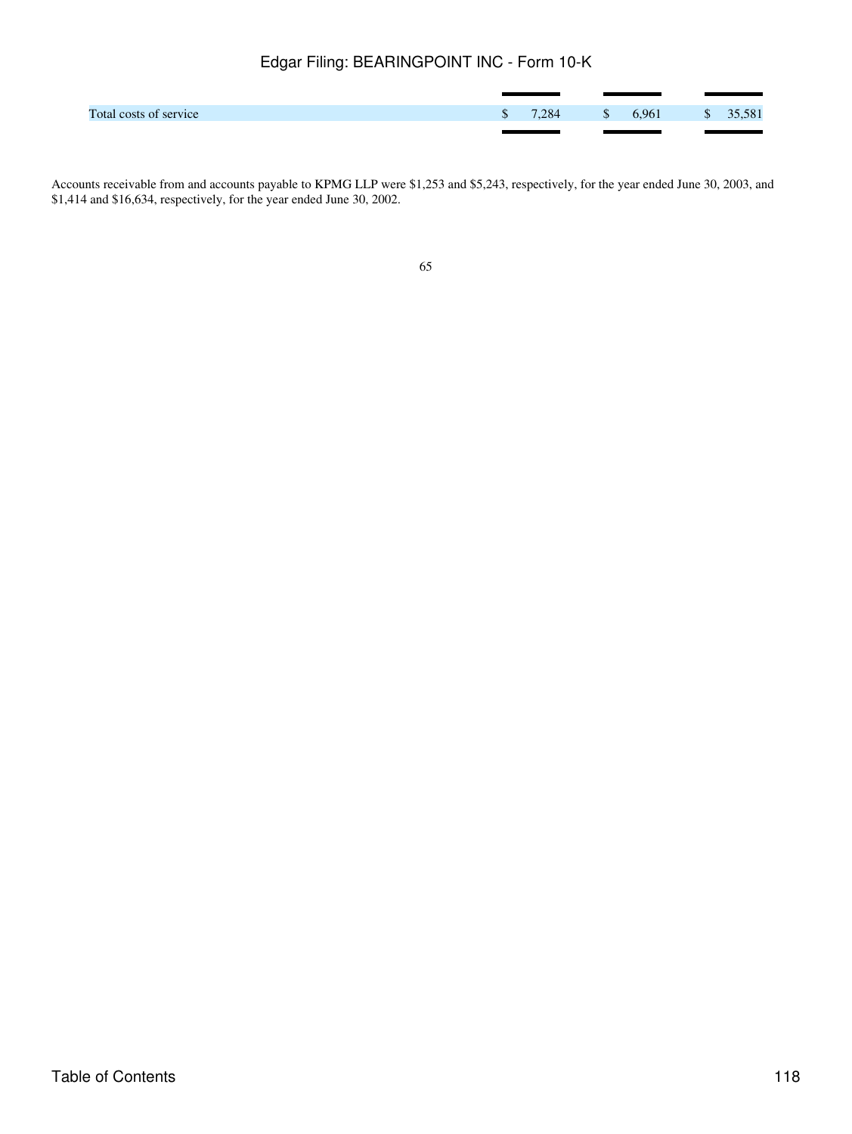| Total costs of service | $\mathbb{S}$ | 7.284 | $\sim$ $\sim$ $\sim$ |  | 6,961 \$ 35,581 |
|------------------------|--------------|-------|----------------------|--|-----------------|
|                        |              |       |                      |  |                 |

Accounts receivable from and accounts payable to KPMG LLP were \$1,253 and \$5,243, respectively, for the year ended June 30, 2003, and \$1,414 and \$16,634, respectively, for the year ended June 30, 2002.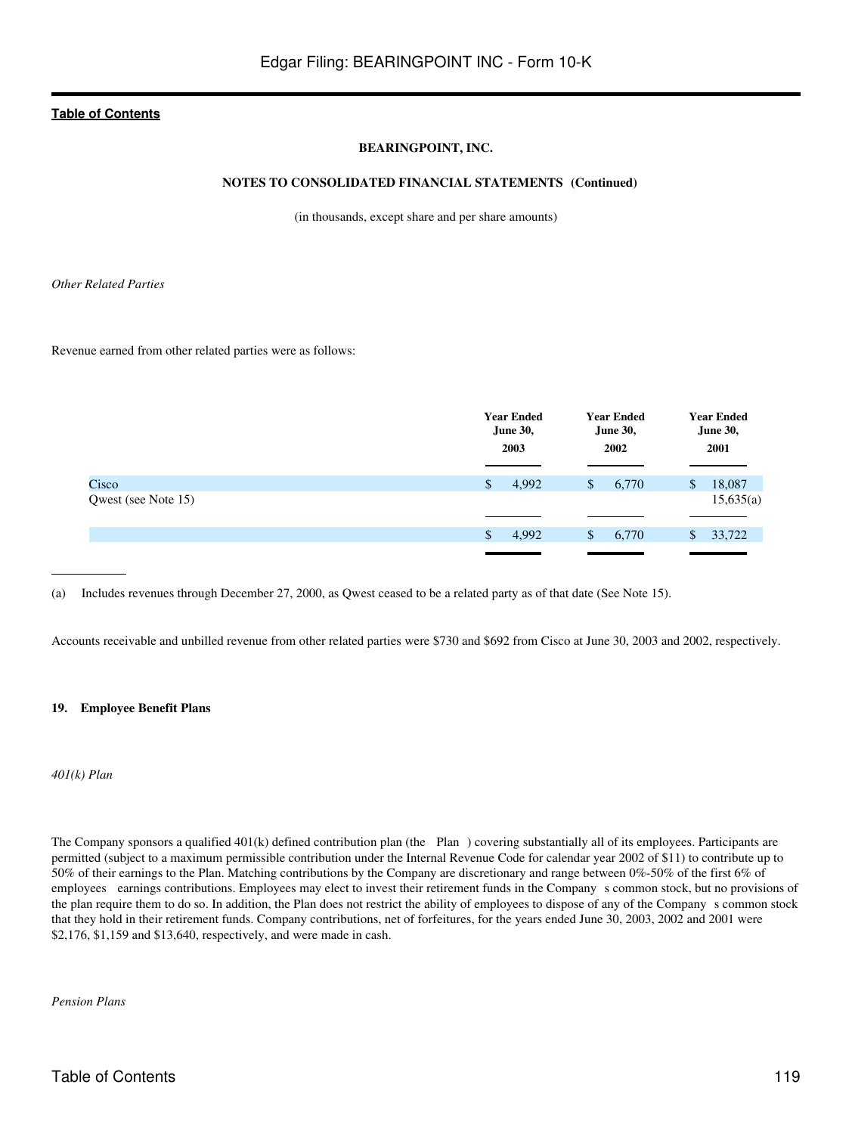### **BEARINGPOINT, INC.**

### **NOTES TO CONSOLIDATED FINANCIAL STATEMENTS (Continued)**

(in thousands, except share and per share amounts)

*Other Related Parties*

Revenue earned from other related parties were as follows:

|                     |              | <b>Year Ended</b><br><b>Year Ended</b><br><b>June 30,</b><br><b>June 30,</b><br>2003<br>2002 |    |       | <b>Year Ended</b><br><b>June 30,</b><br>2001 |           |
|---------------------|--------------|----------------------------------------------------------------------------------------------|----|-------|----------------------------------------------|-----------|
| Cisco               | $\mathbb{S}$ | 4,992                                                                                        | \$ | 6,770 | $\mathbb{S}$                                 | 18,087    |
| Qwest (see Note 15) |              |                                                                                              |    |       |                                              | 15,635(a) |
|                     | \$           | 4,992                                                                                        | \$ | 6,770 | \$                                           | 33,722    |
|                     |              |                                                                                              |    |       |                                              |           |

(a) Includes revenues through December 27, 2000, as Qwest ceased to be a related party as of that date (See Note 15).

Accounts receivable and unbilled revenue from other related parties were \$730 and \$692 from Cisco at June 30, 2003 and 2002, respectively.

#### **19. Employee Benefit Plans**

*401(k) Plan*

The Company sponsors a qualified 401(k) defined contribution plan (the Plan) covering substantially all of its employees. Participants are permitted (subject to a maximum permissible contribution under the Internal Revenue Code for calendar year 2002 of \$11) to contribute up to 50% of their earnings to the Plan. Matching contributions by the Company are discretionary and range between 0%-50% of the first 6% of employees earnings contributions. Employees may elect to invest their retirement funds in the Company s common stock, but no provisions of the plan require them to do so. In addition, the Plan does not restrict the ability of employees to dispose of any of the Company s common stock that they hold in their retirement funds. Company contributions, net of forfeitures, for the years ended June 30, 2003, 2002 and 2001 were \$2,176, \$1,159 and \$13,640, respectively, and were made in cash.

*Pension Plans*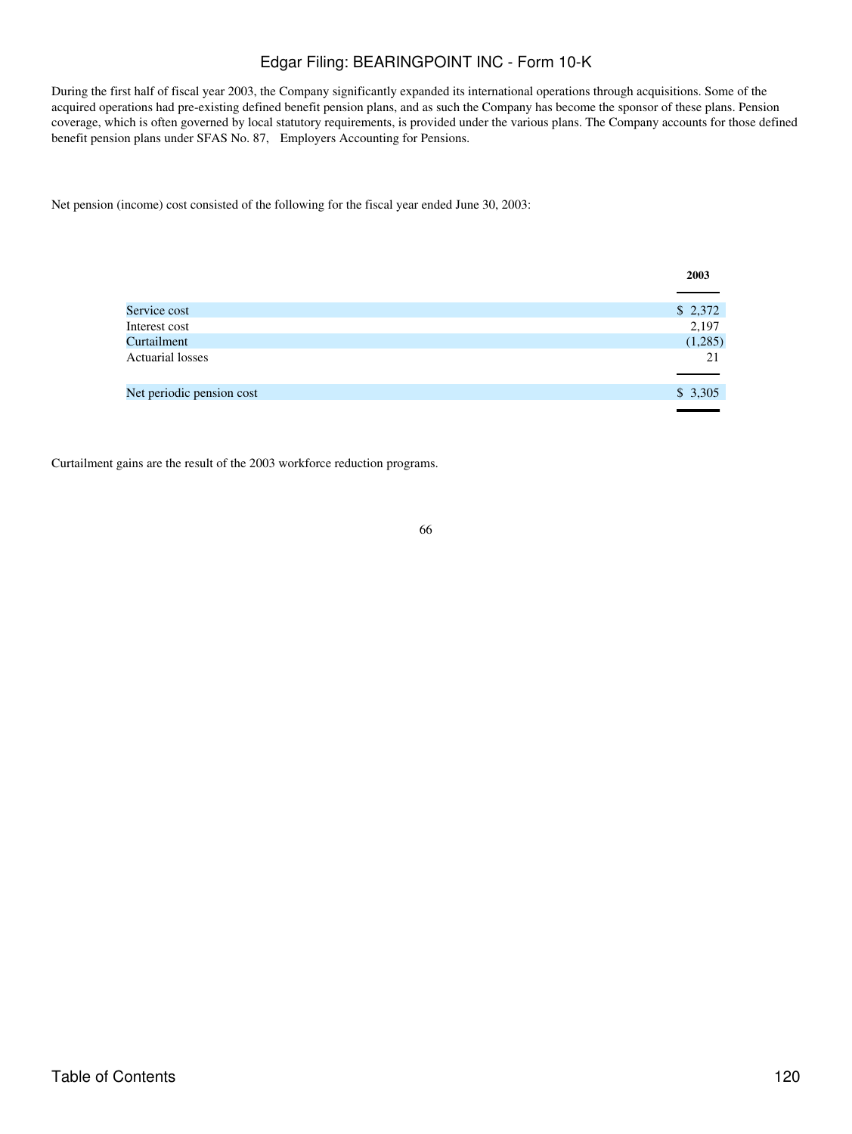During the first half of fiscal year 2003, the Company significantly expanded its international operations through acquisitions. Some of the acquired operations had pre-existing defined benefit pension plans, and as such the Company has become the sponsor of these plans. Pension coverage, which is often governed by local statutory requirements, is provided under the various plans. The Company accounts for those defined benefit pension plans under SFAS No. 87, Employers Accounting for Pensions.

Net pension (income) cost consisted of the following for the fiscal year ended June 30, 2003:

|                           | 2003    |
|---------------------------|---------|
|                           |         |
| Service cost              | \$2,372 |
| Interest cost             | 2,197   |
| Curtailment               | (1,285) |
| <b>Actuarial losses</b>   | 21      |
|                           |         |
| Net periodic pension cost | \$3,305 |
|                           |         |

Curtailment gains are the result of the 2003 workforce reduction programs.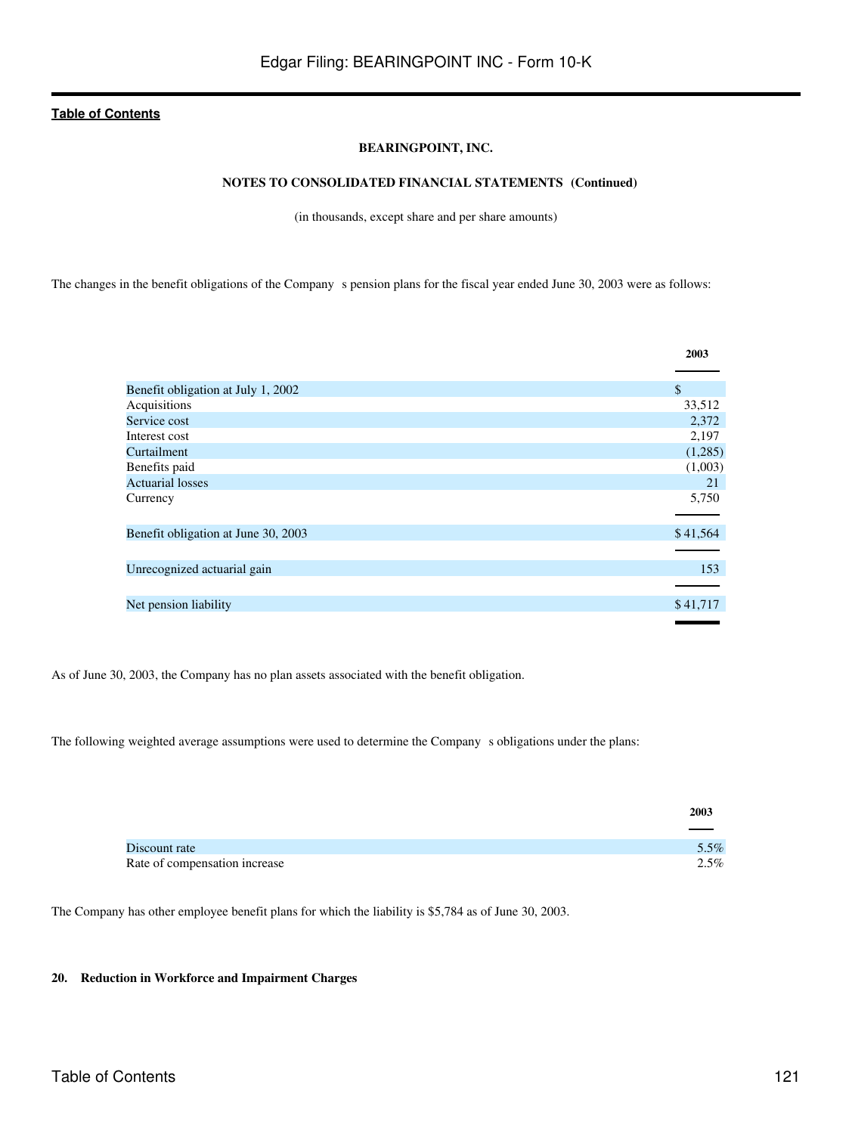### **BEARINGPOINT, INC.**

## **NOTES TO CONSOLIDATED FINANCIAL STATEMENTS (Continued)**

(in thousands, except share and per share amounts)

The changes in the benefit obligations of the Company s pension plans for the fiscal year ended June 30, 2003 were as follows:

|                                     | 2003          |
|-------------------------------------|---------------|
|                                     |               |
| Benefit obligation at July 1, 2002  | $\mathcal{S}$ |
| Acquisitions                        | 33,512        |
| Service cost                        | 2,372         |
| Interest cost                       | 2,197         |
| Curtailment                         | (1,285)       |
| Benefits paid                       | (1,003)       |
| <b>Actuarial losses</b>             | 21            |
| Currency                            | 5,750         |
|                                     |               |
| Benefit obligation at June 30, 2003 | \$41,564      |
|                                     |               |
| Unrecognized actuarial gain         | 153           |
|                                     |               |
| Net pension liability               | \$41,717      |
|                                     |               |

As of June 30, 2003, the Company has no plan assets associated with the benefit obligation.

The following weighted average assumptions were used to determine the Company s obligations under the plans:

|                               | 2003 |
|-------------------------------|------|
|                               |      |
| Discount rate                 | 5.5% |
| Rate of compensation increase | 2.5% |

The Company has other employee benefit plans for which the liability is \$5,784 as of June 30, 2003.

### **20. Reduction in Workforce and Impairment Charges**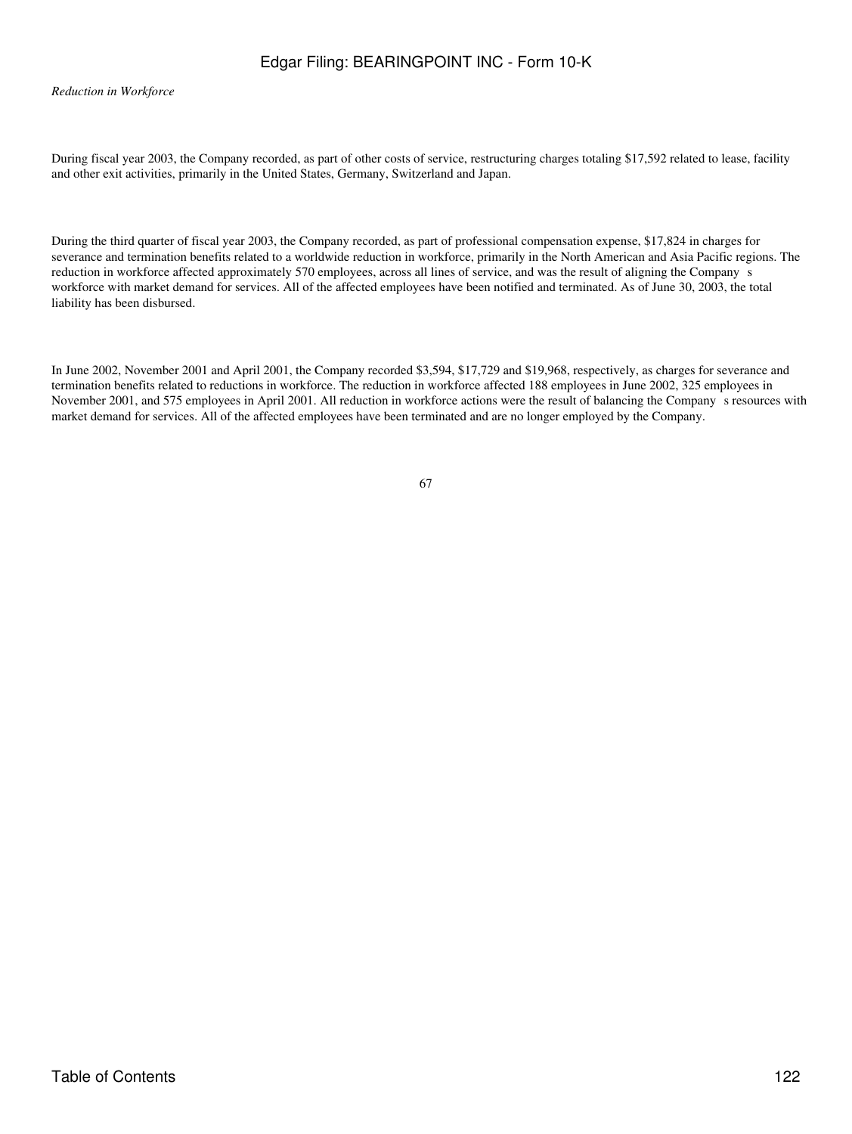*Reduction in Workforce*

During fiscal year 2003, the Company recorded, as part of other costs of service, restructuring charges totaling \$17,592 related to lease, facility and other exit activities, primarily in the United States, Germany, Switzerland and Japan.

During the third quarter of fiscal year 2003, the Company recorded, as part of professional compensation expense, \$17,824 in charges for severance and termination benefits related to a worldwide reduction in workforce, primarily in the North American and Asia Pacific regions. The reduction in workforce affected approximately 570 employees, across all lines of service, and was the result of aligning the Companys workforce with market demand for services. All of the affected employees have been notified and terminated. As of June 30, 2003, the total liability has been disbursed.

In June 2002, November 2001 and April 2001, the Company recorded \$3,594, \$17,729 and \$19,968, respectively, as charges for severance and termination benefits related to reductions in workforce. The reduction in workforce affected 188 employees in June 2002, 325 employees in November 2001, and 575 employees in April 2001. All reduction in workforce actions were the result of balancing the Companys resources with market demand for services. All of the affected employees have been terminated and are no longer employed by the Company.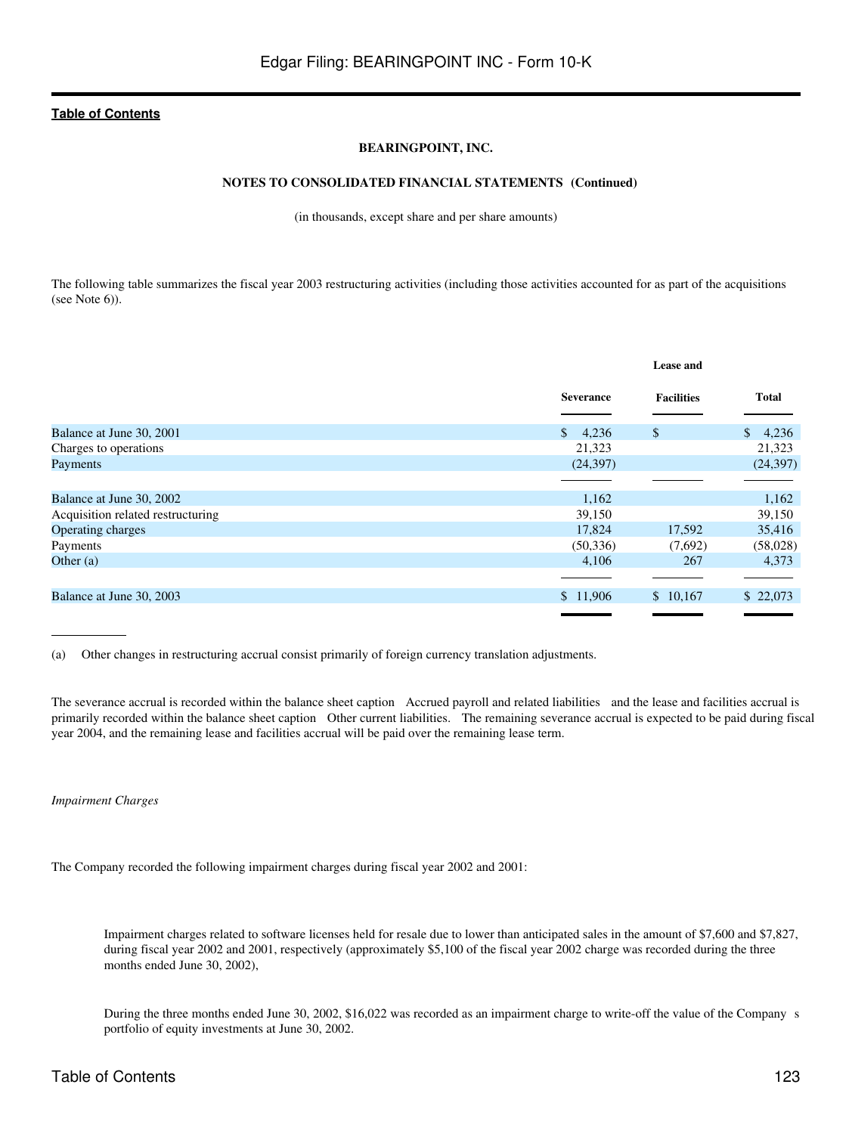### **BEARINGPOINT, INC.**

### **NOTES TO CONSOLIDATED FINANCIAL STATEMENTS (Continued)**

(in thousands, except share and per share amounts)

The following table summarizes the fiscal year 2003 restructuring activities (including those activities accounted for as part of the acquisitions (see Note 6)).

|                                   |                       | <b>Lease and</b>  |              |  |
|-----------------------------------|-----------------------|-------------------|--------------|--|
|                                   | <b>Severance</b>      | <b>Facilities</b> | <b>Total</b> |  |
| Balance at June 30, 2001          | $\mathbb{S}$<br>4,236 | \$                | 4,236<br>S.  |  |
| Charges to operations             | 21,323                |                   | 21,323       |  |
| Payments                          | (24, 397)             |                   | (24, 397)    |  |
|                                   |                       |                   |              |  |
| Balance at June 30, 2002          | 1,162                 |                   | 1,162        |  |
| Acquisition related restructuring | 39,150                |                   | 39,150       |  |
| Operating charges                 | 17,824                | 17,592            | 35,416       |  |
| Payments                          | (50, 336)             | (7,692)           | (58,028)     |  |
| Other $(a)$                       | 4,106                 | 267               | 4,373        |  |
|                                   |                       |                   |              |  |
| Balance at June 30, 2003          | \$11,906              | \$10,167          | \$22,073     |  |
|                                   |                       |                   |              |  |

(a) Other changes in restructuring accrual consist primarily of foreign currency translation adjustments.

The severance accrual is recorded within the balance sheet caption Accrued payroll and related liabilities and the lease and facilities accrual is primarily recorded within the balance sheet caption Other current liabilities. The remaining severance accrual is expected to be paid during fiscal year 2004, and the remaining lease and facilities accrual will be paid over the remaining lease term.

*Impairment Charges*

The Company recorded the following impairment charges during fiscal year 2002 and 2001:

Impairment charges related to software licenses held for resale due to lower than anticipated sales in the amount of \$7,600 and \$7,827, during fiscal year 2002 and 2001, respectively (approximately \$5,100 of the fiscal year 2002 charge was recorded during the three months ended June 30, 2002),

During the three months ended June 30, 2002, \$16,022 was recorded as an impairment charge to write-off the value of the Companys portfolio of equity investments at June 30, 2002.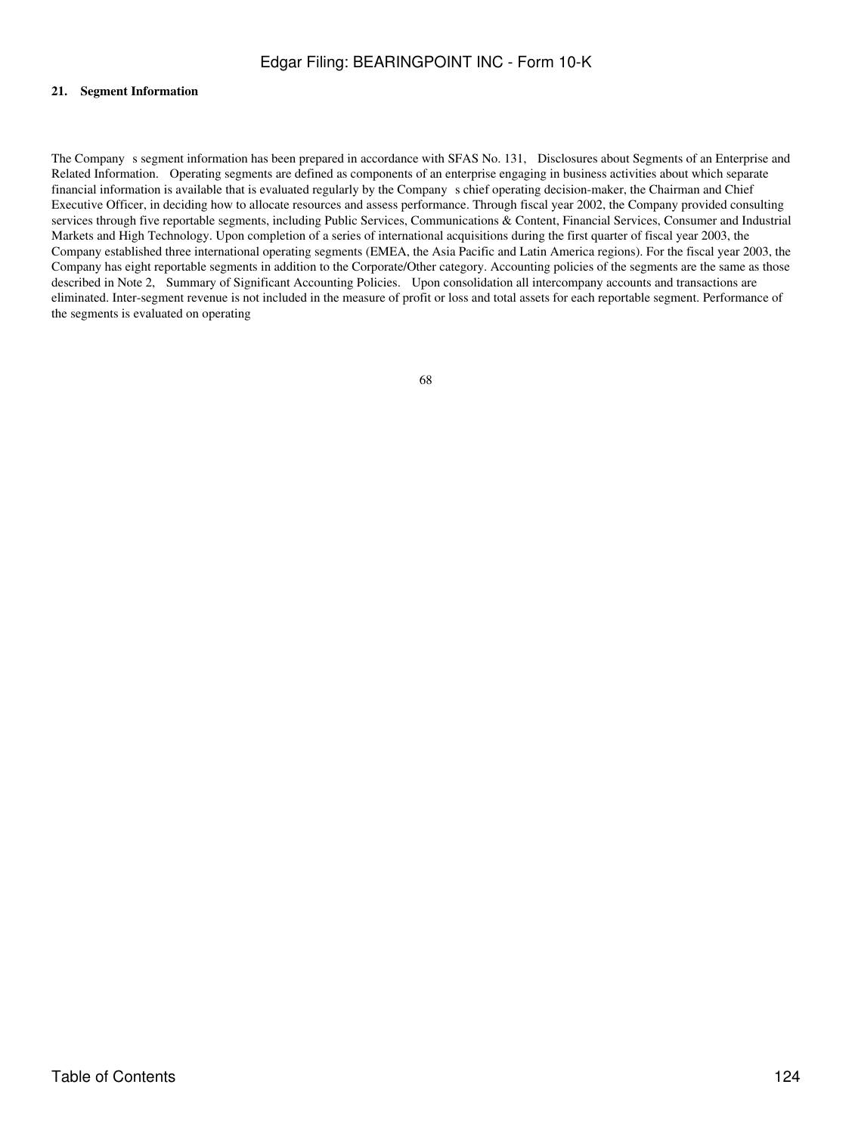#### **21. Segment Information**

The Company s segment information has been prepared in accordance with SFAS No. 131, Disclosures about Segments of an Enterprise and Related Information. Operating segments are defined as components of an enterprise engaging in business activities about which separate financial information is available that is evaluated regularly by the Companys chief operating decision-maker, the Chairman and Chief Executive Officer, in deciding how to allocate resources and assess performance. Through fiscal year 2002, the Company provided consulting services through five reportable segments, including Public Services, Communications & Content, Financial Services, Consumer and Industrial Markets and High Technology. Upon completion of a series of international acquisitions during the first quarter of fiscal year 2003, the Company established three international operating segments (EMEA, the Asia Pacific and Latin America regions). For the fiscal year 2003, the Company has eight reportable segments in addition to the Corporate/Other category. Accounting policies of the segments are the same as those described in Note 2, Summary of Significant Accounting Policies. Upon consolidation all intercompany accounts and transactions are eliminated. Inter-segment revenue is not included in the measure of profit or loss and total assets for each reportable segment. Performance of the segments is evaluated on operating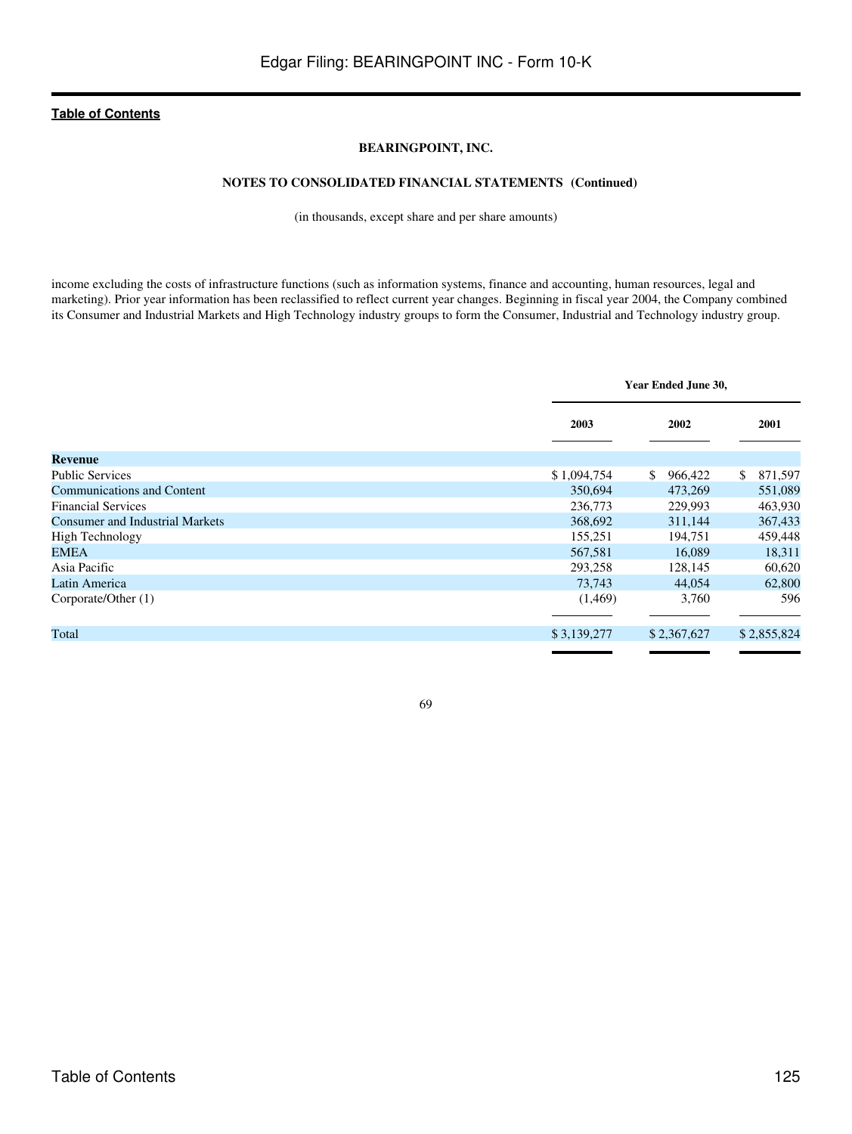### **BEARINGPOINT, INC.**

### **NOTES TO CONSOLIDATED FINANCIAL STATEMENTS (Continued)**

(in thousands, except share and per share amounts)

income excluding the costs of infrastructure functions (such as information systems, finance and accounting, human resources, legal and marketing). Prior year information has been reclassified to reflect current year changes. Beginning in fiscal year 2004, the Company combined its Consumer and Industrial Markets and High Technology industry groups to form the Consumer, Industrial and Technology industry group.

|                                        |             | Year Ended June 30,       |               |  |  |
|----------------------------------------|-------------|---------------------------|---------------|--|--|
|                                        | 2003        | 2002                      | 2001          |  |  |
| <b>Revenue</b>                         |             |                           |               |  |  |
| <b>Public Services</b>                 | \$1,094,754 | $\mathbb{S}^-$<br>966,422 | 871,597<br>S. |  |  |
| <b>Communications and Content</b>      | 350,694     | 473,269                   | 551,089       |  |  |
| <b>Financial Services</b>              | 236,773     | 229,993                   | 463,930       |  |  |
| <b>Consumer and Industrial Markets</b> | 368,692     | 311,144                   | 367,433       |  |  |
| <b>High Technology</b>                 | 155,251     | 194,751                   | 459,448       |  |  |
| <b>EMEA</b>                            | 567,581     | 16.089                    | 18,311        |  |  |
| Asia Pacific                           | 293,258     | 128,145                   | 60,620        |  |  |
| Latin America                          | 73,743      | 44,054                    | 62,800        |  |  |
| Corporate/Other (1)                    | (1,469)     | 3,760                     | 596           |  |  |
|                                        |             |                           |               |  |  |
| Total                                  | \$3,139,277 | \$2,367,627               | \$2,855,824   |  |  |
|                                        |             |                           |               |  |  |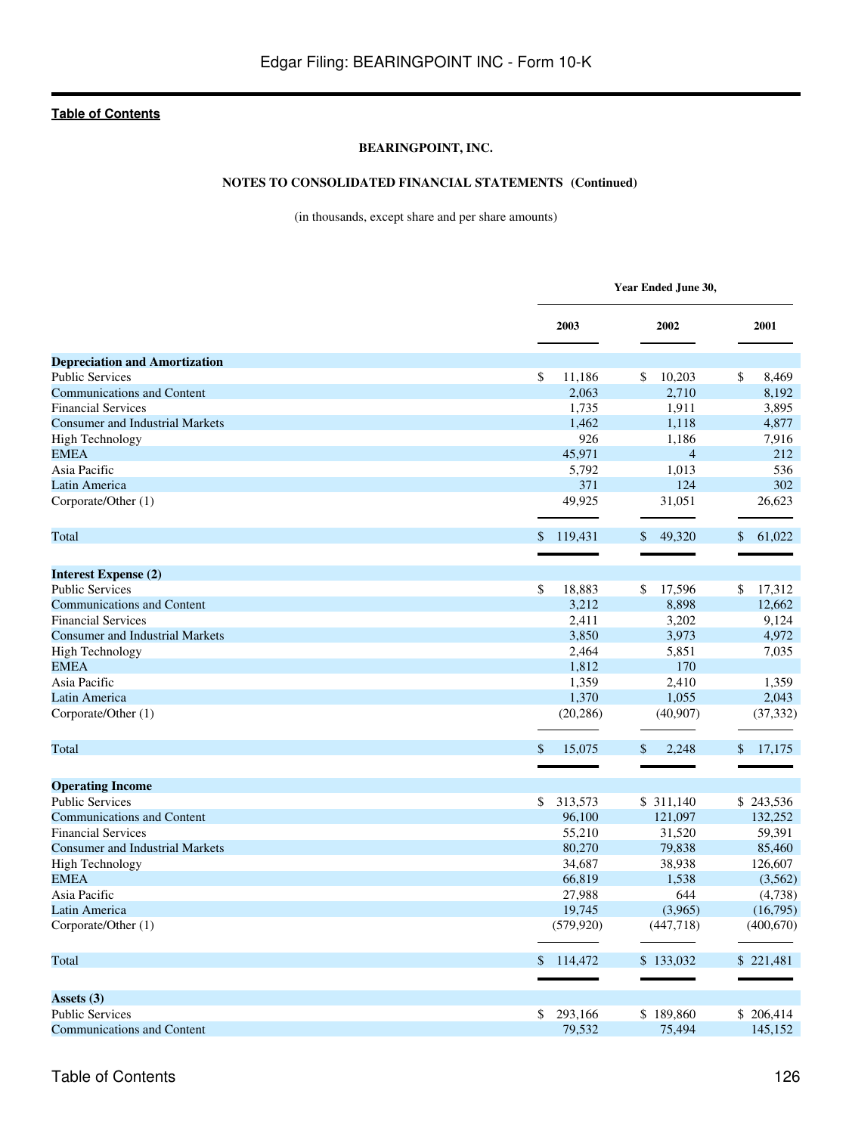## **BEARINGPOINT, INC.**

## **NOTES TO CONSOLIDATED FINANCIAL STATEMENTS (Continued)**

(in thousands, except share and per share amounts)

|                                                                |                  | Year Ended June 30, |                        |  |  |
|----------------------------------------------------------------|------------------|---------------------|------------------------|--|--|
|                                                                | 2003             | 2002                | 2001                   |  |  |
| <b>Depreciation and Amortization</b>                           |                  |                     |                        |  |  |
| <b>Public Services</b>                                         | \$<br>11,186     | 10,203<br>\$        | \$<br>8,469            |  |  |
| <b>Communications and Content</b>                              | 2,063            | 2,710               | 8,192                  |  |  |
| <b>Financial Services</b>                                      | 1,735            | 1,911               | 3,895                  |  |  |
| <b>Consumer and Industrial Markets</b>                         | 1,462            | 1,118               | 4,877                  |  |  |
| <b>High Technology</b>                                         | 926              | 1,186               | 7,916                  |  |  |
| <b>EMEA</b>                                                    | 45,971           | $\overline{4}$      | 212                    |  |  |
| Asia Pacific                                                   | 5,792            | 1,013               | 536                    |  |  |
| Latin America                                                  | 371              | 124                 | 302                    |  |  |
| Corporate/Other (1)                                            | 49,925           | 31,051              | 26,623                 |  |  |
| Total                                                          | \$<br>119,431    | 49,320<br>\$        | $\mathbb{S}$<br>61,022 |  |  |
| <b>Interest Expense (2)</b>                                    |                  |                     |                        |  |  |
| <b>Public Services</b>                                         | \$<br>18,883     | \$<br>17,596        | \$<br>17,312           |  |  |
| <b>Communications and Content</b>                              | 3,212            | 8,898               | 12,662                 |  |  |
| <b>Financial Services</b>                                      | 2,411            | 3,202               | 9,124                  |  |  |
| <b>Consumer and Industrial Markets</b>                         | 3,850            | 3,973               | 4,972                  |  |  |
| <b>High Technology</b>                                         | 2,464            | 5,851               | 7,035                  |  |  |
| <b>EMEA</b>                                                    | 1,812            | 170                 |                        |  |  |
| Asia Pacific                                                   | 1,359            | 2,410               | 1,359                  |  |  |
| Latin America                                                  | 1,370            | 1,055               | 2,043                  |  |  |
| Corporate/Other (1)                                            | (20, 286)        | (40,907)            | (37, 332)              |  |  |
| Total                                                          | \$<br>15,075     | 2,248<br>\$         | \$<br>17,175           |  |  |
|                                                                |                  |                     |                        |  |  |
| <b>Operating Income</b>                                        |                  |                     |                        |  |  |
| <b>Public Services</b>                                         | \$<br>313,573    | \$311,140           | \$243,536              |  |  |
| <b>Communications and Content</b><br><b>Financial Services</b> | 96,100           | 121,097             | 132,252<br>59,391      |  |  |
| <b>Consumer and Industrial Markets</b>                         | 55,210<br>80,270 | 31,520<br>79,838    | 85,460                 |  |  |
| <b>High Technology</b>                                         | 34,687           | 38,938              | 126,607                |  |  |
| <b>EMEA</b>                                                    | 66,819           | 1,538               | (3,562)                |  |  |
| Asia Pacific                                                   | 27,988           | 644                 | (4,738)                |  |  |
| Latin America                                                  | 19,745           | (3,965)             | (16,795)               |  |  |
| Corporate/Other (1)                                            | (579, 920)       | (447,718)           | (400, 670)             |  |  |
| Total                                                          | \$114,472        | \$133,032           | \$221,481              |  |  |
|                                                                |                  |                     |                        |  |  |
| Assets (3)<br><b>Public Services</b>                           | 293,166<br>\$    | \$189,860           | \$206,414              |  |  |
| <b>Communications and Content</b>                              | 79,532           | 75,494              | 145,152                |  |  |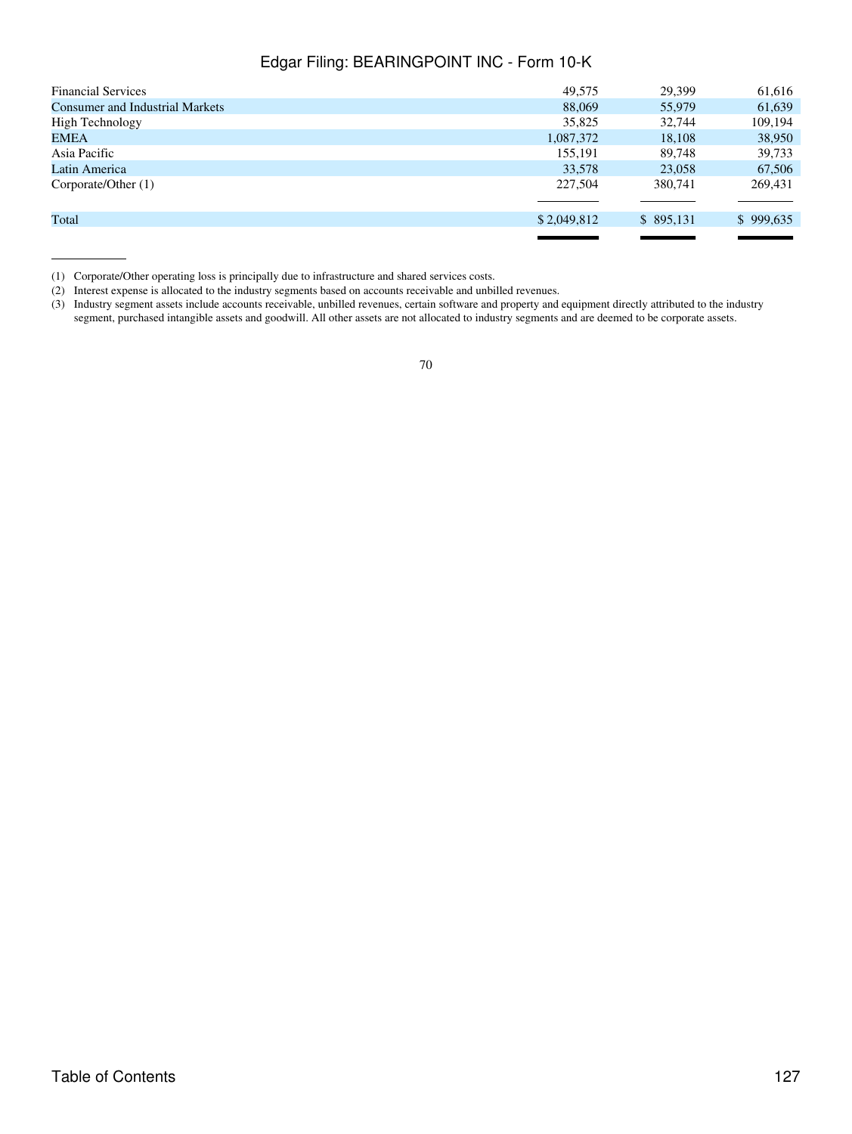| <b>Financial Services</b>              | 49.575      | 29.399    | 61,616    |
|----------------------------------------|-------------|-----------|-----------|
| <b>Consumer and Industrial Markets</b> | 88,069      | 55,979    | 61,639    |
| High Technology                        | 35,825      | 32,744    | 109,194   |
| EMEA                                   | 1,087,372   | 18,108    | 38,950    |
| Asia Pacific                           | 155,191     | 89,748    | 39,733    |
| Latin America                          | 33,578      | 23,058    | 67,506    |
| Corporate/Other (1)                    | 227,504     | 380,741   | 269,431   |
| Total                                  | \$2,049,812 | \$895,131 | \$999,635 |
|                                        |             |           |           |

(1) Corporate/Other operating loss is principally due to infrastructure and shared services costs.

(2) Interest expense is allocated to the industry segments based on accounts receivable and unbilled revenues.

(3) Industry segment assets include accounts receivable, unbilled revenues, certain software and property and equipment directly attributed to the industry segment, purchased intangible assets and goodwill. All other assets are not allocated to industry segments and are deemed to be corporate assets.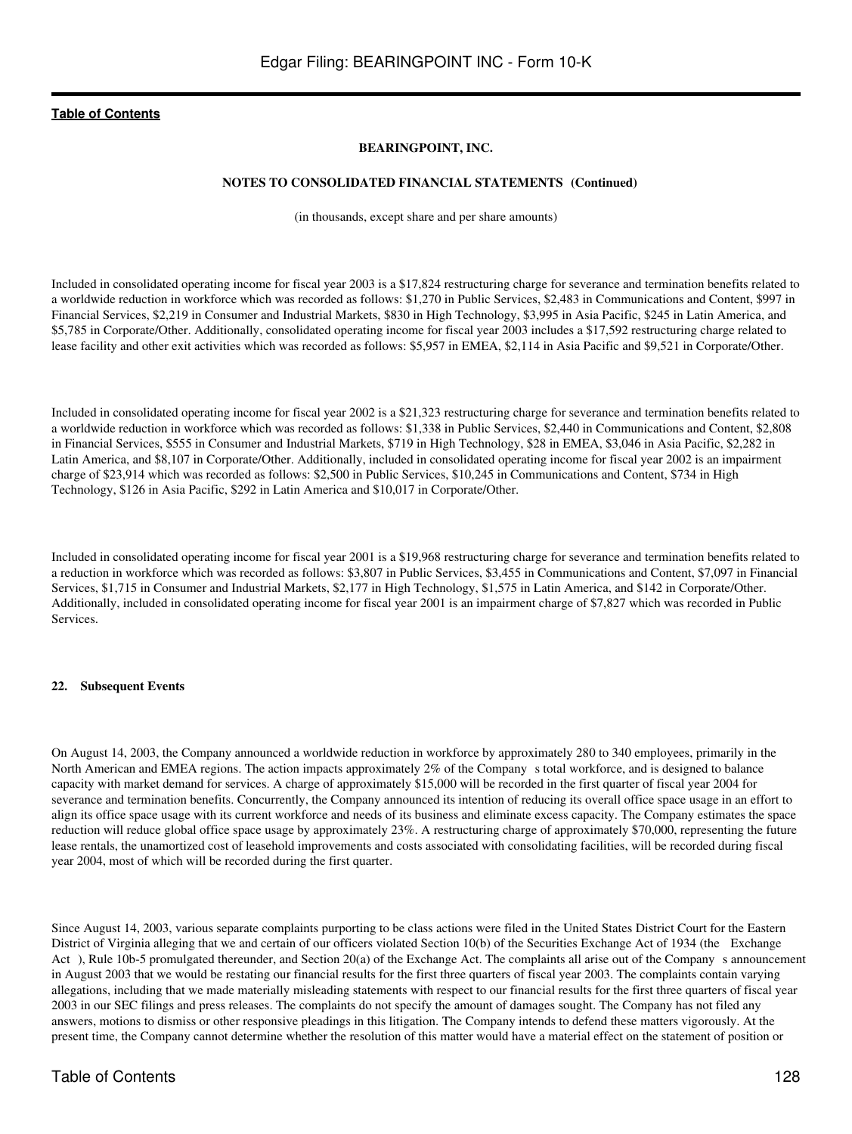### **BEARINGPOINT, INC.**

### **NOTES TO CONSOLIDATED FINANCIAL STATEMENTS (Continued)**

(in thousands, except share and per share amounts)

Included in consolidated operating income for fiscal year 2003 is a \$17,824 restructuring charge for severance and termination benefits related to a worldwide reduction in workforce which was recorded as follows: \$1,270 in Public Services, \$2,483 in Communications and Content, \$997 in Financial Services, \$2,219 in Consumer and Industrial Markets, \$830 in High Technology, \$3,995 in Asia Pacific, \$245 in Latin America, and \$5,785 in Corporate/Other. Additionally, consolidated operating income for fiscal year 2003 includes a \$17,592 restructuring charge related to lease facility and other exit activities which was recorded as follows: \$5,957 in EMEA, \$2,114 in Asia Pacific and \$9,521 in Corporate/Other.

Included in consolidated operating income for fiscal year 2002 is a \$21,323 restructuring charge for severance and termination benefits related to a worldwide reduction in workforce which was recorded as follows: \$1,338 in Public Services, \$2,440 in Communications and Content, \$2,808 in Financial Services, \$555 in Consumer and Industrial Markets, \$719 in High Technology, \$28 in EMEA, \$3,046 in Asia Pacific, \$2,282 in Latin America, and \$8,107 in Corporate/Other. Additionally, included in consolidated operating income for fiscal year 2002 is an impairment charge of \$23,914 which was recorded as follows: \$2,500 in Public Services, \$10,245 in Communications and Content, \$734 in High Technology, \$126 in Asia Pacific, \$292 in Latin America and \$10,017 in Corporate/Other.

Included in consolidated operating income for fiscal year 2001 is a \$19,968 restructuring charge for severance and termination benefits related to a reduction in workforce which was recorded as follows: \$3,807 in Public Services, \$3,455 in Communications and Content, \$7,097 in Financial Services, \$1,715 in Consumer and Industrial Markets, \$2,177 in High Technology, \$1,575 in Latin America, and \$142 in Corporate/Other. Additionally, included in consolidated operating income for fiscal year 2001 is an impairment charge of \$7,827 which was recorded in Public **Services**.

#### **22. Subsequent Events**

On August 14, 2003, the Company announced a worldwide reduction in workforce by approximately 280 to 340 employees, primarily in the North American and EMEA regions. The action impacts approximately 2% of the Company s total workforce, and is designed to balance capacity with market demand for services. A charge of approximately \$15,000 will be recorded in the first quarter of fiscal year 2004 for severance and termination benefits. Concurrently, the Company announced its intention of reducing its overall office space usage in an effort to align its office space usage with its current workforce and needs of its business and eliminate excess capacity. The Company estimates the space reduction will reduce global office space usage by approximately 23%. A restructuring charge of approximately \$70,000, representing the future lease rentals, the unamortized cost of leasehold improvements and costs associated with consolidating facilities, will be recorded during fiscal year 2004, most of which will be recorded during the first quarter.

Since August 14, 2003, various separate complaints purporting to be class actions were filed in the United States District Court for the Eastern District of Virginia alleging that we and certain of our officers violated Section 10(b) of the Securities Exchange Act of 1934 (the Exchange Act), Rule 10b-5 promulgated thereunder, and Section 20(a) of the Exchange Act. The complaints all arise out of the Company s announcement in August 2003 that we would be restating our financial results for the first three quarters of fiscal year 2003. The complaints contain varying allegations, including that we made materially misleading statements with respect to our financial results for the first three quarters of fiscal year 2003 in our SEC filings and press releases. The complaints do not specify the amount of damages sought. The Company has not filed any answers, motions to dismiss or other responsive pleadings in this litigation. The Company intends to defend these matters vigorously. At the present time, the Company cannot determine whether the resolution of this matter would have a material effect on the statement of position or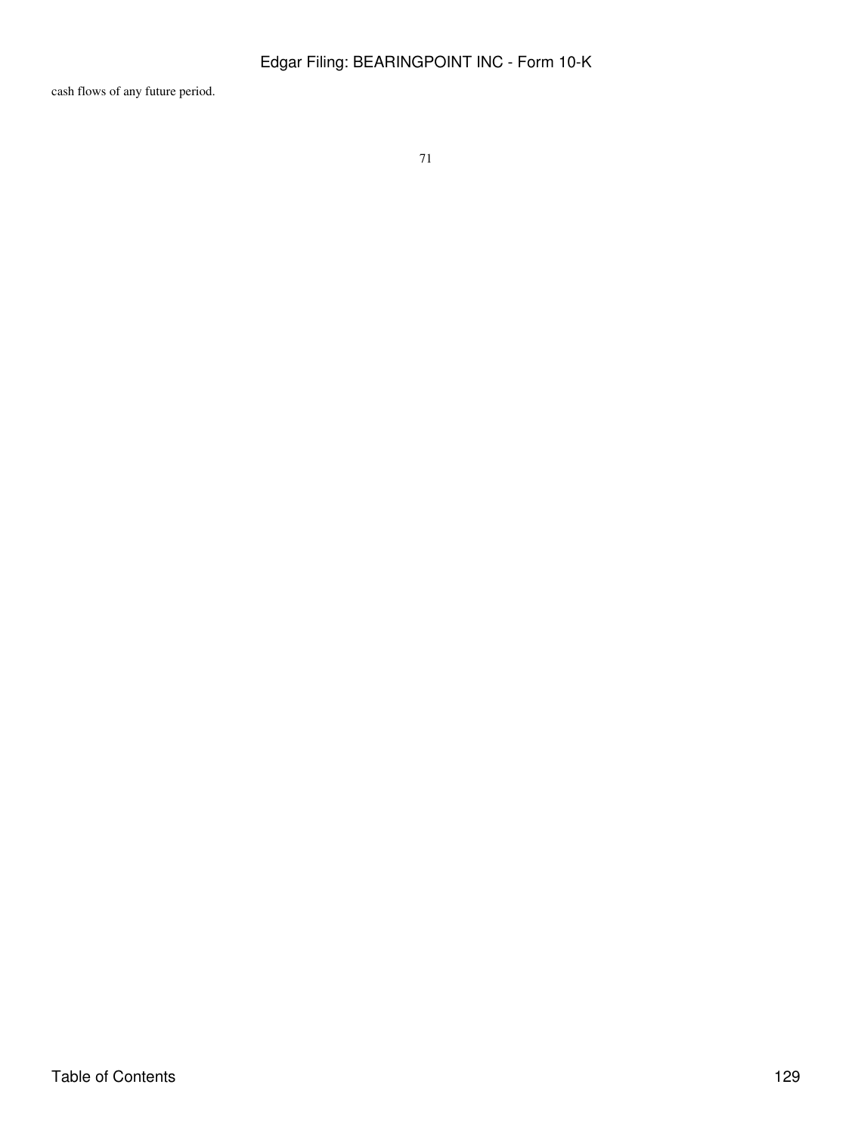cash flows of any future period.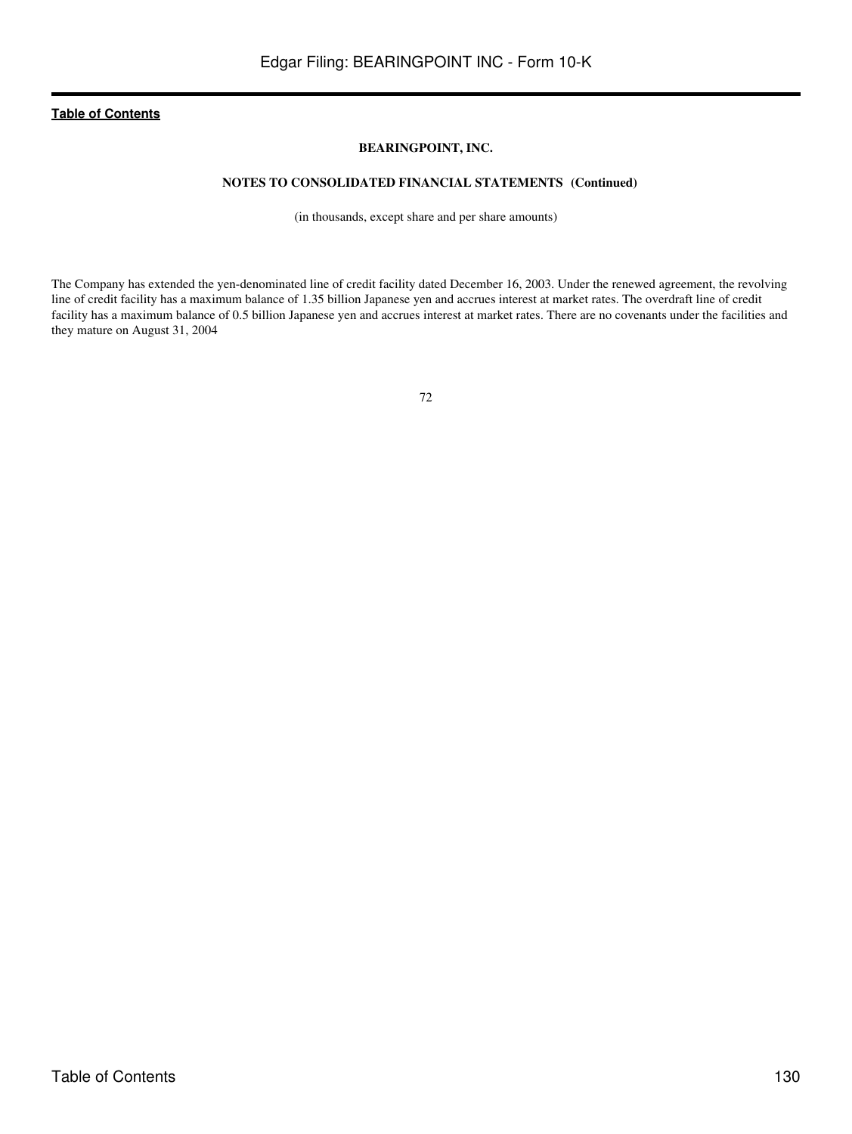### **BEARINGPOINT, INC.**

## **NOTES TO CONSOLIDATED FINANCIAL STATEMENTS (Continued)**

(in thousands, except share and per share amounts)

The Company has extended the yen-denominated line of credit facility dated December 16, 2003. Under the renewed agreement, the revolving line of credit facility has a maximum balance of 1.35 billion Japanese yen and accrues interest at market rates. The overdraft line of credit facility has a maximum balance of 0.5 billion Japanese yen and accrues interest at market rates. There are no covenants under the facilities and they mature on August 31, 2004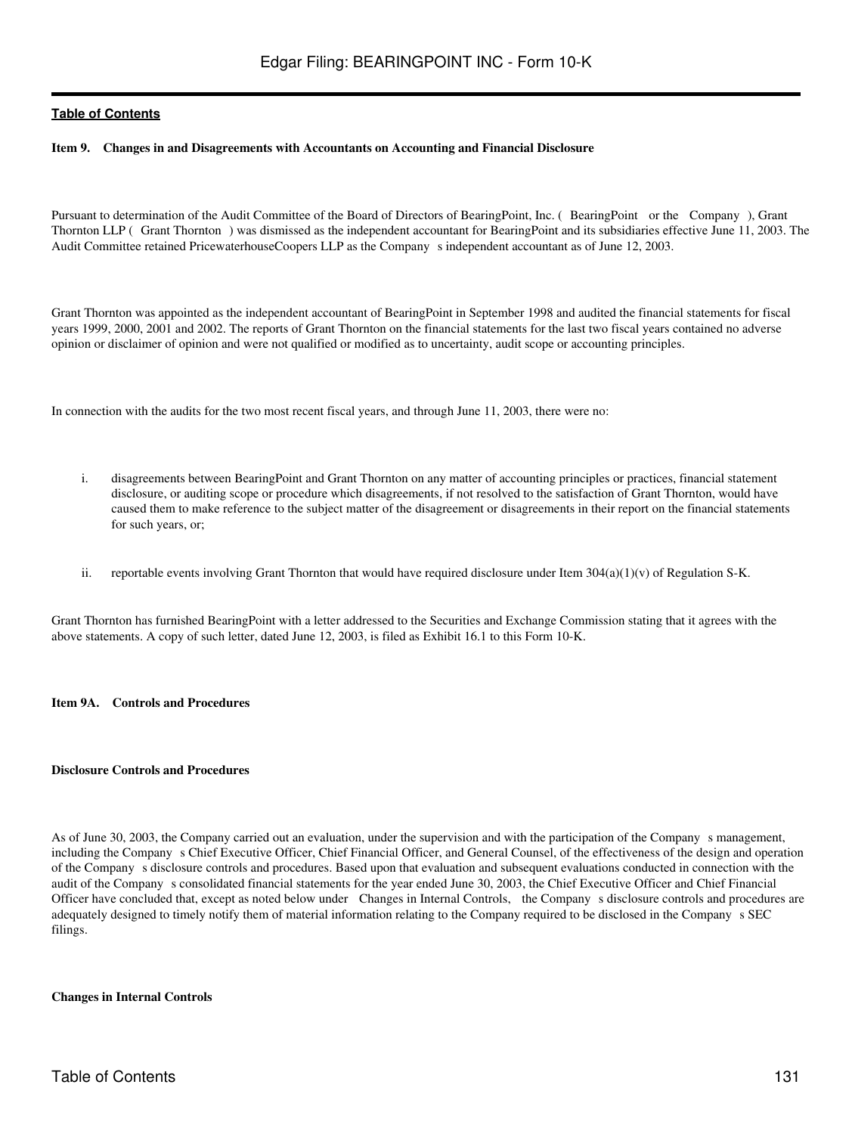### **Item 9. Changes in and Disagreements with Accountants on Accounting and Financial Disclosure**

Pursuant to determination of the Audit Committee of the Board of Directors of BearingPoint, Inc. (BearingPoint or the Company), Grant Thornton LLP (Grant Thornton) was dismissed as the independent accountant for BearingPoint and its subsidiaries effective June 11, 2003. The Audit Committee retained PricewaterhouseCoopers LLP as the Companys independent accountant as of June 12, 2003.

Grant Thornton was appointed as the independent accountant of BearingPoint in September 1998 and audited the financial statements for fiscal years 1999, 2000, 2001 and 2002. The reports of Grant Thornton on the financial statements for the last two fiscal years contained no adverse opinion or disclaimer of opinion and were not qualified or modified as to uncertainty, audit scope or accounting principles.

In connection with the audits for the two most recent fiscal years, and through June 11, 2003, there were no:

- i. disagreements between BearingPoint and Grant Thornton on any matter of accounting principles or practices, financial statement disclosure, or auditing scope or procedure which disagreements, if not resolved to the satisfaction of Grant Thornton, would have caused them to make reference to the subject matter of the disagreement or disagreements in their report on the financial statements for such years, or;
- ii. reportable events involving Grant Thornton that would have required disclosure under Item  $304(a)(1)(v)$  of Regulation S-K.

Grant Thornton has furnished BearingPoint with a letter addressed to the Securities and Exchange Commission stating that it agrees with the above statements. A copy of such letter, dated June 12, 2003, is filed as Exhibit 16.1 to this Form 10-K.

#### **Item 9A. Controls and Procedures**

#### **Disclosure Controls and Procedures**

As of June 30, 2003, the Company carried out an evaluation, under the supervision and with the participation of the Company s management, including the Company s Chief Executive Officer, Chief Financial Officer, and General Counsel, of the effectiveness of the design and operation of the Companys disclosure controls and procedures. Based upon that evaluation and subsequent evaluations conducted in connection with the audit of the Company s consolidated financial statements for the year ended June 30, 2003, the Chief Executive Officer and Chief Financial Officer have concluded that, except as noted below under Changes in Internal Controls, the Companys disclosure controls and procedures are adequately designed to timely notify them of material information relating to the Company required to be disclosed in the Companys SEC filings.

#### **Changes in Internal Controls**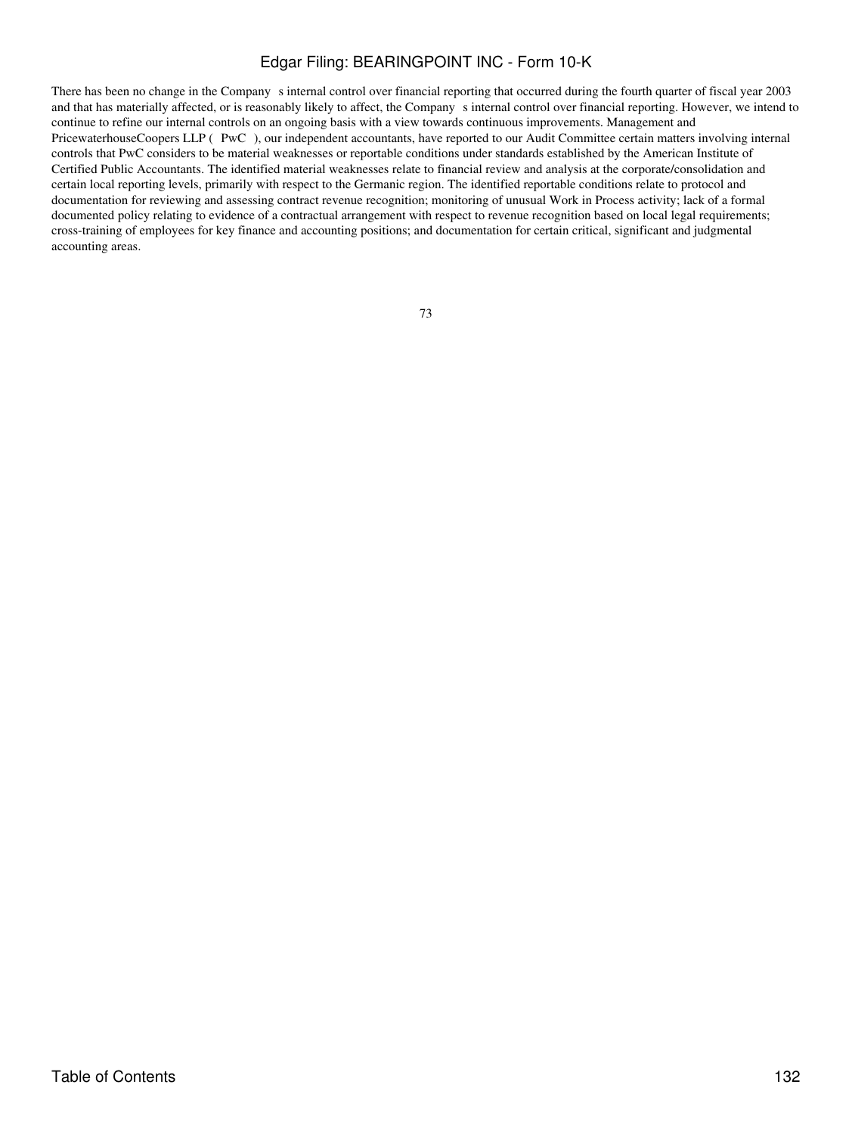There has been no change in the Company s internal control over financial reporting that occurred during the fourth quarter of fiscal year 2003 and that has materially affected, or is reasonably likely to affect, the Companys internal control over financial reporting. However, we intend to continue to refine our internal controls on an ongoing basis with a view towards continuous improvements. Management and PricewaterhouseCoopers LLP (PwC), our independent accountants, have reported to our Audit Committee certain matters involving internal controls that PwC considers to be material weaknesses or reportable conditions under standards established by the American Institute of Certified Public Accountants. The identified material weaknesses relate to financial review and analysis at the corporate/consolidation and certain local reporting levels, primarily with respect to the Germanic region. The identified reportable conditions relate to protocol and documentation for reviewing and assessing contract revenue recognition; monitoring of unusual Work in Process activity; lack of a formal documented policy relating to evidence of a contractual arrangement with respect to revenue recognition based on local legal requirements; cross-training of employees for key finance and accounting positions; and documentation for certain critical, significant and judgmental accounting areas.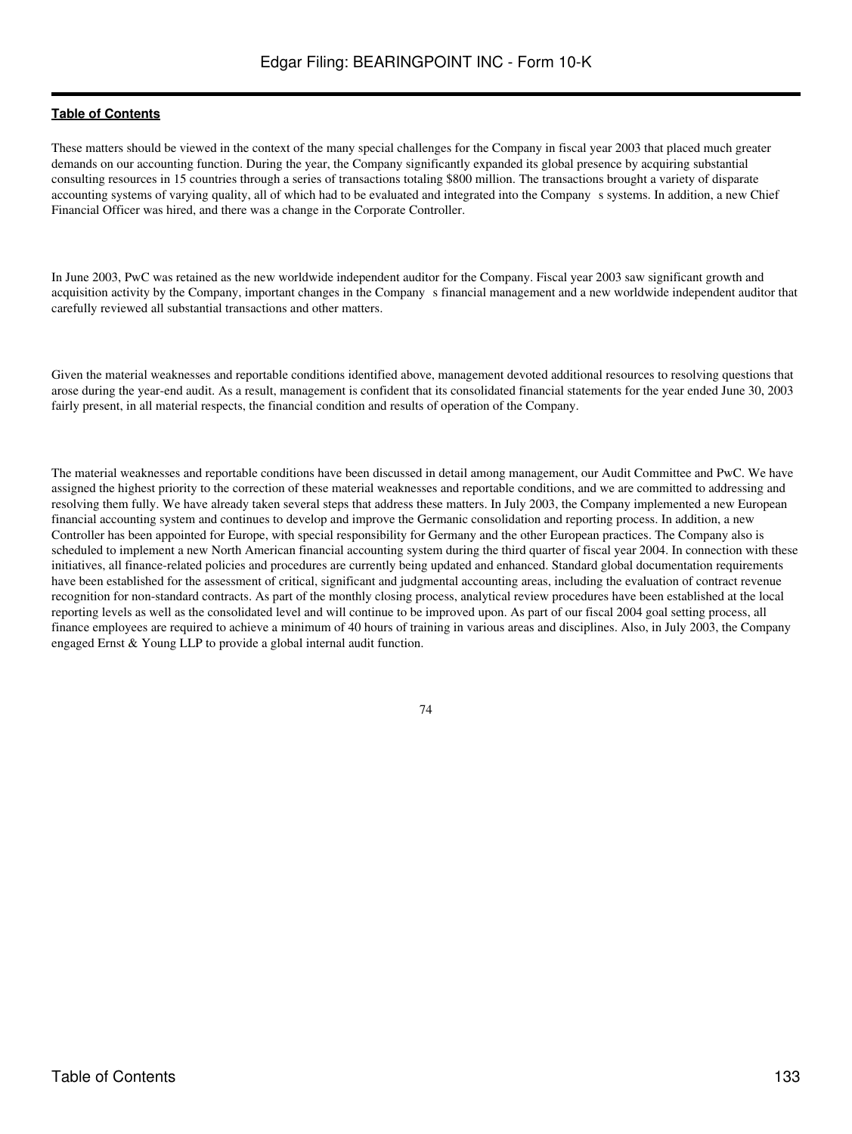These matters should be viewed in the context of the many special challenges for the Company in fiscal year 2003 that placed much greater demands on our accounting function. During the year, the Company significantly expanded its global presence by acquiring substantial consulting resources in 15 countries through a series of transactions totaling \$800 million. The transactions brought a variety of disparate accounting systems of varying quality, all of which had to be evaluated and integrated into the Company s systems. In addition, a new Chief Financial Officer was hired, and there was a change in the Corporate Controller.

In June 2003, PwC was retained as the new worldwide independent auditor for the Company. Fiscal year 2003 saw significant growth and acquisition activity by the Company, important changes in the Companys financial management and a new worldwide independent auditor that carefully reviewed all substantial transactions and other matters.

Given the material weaknesses and reportable conditions identified above, management devoted additional resources to resolving questions that arose during the year-end audit. As a result, management is confident that its consolidated financial statements for the year ended June 30, 2003 fairly present, in all material respects, the financial condition and results of operation of the Company.

The material weaknesses and reportable conditions have been discussed in detail among management, our Audit Committee and PwC. We have assigned the highest priority to the correction of these material weaknesses and reportable conditions, and we are committed to addressing and resolving them fully. We have already taken several steps that address these matters. In July 2003, the Company implemented a new European financial accounting system and continues to develop and improve the Germanic consolidation and reporting process. In addition, a new Controller has been appointed for Europe, with special responsibility for Germany and the other European practices. The Company also is scheduled to implement a new North American financial accounting system during the third quarter of fiscal year 2004. In connection with these initiatives, all finance-related policies and procedures are currently being updated and enhanced. Standard global documentation requirements have been established for the assessment of critical, significant and judgmental accounting areas, including the evaluation of contract revenue recognition for non-standard contracts. As part of the monthly closing process, analytical review procedures have been established at the local reporting levels as well as the consolidated level and will continue to be improved upon. As part of our fiscal 2004 goal setting process, all finance employees are required to achieve a minimum of 40 hours of training in various areas and disciplines. Also, in July 2003, the Company engaged Ernst & Young LLP to provide a global internal audit function.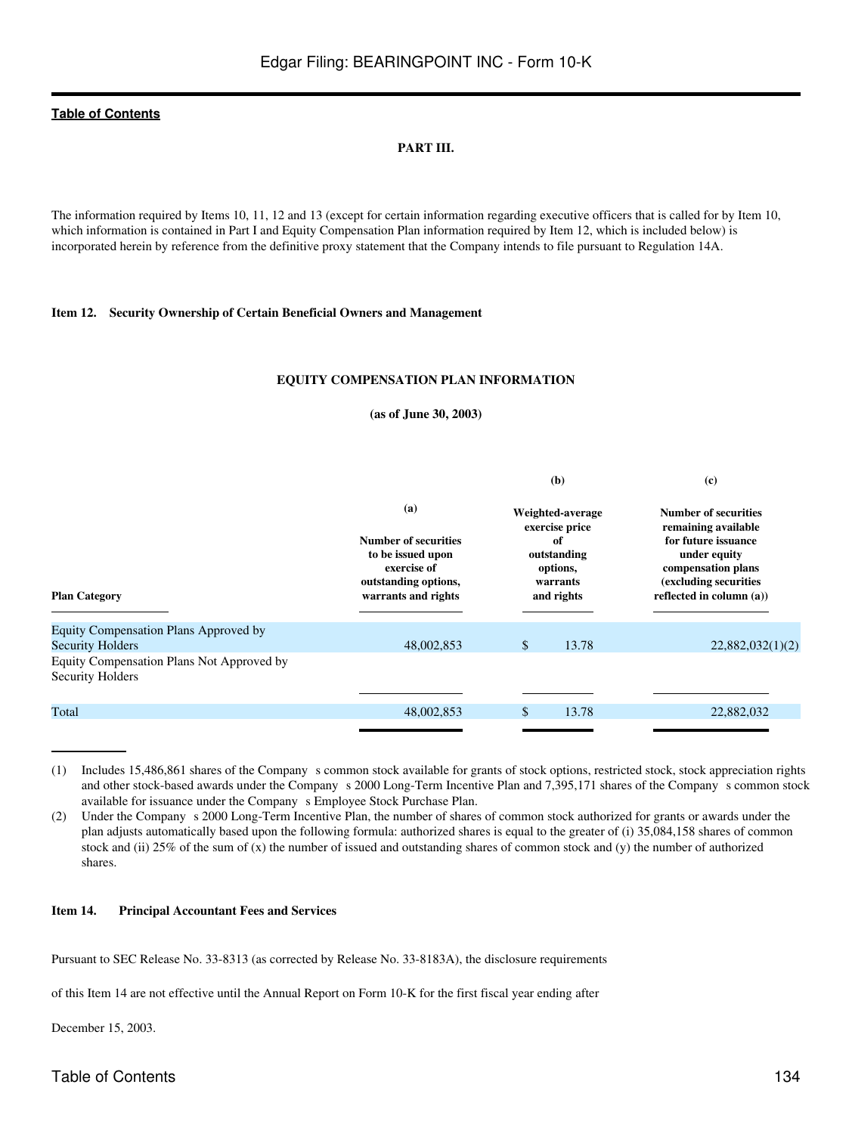### **PART III.**

The information required by Items 10, 11, 12 and 13 (except for certain information regarding executive officers that is called for by Item 10, which information is contained in Part I and Equity Compensation Plan information required by Item 12, which is included below) is incorporated herein by reference from the definitive proxy statement that the Company intends to file pursuant to Regulation 14A.

### **Item 12. Security Ownership of Certain Beneficial Owners and Management**

#### **EQUITY COMPENSATION PLAN INFORMATION**

#### **(as of June 30, 2003)**

|                                                                      |                                                                                                                       | (b)                                                                                           | $\left( \mathbf{c} \right)$                                                                                                                                          |
|----------------------------------------------------------------------|-----------------------------------------------------------------------------------------------------------------------|-----------------------------------------------------------------------------------------------|----------------------------------------------------------------------------------------------------------------------------------------------------------------------|
| <b>Plan Category</b>                                                 | (a)<br><b>Number of securities</b><br>to be issued upon<br>exercise of<br>outstanding options,<br>warrants and rights | Weighted-average<br>exercise price<br>of<br>outstanding<br>options,<br>warrants<br>and rights | <b>Number of securities</b><br>remaining available<br>for future issuance<br>under equity<br>compensation plans<br>(excluding securities<br>reflected in column (a)) |
| Equity Compensation Plans Approved by<br><b>Security Holders</b>     | 48,002,853                                                                                                            | \$<br>13.78                                                                                   | 22,882,032(1)(2)                                                                                                                                                     |
| Equity Compensation Plans Not Approved by<br><b>Security Holders</b> |                                                                                                                       |                                                                                               |                                                                                                                                                                      |
|                                                                      |                                                                                                                       |                                                                                               |                                                                                                                                                                      |
| Total                                                                | 48,002,853                                                                                                            | 13.78<br>\$                                                                                   | 22,882,032                                                                                                                                                           |
|                                                                      |                                                                                                                       |                                                                                               |                                                                                                                                                                      |

(1) Includes 15,486,861 shares of the Companys common stock available for grants of stock options, restricted stock, stock appreciation rights and other stock-based awards under the Company s 2000 Long-Term Incentive Plan and 7,395,171 shares of the Company s common stock available for issuance under the Company s Employee Stock Purchase Plan.

(2) Under the Companys 2000 Long-Term Incentive Plan, the number of shares of common stock authorized for grants or awards under the plan adjusts automatically based upon the following formula: authorized shares is equal to the greater of (i) 35,084,158 shares of common stock and (ii) 25% of the sum of (x) the number of issued and outstanding shares of common stock and (y) the number of authorized shares.

#### **Item 14. Principal Accountant Fees and Services**

Pursuant to SEC Release No. 33-8313 (as corrected by Release No. 33-8183A), the disclosure requirements

of this Item 14 are not effective until the Annual Report on Form 10-K for the first fiscal year ending after

December 15, 2003.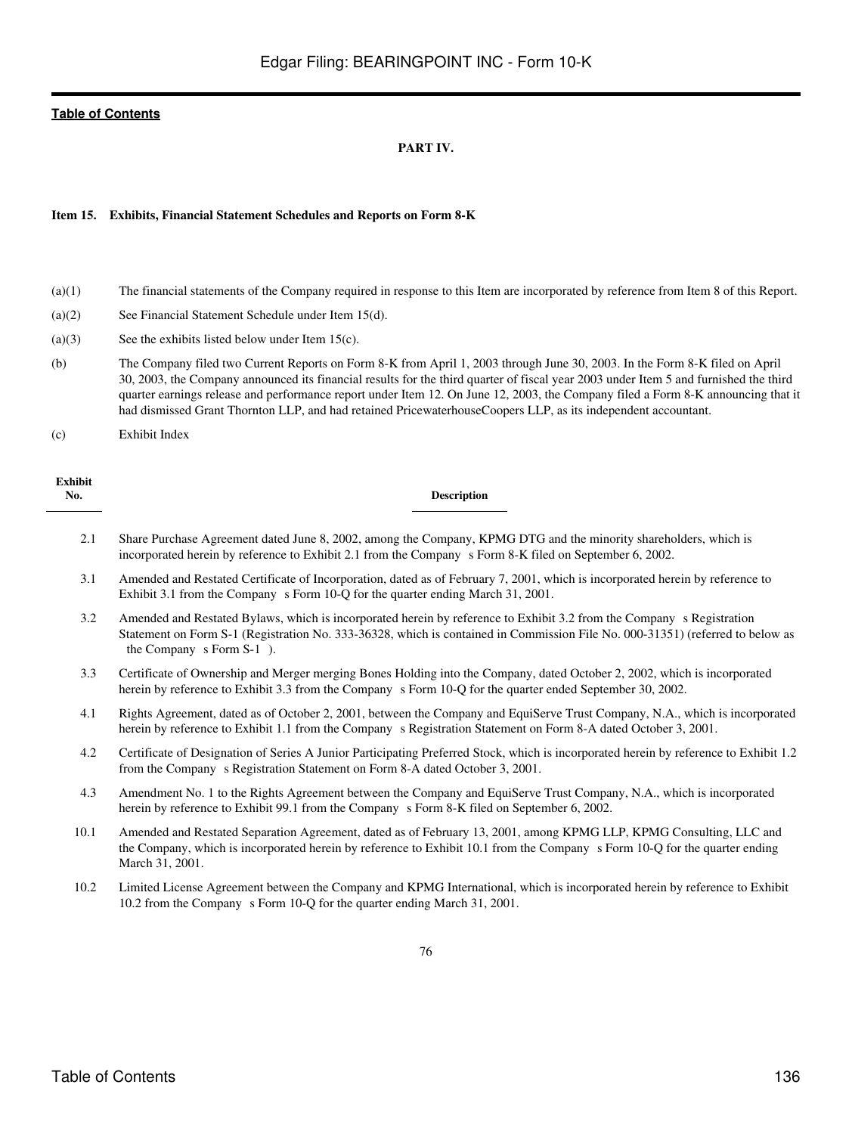### **PART IV.**

#### **Item 15. Exhibits, Financial Statement Schedules and Reports on Form 8-K**

- (a)(1) The financial statements of the Company required in response to this Item are incorporated by reference from Item 8 of this Report.
- (a)(2) See Financial Statement Schedule under Item 15(d).
- (a)(3) See the exhibits listed below under Item 15(c).
- (b) The Company filed two Current Reports on Form 8-K from April 1, 2003 through June 30, 2003. In the Form 8-K filed on April 30, 2003, the Company announced its financial results for the third quarter of fiscal year 2003 under Item 5 and furnished the third quarter earnings release and performance report under Item 12. On June 12, 2003, the Company filed a Form 8-K announcing that it had dismissed Grant Thornton LLP, and had retained PricewaterhouseCoopers LLP, as its independent accountant.

(c) Exhibit Index

| <b>Exhibit</b><br>No. | <b>Description</b>                                                                                                                                                                                                                                                                                                                                                                   |
|-----------------------|--------------------------------------------------------------------------------------------------------------------------------------------------------------------------------------------------------------------------------------------------------------------------------------------------------------------------------------------------------------------------------------|
| 2.1                   | Share Purchase Agreement dated June 8, 2002, among the Company, KPMG DTG and the minority shareholders, which is<br>incorporated herein by reference to Exhibit 2.1 from the Company s Form 8-K filed on September 6, 2002.                                                                                                                                                          |
| 3.1                   | Amended and Restated Certificate of Incorporation, dated as of February 7, 2001, which is incorporated herein by reference to<br>Exhibit 3.1 from the Company s Form 10-Q for the quarter ending March 31, 2001.                                                                                                                                                                     |
| 3.2                   | Amended and Restated Bylaws, which is incorporated herein by reference to Exhibit 3.2 from the Company s Registration<br>Statement on Form S-1 (Registration No. 333-36328, which is contained in Commission File No. 000-31351) (referred to below as<br>the Company s Form S-1).                                                                                                   |
| 3.3                   | Certificate of Ownership and Merger merging Bones Holding into the Company, dated October 2, 2002, which is incorporated<br>herein by reference to Exhibit 3.3 from the Company s Form 10-Q for the quarter ended September 30, 2002.                                                                                                                                                |
| 4.1                   | Rights Agreement, dated as of October 2, 2001, between the Company and EquiServe Trust Company, N.A., which is incorporated<br>herein by reference to Exhibit 1.1 from the Company s Registration Statement on Form 8-A dated October 3, 2001.                                                                                                                                       |
| 4.2                   | Certificate of Designation of Series A Junior Participating Preferred Stock, which is incorporated herein by reference to Exhibit 1.2<br>from the Company s Registration Statement on Form 8-A dated October 3, 2001.                                                                                                                                                                |
| 4.3                   | Amendment No. 1 to the Rights Agreement between the Company and EquiServe Trust Company, N.A., which is incorporated<br>herein by reference to Exhibit 99.1 from the Company s Form 8-K filed on September 6, 2002.                                                                                                                                                                  |
|                       | $\overline{1}$ $\overline{1}$ $\overline{1}$ $\overline{1}$ $\overline{1}$ $\overline{1}$ $\overline{1}$ $\overline{1}$ $\overline{1}$ $\overline{1}$ $\overline{1}$ $\overline{1}$ $\overline{1}$ $\overline{1}$ $\overline{1}$ $\overline{1}$ $\overline{1}$ $\overline{1}$ $\overline{1}$ $\overline{1}$ $\overline{1}$ $\overline{1}$ $\overline{1}$ $\overline{1}$ $\overline{$ |

- 10.1 Amended and Restated Separation Agreement, dated as of February 13, 2001, among KPMG LLP, KPMG Consulting, LLC and the Company, which is incorporated herein by reference to Exhibit 10.1 from the Company s Form 10-Q for the quarter ending March 31, 2001.
- 10.2 Limited License Agreement between the Company and KPMG International, which is incorporated herein by reference to Exhibit 10.2 from the Company s Form 10-Q for the quarter ending March 31, 2001.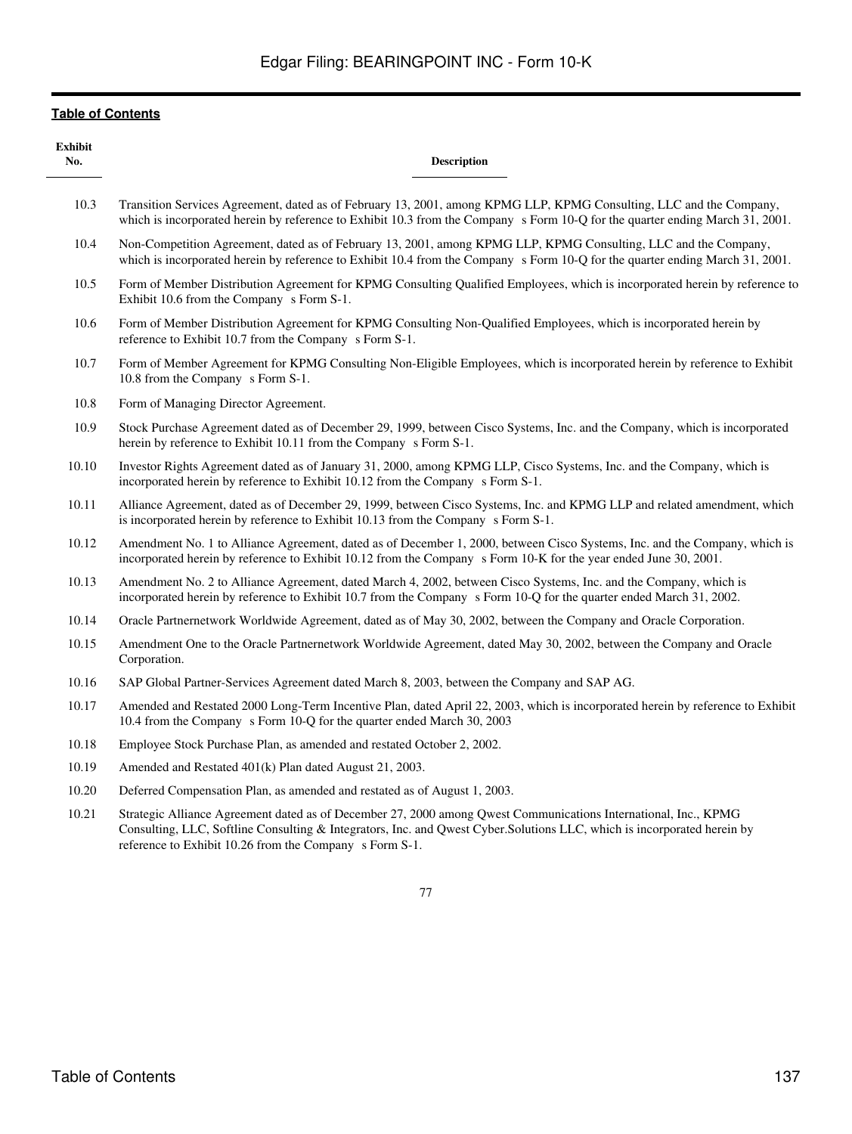| <b>Exhibit</b><br>No. | <b>Description</b>                                                                                                                                                                                                                                                                                    |
|-----------------------|-------------------------------------------------------------------------------------------------------------------------------------------------------------------------------------------------------------------------------------------------------------------------------------------------------|
| 10.3                  | Transition Services Agreement, dated as of February 13, 2001, among KPMG LLP, KPMG Consulting, LLC and the Company,<br>which is incorporated herein by reference to Exhibit 10.3 from the Company s Form 10-Q for the quarter ending March 31, 2001.                                                  |
| 10.4                  | Non-Competition Agreement, dated as of February 13, 2001, among KPMG LLP, KPMG Consulting, LLC and the Company,<br>which is incorporated herein by reference to Exhibit 10.4 from the Company s Form 10-Q for the quarter ending March 31, 2001.                                                      |
| 10.5                  | Form of Member Distribution Agreement for KPMG Consulting Qualified Employees, which is incorporated herein by reference to<br>Exhibit 10.6 from the Company s Form S-1.                                                                                                                              |
| 10.6                  | Form of Member Distribution Agreement for KPMG Consulting Non-Qualified Employees, which is incorporated herein by<br>reference to Exhibit 10.7 from the Company s Form S-1.                                                                                                                          |
| 10.7                  | Form of Member Agreement for KPMG Consulting Non-Eligible Employees, which is incorporated herein by reference to Exhibit<br>10.8 from the Company s Form S-1.                                                                                                                                        |
| 10.8                  | Form of Managing Director Agreement.                                                                                                                                                                                                                                                                  |
| 10.9                  | Stock Purchase Agreement dated as of December 29, 1999, between Cisco Systems, Inc. and the Company, which is incorporated<br>herein by reference to Exhibit 10.11 from the Company s Form S-1.                                                                                                       |
| 10.10                 | Investor Rights Agreement dated as of January 31, 2000, among KPMG LLP, Cisco Systems, Inc. and the Company, which is<br>incorporated herein by reference to Exhibit 10.12 from the Company s Form S-1.                                                                                               |
| 10.11                 | Alliance Agreement, dated as of December 29, 1999, between Cisco Systems, Inc. and KPMG LLP and related amendment, which<br>is incorporated herein by reference to Exhibit 10.13 from the Company s Form S-1.                                                                                         |
| 10.12                 | Amendment No. 1 to Alliance Agreement, dated as of December 1, 2000, between Cisco Systems, Inc. and the Company, which is<br>incorporated herein by reference to Exhibit 10.12 from the Company s Form 10-K for the year ended June 30, 2001.                                                        |
| 10.13                 | Amendment No. 2 to Alliance Agreement, dated March 4, 2002, between Cisco Systems, Inc. and the Company, which is<br>incorporated herein by reference to Exhibit 10.7 from the Company s Form 10-Q for the quarter ended March 31, 2002.                                                              |
| 10.14                 | Oracle Partnernetwork Worldwide Agreement, dated as of May 30, 2002, between the Company and Oracle Corporation.                                                                                                                                                                                      |
| 10.15                 | Amendment One to the Oracle Partnernetwork Worldwide Agreement, dated May 30, 2002, between the Company and Oracle<br>Corporation.                                                                                                                                                                    |
| 10.16                 | SAP Global Partner-Services Agreement dated March 8, 2003, between the Company and SAP AG.                                                                                                                                                                                                            |
| 10.17                 | Amended and Restated 2000 Long-Term Incentive Plan, dated April 22, 2003, which is incorporated herein by reference to Exhibit<br>10.4 from the Company s Form 10-Q for the quarter ended March 30, 2003                                                                                              |
| 10.18                 | Employee Stock Purchase Plan, as amended and restated October 2, 2002.                                                                                                                                                                                                                                |
| 10.19                 | Amended and Restated 401(k) Plan dated August 21, 2003.                                                                                                                                                                                                                                               |
| 10.20                 | Deferred Compensation Plan, as amended and restated as of August 1, 2003.                                                                                                                                                                                                                             |
| 10.21                 | Strategic Alliance Agreement dated as of December 27, 2000 among Qwest Communications International, Inc., KPMG<br>Consulting, LLC, Softline Consulting & Integrators, Inc. and Qwest Cyber.Solutions LLC, which is incorporated herein by<br>reference to Exhibit 10.26 from the Company s Form S-1. |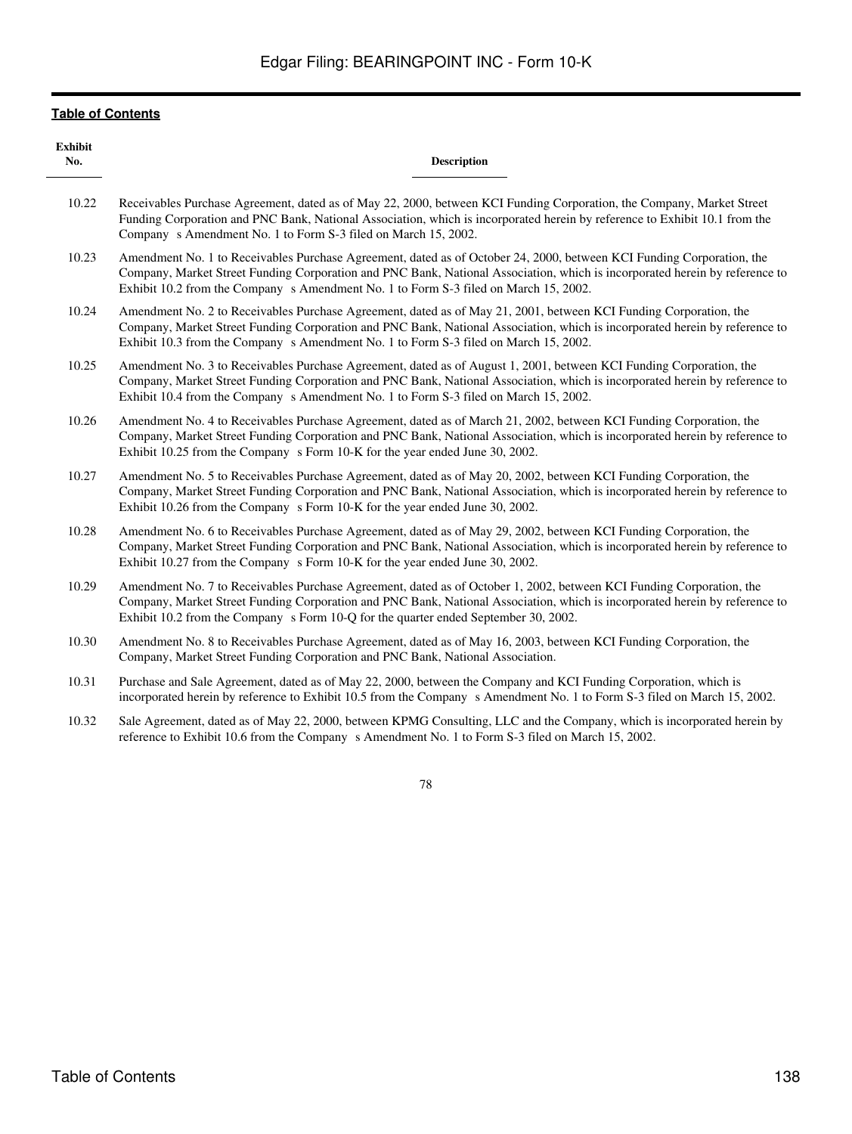| <b>Exhibit</b><br>No. | <b>Description</b>                                                                                                                                                                                                                                                                                                                           |
|-----------------------|----------------------------------------------------------------------------------------------------------------------------------------------------------------------------------------------------------------------------------------------------------------------------------------------------------------------------------------------|
| 10.22                 | Receivables Purchase Agreement, dated as of May 22, 2000, between KCI Funding Corporation, the Company, Market Street<br>Funding Corporation and PNC Bank, National Association, which is incorporated herein by reference to Exhibit 10.1 from the<br>Company s Amendment No. 1 to Form S-3 filed on March 15, 2002.                        |
| 10.23                 | Amendment No. 1 to Receivables Purchase Agreement, dated as of October 24, 2000, between KCI Funding Corporation, the<br>Company, Market Street Funding Corporation and PNC Bank, National Association, which is incorporated herein by reference to<br>Exhibit 10.2 from the Company s Amendment No. 1 to Form S-3 filed on March 15, 2002. |
| 10.24                 | Amendment No. 2 to Receivables Purchase Agreement, dated as of May 21, 2001, between KCI Funding Corporation, the<br>Company, Market Street Funding Corporation and PNC Bank, National Association, which is incorporated herein by reference to<br>Exhibit 10.3 from the Company s Amendment No. 1 to Form S-3 filed on March 15, 2002.     |
| 10.25                 | Amendment No. 3 to Receivables Purchase Agreement, dated as of August 1, 2001, between KCI Funding Corporation, the<br>Company, Market Street Funding Corporation and PNC Bank, National Association, which is incorporated herein by reference to<br>Exhibit 10.4 from the Company s Amendment No. 1 to Form S-3 filed on March 15, 2002.   |
| 10.26                 | Amendment No. 4 to Receivables Purchase Agreement, dated as of March 21, 2002, between KCI Funding Corporation, the<br>Company, Market Street Funding Corporation and PNC Bank, National Association, which is incorporated herein by reference to<br>Exhibit 10.25 from the Company s Form 10-K for the year ended June 30, 2002.           |
| 10.27                 | Amendment No. 5 to Receivables Purchase Agreement, dated as of May 20, 2002, between KCI Funding Corporation, the<br>Company, Market Street Funding Corporation and PNC Bank, National Association, which is incorporated herein by reference to<br>Exhibit 10.26 from the Company s Form 10-K for the year ended June 30, 2002.             |
| 10.28                 | Amendment No. 6 to Receivables Purchase Agreement, dated as of May 29, 2002, between KCI Funding Corporation, the<br>Company, Market Street Funding Corporation and PNC Bank, National Association, which is incorporated herein by reference to<br>Exhibit 10.27 from the Company s Form 10-K for the year ended June 30, 2002.             |
| 10.29                 | Amendment No. 7 to Receivables Purchase Agreement, dated as of October 1, 2002, between KCI Funding Corporation, the<br>Company, Market Street Funding Corporation and PNC Bank, National Association, which is incorporated herein by reference to<br>Exhibit 10.2 from the Company s Form 10-Q for the quarter ended September 30, 2002.   |
| 10.30                 | Amendment No. 8 to Receivables Purchase Agreement, dated as of May 16, 2003, between KCI Funding Corporation, the<br>Company, Market Street Funding Corporation and PNC Bank, National Association.                                                                                                                                          |
| 10.31                 | Purchase and Sale Agreement, dated as of May 22, 2000, between the Company and KCI Funding Corporation, which is<br>incorporated herein by reference to Exhibit 10.5 from the Company s Amendment No. 1 to Form S-3 filed on March 15, 2002.                                                                                                 |
| 10.32                 | Sale Agreement, dated as of May 22, 2000, between KPMG Consulting, LLC and the Company, which is incorporated herein by<br>reference to Exhibit 10.6 from the Company s Amendment No. 1 to Form S-3 filed on March 15, 2002.                                                                                                                 |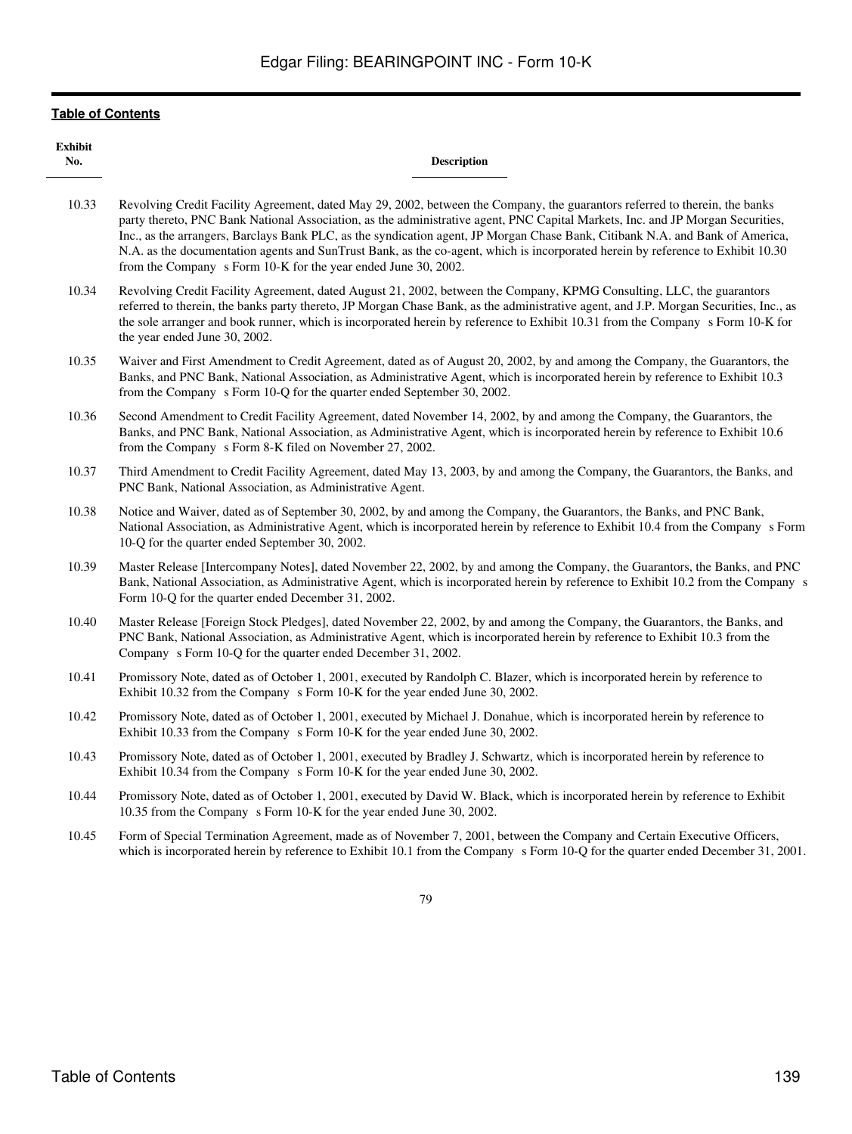| <b>Exhibit</b><br>No. | <b>Description</b>                                                                                                                                                                                                                                                                                                                                                                                                                                                                                                                                                                                  |
|-----------------------|-----------------------------------------------------------------------------------------------------------------------------------------------------------------------------------------------------------------------------------------------------------------------------------------------------------------------------------------------------------------------------------------------------------------------------------------------------------------------------------------------------------------------------------------------------------------------------------------------------|
| 10.33                 | Revolving Credit Facility Agreement, dated May 29, 2002, between the Company, the guarantors referred to therein, the banks<br>party thereto, PNC Bank National Association, as the administrative agent, PNC Capital Markets, Inc. and JP Morgan Securities,<br>Inc., as the arrangers, Barclays Bank PLC, as the syndication agent, JP Morgan Chase Bank, Citibank N.A. and Bank of America,<br>N.A. as the documentation agents and SunTrust Bank, as the co-agent, which is incorporated herein by reference to Exhibit 10.30<br>from the Company s Form 10-K for the year ended June 30, 2002. |
| 10.34                 | Revolving Credit Facility Agreement, dated August 21, 2002, between the Company, KPMG Consulting, LLC, the guarantors<br>referred to therein, the banks party thereto, JP Morgan Chase Bank, as the administrative agent, and J.P. Morgan Securities, Inc., as<br>the sole arranger and book runner, which is incorporated herein by reference to Exhibit 10.31 from the Company s Form 10-K for<br>the year ended June 30, 2002.                                                                                                                                                                   |
| 10.35                 | Waiver and First Amendment to Credit Agreement, dated as of August 20, 2002, by and among the Company, the Guarantors, the<br>Banks, and PNC Bank, National Association, as Administrative Agent, which is incorporated herein by reference to Exhibit 10.3<br>from the Company s Form 10-Q for the quarter ended September 30, 2002.                                                                                                                                                                                                                                                               |
| 10.36                 | Second Amendment to Credit Facility Agreement, dated November 14, 2002, by and among the Company, the Guarantors, the<br>Banks, and PNC Bank, National Association, as Administrative Agent, which is incorporated herein by reference to Exhibit 10.6<br>from the Company s Form 8-K filed on November 27, 2002.                                                                                                                                                                                                                                                                                   |
| 10.37                 | Third Amendment to Credit Facility Agreement, dated May 13, 2003, by and among the Company, the Guarantors, the Banks, and<br>PNC Bank, National Association, as Administrative Agent.                                                                                                                                                                                                                                                                                                                                                                                                              |
| 10.38                 | Notice and Waiver, dated as of September 30, 2002, by and among the Company, the Guarantors, the Banks, and PNC Bank,<br>National Association, as Administrative Agent, which is incorporated herein by reference to Exhibit 10.4 from the Company s Form<br>10-Q for the quarter ended September 30, 2002.                                                                                                                                                                                                                                                                                         |
| 10.39                 | Master Release [Intercompany Notes], dated November 22, 2002, by and among the Company, the Guarantors, the Banks, and PNC<br>Bank, National Association, as Administrative Agent, which is incorporated herein by reference to Exhibit 10.2 from the Company s<br>Form 10-Q for the quarter ended December 31, 2002.                                                                                                                                                                                                                                                                               |
| 10.40                 | Master Release [Foreign Stock Pledges], dated November 22, 2002, by and among the Company, the Guarantors, the Banks, and<br>PNC Bank, National Association, as Administrative Agent, which is incorporated herein by reference to Exhibit 10.3 from the<br>Company s Form 10-Q for the quarter ended December 31, 2002.                                                                                                                                                                                                                                                                            |
| 10.41                 | Promissory Note, dated as of October 1, 2001, executed by Randolph C. Blazer, which is incorporated herein by reference to<br>Exhibit 10.32 from the Company s Form 10-K for the year ended June 30, 2002.                                                                                                                                                                                                                                                                                                                                                                                          |
| 10.42                 | Promissory Note, dated as of October 1, 2001, executed by Michael J. Donahue, which is incorporated herein by reference to<br>Exhibit 10.33 from the Company s Form 10-K for the year ended June 30, 2002.                                                                                                                                                                                                                                                                                                                                                                                          |
| 10.43                 | Promissory Note, dated as of October 1, 2001, executed by Bradley J. Schwartz, which is incorporated herein by reference to<br>Exhibit 10.34 from the Company s Form 10-K for the year ended June 30, 2002.                                                                                                                                                                                                                                                                                                                                                                                         |
| 10.44                 | Promissory Note, dated as of October 1, 2001, executed by David W. Black, which is incorporated herein by reference to Exhibit<br>10.35 from the Company s Form 10-K for the year ended June 30, 2002.                                                                                                                                                                                                                                                                                                                                                                                              |
| 10.45                 | Form of Special Termination Agreement, made as of November 7, 2001, between the Company and Certain Executive Officers,<br>which is incorporated herein by reference to Exhibit 10.1 from the Company s Form 10-Q for the quarter ended December 31, 2001.                                                                                                                                                                                                                                                                                                                                          |
|                       | 79                                                                                                                                                                                                                                                                                                                                                                                                                                                                                                                                                                                                  |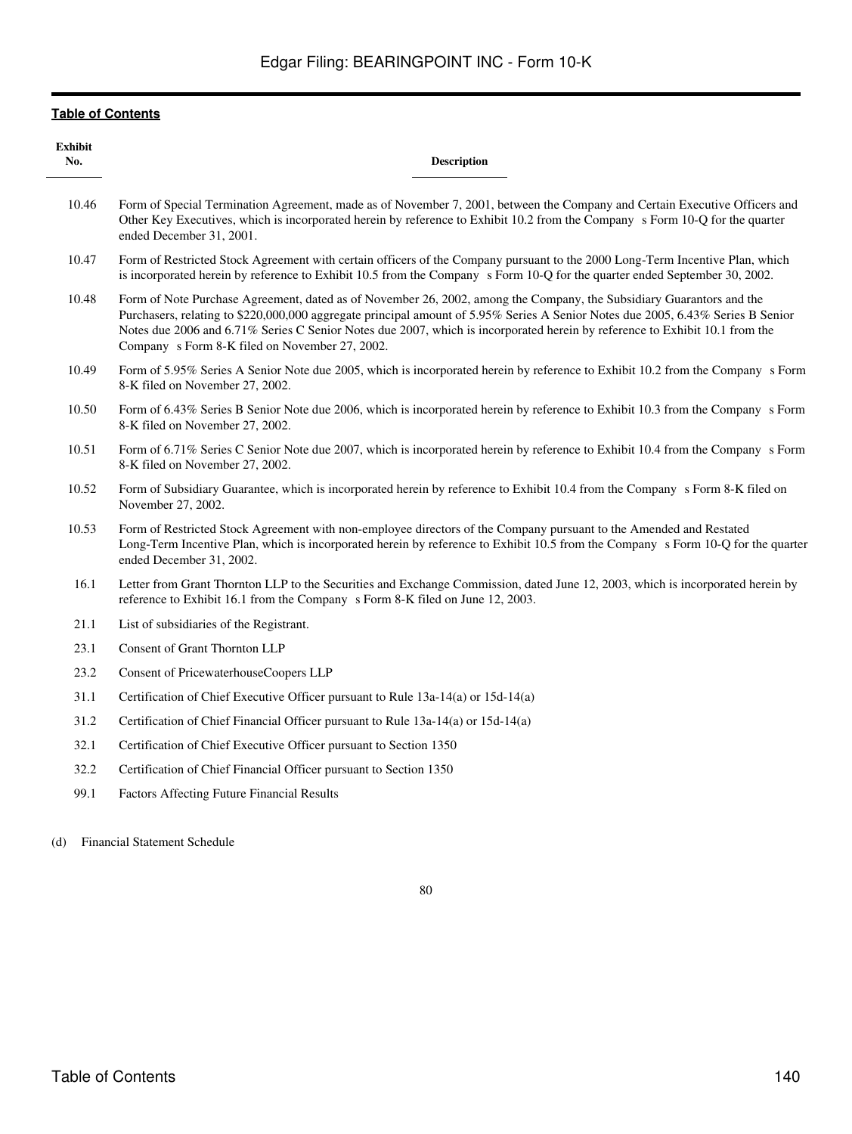| <b>Exhibit</b><br>No. | <b>Description</b>                                                                                                                                                                                                                                                                                                                                                                                                                       |
|-----------------------|------------------------------------------------------------------------------------------------------------------------------------------------------------------------------------------------------------------------------------------------------------------------------------------------------------------------------------------------------------------------------------------------------------------------------------------|
| 10.46                 | Form of Special Termination Agreement, made as of November 7, 2001, between the Company and Certain Executive Officers and<br>Other Key Executives, which is incorporated herein by reference to Exhibit 10.2 from the Company s Form 10-Q for the quarter<br>ended December 31, 2001.                                                                                                                                                   |
| 10.47                 | Form of Restricted Stock Agreement with certain officers of the Company pursuant to the 2000 Long-Term Incentive Plan, which<br>is incorporated herein by reference to Exhibit 10.5 from the Company s Form 10-Q for the quarter ended September 30, 2002.                                                                                                                                                                               |
| 10.48                 | Form of Note Purchase Agreement, dated as of November 26, 2002, among the Company, the Subsidiary Guarantors and the<br>Purchasers, relating to \$220,000,000 aggregate principal amount of 5.95% Series A Senior Notes due 2005, 6.43% Series B Senior<br>Notes due 2006 and 6.71% Series C Senior Notes due 2007, which is incorporated herein by reference to Exhibit 10.1 from the<br>Company s Form 8-K filed on November 27, 2002. |
| 10.49                 | Form of 5.95% Series A Senior Note due 2005, which is incorporated herein by reference to Exhibit 10.2 from the Company s Form<br>8-K filed on November 27, 2002.                                                                                                                                                                                                                                                                        |
| 10.50                 | Form of 6.43% Series B Senior Note due 2006, which is incorporated herein by reference to Exhibit 10.3 from the Company s Form<br>8-K filed on November 27, 2002.                                                                                                                                                                                                                                                                        |
| 10.51                 | Form of 6.71% Series C Senior Note due 2007, which is incorporated herein by reference to Exhibit 10.4 from the Company s Form<br>8-K filed on November 27, 2002.                                                                                                                                                                                                                                                                        |
| 10.52                 | Form of Subsidiary Guarantee, which is incorporated herein by reference to Exhibit 10.4 from the Company s Form 8-K filed on<br>November 27, 2002.                                                                                                                                                                                                                                                                                       |
| 10.53                 | Form of Restricted Stock Agreement with non-employee directors of the Company pursuant to the Amended and Restated<br>Long-Term Incentive Plan, which is incorporated herein by reference to Exhibit 10.5 from the Company s Form 10-Q for the quarter<br>ended December 31, 2002.                                                                                                                                                       |
| 16.1                  | Letter from Grant Thornton LLP to the Securities and Exchange Commission, dated June 12, 2003, which is incorporated herein by<br>reference to Exhibit 16.1 from the Company s Form 8-K filed on June 12, 2003.                                                                                                                                                                                                                          |
| 21.1                  | List of subsidiaries of the Registrant.                                                                                                                                                                                                                                                                                                                                                                                                  |
| 23.1                  | Consent of Grant Thornton LLP                                                                                                                                                                                                                                                                                                                                                                                                            |
| 23.2                  | Consent of PricewaterhouseCoopers LLP                                                                                                                                                                                                                                                                                                                                                                                                    |
| 31.1                  | Certification of Chief Executive Officer pursuant to Rule $13a-14(a)$ or $15d-14(a)$                                                                                                                                                                                                                                                                                                                                                     |
| 31.2                  | Certification of Chief Financial Officer pursuant to Rule 13a-14(a) or 15d-14(a)                                                                                                                                                                                                                                                                                                                                                         |
| 32.1                  | Certification of Chief Executive Officer pursuant to Section 1350                                                                                                                                                                                                                                                                                                                                                                        |
| 32.2                  | Certification of Chief Financial Officer pursuant to Section 1350                                                                                                                                                                                                                                                                                                                                                                        |
| 99.1                  | <b>Factors Affecting Future Financial Results</b>                                                                                                                                                                                                                                                                                                                                                                                        |
| (d)                   | <b>Financial Statement Schedule</b>                                                                                                                                                                                                                                                                                                                                                                                                      |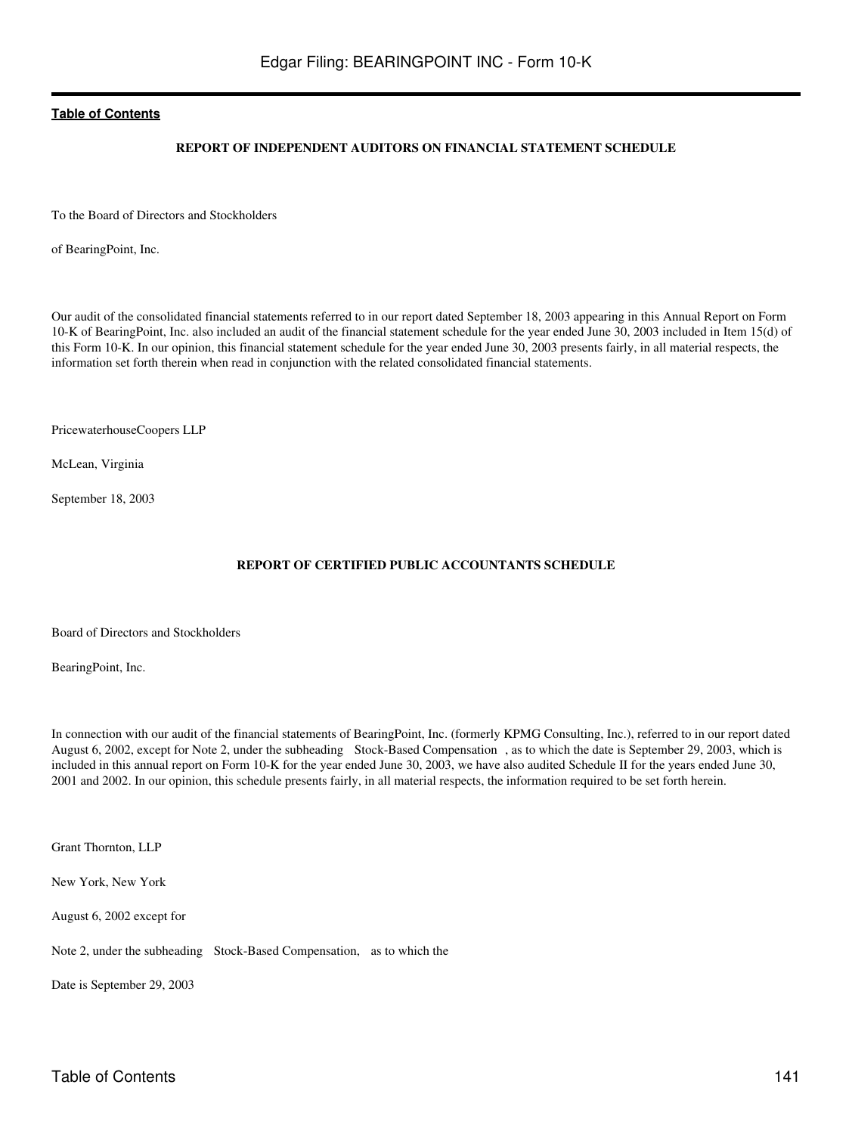## **REPORT OF INDEPENDENT AUDITORS ON FINANCIAL STATEMENT SCHEDULE**

To the Board of Directors and Stockholders

of BearingPoint, Inc.

Our audit of the consolidated financial statements referred to in our report dated September 18, 2003 appearing in this Annual Report on Form 10-K of BearingPoint, Inc. also included an audit of the financial statement schedule for the year ended June 30, 2003 included in Item 15(d) of this Form 10-K. In our opinion, this financial statement schedule for the year ended June 30, 2003 presents fairly, in all material respects, the information set forth therein when read in conjunction with the related consolidated financial statements.

PricewaterhouseCoopers LLP

McLean, Virginia

September 18, 2003

## **REPORT OF CERTIFIED PUBLIC ACCOUNTANTS SCHEDULE**

Board of Directors and Stockholders

BearingPoint, Inc.

In connection with our audit of the financial statements of BearingPoint, Inc. (formerly KPMG Consulting, Inc.), referred to in our report dated August 6, 2002, except for Note 2, under the subheading Stock-Based Compensation, as to which the date is September 29, 2003, which is included in this annual report on Form 10-K for the year ended June 30, 2003, we have also audited Schedule II for the years ended June 30, 2001 and 2002. In our opinion, this schedule presents fairly, in all material respects, the information required to be set forth herein.

Grant Thornton, LLP

New York, New York

August 6, 2002 except for

Note 2, under the subheading Stock-Based Compensation, as to which the

Date is September 29, 2003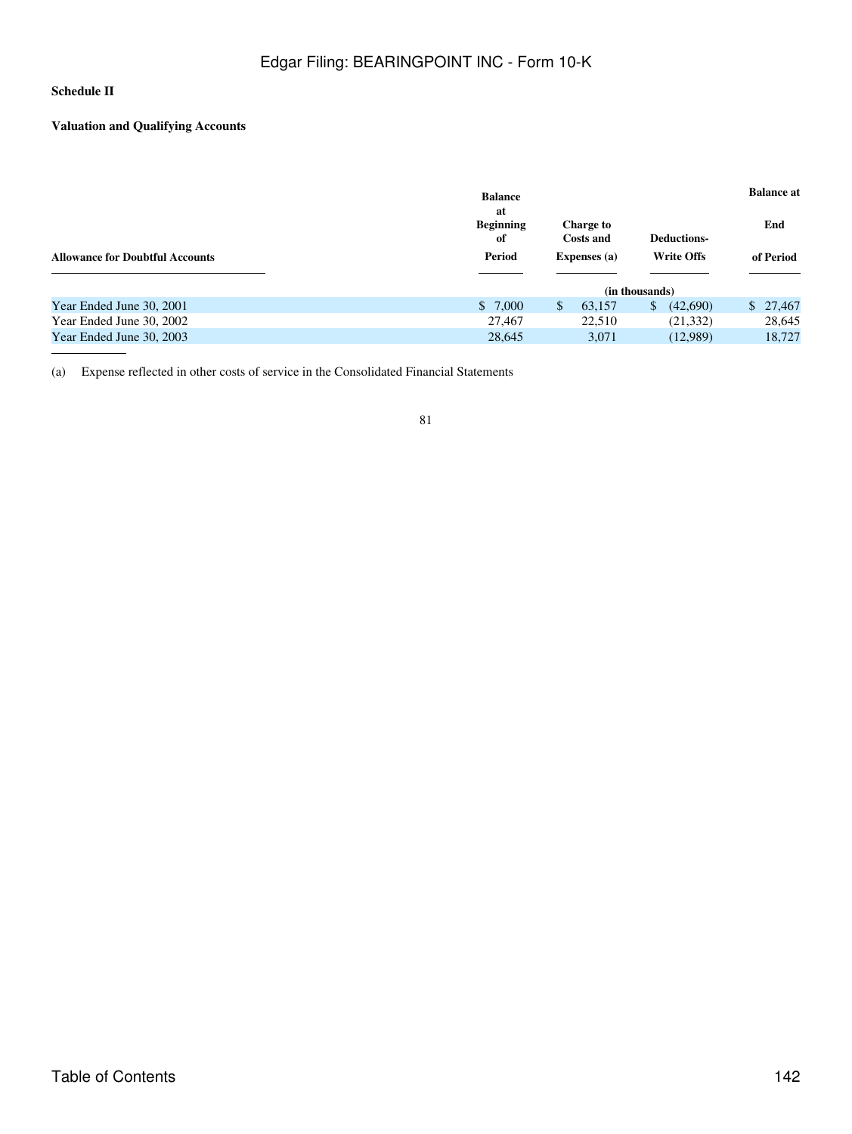## **Schedule II**

## **Valuation and Qualifying Accounts**

|                                        | <b>Balance</b>               |                                          |                               |                | <b>Balance at</b>  |  |          |  |
|----------------------------------------|------------------------------|------------------------------------------|-------------------------------|----------------|--------------------|--|----------|--|
|                                        | at<br><b>Beginning</b><br>of |                                          | <b>Charge to</b><br>Costs and |                | <b>Deductions-</b> |  | End      |  |
| <b>Allowance for Doubtful Accounts</b> | Period                       | <b>Write Offs</b><br><b>Expenses</b> (a) |                               |                | of Period          |  |          |  |
|                                        |                              |                                          |                               | (in thousands) |                    |  |          |  |
| Year Ended June 30, 2001               | \$7,000                      | \$                                       | 63.157                        | \$             | (42,690)           |  | \$27,467 |  |
| Year Ended June 30, 2002               | 27,467                       |                                          | 22.510                        |                | (21, 332)          |  | 28,645   |  |
| Year Ended June 30, 2003               | 28,645                       |                                          | 3.071                         |                | (12,989)           |  | 18.727   |  |

(a) Expense reflected in other costs of service in the Consolidated Financial Statements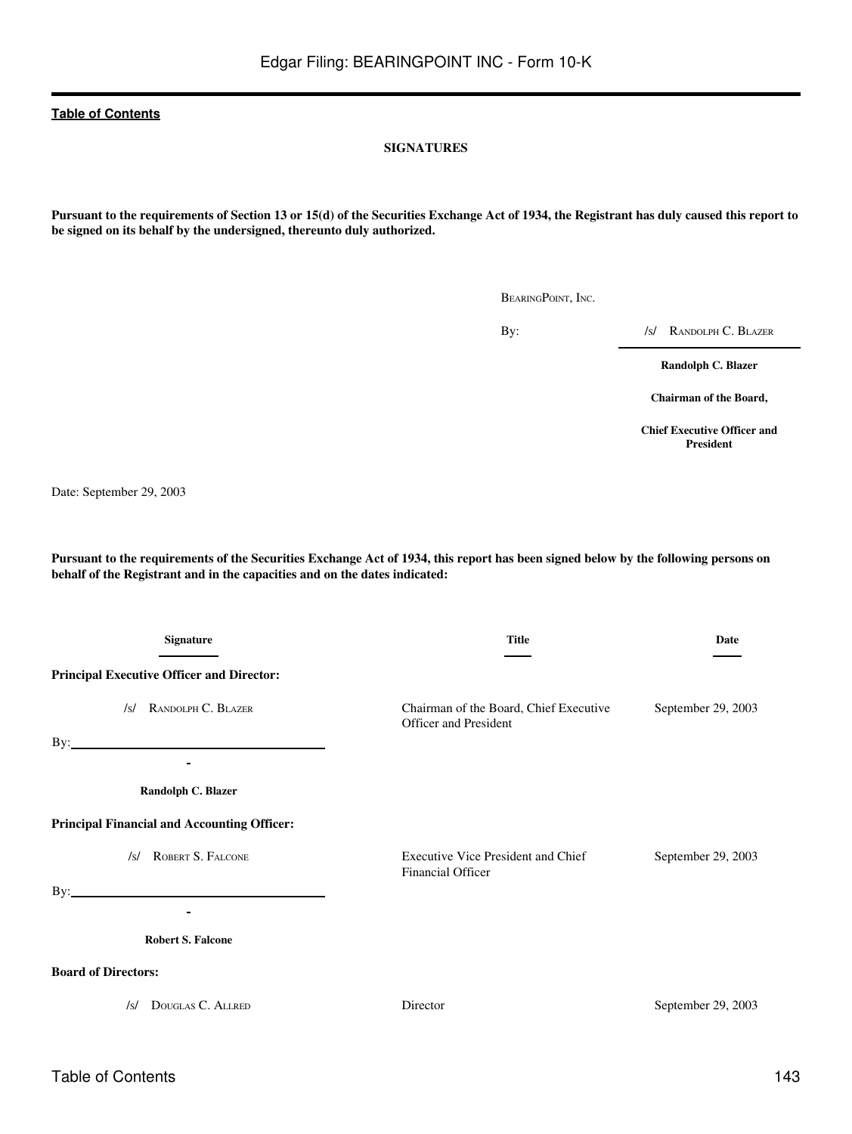### **SIGNATURES**

**Pursuant to the requirements of Section 13 or 15(d) of the Securities Exchange Act of 1934, the Registrant has duly caused this report to be signed on its behalf by the undersigned, thereunto duly authorized.**

BEARINGPOINT, INC.

By: /s/ RANDOLPH C. BLAZER

**Randolph C. Blazer**

**Chairman of the Board,**

**Chief Executive Officer and President**

Date: September 29, 2003

**Pursuant to the requirements of the Securities Exchange Act of 1934, this report has been signed below by the following persons on behalf of the Registrant and in the capacities and on the dates indicated:**

| <b>Signature</b>                                                         | <b>Title</b>                                                    | Date               |
|--------------------------------------------------------------------------|-----------------------------------------------------------------|--------------------|
| <b>Principal Executive Officer and Director:</b>                         |                                                                 |                    |
| RANDOLPH C. BLAZER<br>/s/<br>$\mathbf{By:}\_\_\_\_\_\$<br>$\blacksquare$ | Chairman of the Board, Chief Executive<br>Officer and President | September 29, 2003 |
| Randolph C. Blazer                                                       |                                                                 |                    |
| <b>Principal Financial and Accounting Officer:</b>                       |                                                                 |                    |
| ROBERT S. FALCONE<br>/s/                                                 | Executive Vice President and Chief<br>Financial Officer         | September 29, 2003 |
| <b>Robert S. Falcone</b>                                                 |                                                                 |                    |
| <b>Board of Directors:</b>                                               |                                                                 |                    |
| DOUGLAS C. ALLRED<br>/s/                                                 | Director                                                        | September 29, 2003 |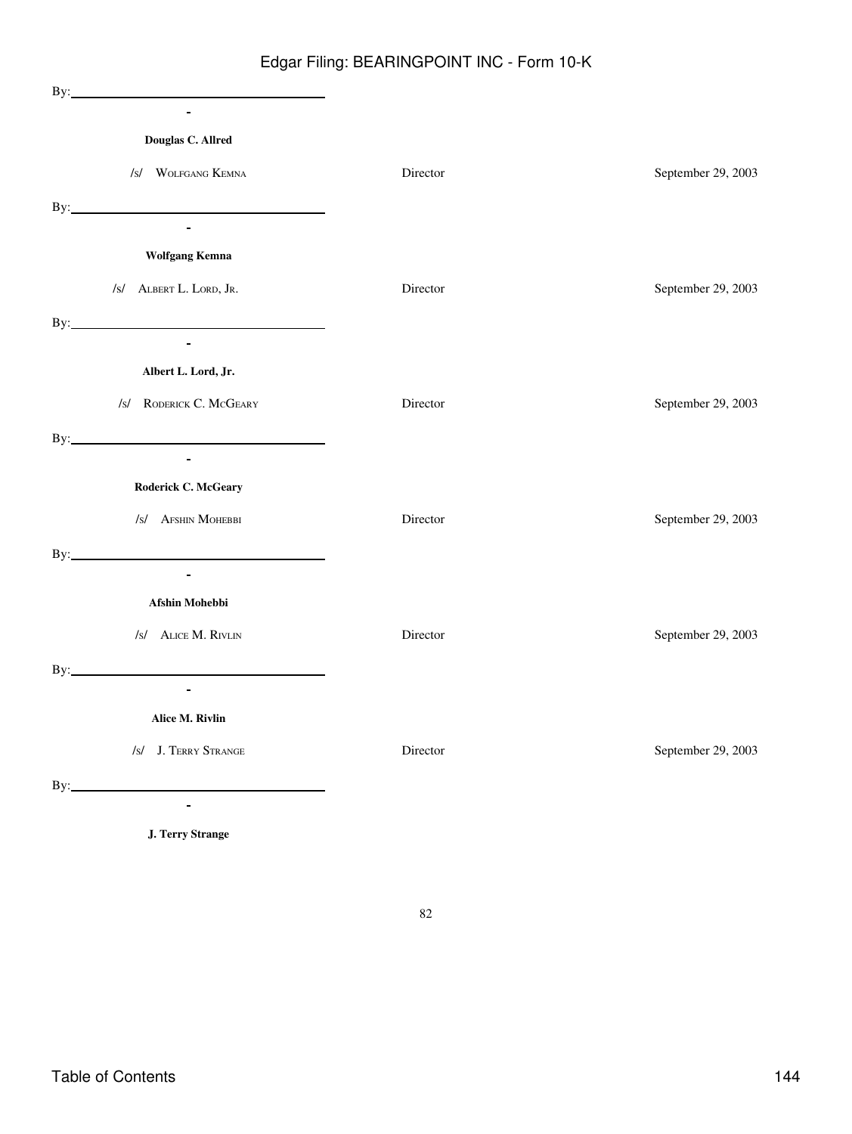| $\overline{\phantom{0}}$                       |          |                    |
|------------------------------------------------|----------|--------------------|
| Douglas C. Allred                              |          |                    |
| /s/ WOLFGANG KEMNA                             | Director | September 29, 2003 |
| <u> 1980 - Andrea Andrew Maria (h. 1980).</u>  |          |                    |
| $\blacksquare$                                 |          |                    |
| <b>Wolfgang Kemna</b>                          |          |                    |
| /s/ ALBERT L. LORD, JR.                        | Director | September 29, 2003 |
| By: $\qquad \qquad$                            |          |                    |
| $\mathbf{r}$                                   |          |                    |
| Albert L. Lord, Jr.                            |          |                    |
| /s/ RODERICK C. MCGEARY                        | Director | September 29, 2003 |
|                                                |          |                    |
| $\blacksquare$                                 |          |                    |
| Roderick C. McGeary                            |          |                    |
| /s/ AFSHIN MOHEBBI                             | Director | September 29, 2003 |
| By: $\qquad \qquad$                            |          |                    |
| $\mathbf{r}$                                   |          |                    |
| Afshin Mohebbi                                 |          |                    |
| /s/ ALICE M. RIVLIN                            | Director | September 29, 2003 |
| $\mathbf{By:}\n \overrightarrow{\phantom{AB}}$ |          |                    |
| $\mathcal{L}^{\pm}$                            |          |                    |
| Alice M. Rivlin                                |          |                    |
| /s/ J. TERRY STRANGE                           | Director | September 29, 2003 |
| By:                                            |          |                    |
|                                                |          |                    |

82

**J. Terry Strange**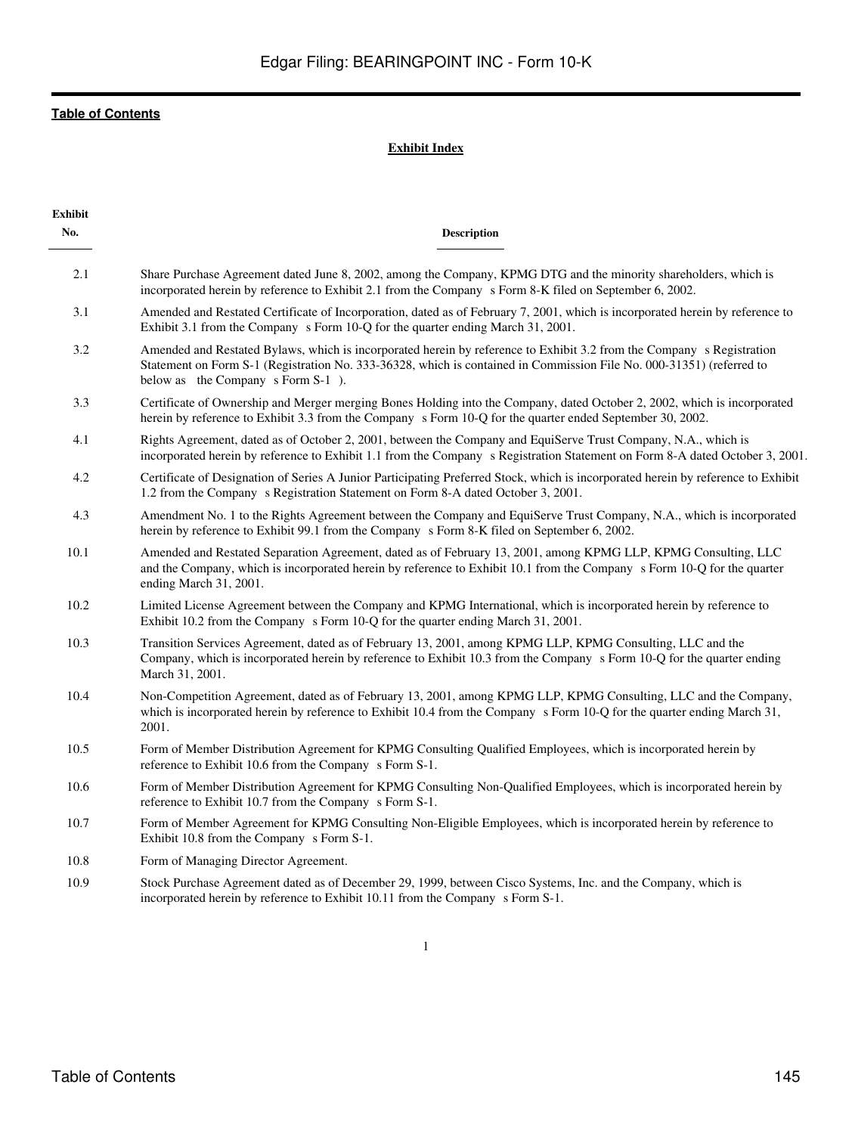## **Exhibit Index**

| Exhibit<br>No. | <b>Description</b>                                                                                                                                                                                                                                                                 |
|----------------|------------------------------------------------------------------------------------------------------------------------------------------------------------------------------------------------------------------------------------------------------------------------------------|
| 2.1            | Share Purchase Agreement dated June 8, 2002, among the Company, KPMG DTG and the minority shareholders, which is<br>incorporated herein by reference to Exhibit 2.1 from the Company s Form 8-K filed on September 6, 2002.                                                        |
| 3.1            | Amended and Restated Certificate of Incorporation, dated as of February 7, 2001, which is incorporated herein by reference to<br>Exhibit 3.1 from the Company s Form 10-Q for the quarter ending March 31, 2001.                                                                   |
| 3.2            | Amended and Restated Bylaws, which is incorporated herein by reference to Exhibit 3.2 from the Company s Registration<br>Statement on Form S-1 (Registration No. 333-36328, which is contained in Commission File No. 000-31351) (referred to<br>below as the Company s Form S-1). |
| 3.3            | Certificate of Ownership and Merger merging Bones Holding into the Company, dated October 2, 2002, which is incorporated<br>herein by reference to Exhibit 3.3 from the Company s Form 10-Q for the quarter ended September 30, 2002.                                              |
| 4.1            | Rights Agreement, dated as of October 2, 2001, between the Company and EquiServe Trust Company, N.A., which is<br>incorporated herein by reference to Exhibit 1.1 from the Company s Registration Statement on Form 8-A dated October 3, 2001.                                     |
| 4.2            | Certificate of Designation of Series A Junior Participating Preferred Stock, which is incorporated herein by reference to Exhibit<br>1.2 from the Company s Registration Statement on Form 8-A dated October 3, 2001.                                                              |
| 4.3            | Amendment No. 1 to the Rights Agreement between the Company and EquiServe Trust Company, N.A., which is incorporated<br>herein by reference to Exhibit 99.1 from the Company s Form 8-K filed on September 6, 2002.                                                                |
| 10.1           | Amended and Restated Separation Agreement, dated as of February 13, 2001, among KPMG LLP, KPMG Consulting, LLC<br>and the Company, which is incorporated herein by reference to Exhibit 10.1 from the Company s Form 10-Q for the quarter<br>ending March 31, 2001.                |
| 10.2           | Limited License Agreement between the Company and KPMG International, which is incorporated herein by reference to<br>Exhibit 10.2 from the Company s Form 10-Q for the quarter ending March 31, 2001.                                                                             |
| 10.3           | Transition Services Agreement, dated as of February 13, 2001, among KPMG LLP, KPMG Consulting, LLC and the<br>Company, which is incorporated herein by reference to Exhibit 10.3 from the Company s Form 10-Q for the quarter ending<br>March 31, 2001.                            |
| 10.4           | Non-Competition Agreement, dated as of February 13, 2001, among KPMG LLP, KPMG Consulting, LLC and the Company,<br>which is incorporated herein by reference to Exhibit 10.4 from the Company s Form 10-Q for the quarter ending March 31,<br>2001.                                |
| 10.5           | Form of Member Distribution Agreement for KPMG Consulting Qualified Employees, which is incorporated herein by<br>reference to Exhibit 10.6 from the Company s Form S-1.                                                                                                           |
| 10.6           | Form of Member Distribution Agreement for KPMG Consulting Non-Qualified Employees, which is incorporated herein by<br>reference to Exhibit 10.7 from the Company s Form S-1.                                                                                                       |
| 10.7           | Form of Member Agreement for KPMG Consulting Non-Eligible Employees, which is incorporated herein by reference to<br>Exhibit 10.8 from the Company s Form S-1.                                                                                                                     |
| 10.8           | Form of Managing Director Agreement.                                                                                                                                                                                                                                               |
|                |                                                                                                                                                                                                                                                                                    |

10.9 Stock Purchase Agreement dated as of December 29, 1999, between Cisco Systems, Inc. and the Company, which is incorporated herein by reference to Exhibit 10.11 from the Company s Form S-1.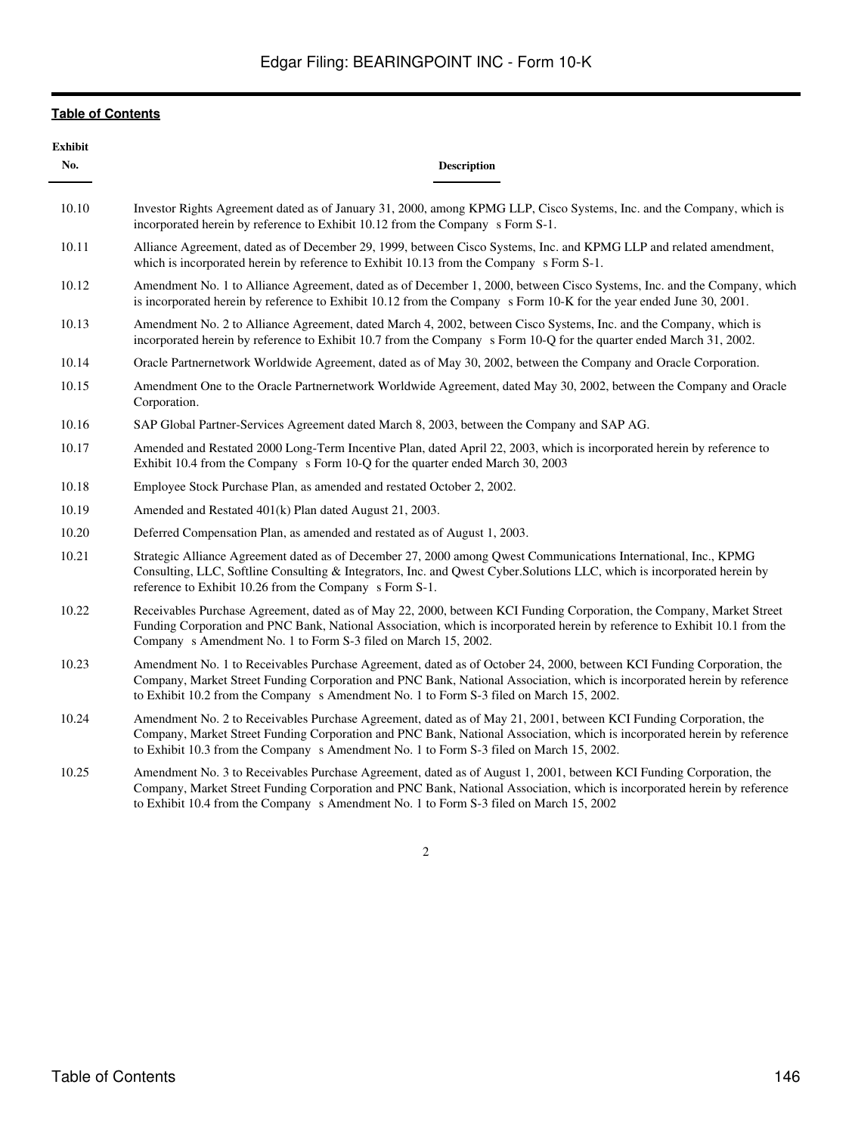| <b>Exhibit</b><br>No. | <b>Description</b>                                                                                                                                                                                                                                                                                                                           |
|-----------------------|----------------------------------------------------------------------------------------------------------------------------------------------------------------------------------------------------------------------------------------------------------------------------------------------------------------------------------------------|
| 10.10                 | Investor Rights Agreement dated as of January 31, 2000, among KPMG LLP, Cisco Systems, Inc. and the Company, which is<br>incorporated herein by reference to Exhibit 10.12 from the Company s Form S-1.                                                                                                                                      |
| 10.11                 | Alliance Agreement, dated as of December 29, 1999, between Cisco Systems, Inc. and KPMG LLP and related amendment,<br>which is incorporated herein by reference to Exhibit 10.13 from the Company s Form S-1.                                                                                                                                |
| 10.12                 | Amendment No. 1 to Alliance Agreement, dated as of December 1, 2000, between Cisco Systems, Inc. and the Company, which<br>is incorporated herein by reference to Exhibit 10.12 from the Company s Form 10-K for the year ended June 30, 2001.                                                                                               |
| 10.13                 | Amendment No. 2 to Alliance Agreement, dated March 4, 2002, between Cisco Systems, Inc. and the Company, which is<br>incorporated herein by reference to Exhibit 10.7 from the Company s Form 10-Q for the quarter ended March 31, 2002.                                                                                                     |
| 10.14                 | Oracle Partnernetwork Worldwide Agreement, dated as of May 30, 2002, between the Company and Oracle Corporation.                                                                                                                                                                                                                             |
| 10.15                 | Amendment One to the Oracle Partnernetwork Worldwide Agreement, dated May 30, 2002, between the Company and Oracle<br>Corporation.                                                                                                                                                                                                           |
| 10.16                 | SAP Global Partner-Services Agreement dated March 8, 2003, between the Company and SAP AG.                                                                                                                                                                                                                                                   |
| 10.17                 | Amended and Restated 2000 Long-Term Incentive Plan, dated April 22, 2003, which is incorporated herein by reference to<br>Exhibit 10.4 from the Company s Form 10-Q for the quarter ended March 30, 2003                                                                                                                                     |
| 10.18                 | Employee Stock Purchase Plan, as amended and restated October 2, 2002.                                                                                                                                                                                                                                                                       |
| 10.19                 | Amended and Restated 401(k) Plan dated August 21, 2003.                                                                                                                                                                                                                                                                                      |
| 10.20                 | Deferred Compensation Plan, as amended and restated as of August 1, 2003.                                                                                                                                                                                                                                                                    |
| 10.21                 | Strategic Alliance Agreement dated as of December 27, 2000 among Qwest Communications International, Inc., KPMG<br>Consulting, LLC, Softline Consulting & Integrators, Inc. and Qwest Cyber.Solutions LLC, which is incorporated herein by<br>reference to Exhibit 10.26 from the Company s Form S-1.                                        |
| 10.22                 | Receivables Purchase Agreement, dated as of May 22, 2000, between KCI Funding Corporation, the Company, Market Street<br>Funding Corporation and PNC Bank, National Association, which is incorporated herein by reference to Exhibit 10.1 from the<br>Company s Amendment No. 1 to Form S-3 filed on March 15, 2002.                        |
| 10.23                 | Amendment No. 1 to Receivables Purchase Agreement, dated as of October 24, 2000, between KCI Funding Corporation, the<br>Company, Market Street Funding Corporation and PNC Bank, National Association, which is incorporated herein by reference<br>to Exhibit 10.2 from the Company s Amendment No. 1 to Form S-3 filed on March 15, 2002. |
| 10.24                 | Amendment No. 2 to Receivables Purchase Agreement, dated as of May 21, 2001, between KCI Funding Corporation, the<br>Company, Market Street Funding Corporation and PNC Bank, National Association, which is incorporated herein by reference<br>to Exhibit 10.3 from the Company s Amendment No. 1 to Form S-3 filed on March 15, 2002.     |
| 10.25                 | Amendment No. 3 to Receivables Purchase Agreement, dated as of August 1, 2001, between KCI Funding Corporation, the<br>Company, Market Street Funding Corporation and PNC Bank, National Association, which is incorporated herein by reference                                                                                              |

2

to Exhibit 10.4 from the Company s Amendment No. 1 to Form S-3 filed on March 15, 2002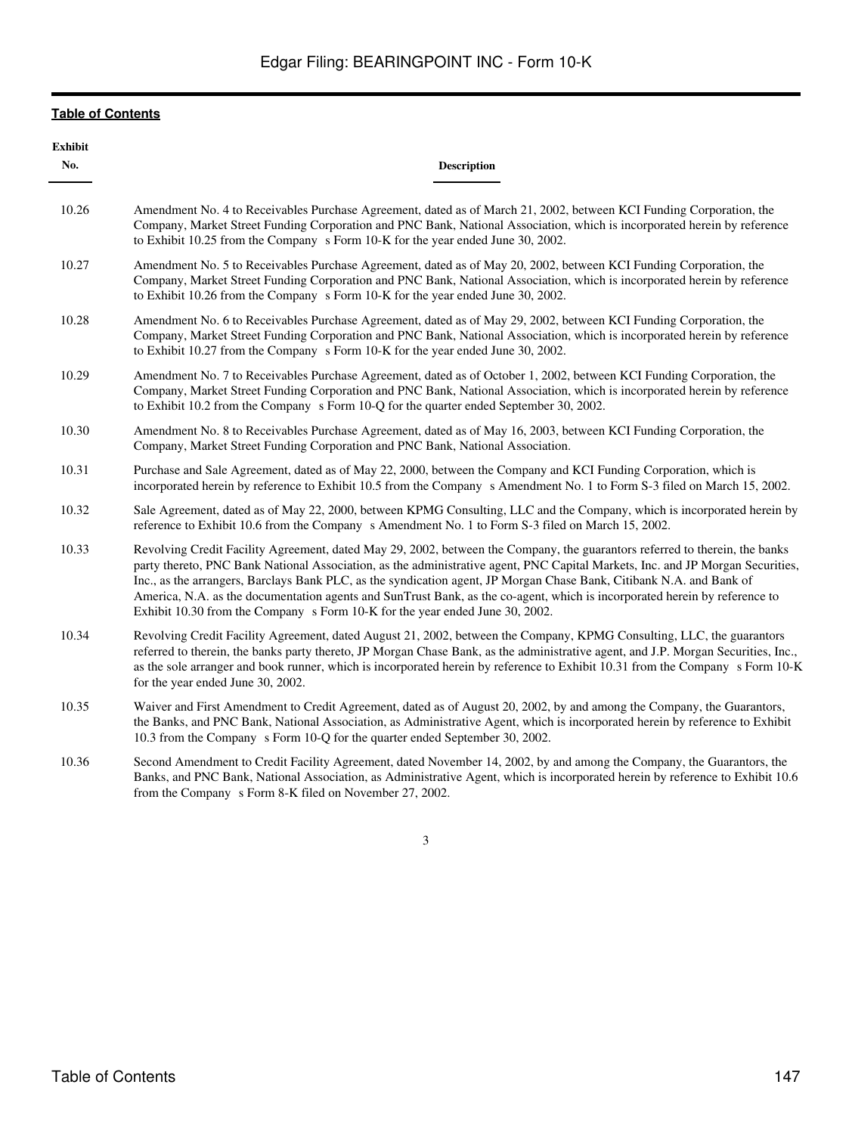| <b>Exhibit</b><br>No. | <b>Description</b>                                                                                                                                                                                                                                                                                                                                                                                                                                                                                                                                                                                  |
|-----------------------|-----------------------------------------------------------------------------------------------------------------------------------------------------------------------------------------------------------------------------------------------------------------------------------------------------------------------------------------------------------------------------------------------------------------------------------------------------------------------------------------------------------------------------------------------------------------------------------------------------|
| 10.26                 | Amendment No. 4 to Receivables Purchase Agreement, dated as of March 21, 2002, between KCI Funding Corporation, the<br>Company, Market Street Funding Corporation and PNC Bank, National Association, which is incorporated herein by reference<br>to Exhibit 10.25 from the Company s Form 10-K for the year ended June 30, 2002.                                                                                                                                                                                                                                                                  |
| 10.27                 | Amendment No. 5 to Receivables Purchase Agreement, dated as of May 20, 2002, between KCI Funding Corporation, the<br>Company, Market Street Funding Corporation and PNC Bank, National Association, which is incorporated herein by reference<br>to Exhibit 10.26 from the Company s Form 10-K for the year ended June 30, 2002.                                                                                                                                                                                                                                                                    |
| 10.28                 | Amendment No. 6 to Receivables Purchase Agreement, dated as of May 29, 2002, between KCI Funding Corporation, the<br>Company, Market Street Funding Corporation and PNC Bank, National Association, which is incorporated herein by reference<br>to Exhibit 10.27 from the Company s Form 10-K for the year ended June 30, 2002.                                                                                                                                                                                                                                                                    |
| 10.29                 | Amendment No. 7 to Receivables Purchase Agreement, dated as of October 1, 2002, between KCI Funding Corporation, the<br>Company, Market Street Funding Corporation and PNC Bank, National Association, which is incorporated herein by reference<br>to Exhibit 10.2 from the Company s Form 10-Q for the quarter ended September 30, 2002.                                                                                                                                                                                                                                                          |
| 10.30                 | Amendment No. 8 to Receivables Purchase Agreement, dated as of May 16, 2003, between KCI Funding Corporation, the<br>Company, Market Street Funding Corporation and PNC Bank, National Association.                                                                                                                                                                                                                                                                                                                                                                                                 |
| 10.31                 | Purchase and Sale Agreement, dated as of May 22, 2000, between the Company and KCI Funding Corporation, which is<br>incorporated herein by reference to Exhibit 10.5 from the Company s Amendment No. 1 to Form S-3 filed on March 15, 2002.                                                                                                                                                                                                                                                                                                                                                        |
| 10.32                 | Sale Agreement, dated as of May 22, 2000, between KPMG Consulting, LLC and the Company, which is incorporated herein by<br>reference to Exhibit 10.6 from the Company s Amendment No. 1 to Form S-3 filed on March 15, 2002.                                                                                                                                                                                                                                                                                                                                                                        |
| 10.33                 | Revolving Credit Facility Agreement, dated May 29, 2002, between the Company, the guarantors referred to therein, the banks<br>party thereto, PNC Bank National Association, as the administrative agent, PNC Capital Markets, Inc. and JP Morgan Securities,<br>Inc., as the arrangers, Barclays Bank PLC, as the syndication agent, JP Morgan Chase Bank, Citibank N.A. and Bank of<br>America, N.A. as the documentation agents and SunTrust Bank, as the co-agent, which is incorporated herein by reference to<br>Exhibit 10.30 from the Company s Form 10-K for the year ended June 30, 2002. |
| 10.34                 | Revolving Credit Facility Agreement, dated August 21, 2002, between the Company, KPMG Consulting, LLC, the guarantors<br>referred to therein, the banks party thereto, JP Morgan Chase Bank, as the administrative agent, and J.P. Morgan Securities, Inc.,<br>as the sole arranger and book runner, which is incorporated herein by reference to Exhibit 10.31 from the Company s Form 10-K<br>for the year ended June 30, 2002.                                                                                                                                                                   |
| 10.35                 | Waiver and First Amendment to Credit Agreement, dated as of August 20, 2002, by and among the Company, the Guarantors,<br>the Banks, and PNC Bank, National Association, as Administrative Agent, which is incorporated herein by reference to Exhibit<br>10.3 from the Company s Form 10-Q for the quarter ended September 30, 2002.                                                                                                                                                                                                                                                               |
| 10.36                 | Second Amendment to Credit Facility Agreement, dated November 14, 2002, by and among the Company, the Guarantors, the<br>the contract of the second contract of the contract of the contract of the contract of the contract of the contract of the contract of the contract of the contract of the contract of the contract of the contract of the con                                                                                                                                                                                                                                             |

Banks, and PNC Bank, National Association, as Administrative Agent, which is incorporated herein by reference to Exhibit 10.6 from the Company s Form 8-K filed on November 27, 2002.

3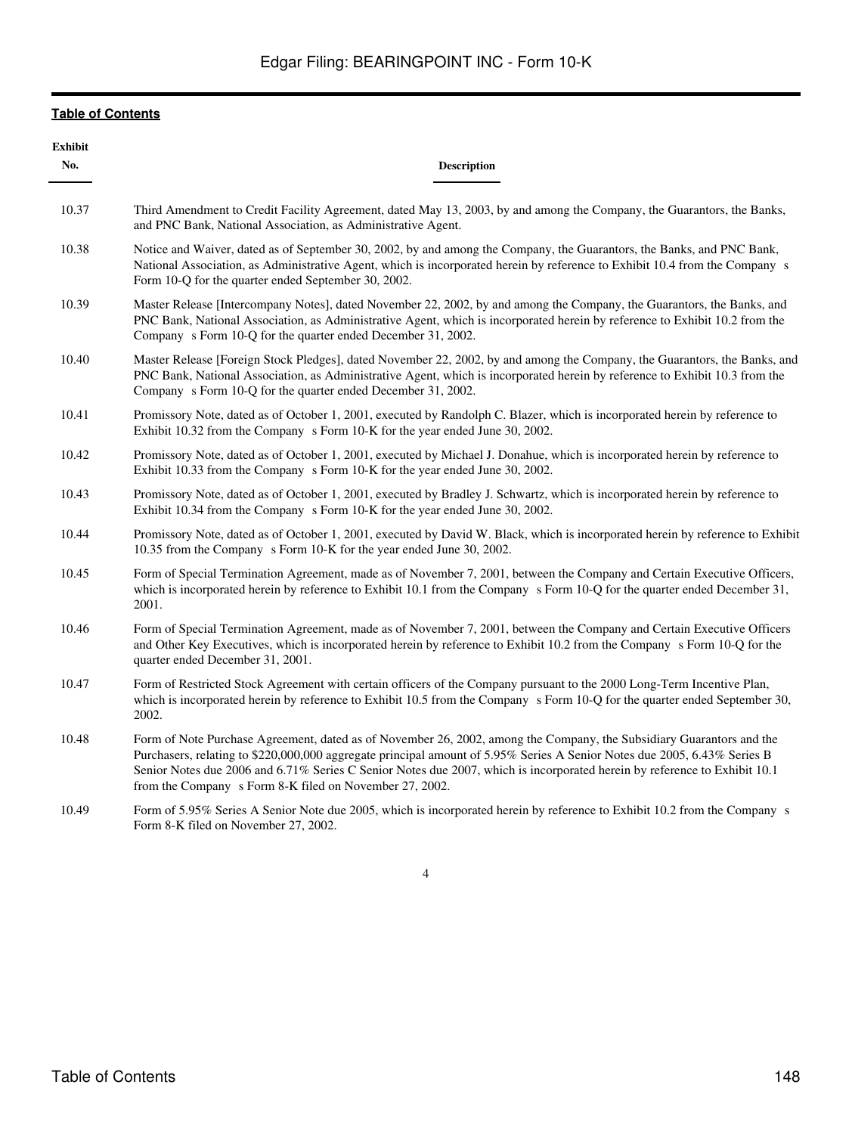| <b>Exhibit</b><br>No. | <b>Description</b>                                                                                                                                                                                                                                                                                                                                                                                                                       |
|-----------------------|------------------------------------------------------------------------------------------------------------------------------------------------------------------------------------------------------------------------------------------------------------------------------------------------------------------------------------------------------------------------------------------------------------------------------------------|
| 10.37                 | Third Amendment to Credit Facility Agreement, dated May 13, 2003, by and among the Company, the Guarantors, the Banks,<br>and PNC Bank, National Association, as Administrative Agent.                                                                                                                                                                                                                                                   |
| 10.38                 | Notice and Waiver, dated as of September 30, 2002, by and among the Company, the Guarantors, the Banks, and PNC Bank,<br>National Association, as Administrative Agent, which is incorporated herein by reference to Exhibit 10.4 from the Company s<br>Form 10-Q for the quarter ended September 30, 2002.                                                                                                                              |
| 10.39                 | Master Release [Intercompany Notes], dated November 22, 2002, by and among the Company, the Guarantors, the Banks, and<br>PNC Bank, National Association, as Administrative Agent, which is incorporated herein by reference to Exhibit 10.2 from the<br>Company s Form 10-Q for the quarter ended December 31, 2002.                                                                                                                    |
| 10.40                 | Master Release [Foreign Stock Pledges], dated November 22, 2002, by and among the Company, the Guarantors, the Banks, and<br>PNC Bank, National Association, as Administrative Agent, which is incorporated herein by reference to Exhibit 10.3 from the<br>Company s Form 10-Q for the quarter ended December 31, 2002.                                                                                                                 |
| 10.41                 | Promissory Note, dated as of October 1, 2001, executed by Randolph C. Blazer, which is incorporated herein by reference to<br>Exhibit 10.32 from the Company s Form 10-K for the year ended June 30, 2002.                                                                                                                                                                                                                               |
| 10.42                 | Promissory Note, dated as of October 1, 2001, executed by Michael J. Donahue, which is incorporated herein by reference to<br>Exhibit 10.33 from the Company s Form 10-K for the year ended June 30, 2002.                                                                                                                                                                                                                               |
| 10.43                 | Promissory Note, dated as of October 1, 2001, executed by Bradley J. Schwartz, which is incorporated herein by reference to<br>Exhibit 10.34 from the Company s Form 10-K for the year ended June 30, 2002.                                                                                                                                                                                                                              |
| 10.44                 | Promissory Note, dated as of October 1, 2001, executed by David W. Black, which is incorporated herein by reference to Exhibit<br>10.35 from the Company s Form 10-K for the year ended June 30, 2002.                                                                                                                                                                                                                                   |
| 10.45                 | Form of Special Termination Agreement, made as of November 7, 2001, between the Company and Certain Executive Officers,<br>which is incorporated herein by reference to Exhibit 10.1 from the Company s Form 10-Q for the quarter ended December 31,<br>2001.                                                                                                                                                                            |
| 10.46                 | Form of Special Termination Agreement, made as of November 7, 2001, between the Company and Certain Executive Officers<br>and Other Key Executives, which is incorporated herein by reference to Exhibit 10.2 from the Company s Form 10-Q for the<br>quarter ended December 31, 2001.                                                                                                                                                   |
| 10.47                 | Form of Restricted Stock Agreement with certain officers of the Company pursuant to the 2000 Long-Term Incentive Plan,<br>which is incorporated herein by reference to Exhibit 10.5 from the Company s Form 10-Q for the quarter ended September 30,<br>2002.                                                                                                                                                                            |
| 10.48                 | Form of Note Purchase Agreement, dated as of November 26, 2002, among the Company, the Subsidiary Guarantors and the<br>Purchasers, relating to \$220,000,000 aggregate principal amount of 5.95% Series A Senior Notes due 2005, 6.43% Series B<br>Senior Notes due 2006 and 6.71% Series C Senior Notes due 2007, which is incorporated herein by reference to Exhibit 10.1<br>from the Company s Form 8-K filed on November 27, 2002. |
| 10.49                 | Form of 5.95% Series A Senior Note due 2005, which is incorporated herein by reference to Exhibit 10.2 from the Company s<br>Form 8-K filed on November 27, 2002.                                                                                                                                                                                                                                                                        |

4